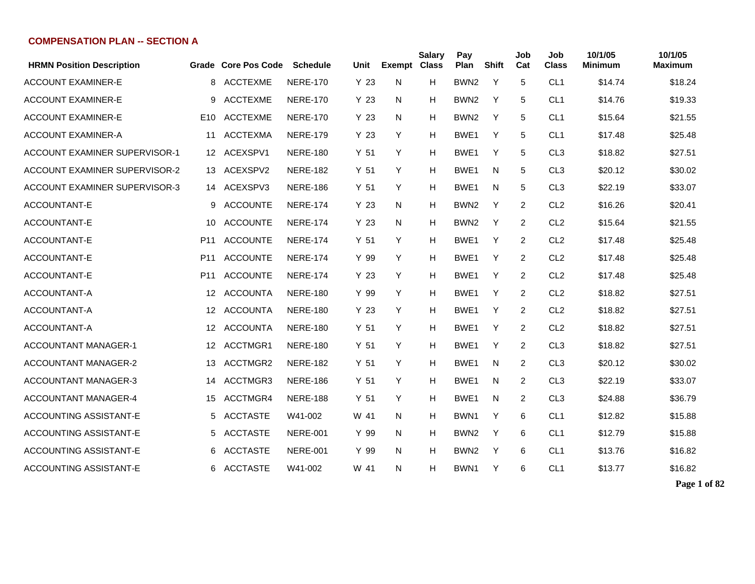| <b>HRMN Position Description</b>     |                 | Grade Core Pos Code | <b>Schedule</b> | Unit            | <b>Exempt Class</b> | <b>Salary</b> | Pay<br>Plan      | <b>Shift</b> | Job<br>Cat     | Job<br><b>Class</b> | 10/1/05<br><b>Minimum</b> | 10/1/05<br><b>Maximum</b> |
|--------------------------------------|-----------------|---------------------|-----------------|-----------------|---------------------|---------------|------------------|--------------|----------------|---------------------|---------------------------|---------------------------|
| <b>ACCOUNT EXAMINER-E</b>            | 8               | <b>ACCTEXME</b>     | <b>NERE-170</b> | Y <sub>23</sub> | N                   | Н             | BWN <sub>2</sub> | Y            | 5              | CL <sub>1</sub>     | \$14.74                   | \$18.24                   |
| <b>ACCOUNT EXAMINER-E</b>            | 9               | <b>ACCTEXME</b>     | <b>NERE-170</b> | Y <sub>23</sub> | N                   | Н             | BWN <sub>2</sub> | Y            | 5              | CL <sub>1</sub>     | \$14.76                   | \$19.33                   |
| <b>ACCOUNT EXAMINER-E</b>            | E <sub>10</sub> | <b>ACCTEXME</b>     | <b>NERE-170</b> | Y <sub>23</sub> | N                   | Н             | BWN <sub>2</sub> | Y            | 5              | CL <sub>1</sub>     | \$15.64                   | \$21.55                   |
| <b>ACCOUNT EXAMINER-A</b>            | 11              | <b>ACCTEXMA</b>     | <b>NERE-179</b> | Y <sub>23</sub> | Y                   | Н             | BWE1             | Y            | 5              | CL <sub>1</sub>     | \$17.48                   | \$25.48                   |
| ACCOUNT EXAMINER SUPERVISOR-1        | 12              | ACEXSPV1            | <b>NERE-180</b> | Y <sub>51</sub> | Y                   | Н             | BWE1             | Y            | 5              | CL <sub>3</sub>     | \$18.82                   | \$27.51                   |
| <b>ACCOUNT EXAMINER SUPERVISOR-2</b> | 13              | ACEXSPV2            | <b>NERE-182</b> | Y <sub>51</sub> | Y                   | Н             | BWE1             | N            | 5              | CL <sub>3</sub>     | \$20.12                   | \$30.02                   |
| <b>ACCOUNT EXAMINER SUPERVISOR-3</b> | 14              | ACEXSPV3            | <b>NERE-186</b> | Y <sub>51</sub> | Y                   | H             | BWE1             | N            | 5              | CL <sub>3</sub>     | \$22.19                   | \$33.07                   |
| ACCOUNTANT-E                         | 9               | <b>ACCOUNTE</b>     | <b>NERE-174</b> | Y <sub>23</sub> | N                   | Н             | BWN <sub>2</sub> | Y            | $\overline{2}$ | CL <sub>2</sub>     | \$16.26                   | \$20.41                   |
| ACCOUNTANT-E                         | 10              | <b>ACCOUNTE</b>     | <b>NERE-174</b> | Y <sub>23</sub> | N                   | н             | BWN <sub>2</sub> | Y            | $\overline{2}$ | CL <sub>2</sub>     | \$15.64                   | \$21.55                   |
| ACCOUNTANT-E                         | P <sub>11</sub> | <b>ACCOUNTE</b>     | <b>NERE-174</b> | Y <sub>51</sub> | Y                   | Н             | BWE1             | Y            | $\overline{2}$ | CL <sub>2</sub>     | \$17.48                   | \$25.48                   |
| ACCOUNTANT-E                         | P11             | <b>ACCOUNTE</b>     | <b>NERE-174</b> | Y 99            | Y                   | Н             | BWE <sub>1</sub> | Υ            | 2              | CL <sub>2</sub>     | \$17.48                   | \$25.48                   |
| ACCOUNTANT-E                         | P <sub>11</sub> | <b>ACCOUNTE</b>     | <b>NERE-174</b> | Y <sub>23</sub> | Y                   | Н             | BWE <sub>1</sub> | Y            | $\overline{2}$ | CL <sub>2</sub>     | \$17.48                   | \$25.48                   |
| ACCOUNTANT-A                         | 12              | <b>ACCOUNTA</b>     | <b>NERE-180</b> | Y 99            | Y                   | Н             | BWE <sub>1</sub> | Y            | $\overline{2}$ | CL <sub>2</sub>     | \$18.82                   | \$27.51                   |
| ACCOUNTANT-A                         | 12              | <b>ACCOUNTA</b>     | <b>NERE-180</b> | Y <sub>23</sub> | Y                   | н             | BWE <sub>1</sub> | Y            | $\overline{2}$ | CL <sub>2</sub>     | \$18.82                   | \$27.51                   |
| ACCOUNTANT-A                         | 12              | <b>ACCOUNTA</b>     | <b>NERE-180</b> | Y <sub>51</sub> | Y                   | H             | BWE1             | Y            | $\overline{2}$ | CL <sub>2</sub>     | \$18.82                   | \$27.51                   |
| <b>ACCOUNTANT MANAGER-1</b>          | 12 <sup>°</sup> | ACCTMGR1            | <b>NERE-180</b> | Y <sub>51</sub> | Y                   | Н             | BWE1             | Y            | 2              | CL <sub>3</sub>     | \$18.82                   | \$27.51                   |
| <b>ACCOUNTANT MANAGER-2</b>          | 13              | ACCTMGR2            | <b>NERE-182</b> | Y <sub>51</sub> | Y                   | Н             | BWE1             | N            | 2              | CL <sub>3</sub>     | \$20.12                   | \$30.02                   |
| <b>ACCOUNTANT MANAGER-3</b>          | 14              | ACCTMGR3            | <b>NERE-186</b> | Y <sub>51</sub> | Y                   | н             | BWE1             | N            | 2              | CL <sub>3</sub>     | \$22.19                   | \$33.07                   |
| <b>ACCOUNTANT MANAGER-4</b>          | 15              | ACCTMGR4            | <b>NERE-188</b> | Y <sub>51</sub> | Y                   | Н             | BWE <sub>1</sub> | N            | $\overline{2}$ | CL <sub>3</sub>     | \$24.88                   | \$36.79                   |
| ACCOUNTING ASSISTANT-E               | 5               | <b>ACCTASTE</b>     | W41-002         | W 41            | N                   | н             | BWN1             | Y            | 6              | CL <sub>1</sub>     | \$12.82                   | \$15.88                   |
| ACCOUNTING ASSISTANT-E               | 5.              | <b>ACCTASTE</b>     | <b>NERE-001</b> | Y 99            | N                   | н             | BWN <sub>2</sub> | Y            | 6              | CL <sub>1</sub>     | \$12.79                   | \$15.88                   |
| ACCOUNTING ASSISTANT-E               | 6               | <b>ACCTASTE</b>     | <b>NERE-001</b> | Y 99            | N                   | н             | BWN <sub>2</sub> | Y            | 6              | CL <sub>1</sub>     | \$13.76                   | \$16.82                   |
| ACCOUNTING ASSISTANT-E               | 6.              | <b>ACCTASTE</b>     | W41-002         | W 41            | N                   | н             | BWN1             | Y            | 6              | CL <sub>1</sub>     | \$13.77                   | \$16.82                   |

**Page 1 of 82**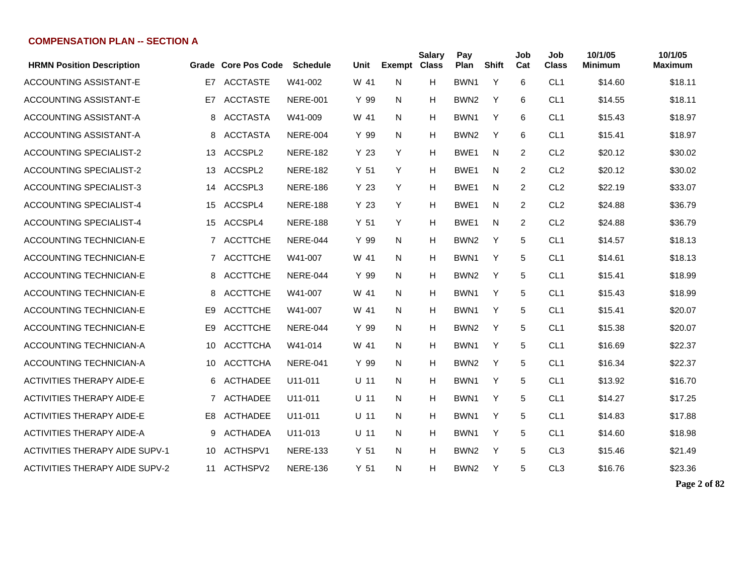| <b>HRMN Position Description</b>      |                | Grade Core Pos Code | <b>Schedule</b> | Unit            | Exempt | <b>Salary</b><br><b>Class</b> | Pay<br>Plan      | <b>Shift</b> | Job<br>Cat | Job<br><b>Class</b> | 10/1/05<br><b>Minimum</b> | 10/1/05<br><b>Maximum</b> |
|---------------------------------------|----------------|---------------------|-----------------|-----------------|--------|-------------------------------|------------------|--------------|------------|---------------------|---------------------------|---------------------------|
| <b>ACCOUNTING ASSISTANT-E</b>         | E7             | <b>ACCTASTE</b>     | W41-002         | W 41            | N      | H                             | BWN <sub>1</sub> | Y            | 6          | CL <sub>1</sub>     | \$14.60                   | \$18.11                   |
| ACCOUNTING ASSISTANT-E                | E7             | <b>ACCTASTE</b>     | <b>NERE-001</b> | Y 99            | N      | н                             | BWN <sub>2</sub> | Y            | 6          | CL <sub>1</sub>     | \$14.55                   | \$18.11                   |
| ACCOUNTING ASSISTANT-A                | 8              | <b>ACCTASTA</b>     | W41-009         | W 41            | N      | H                             | BWN1             | Y            | 6          | CL <sub>1</sub>     | \$15.43                   | \$18.97                   |
| ACCOUNTING ASSISTANT-A                | 8              | <b>ACCTASTA</b>     | <b>NERE-004</b> | Y 99            | N      | н                             | BWN <sub>2</sub> | Y            | 6          | CL <sub>1</sub>     | \$15.41                   | \$18.97                   |
| <b>ACCOUNTING SPECIALIST-2</b>        | 13             | ACCSPL2             | <b>NERE-182</b> | Y 23            | Y      | н                             | BWE1             | N            | 2          | CL <sub>2</sub>     | \$20.12                   | \$30.02                   |
| <b>ACCOUNTING SPECIALIST-2</b>        | 13             | ACCSPL2             | <b>NERE-182</b> | Y <sub>51</sub> | Y      | н                             | BWE <sub>1</sub> | N.           | 2          | CL <sub>2</sub>     | \$20.12                   | \$30.02                   |
| <b>ACCOUNTING SPECIALIST-3</b>        | 14             | ACCSPL3             | <b>NERE-186</b> | Y 23            | Y      | н                             | BWE <sub>1</sub> | N            | 2          | CL <sub>2</sub>     | \$22.19                   | \$33.07                   |
| <b>ACCOUNTING SPECIALIST-4</b>        | 15             | ACCSPL4             | <b>NERE-188</b> | Y 23            | Y      | н                             | BWE <sub>1</sub> | N            | 2          | CL <sub>2</sub>     | \$24.88                   | \$36.79                   |
| <b>ACCOUNTING SPECIALIST-4</b>        | 15             | ACCSPL4             | <b>NERE-188</b> | Y <sub>51</sub> | Y      | H                             | BWE <sub>1</sub> | N            | 2          | CL <sub>2</sub>     | \$24.88                   | \$36.79                   |
| <b>ACCOUNTING TECHNICIAN-E</b>        |                | 7 ACCTTCHE          | NERE-044        | Y 99            | N      | н                             | BWN <sub>2</sub> | Y            | 5          | CL <sub>1</sub>     | \$14.57                   | \$18.13                   |
| <b>ACCOUNTING TECHNICIAN-E</b>        | 7              | <b>ACCTTCHE</b>     | W41-007         | W 41            | N      | н                             | BWN <sub>1</sub> | Y            | 5          | CL <sub>1</sub>     | \$14.61                   | \$18.13                   |
| <b>ACCOUNTING TECHNICIAN-E</b>        | 8              | <b>ACCTTCHE</b>     | NERE-044        | Y 99            | N      | н                             | BWN <sub>2</sub> | Y            | 5          | CL <sub>1</sub>     | \$15.41                   | \$18.99                   |
| <b>ACCOUNTING TECHNICIAN-E</b>        | 8              | <b>ACCTTCHE</b>     | W41-007         | W 41            | N      | н                             | BWN1             | Y            | 5          | CL <sub>1</sub>     | \$15.43                   | \$18.99                   |
| <b>ACCOUNTING TECHNICIAN-E</b>        | E <sub>9</sub> | <b>ACCTTCHE</b>     | W41-007         | W 41            | N      | н                             | BWN1             | Y            | 5          | CL <sub>1</sub>     | \$15.41                   | \$20.07                   |
| <b>ACCOUNTING TECHNICIAN-E</b>        | E <sub>9</sub> | <b>ACCTTCHE</b>     | <b>NERE-044</b> | Y 99            | N      | н                             | BWN <sub>2</sub> | Y            | 5          | CL <sub>1</sub>     | \$15.38                   | \$20.07                   |
| <b>ACCOUNTING TECHNICIAN-A</b>        | 10             | <b>ACCTTCHA</b>     | W41-014         | W 41            | N      | н                             | BWN1             | Y            | 5          | CL <sub>1</sub>     | \$16.69                   | \$22.37                   |
| <b>ACCOUNTING TECHNICIAN-A</b>        | 10             | <b>ACCTTCHA</b>     | <b>NERE-041</b> | Y 99            | N      | н                             | BWN <sub>2</sub> | Y            | 5          | CL <sub>1</sub>     | \$16.34                   | \$22.37                   |
| <b>ACTIVITIES THERAPY AIDE-E</b>      | 6              | <b>ACTHADEE</b>     | U11-011         | $U$ 11          | N      | н                             | BWN <sub>1</sub> | Y            | 5          | CL <sub>1</sub>     | \$13.92                   | \$16.70                   |
| <b>ACTIVITIES THERAPY AIDE-E</b>      | $7^{\circ}$    | <b>ACTHADEE</b>     | U11-011         | $U$ 11          | N      | н                             | BWN1             | Y            | 5          | CL <sub>1</sub>     | \$14.27                   | \$17.25                   |
| <b>ACTIVITIES THERAPY AIDE-E</b>      | E <sub>8</sub> | <b>ACTHADEE</b>     | U11-011         | $U$ 11          | N      | н                             | BWN1             | Y            | 5          | CL <sub>1</sub>     | \$14.83                   | \$17.88                   |
| <b>ACTIVITIES THERAPY AIDE-A</b>      | 9              | <b>ACTHADEA</b>     | U11-013         | $U$ 11          | N      | н                             | BWN1             | Y            | 5          | CL <sub>1</sub>     | \$14.60                   | \$18.98                   |
| <b>ACTIVITIES THERAPY AIDE SUPV-1</b> | 10             | ACTHSPV1            | <b>NERE-133</b> | Y <sub>51</sub> | N      | н                             | BWN <sub>2</sub> | Y            | 5          | CL <sub>3</sub>     | \$15.46                   | \$21.49                   |
| <b>ACTIVITIES THERAPY AIDE SUPV-2</b> |                | 11 ACTHSPV2         | <b>NERE-136</b> | Y 51            | N      | H.                            | BWN <sub>2</sub> | Y            | 5          | CL <sub>3</sub>     | \$16.76                   | \$23.36                   |

**Page 2 of 82**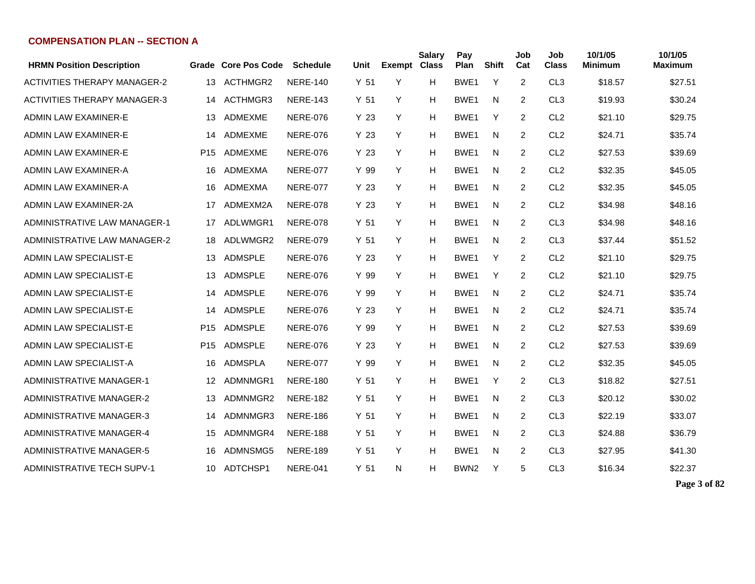| <b>HRMN Position Description</b>    |                 | <b>Grade Core Pos Code</b> | <b>Schedule</b> | Unit            | <b>Exempt</b> | <b>Salary</b><br><b>Class</b> | Pay<br>Plan      | <b>Shift</b> | Job<br>Cat     | Job<br><b>Class</b> | 10/1/05<br><b>Minimum</b> | 10/1/05<br><b>Maximum</b> |
|-------------------------------------|-----------------|----------------------------|-----------------|-----------------|---------------|-------------------------------|------------------|--------------|----------------|---------------------|---------------------------|---------------------------|
| <b>ACTIVITIES THERAPY MANAGER-2</b> | 13              | ACTHMGR2                   | <b>NERE-140</b> | Y 51            | Y             | H                             | BWE1             | Y            | 2              | CL <sub>3</sub>     | \$18.57                   | \$27.51                   |
| <b>ACTIVITIES THERAPY MANAGER-3</b> | 14              | ACTHMGR3                   | <b>NERE-143</b> | Y <sub>51</sub> | Y             | H                             | BWE <sub>1</sub> | N            | $\overline{2}$ | CL <sub>3</sub>     | \$19.93                   | \$30.24                   |
| ADMIN LAW EXAMINER-E                | 13              | ADMEXME                    | <b>NERE-076</b> | Y 23            | Y             | н                             | BWE <sub>1</sub> | Υ            | 2              | CL <sub>2</sub>     | \$21.10                   | \$29.75                   |
| ADMIN LAW EXAMINER-E                | 14              | <b>ADMEXME</b>             | <b>NERE-076</b> | Y 23            | Y             | H                             | BWE <sub>1</sub> | N            | $\overline{2}$ | CL <sub>2</sub>     | \$24.71                   | \$35.74                   |
| ADMIN LAW EXAMINER-E                | P <sub>15</sub> | <b>ADMEXME</b>             | <b>NERE-076</b> | Y 23            | Y             | H                             | BWE <sub>1</sub> | N            | 2              | CL <sub>2</sub>     | \$27.53                   | \$39.69                   |
| ADMIN LAW EXAMINER-A                | 16              | ADMEXMA                    | <b>NERE-077</b> | Y 99            | Y             | н                             | BWE1             | N            | 2              | CL <sub>2</sub>     | \$32.35                   | \$45.05                   |
| ADMIN LAW EXAMINER-A                | 16              | ADMEXMA                    | <b>NERE-077</b> | Y 23            | Y             | H                             | BWE1             | N            | 2              | CL <sub>2</sub>     | \$32.35                   | \$45.05                   |
| <b>ADMIN LAW EXAMINER-2A</b>        | 17              | ADMEXM2A                   | <b>NERE-078</b> | Y 23            | Y             | H                             | BWE <sub>1</sub> | N            | 2              | CL <sub>2</sub>     | \$34.98                   | \$48.16                   |
| ADMINISTRATIVE LAW MANAGER-1        | 17              | ADLWMGR1                   | <b>NERE-078</b> | Y <sub>51</sub> | Y             | H                             | BWE <sub>1</sub> | N            | 2              | CL <sub>3</sub>     | \$34.98                   | \$48.16                   |
| ADMINISTRATIVE LAW MANAGER-2        | 18              | ADLWMGR2                   | <b>NERE-079</b> | Y <sub>51</sub> | Y             | H                             | BWE <sub>1</sub> | N            | 2              | CL <sub>3</sub>     | \$37.44                   | \$51.52                   |
| ADMIN LAW SPECIALIST-E              | 13              | ADMSPLE                    | <b>NERE-076</b> | Y 23            | Y             | H                             | BWE <sub>1</sub> | Y            | 2              | CL <sub>2</sub>     | \$21.10                   | \$29.75                   |
| <b>ADMIN LAW SPECIALIST-E</b>       | 13              | ADMSPLE                    | <b>NERE-076</b> | Y 99            | Y             | н                             | BWE1             | Υ            | 2              | CL <sub>2</sub>     | \$21.10                   | \$29.75                   |
| ADMIN LAW SPECIALIST-E              | 14              | ADMSPLE                    | <b>NERE-076</b> | Y 99            | Y             | н                             | BWE <sub>1</sub> | N            | 2              | CL <sub>2</sub>     | \$24.71                   | \$35.74                   |
| ADMIN LAW SPECIALIST-E              | 14              | ADMSPLE                    | <b>NERE-076</b> | Y 23            | Y             | H                             | BWE <sub>1</sub> | N            | 2              | CL <sub>2</sub>     | \$24.71                   | \$35.74                   |
| ADMIN LAW SPECIALIST-E              | P <sub>15</sub> | <b>ADMSPLE</b>             | <b>NERE-076</b> | Y 99            | Y             | H                             | BWE <sub>1</sub> | N            | $\overline{2}$ | CL <sub>2</sub>     | \$27.53                   | \$39.69                   |
| ADMIN LAW SPECIALIST-E              | P <sub>15</sub> | <b>ADMSPLE</b>             | <b>NERE-076</b> | Y 23            | Y             | н                             | BWE <sub>1</sub> | N            | $\overline{2}$ | CL <sub>2</sub>     | \$27.53                   | \$39.69                   |
| ADMIN LAW SPECIALIST-A              | 16              | <b>ADMSPLA</b>             | <b>NERE-077</b> | Y 99            | Y             | н                             | BWE <sub>1</sub> | N            | $\overline{2}$ | CL <sub>2</sub>     | \$32.35                   | \$45.05                   |
| <b>ADMINISTRATIVE MANAGER-1</b>     | 12              | ADMNMGR1                   | <b>NERE-180</b> | Y <sub>51</sub> | Y             | H                             | BWE <sub>1</sub> | Υ            | 2              | CL <sub>3</sub>     | \$18.82                   | \$27.51                   |
| <b>ADMINISTRATIVE MANAGER-2</b>     | 13              | ADMNMGR2                   | <b>NERE-182</b> | Y <sub>51</sub> | Y             | H.                            | BWE <sub>1</sub> | N            | 2              | CL <sub>3</sub>     | \$20.12                   | \$30.02                   |
| <b>ADMINISTRATIVE MANAGER-3</b>     | 14              | ADMNMGR3                   | <b>NERE-186</b> | Y <sub>51</sub> | Y             | H                             | BWE <sub>1</sub> | N            | 2              | CL <sub>3</sub>     | \$22.19                   | \$33.07                   |
| <b>ADMINISTRATIVE MANAGER-4</b>     | 15              | ADMNMGR4                   | <b>NERE-188</b> | Y <sub>51</sub> | Y             | H                             | BWE <sub>1</sub> | N            | 2              | CL <sub>3</sub>     | \$24.88                   | \$36.79                   |
| <b>ADMINISTRATIVE MANAGER-5</b>     | 16              | ADMNSMG5                   | <b>NERE-189</b> | Y <sub>51</sub> | Y             | H                             | BWE1             | N            | 2              | CL <sub>3</sub>     | \$27.95                   | \$41.30                   |
| <b>ADMINISTRATIVE TECH SUPV-1</b>   | 10              | ADTCHSP1                   | <b>NERE-041</b> | Y <sub>51</sub> | N             | H                             | BWN <sub>2</sub> | Y            | 5              | CL <sub>3</sub>     | \$16.34                   | \$22.37                   |

**Page 3 of 82**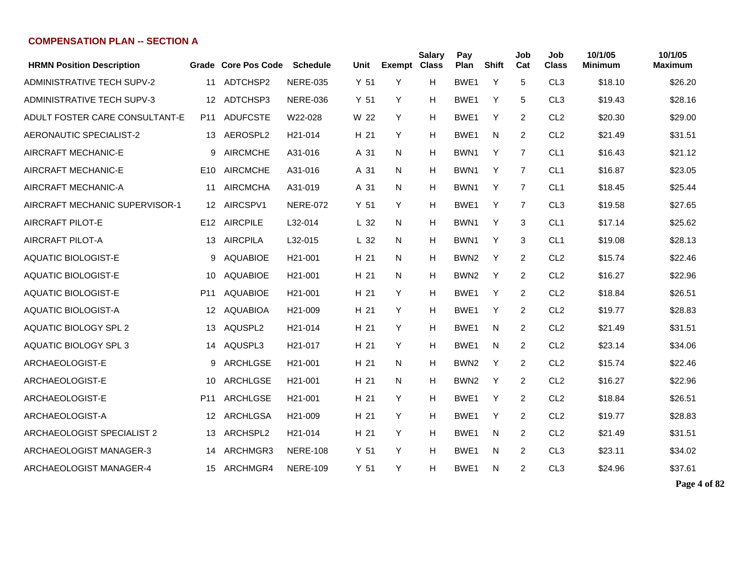| <b>HRMN Position Description</b>  |                 | Grade Core Pos Code | <b>Schedule</b>      | Unit            | <b>Exempt</b> | <b>Salary</b><br><b>Class</b> | Pay<br>Plan      | <b>Shift</b> | Job<br>Cat | Job<br><b>Class</b> | 10/1/05<br>Minimum | 10/1/05<br><b>Maximum</b> |
|-----------------------------------|-----------------|---------------------|----------------------|-----------------|---------------|-------------------------------|------------------|--------------|------------|---------------------|--------------------|---------------------------|
| <b>ADMINISTRATIVE TECH SUPV-2</b> | 11              | ADTCHSP2            | <b>NERE-035</b>      | Y <sub>51</sub> | Y             | H                             | BWE1             | Y            | 5          | CL <sub>3</sub>     | \$18.10            | \$26.20                   |
| <b>ADMINISTRATIVE TECH SUPV-3</b> | 12              | ADTCHSP3            | <b>NERE-036</b>      | Y <sub>51</sub> | Y             | H                             | BWE <sub>1</sub> | Y            | 5          | CL <sub>3</sub>     | \$19.43            | \$28.16                   |
| ADULT FOSTER CARE CONSULTANT-E    | P11             | <b>ADUFCSTE</b>     | W22-028              | W 22            | Y             | H                             | BWE1             | Y            | 2          | CL <sub>2</sub>     | \$20.30            | \$29.00                   |
| AERONAUTIC SPECIALIST-2           | 13              | AEROSPL2            | H <sub>21</sub> -014 | H 21            | Y             | H                             | BWE1             | N            | 2          | CL <sub>2</sub>     | \$21.49            | \$31.51                   |
| AIRCRAFT MECHANIC-E               | 9               | <b>AIRCMCHE</b>     | A31-016              | A 31            | N             | H                             | BWN1             | Y            | 7          | CL <sub>1</sub>     | \$16.43            | \$21.12                   |
| AIRCRAFT MECHANIC-E               | E <sub>10</sub> | <b>AIRCMCHE</b>     | A31-016              | A 31            | N             | H                             | BWN <sub>1</sub> | Y            | 7          | CL <sub>1</sub>     | \$16.87            | \$23.05                   |
| AIRCRAFT MECHANIC-A               | 11              | <b>AIRCMCHA</b>     | A31-019              | A 31            | N             | Н                             | BWN <sub>1</sub> | Y            | 7          | CL <sub>1</sub>     | \$18.45            | \$25.44                   |
| AIRCRAFT MECHANIC SUPERVISOR-1    |                 | 12 AIRCSPV1         | <b>NERE-072</b>      | Y 51            | Y             | H                             | BWE1             | Y            | 7          | CL <sub>3</sub>     | \$19.58            | \$27.65                   |
| AIRCRAFT PILOT-E                  | E12             | <b>AIRCPILE</b>     | L32-014              | L <sub>32</sub> | N             | H                             | BWN <sub>1</sub> | Υ            | 3          | CL <sub>1</sub>     | \$17.14            | \$25.62                   |
| AIRCRAFT PILOT-A                  | 13              | <b>AIRCPILA</b>     | L32-015              | L <sub>32</sub> | N             | H                             | BWN <sub>1</sub> | Υ            | 3          | CL <sub>1</sub>     | \$19.08            | \$28.13                   |
| <b>AQUATIC BIOLOGIST-E</b>        | 9               | <b>AQUABIOE</b>     | H <sub>21</sub> -001 | H 21            | N             | H                             | BWN <sub>2</sub> | Υ            | 2          | CL <sub>2</sub>     | \$15.74            | \$22.46                   |
| <b>AQUATIC BIOLOGIST-E</b>        | 10              | <b>AQUABIOE</b>     | H <sub>21</sub> -001 | H 21            | N             | H                             | BWN <sub>2</sub> | Υ            | 2          | CL <sub>2</sub>     | \$16.27            | \$22.96                   |
| <b>AQUATIC BIOLOGIST-E</b>        | P11             | <b>AQUABIOE</b>     | H <sub>21</sub> -001 | H 21            | Y             | H                             | BWE1             | Y            | 2          | CL <sub>2</sub>     | \$18.84            | \$26.51                   |
| <b>AQUATIC BIOLOGIST-A</b>        | $12 \,$         | <b>AQUABIOA</b>     | H <sub>21</sub> -009 | H 21            | Y             | H                             | BWE1             | Y            | 2          | CL <sub>2</sub>     | \$19.77            | \$28.83                   |
| <b>AQUATIC BIOLOGY SPL 2</b>      | 13              | AQUSPL2             | H <sub>21</sub> -014 | H 21            | Y             | Н                             | BWE1             | N            | 2          | CL <sub>2</sub>     | \$21.49            | \$31.51                   |
| <b>AQUATIC BIOLOGY SPL 3</b>      | 14              | AQUSPL3             | H <sub>21</sub> -017 | H 21            | Y             | H                             | BWE1             | N            | 2          | CL <sub>2</sub>     | \$23.14            | \$34.06                   |
| ARCHAEOLOGIST-E                   | 9               | ARCHLGSE            | H <sub>21</sub> -001 | H 21            | N             | H                             | BWN <sub>2</sub> | Y            | 2          | CL <sub>2</sub>     | \$15.74            | \$22.46                   |
| ARCHAEOLOGIST-E                   | 10              | ARCHLGSE            | H <sub>21</sub> -001 | H 21            | N             | H                             | BWN <sub>2</sub> | Y            | 2          | CL <sub>2</sub>     | \$16.27            | \$22.96                   |
| ARCHAEOLOGIST-E                   | P <sub>11</sub> | ARCHLGSE            | H <sub>21</sub> -001 | H 21            | Y             | H                             | BWE1             | Y            | 2          | CL <sub>2</sub>     | \$18.84            | \$26.51                   |
| ARCHAEOLOGIST-A                   | 12              | ARCHLGSA            | H <sub>21</sub> -009 | H 21            | Y             | H                             | BWE1             | Y            | 2          | CL <sub>2</sub>     | \$19.77            | \$28.83                   |
| ARCHAEOLOGIST SPECIALIST 2        | 13              | ARCHSPL2            | H <sub>21</sub> -014 | H 21            | Y             | H                             | BWE1             | N            | 2          | CL <sub>2</sub>     | \$21.49            | \$31.51                   |
| ARCHAEOLOGIST MANAGER-3           | 14              | ARCHMGR3            | <b>NERE-108</b>      | Y 51            | Y             | Н                             | BWE1             | N            | 2          | CL <sub>3</sub>     | \$23.11            | \$34.02                   |
| ARCHAEOLOGIST MANAGER-4           | 15              | ARCHMGR4            | <b>NERE-109</b>      | Y <sub>51</sub> | Y             | H                             | BWE1             | N            | 2          | CL <sub>3</sub>     | \$24.96            | \$37.61                   |

**Page 4 of 82**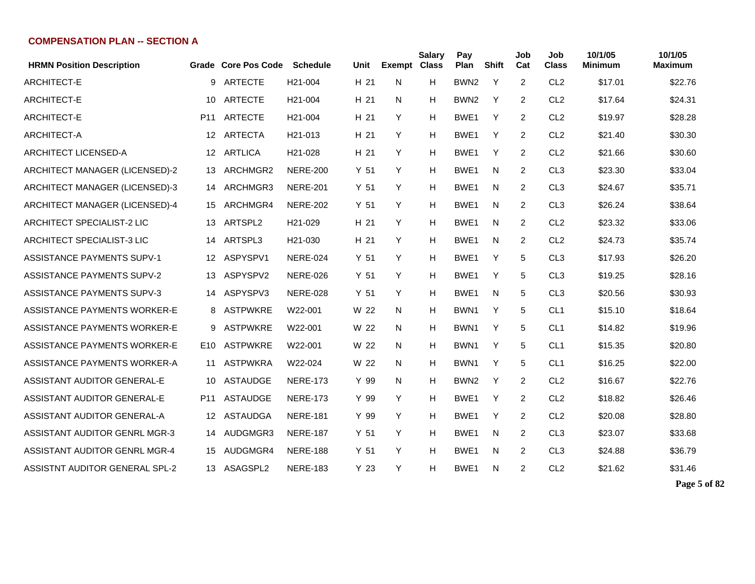| <b>HRMN Position Description</b>     |                  | Grade Core Pos Code | <b>Schedule</b>      | Unit            | <b>Exempt</b> | <b>Salary</b><br><b>Class</b> | Pay<br>Plan      | <b>Shift</b> | Job<br>Cat     | Job<br><b>Class</b> | 10/1/05<br><b>Minimum</b> | 10/1/05<br><b>Maximum</b> |
|--------------------------------------|------------------|---------------------|----------------------|-----------------|---------------|-------------------------------|------------------|--------------|----------------|---------------------|---------------------------|---------------------------|
| ARCHITECT-E                          | 9                | <b>ARTECTE</b>      | H <sub>21</sub> -004 | H <sub>21</sub> | N             | н                             | BWN <sub>2</sub> | Y            | $\overline{2}$ | CL <sub>2</sub>     | \$17.01                   | \$22.76                   |
| <b>ARCHITECT-E</b>                   | 10               | ARTECTE             | H <sub>21</sub> -004 | H 21            | N             | н                             | BWN <sub>2</sub> | Y            | $\overline{2}$ | CL <sub>2</sub>     | \$17.64                   | \$24.31                   |
| <b>ARCHITECT-E</b>                   | P <sub>11</sub>  | <b>ARTECTE</b>      | H <sub>21</sub> -004 | H 21            | Y             | н                             | BWE1             | Y            | 2              | CL <sub>2</sub>     | \$19.97                   | \$28.28                   |
| ARCHITECT-A                          | 12               | <b>ARTECTA</b>      | H <sub>21</sub> -013 | H 21            | Y             | н                             | BWE1             | Y            | $\overline{2}$ | CL <sub>2</sub>     | \$21.40                   | \$30.30                   |
| <b>ARCHITECT LICENSED-A</b>          | 12 <sup>°</sup>  | ARTLICA             | H21-028              | H 21            | Y             | н                             | BWE1             | Y            | 2              | CL <sub>2</sub>     | \$21.66                   | \$30.60                   |
| ARCHITECT MANAGER (LICENSED)-2       | 13               | ARCHMGR2            | <b>NERE-200</b>      | Y <sub>51</sub> | Y             | н                             | BWE1             | N            | $\overline{2}$ | CL <sub>3</sub>     | \$23.30                   | \$33.04                   |
| ARCHITECT MANAGER (LICENSED)-3       | 14               | ARCHMGR3            | <b>NERE-201</b>      | Y <sub>51</sub> | Y             | Н                             | BWE1             | N            | $\overline{2}$ | CL <sub>3</sub>     | \$24.67                   | \$35.71                   |
| ARCHITECT MANAGER (LICENSED)-4       | 15               | ARCHMGR4            | <b>NERE-202</b>      | Y <sub>51</sub> | Y             | н                             | BWE1             | N            | $\overline{2}$ | CL <sub>3</sub>     | \$26.24                   | \$38.64                   |
| ARCHITECT SPECIALIST-2 LIC           | 13               | ARTSPL2             | H21-029              | H 21            | Y             | н                             | BWE1             | N            | 2              | CL <sub>2</sub>     | \$23.32                   | \$33.06                   |
| ARCHITECT SPECIALIST-3 LIC           |                  | 14 ARTSPL3          | H <sub>21</sub> -030 | H 21            | Y             | н                             | BWE1             | N            | $\overline{2}$ | CL <sub>2</sub>     | \$24.73                   | \$35.74                   |
| <b>ASSISTANCE PAYMENTS SUPV-1</b>    | 12 <sup>12</sup> | ASPYSPV1            | <b>NERE-024</b>      | Y <sub>51</sub> | Y             | н                             | BWE1             | Υ            | 5              | CL <sub>3</sub>     | \$17.93                   | \$26.20                   |
| <b>ASSISTANCE PAYMENTS SUPV-2</b>    | 13               | ASPYSPV2            | <b>NERE-026</b>      | Y <sub>51</sub> | Y             | н                             | BWE1             | Y            | 5              | CL <sub>3</sub>     | \$19.25                   | \$28.16                   |
| <b>ASSISTANCE PAYMENTS SUPV-3</b>    | 14               | ASPYSPV3            | <b>NERE-028</b>      | Y <sub>51</sub> | Y             | н                             | BWE1             | N            | 5              | CL <sub>3</sub>     | \$20.56                   | \$30.93                   |
| ASSISTANCE PAYMENTS WORKER-E         | 8                | <b>ASTPWKRE</b>     | W22-001              | W 22            | N             | н                             | BWN1             | Y            | 5              | CL <sub>1</sub>     | \$15.10                   | \$18.64                   |
| ASSISTANCE PAYMENTS WORKER-E         | 9                | <b>ASTPWKRE</b>     | W22-001              | W 22            | N             | н                             | BWN <sub>1</sub> | Y            | 5              | CL <sub>1</sub>     | \$14.82                   | \$19.96                   |
| ASSISTANCE PAYMENTS WORKER-E         | E10              | <b>ASTPWKRE</b>     | W22-001              | W 22            | N             | Н                             | BWN <sub>1</sub> | Y            | 5              | CL <sub>1</sub>     | \$15.35                   | \$20.80                   |
| ASSISTANCE PAYMENTS WORKER-A         | 11               | <b>ASTPWKRA</b>     | W22-024              | W 22            | N             | Н                             | BWN1             | Y            | 5              | CL <sub>1</sub>     | \$16.25                   | \$22.00                   |
| ASSISTANT AUDITOR GENERAL-E          | 10               | <b>ASTAUDGE</b>     | <b>NERE-173</b>      | Y 99            | N             | Н                             | BWN <sub>2</sub> | Y            | $\overline{2}$ | CL <sub>2</sub>     | \$16.67                   | \$22.76                   |
| ASSISTANT AUDITOR GENERAL-E          | P11              | ASTAUDGE            | <b>NERE-173</b>      | Y 99            | Y             | н                             | BWE1             | Y            | $\overline{2}$ | CL <sub>2</sub>     | \$18.82                   | \$26.46                   |
| ASSISTANT AUDITOR GENERAL-A          | 12 <sup>°</sup>  | ASTAUDGA            | <b>NERE-181</b>      | Y 99            | Y             | н                             | BWE1             | Y            | 2              | CL <sub>2</sub>     | \$20.08                   | \$28.80                   |
| <b>ASSISTANT AUDITOR GENRL MGR-3</b> | 14               | AUDGMGR3            | <b>NERE-187</b>      | Y <sub>51</sub> | Y             | н                             | BWE1             | N            | $\overline{2}$ | CL <sub>3</sub>     | \$23.07                   | \$33.68                   |
| <b>ASSISTANT AUDITOR GENRL MGR-4</b> | 15               | AUDGMGR4            | <b>NERE-188</b>      | Y <sub>51</sub> | Y             | Н                             | BWE1             | N            | $\overline{2}$ | CL <sub>3</sub>     | \$24.88                   | \$36.79                   |
| ASSISTNT AUDITOR GENERAL SPL-2       |                  | 13 ASAGSPL2         | <b>NERE-183</b>      | Y <sub>23</sub> | Y             | н                             | BWE1             | N            | 2              | CL <sub>2</sub>     | \$21.62                   | \$31.46                   |

**Page 5 of 82**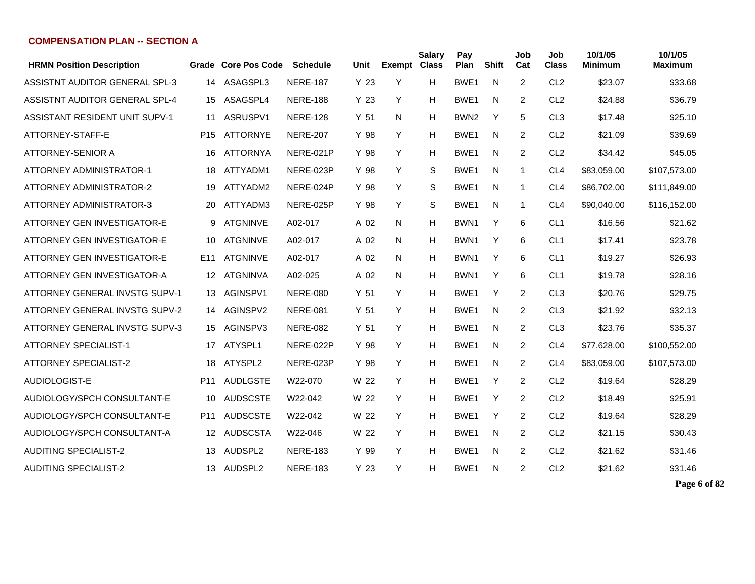| <b>HRMN Position Description</b>      |                 | <b>Grade Core Pos Code</b> | <b>Schedule</b> | Unit            | <b>Exempt Class</b> | <b>Salary</b> | Pay<br>Plan      | <b>Shift</b> | Job<br>Cat     | Job<br><b>Class</b> | 10/1/05<br><b>Minimum</b> | 10/1/05<br>Maximum |
|---------------------------------------|-----------------|----------------------------|-----------------|-----------------|---------------------|---------------|------------------|--------------|----------------|---------------------|---------------------------|--------------------|
| ASSISTNT AUDITOR GENERAL SPL-3        | 14              | ASAGSPL3                   | <b>NERE-187</b> | Y 23            | Y                   | н             | BWE1             | N            | 2              | CL <sub>2</sub>     | \$23.07                   | \$33.68            |
| ASSISTNT AUDITOR GENERAL SPL-4        | 15              | ASAGSPL4                   | <b>NERE-188</b> | Y <sub>23</sub> | Y                   | Н             | BWE1             | N            | 2              | CL <sub>2</sub>     | \$24.88                   | \$36.79            |
| <b>ASSISTANT RESIDENT UNIT SUPV-1</b> | 11              | ASRUSPV1                   | <b>NERE-128</b> | Y <sub>51</sub> | N                   | Н             | BWN <sub>2</sub> | Y            | 5              | CL <sub>3</sub>     | \$17.48                   | \$25.10            |
| ATTORNEY-STAFF-E                      | P <sub>15</sub> | <b>ATTORNYE</b>            | <b>NERE-207</b> | Y 98            | Y                   | н             | BWE <sub>1</sub> | N            | 2              | CL <sub>2</sub>     | \$21.09                   | \$39.69            |
| ATTORNEY-SENIOR A                     | 16              | <b>ATTORNYA</b>            | NERE-021P       | Y 98            | Y                   | Н             | BWE1             | N            | 2              | CL <sub>2</sub>     | \$34.42                   | \$45.05            |
| <b>ATTORNEY ADMINISTRATOR-1</b>       | 18              | ATTYADM1                   | NERE-023P       | Y 98            | Y                   | S             | BWE1             | N            | 1              | CL <sub>4</sub>     | \$83,059.00               | \$107,573.00       |
| <b>ATTORNEY ADMINISTRATOR-2</b>       | 19              | ATTYADM2                   | NERE-024P       | Y 98            | Y                   | S             | BWE1             | N            | 1              | CL <sub>4</sub>     | \$86,702.00               | \$111,849.00       |
| ATTORNEY ADMINISTRATOR-3              | 20.             | ATTYADM3                   | NERE-025P       | Y 98            | Y                   | S             | BWE1             | N            | 1              | CL <sub>4</sub>     | \$90,040.00               | \$116,152.00       |
| ATTORNEY GEN INVESTIGATOR-E           | 9               | <b>ATGNINVE</b>            | A02-017         | A 02            | N.                  | Н             | BWN <sub>1</sub> | Y            | 6              | CL <sub>1</sub>     | \$16.56                   | \$21.62            |
| ATTORNEY GEN INVESTIGATOR-E           | 10              | <b>ATGNINVE</b>            | A02-017         | A 02            | N                   | н             | BWN1             | Y            | 6              | CL <sub>1</sub>     | \$17.41                   | \$23.78            |
| ATTORNEY GEN INVESTIGATOR-E           | E <sub>11</sub> | <b>ATGNINVE</b>            | A02-017         | A 02            | N                   | н             | BWN <sub>1</sub> | Y            | 6              | CL <sub>1</sub>     | \$19.27                   | \$26.93            |
| ATTORNEY GEN INVESTIGATOR-A           | 12              | <b>ATGNINVA</b>            | A02-025         | A 02            | N                   | н             | BWN1             | Y            | 6              | CL <sub>1</sub>     | \$19.78                   | \$28.16            |
| ATTORNEY GENERAL INVSTG SUPV-1        | 13              | AGINSPV1                   | <b>NERE-080</b> | Y <sub>51</sub> | Y                   | Н             | BWE1             | Y            | 2              | CL <sub>3</sub>     | \$20.76                   | \$29.75            |
| <b>ATTORNEY GENERAL INVSTG SUPV-2</b> | 14              | AGINSPV2                   | <b>NERE-081</b> | Y <sub>51</sub> | Y                   | н             | BWE <sub>1</sub> | N            | $\overline{2}$ | CL <sub>3</sub>     | \$21.92                   | \$32.13            |
| ATTORNEY GENERAL INVSTG SUPV-3        | 15              | AGINSPV3                   | <b>NERE-082</b> | Y <sub>51</sub> | Y                   | Н             | BWE1             | N            | 2              | CL <sub>3</sub>     | \$23.76                   | \$35.37            |
| <b>ATTORNEY SPECIALIST-1</b>          | 17              | ATYSPL1                    | NERE-022P       | Y 98            | Y                   | Н             | BWE1             | N            | 2              | CL <sub>4</sub>     | \$77,628.00               | \$100,552.00       |
| <b>ATTORNEY SPECIALIST-2</b>          | 18              | ATYSPL2                    | NERE-023P       | Y 98            | Y                   | Н             | BWE <sub>1</sub> | N            | 2              | CL <sub>4</sub>     | \$83,059.00               | \$107,573.00       |
| AUDIOLOGIST-E                         | P <sub>11</sub> | <b>AUDLGSTE</b>            | W22-070         | W 22            | Y                   | Н             | BWE <sub>1</sub> | Υ            | 2              | CL <sub>2</sub>     | \$19.64                   | \$28.29            |
| AUDIOLOGY/SPCH CONSULTANT-E           | 10              | <b>AUDSCSTE</b>            | W22-042         | W 22            | Y                   | H             | BWE1             | Y            | 2              | CL <sub>2</sub>     | \$18.49                   | \$25.91            |
| AUDIOLOGY/SPCH CONSULTANT-E           | P11             | <b>AUDSCSTE</b>            | W22-042         | W 22            | Y                   | н             | BWE <sub>1</sub> | Υ            | $\overline{2}$ | CL <sub>2</sub>     | \$19.64                   | \$28.29            |
| AUDIOLOGY/SPCH CONSULTANT-A           | 12              | AUDSCSTA                   | W22-046         | W 22            | Y                   | Н             | BWE <sub>1</sub> | N            | 2              | CL <sub>2</sub>     | \$21.15                   | \$30.43            |
| <b>AUDITING SPECIALIST-2</b>          | 13              | AUDSPL2                    | <b>NERE-183</b> | Y 99            | Y                   | н             | BWE <sub>1</sub> | N            | $\overline{2}$ | CL <sub>2</sub>     | \$21.62                   | \$31.46            |
| <b>AUDITING SPECIALIST-2</b>          | 13              | AUDSPL2                    | <b>NERE-183</b> | Y <sub>23</sub> | Y                   | н             | BWE <sub>1</sub> | N            | 2              | CL <sub>2</sub>     | \$21.62                   | \$31.46            |

**Page 6 of 82**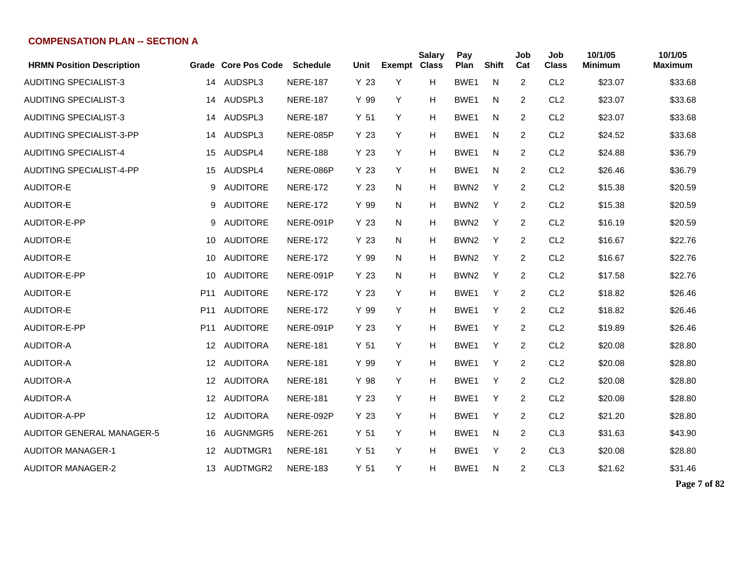| <b>HRMN Position Description</b> |                 | Grade Core Pos Code | <b>Schedule</b> | Unit            | Exempt Class | <b>Salary</b> | Pay<br>Plan      | <b>Shift</b> | Job<br>Cat     | Job<br><b>Class</b> | 10/1/05<br><b>Minimum</b> | 10/1/05<br><b>Maximum</b> |
|----------------------------------|-----------------|---------------------|-----------------|-----------------|--------------|---------------|------------------|--------------|----------------|---------------------|---------------------------|---------------------------|
| <b>AUDITING SPECIALIST-3</b>     | 14              | AUDSPL3             | <b>NERE-187</b> | Y 23            | Υ            | H             | BWE1             | N            | 2              | CL <sub>2</sub>     | \$23.07                   | \$33.68                   |
| <b>AUDITING SPECIALIST-3</b>     | 14              | AUDSPL3             | <b>NERE-187</b> | Y 99            | Y            | н             | BWE <sub>1</sub> | N            | 2              | CL <sub>2</sub>     | \$23.07                   | \$33.68                   |
| <b>AUDITING SPECIALIST-3</b>     | 14              | AUDSPL3             | <b>NERE-187</b> | Y <sub>51</sub> | Y            | H             | BWE1             | N            | 2              | CL <sub>2</sub>     | \$23.07                   | \$33.68                   |
| <b>AUDITING SPECIALIST-3-PP</b>  | 14              | AUDSPL3             | NERE-085P       | Y 23            | Y            | H             | BWE <sub>1</sub> | N            | 2              | CL <sub>2</sub>     | \$24.52                   | \$33.68                   |
| <b>AUDITING SPECIALIST-4</b>     | 15              | AUDSPL4             | <b>NERE-188</b> | Y 23            | Y            | Н             | BWE1             | N            | 2              | CL <sub>2</sub>     | \$24.88                   | \$36.79                   |
| <b>AUDITING SPECIALIST-4-PP</b>  | 15              | AUDSPL4             | NERE-086P       | Y 23            | Y            | H             | BWE1             | N            | $\overline{c}$ | CL <sub>2</sub>     | \$26.46                   | \$36.79                   |
| <b>AUDITOR-E</b>                 | 9               | <b>AUDITORE</b>     | <b>NERE-172</b> | Y 23            | N            | н             | BWN <sub>2</sub> | Y            | 2              | CL <sub>2</sub>     | \$15.38                   | \$20.59                   |
| <b>AUDITOR-E</b>                 | 9               | <b>AUDITORE</b>     | <b>NERE-172</b> | Y 99            | N            | н             | BWN <sub>2</sub> | Y            | 2              | CL <sub>2</sub>     | \$15.38                   | \$20.59                   |
| AUDITOR-E-PP                     | 9               | <b>AUDITORE</b>     | NERE-091P       | Y 23            | N            | н             | BWN <sub>2</sub> | Y            | 2              | CL <sub>2</sub>     | \$16.19                   | \$20.59                   |
| <b>AUDITOR-E</b>                 | 10              | <b>AUDITORE</b>     | <b>NERE-172</b> | Y 23            | N            | н             | BWN <sub>2</sub> | Y            | 2              | CL <sub>2</sub>     | \$16.67                   | \$22.76                   |
| <b>AUDITOR-E</b>                 | 10              | <b>AUDITORE</b>     | <b>NERE-172</b> | Y 99            | N            | н             | BWN <sub>2</sub> | Y            | 2              | CL <sub>2</sub>     | \$16.67                   | \$22.76                   |
| AUDITOR-E-PP                     | 10              | <b>AUDITORE</b>     | NERE-091P       | Y 23            | N            | H             | BWN <sub>2</sub> | Y            | 2              | CL <sub>2</sub>     | \$17.58                   | \$22.76                   |
| <b>AUDITOR-E</b>                 | P <sub>11</sub> | <b>AUDITORE</b>     | <b>NERE-172</b> | Y 23            | Y            | н             | BWE1             | Y            | 2              | CL <sub>2</sub>     | \$18.82                   | \$26.46                   |
| <b>AUDITOR-E</b>                 | P <sub>11</sub> | <b>AUDITORE</b>     | <b>NERE-172</b> | Y 99            | Y            | Н             | BWE1             | Y            | 2              | CL <sub>2</sub>     | \$18.82                   | \$26.46                   |
| AUDITOR-E-PP                     | P <sub>11</sub> | <b>AUDITORE</b>     | NERE-091P       | Y 23            | Y            | Н             | BWE <sub>1</sub> | Y            | $\overline{2}$ | CL <sub>2</sub>     | \$19.89                   | \$26.46                   |
| <b>AUDITOR-A</b>                 | 12              | <b>AUDITORA</b>     | <b>NERE-181</b> | Y <sub>51</sub> | Y            | н             | BWE <sub>1</sub> | Y            | 2              | CL <sub>2</sub>     | \$20.08                   | \$28.80                   |
| <b>AUDITOR-A</b>                 | 12              | <b>AUDITORA</b>     | <b>NERE-181</b> | Y 99            | Y            | н             | BWE1             | Y            | 2              | CL <sub>2</sub>     | \$20.08                   | \$28.80                   |
| <b>AUDITOR-A</b>                 | 12              | <b>AUDITORA</b>     | <b>NERE-181</b> | Y 98            | Y            | н             | BWE <sub>1</sub> | Y            | 2              | CL <sub>2</sub>     | \$20.08                   | \$28.80                   |
| <b>AUDITOR-A</b>                 | 12              | <b>AUDITORA</b>     | <b>NERE-181</b> | Y <sub>23</sub> | Y            | H             | BWE <sub>1</sub> | Y            | 2              | CL <sub>2</sub>     | \$20.08                   | \$28.80                   |
| AUDITOR-A-PP                     | 12              | <b>AUDITORA</b>     | NERE-092P       | Y 23            | Y            | H             | BWE <sub>1</sub> | Y            | 2              | CL <sub>2</sub>     | \$21.20                   | \$28.80                   |
| <b>AUDITOR GENERAL MANAGER-5</b> | 16              | AUGNMGR5            | <b>NERE-261</b> | Y 51            | Y            | H             | BWE1             | N            | 2              | CL <sub>3</sub>     | \$31.63                   | \$43.90                   |
| <b>AUDITOR MANAGER-1</b>         | 12              | AUDTMGR1            | <b>NERE-181</b> | Y 51            | Y            | Н             | BWE1             | Y            | $\overline{c}$ | CL <sub>3</sub>     | \$20.08                   | \$28.80                   |
| <b>AUDITOR MANAGER-2</b>         | 13              | AUDTMGR2            | <b>NERE-183</b> | Y <sub>51</sub> | Y            | Н             | BWE1             | N            | $\overline{c}$ | CL <sub>3</sub>     | \$21.62                   | \$31.46                   |

**Page 7 of 82**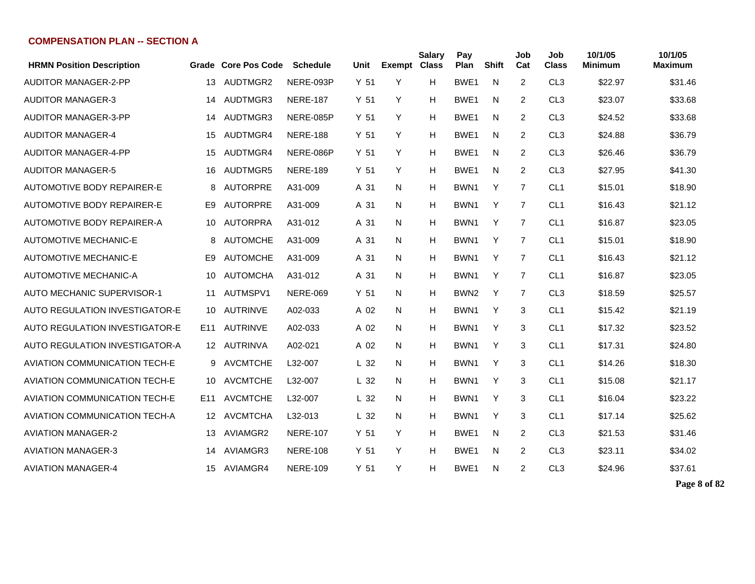| <b>HRMN Position Description</b>      |     | Grade Core Pos Code | <b>Schedule</b> | Unit            | Exempt Class | <b>Salary</b> | Pay<br>Plan      | <b>Shift</b> | Job<br>Cat | Job<br><b>Class</b> | 10/1/05<br>Minimum | 10/1/05<br>Maximum |
|---------------------------------------|-----|---------------------|-----------------|-----------------|--------------|---------------|------------------|--------------|------------|---------------------|--------------------|--------------------|
| AUDITOR MANAGER-2-PP                  | 13  | AUDTMGR2            | NERE-093P       | Y <sub>51</sub> | Y            | н             | BWE <sub>1</sub> | N            | 2          | CL <sub>3</sub>     | \$22.97            | \$31.46            |
| <b>AUDITOR MANAGER-3</b>              | 14  | AUDTMGR3            | <b>NERE-187</b> | Y <sub>51</sub> | Y            | н             | BWE1             | N            | 2          | CL <sub>3</sub>     | \$23.07            | \$33.68            |
| <b>AUDITOR MANAGER-3-PP</b>           | 14  | AUDTMGR3            | NERE-085P       | Y <sub>51</sub> | Y            | н             | BWE <sub>1</sub> | N            | 2          | CL <sub>3</sub>     | \$24.52            | \$33.68            |
| <b>AUDITOR MANAGER-4</b>              | 15  | AUDTMGR4            | <b>NERE-188</b> | Y 51            | Y            | Н             | BWE <sub>1</sub> | N.           | 2          | CL <sub>3</sub>     | \$24.88            | \$36.79            |
| <b>AUDITOR MANAGER-4-PP</b>           | 15  | AUDTMGR4            | NERE-086P       | Y <sub>51</sub> | Y            | Н             | BWE <sub>1</sub> | N            | 2          | CL <sub>3</sub>     | \$26.46            | \$36.79            |
| <b>AUDITOR MANAGER-5</b>              | 16  | AUDTMGR5            | <b>NERE-189</b> | Y <sub>51</sub> | Y            | н             | BWE <sub>1</sub> | N            | 2          | CL <sub>3</sub>     | \$27.95            | \$41.30            |
| <b>AUTOMOTIVE BODY REPAIRER-E</b>     | 8   | <b>AUTORPRE</b>     | A31-009         | A 31            | N.           | н             | BWN <sub>1</sub> | Y            | 7          | CL <sub>1</sub>     | \$15.01            | \$18.90            |
| AUTOMOTIVE BODY REPAIRER-E            | E9  | <b>AUTORPRE</b>     | A31-009         | A 31            | N.           | н             | BWN1             | Y            | 7          | CL <sub>1</sub>     | \$16.43            | \$21.12            |
| <b>AUTOMOTIVE BODY REPAIRER-A</b>     | 10  | <b>AUTORPRA</b>     | A31-012         | A 31            | N.           | н             | BWN <sub>1</sub> | Y            | 7          | CL <sub>1</sub>     | \$16.87            | \$23.05            |
| <b>AUTOMOTIVE MECHANIC-E</b>          | 8   | <b>AUTOMCHE</b>     | A31-009         | A 31            | N.           | н             | BWN <sub>1</sub> | Y            | 7          | CL <sub>1</sub>     | \$15.01            | \$18.90            |
| <b>AUTOMOTIVE MECHANIC-E</b>          | E9  | <b>AUTOMCHE</b>     | A31-009         | A 31            | N.           | Н             | BWN <sub>1</sub> | Y            | 7          | CL <sub>1</sub>     | \$16.43            | \$21.12            |
| <b>AUTOMOTIVE MECHANIC-A</b>          | 10  | <b>AUTOMCHA</b>     | A31-012         | A 31            | N.           | н             | BWN1             | Y            | 7          | CL <sub>1</sub>     | \$16.87            | \$23.05            |
| <b>AUTO MECHANIC SUPERVISOR-1</b>     | 11  | AUTMSPV1            | <b>NERE-069</b> | Y <sub>51</sub> | N.           | Н             | BWN <sub>2</sub> | Y            | 7          | CL <sub>3</sub>     | \$18.59            | \$25.57            |
| <b>AUTO REGULATION INVESTIGATOR-E</b> | 10  | <b>AUTRINVE</b>     | A02-033         | A 02            | N.           | Н             | BWN1             | Y            | 3          | CL <sub>1</sub>     | \$15.42            | \$21.19            |
| AUTO REGULATION INVESTIGATOR-E        | E11 | <b>AUTRINVE</b>     | A02-033         | A 02            | N.           | н             | BWN <sub>1</sub> | Y            | 3          | CL <sub>1</sub>     | \$17.32            | \$23.52            |
| <b>AUTO REGULATION INVESTIGATOR-A</b> | 12  | <b>AUTRINVA</b>     | A02-021         | A 02            | N.           | н             | BWN1             | Y            | 3          | CL <sub>1</sub>     | \$17.31            | \$24.80            |
| <b>AVIATION COMMUNICATION TECH-E</b>  | 9   | <b>AVCMTCHE</b>     | L32-007         | L <sub>32</sub> | N.           | н             | BWN <sub>1</sub> | Y            | 3          | CL <sub>1</sub>     | \$14.26            | \$18.30            |
| <b>AVIATION COMMUNICATION TECH-E</b>  | 10  | <b>AVCMTCHE</b>     | L32-007         | L <sub>32</sub> | N.           | н             | BWN <sub>1</sub> | Y            | 3          | CL <sub>1</sub>     | \$15.08            | \$21.17            |
| <b>AVIATION COMMUNICATION TECH-E</b>  | E11 | <b>AVCMTCHE</b>     | L32-007         | L <sub>32</sub> | N.           | н             | BWN <sub>1</sub> | Y            | 3          | CL <sub>1</sub>     | \$16.04            | \$23.22            |
| <b>AVIATION COMMUNICATION TECH-A</b>  | 12  | <b>AVCMTCHA</b>     | L32-013         | L <sub>32</sub> | N            | Н             | BWN <sub>1</sub> | Y            | 3          | CL <sub>1</sub>     | \$17.14            | \$25.62            |
| <b>AVIATION MANAGER-2</b>             | 13  | AVIAMGR2            | <b>NERE-107</b> | Y <sub>51</sub> | Y            | н             | BWE <sub>1</sub> | N            | 2          | CL <sub>3</sub>     | \$21.53            | \$31.46            |
| <b>AVIATION MANAGER-3</b>             | 14  | AVIAMGR3            | <b>NERE-108</b> | Y <sub>51</sub> | Y            | н             | BWE1             | N            | 2          | CL <sub>3</sub>     | \$23.11            | \$34.02            |
| <b>AVIATION MANAGER-4</b>             | 15  | AVIAMGR4            | <b>NERE-109</b> | Y <sub>51</sub> | Y            | н             | BWE1             | N            | 2          | CL <sub>3</sub>     | \$24.96            | \$37.61            |

**Page 8 of 82**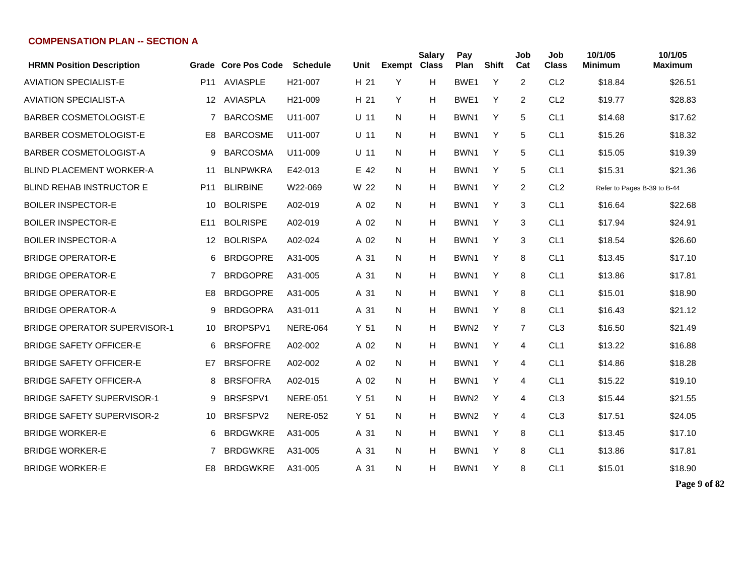| <b>HRMN Position Description</b>    |                 | <b>Grade Core Pos Code</b> | <b>Schedule</b>      | Unit            | <b>Exempt</b> | <b>Salary</b><br><b>Class</b> | Pay<br>Plan      | <b>Shift</b> | Job<br>Cat | Job<br><b>Class</b> | 10/1/05<br><b>Minimum</b>   | 10/1/05<br><b>Maximum</b> |
|-------------------------------------|-----------------|----------------------------|----------------------|-----------------|---------------|-------------------------------|------------------|--------------|------------|---------------------|-----------------------------|---------------------------|
| <b>AVIATION SPECIALIST-E</b>        | P11             | <b>AVIASPLE</b>            | H <sub>21</sub> -007 | H 21            | Y             | н                             | BWE1             | Y            | 2          | CL <sub>2</sub>     | \$18.84                     | \$26.51                   |
| <b>AVIATION SPECIALIST-A</b>        | 12              | <b>AVIASPLA</b>            | H <sub>21</sub> -009 | H 21            | Y             | Н                             | BWE1             | Y            | 2          | CL <sub>2</sub>     | \$19.77                     | \$28.83                   |
| <b>BARBER COSMETOLOGIST-E</b>       | 7               | <b>BARCOSME</b>            | U11-007              | $U$ 11          | N             | Н                             | BWN1             | Y            | 5          | CL <sub>1</sub>     | \$14.68                     | \$17.62                   |
| <b>BARBER COSMETOLOGIST-E</b>       | E <sub>8</sub>  | <b>BARCOSME</b>            | U11-007              | $U$ 11          | N             | Н                             | BWN <sub>1</sub> | Y            | 5          | CL <sub>1</sub>     | \$15.26                     | \$18.32                   |
| <b>BARBER COSMETOLOGIST-A</b>       | 9               | <b>BARCOSMA</b>            | U11-009              | $U$ 11          | N             | н                             | BWN1             | Y            | 5          | CL <sub>1</sub>     | \$15.05                     | \$19.39                   |
| <b>BLIND PLACEMENT WORKER-A</b>     | 11              | <b>BLNPWKRA</b>            | E42-013              | E 42            | N             | Н                             | BWN <sub>1</sub> | Y            | 5          | CL <sub>1</sub>     | \$15.31                     | \$21.36                   |
| <b>BLIND REHAB INSTRUCTOR E</b>     | P <sub>11</sub> | <b>BLIRBINE</b>            | W22-069              | W 22            | N             | Н                             | BWN1             | Y            | 2          | CL <sub>2</sub>     | Refer to Pages B-39 to B-44 |                           |
| <b>BOILER INSPECTOR-E</b>           | 10              | <b>BOLRISPE</b>            | A02-019              | A 02            | N             | Н                             | BWN1             | Y            | 3          | CL <sub>1</sub>     | \$16.64                     | \$22.68                   |
| <b>BOILER INSPECTOR-E</b>           | E <sub>11</sub> | <b>BOLRISPE</b>            | A02-019              | A 02            | N             | Н                             | BWN <sub>1</sub> | Y            | 3          | CL <sub>1</sub>     | \$17.94                     | \$24.91                   |
| <b>BOILER INSPECTOR-A</b>           | $12 \,$         | <b>BOLRISPA</b>            | A02-024              | A 02            | N             | н                             | BWN <sub>1</sub> | Y            | 3          | CL <sub>1</sub>     | \$18.54                     | \$26.60                   |
| <b>BRIDGE OPERATOR-E</b>            | 6               | <b>BRDGOPRE</b>            | A31-005              | A 31            | N             | Н                             | BWN <sub>1</sub> | Y            | 8          | CL <sub>1</sub>     | \$13.45                     | \$17.10                   |
| <b>BRIDGE OPERATOR-E</b>            | 7               | <b>BRDGOPRE</b>            | A31-005              | A 31            | N.            | Н                             | BWN1             | Y            | 8          | CL <sub>1</sub>     | \$13.86                     | \$17.81                   |
| <b>BRIDGE OPERATOR-E</b>            | E8              | <b>BRDGOPRE</b>            | A31-005              | A 31            | N.            | Н                             | BWN <sub>1</sub> | Y            | 8          | CL <sub>1</sub>     | \$15.01                     | \$18.90                   |
| <b>BRIDGE OPERATOR-A</b>            | 9               | <b>BRDGOPRA</b>            | A31-011              | A 31            | N             | н                             | BWN1             | Υ            | 8          | CL <sub>1</sub>     | \$16.43                     | \$21.12                   |
| <b>BRIDGE OPERATOR SUPERVISOR-1</b> | 10              | BROPSPV1                   | <b>NERE-064</b>      | Y <sub>51</sub> | N             | н                             | BWN <sub>2</sub> | Y            | 7          | CL <sub>3</sub>     | \$16.50                     | \$21.49                   |
| <b>BRIDGE SAFETY OFFICER-E</b>      | 6               | <b>BRSFOFRE</b>            | A02-002              | A 02            | N             | Н                             | BWN1             | Y            | 4          | CL <sub>1</sub>     | \$13.22                     | \$16.88                   |
| <b>BRIDGE SAFETY OFFICER-E</b>      | E7              | <b>BRSFOFRE</b>            | A02-002              | A 02            | N             | Н                             | BWN1             | Y            | 4          | CL <sub>1</sub>     | \$14.86                     | \$18.28                   |
| <b>BRIDGE SAFETY OFFICER-A</b>      | 8               | <b>BRSFOFRA</b>            | A02-015              | A 02            | N             | Н                             | BWN <sub>1</sub> | Y            | 4          | CL <sub>1</sub>     | \$15.22                     | \$19.10                   |
| <b>BRIDGE SAFETY SUPERVISOR-1</b>   | 9               | BRSFSPV1                   | <b>NERE-051</b>      | Y <sub>51</sub> | N             | Н                             | BWN <sub>2</sub> | Y            | 4          | CL <sub>3</sub>     | \$15.44                     | \$21.55                   |
| <b>BRIDGE SAFETY SUPERVISOR-2</b>   | 10              | BRSFSPV2                   | <b>NERE-052</b>      | Y <sub>51</sub> | N             | Н                             | BWN <sub>2</sub> | Y            | 4          | CL <sub>3</sub>     | \$17.51                     | \$24.05                   |
| <b>BRIDGE WORKER-E</b>              | 6               | <b>BRDGWKRE</b>            | A31-005              | A 31            | N.            | н                             | BWN <sub>1</sub> | Y            | 8          | CL <sub>1</sub>     | \$13.45                     | \$17.10                   |
| <b>BRIDGE WORKER-E</b>              | 7               | <b>BRDGWKRE</b>            | A31-005              | A 31            | N             | Н                             | BWN <sub>1</sub> | Υ            | 8          | CL <sub>1</sub>     | \$13.86                     | \$17.81                   |
| <b>BRIDGE WORKER-E</b>              | E8              | <b>BRDGWKRE</b>            | A31-005              | A 31            | N             | н                             | BWN1             | Y            | 8          | CL <sub>1</sub>     | \$15.01                     | \$18.90                   |

**Page 9 of 82**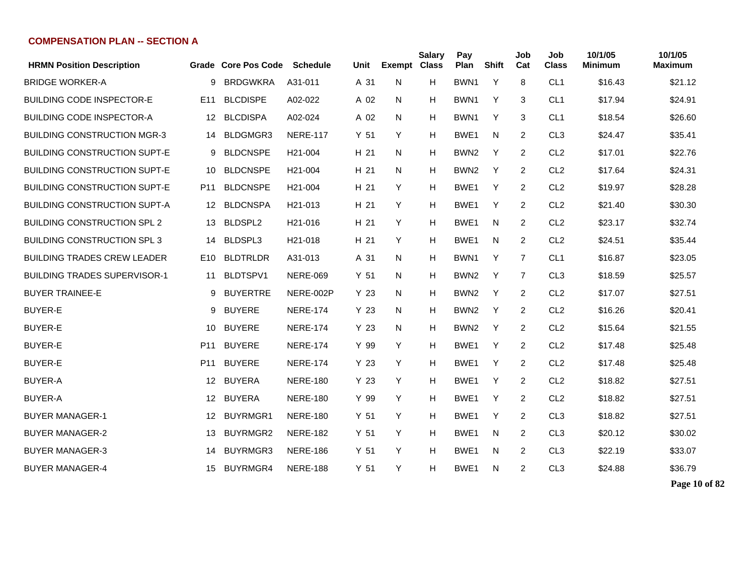| <b>HRMN Position Description</b>    |                 | Grade Core Pos Code | <b>Schedule</b>      | Unit            | <b>Exempt Class</b> | <b>Salary</b> | Pay<br>Plan      | <b>Shift</b> | Job<br>Cat     | Job<br><b>Class</b> | 10/1/05<br><b>Minimum</b> | 10/1/05<br><b>Maximum</b> |
|-------------------------------------|-----------------|---------------------|----------------------|-----------------|---------------------|---------------|------------------|--------------|----------------|---------------------|---------------------------|---------------------------|
| <b>BRIDGE WORKER-A</b>              | 9               | <b>BRDGWKRA</b>     | A31-011              | A 31            | N                   | H             | BWN1             | Y            | 8              | CL <sub>1</sub>     | \$16.43                   | \$21.12                   |
| <b>BUILDING CODE INSPECTOR-E</b>    | E <sub>11</sub> | <b>BLCDISPE</b>     | A02-022              | A 02            | N                   | н             | BWN1             | Y            | 3              | CL <sub>1</sub>     | \$17.94                   | \$24.91                   |
| <b>BUILDING CODE INSPECTOR-A</b>    | 12              | <b>BLCDISPA</b>     | A02-024              | A 02            | N                   | н             | BWN1             | Y            | 3              | CL <sub>1</sub>     | \$18.54                   | \$26.60                   |
| <b>BUILDING CONSTRUCTION MGR-3</b>  | 14              | <b>BLDGMGR3</b>     | <b>NERE-117</b>      | Y <sub>51</sub> | Y                   | H             | BWE <sub>1</sub> | N            | 2              | CL <sub>3</sub>     | \$24.47                   | \$35.41                   |
| <b>BUILDING CONSTRUCTION SUPT-E</b> | 9               | <b>BLDCNSPE</b>     | H <sub>21</sub> -004 | H 21            | N                   | H             | BWN <sub>2</sub> | Y            | 2              | CL <sub>2</sub>     | \$17.01                   | \$22.76                   |
| <b>BUILDING CONSTRUCTION SUPT-E</b> | 10              | <b>BLDCNSPE</b>     | H <sub>21</sub> -004 | H 21            | N                   | H             | BWN <sub>2</sub> | Y            | $\overline{2}$ | CL <sub>2</sub>     | \$17.64                   | \$24.31                   |
| <b>BUILDING CONSTRUCTION SUPT-E</b> | P <sub>11</sub> | <b>BLDCNSPE</b>     | H <sub>21</sub> -004 | H 21            | Y                   | H             | BWE <sub>1</sub> | Y            | 2              | CL <sub>2</sub>     | \$19.97                   | \$28.28                   |
| <b>BUILDING CONSTRUCTION SUPT-A</b> | 12              | <b>BLDCNSPA</b>     | H <sub>21</sub> -013 | H 21            | Y                   | H             | BWE1             | Y            | 2              | CL <sub>2</sub>     | \$21.40                   | \$30.30                   |
| <b>BUILDING CONSTRUCTION SPL 2</b>  | 13              | BLDSPL2             | H <sub>21</sub> -016 | H 21            | Y                   | н             | BWE <sub>1</sub> | N            | 2              | CL <sub>2</sub>     | \$23.17                   | \$32.74                   |
| <b>BUILDING CONSTRUCTION SPL 3</b>  | 14              | BLDSPL3             | H <sub>21</sub> -018 | H 21            | Y                   | н             | BWE <sub>1</sub> | N            | 2              | CL <sub>2</sub>     | \$24.51                   | \$35.44                   |
| <b>BUILDING TRADES CREW LEADER</b>  | E10             | <b>BLDTRLDR</b>     | A31-013              | A 31            | N                   | н             | BWN1             | Y            | $\overline{7}$ | CL <sub>1</sub>     | \$16.87                   | \$23.05                   |
| <b>BUILDING TRADES SUPERVISOR-1</b> | 11              | BLDTSPV1            | <b>NERE-069</b>      | Y <sub>51</sub> | N                   | H             | BWN <sub>2</sub> | Y            | $\overline{7}$ | CL <sub>3</sub>     | \$18.59                   | \$25.57                   |
| <b>BUYER TRAINEE-E</b>              | 9               | <b>BUYERTRE</b>     | NERE-002P            | Y 23            | N                   | H             | BWN <sub>2</sub> | Y            | 2              | CL <sub>2</sub>     | \$17.07                   | \$27.51                   |
| <b>BUYER-E</b>                      | 9               | <b>BUYERE</b>       | <b>NERE-174</b>      | Y 23            | N                   | H             | BWN <sub>2</sub> | Y            | $\overline{2}$ | CL <sub>2</sub>     | \$16.26                   | \$20.41                   |
| <b>BUYER-E</b>                      | 10              | <b>BUYERE</b>       | <b>NERE-174</b>      | Y 23            | N                   | H             | BWN2             | Y            | 2              | CL <sub>2</sub>     | \$15.64                   | \$21.55                   |
| <b>BUYER-E</b>                      | P <sub>11</sub> | <b>BUYERE</b>       | <b>NERE-174</b>      | Y 99            | Y                   | н             | BWE1             | Y            | 2              | CL <sub>2</sub>     | \$17.48                   | \$25.48                   |
| <b>BUYER-E</b>                      | P <sub>11</sub> | <b>BUYERE</b>       | <b>NERE-174</b>      | Y 23            | Y                   | н             | BWE <sub>1</sub> | Y            | 2              | CL <sub>2</sub>     | \$17.48                   | \$25.48                   |
| <b>BUYER-A</b>                      | $12 \,$         | <b>BUYERA</b>       | <b>NERE-180</b>      | Y 23            | Y                   | H             | BWE <sub>1</sub> | Y            | 2              | CL <sub>2</sub>     | \$18.82                   | \$27.51                   |
| <b>BUYER-A</b>                      | 12 <sup>°</sup> | <b>BUYERA</b>       | <b>NERE-180</b>      | Y 99            | Y                   | H             | BWE <sub>1</sub> | Y            | 2              | CL <sub>2</sub>     | \$18.82                   | \$27.51                   |
| <b>BUYER MANAGER-1</b>              | 12              | BUYRMGR1            | <b>NERE-180</b>      | Y <sub>51</sub> | Y                   | H             | BWE <sub>1</sub> | Y            | 2              | CL <sub>3</sub>     | \$18.82                   | \$27.51                   |
| <b>BUYER MANAGER-2</b>              | 13              | <b>BUYRMGR2</b>     | <b>NERE-182</b>      | Y 51            | Y                   | H             | BWE <sub>1</sub> | N            | $\overline{2}$ | CL <sub>3</sub>     | \$20.12                   | \$30.02                   |
| <b>BUYER MANAGER-3</b>              | 14              | BUYRMGR3            | <b>NERE-186</b>      | Y <sub>51</sub> | Y                   | H             | BWE <sub>1</sub> | N            | 2              | CL <sub>3</sub>     | \$22.19                   | \$33.07                   |
| <b>BUYER MANAGER-4</b>              | 15              | BUYRMGR4            | <b>NERE-188</b>      | Y <sub>51</sub> | Y                   | н             | BWE <sub>1</sub> | N            | 2              | CL <sub>3</sub>     | \$24.88                   | \$36.79                   |

**Page 10 of 82**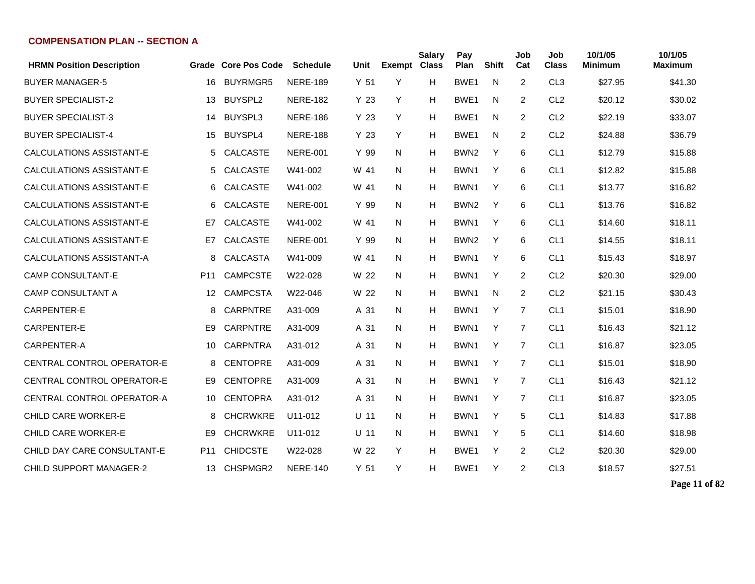| <b>HRMN Position Description</b>  |     | Grade Core Pos Code | <b>Schedule</b> | Unit            | <b>Exempt Class</b> | <b>Salary</b> | Pay<br>Plan      | <b>Shift</b> | Job<br>Cat | Job<br><b>Class</b> | 10/1/05<br>Minimum | 10/1/05<br>Maximum |
|-----------------------------------|-----|---------------------|-----------------|-----------------|---------------------|---------------|------------------|--------------|------------|---------------------|--------------------|--------------------|
| <b>BUYER MANAGER-5</b>            | 16  | <b>BUYRMGR5</b>     | <b>NERE-189</b> | Y <sub>51</sub> | Y                   | н             | BWE <sub>1</sub> | N            | 2          | CL <sub>3</sub>     | \$27.95            | \$41.30            |
| <b>BUYER SPECIALIST-2</b>         | 13  | BUYSPL2             | <b>NERE-182</b> | Y 23            | Y                   | н             | BWE <sub>1</sub> | N            | 2          | CL <sub>2</sub>     | \$20.12            | \$30.02            |
| <b>BUYER SPECIALIST-3</b>         | 14  | BUYSPL3             | <b>NERE-186</b> | Y <sub>23</sub> | Y                   | Н             | BWE <sub>1</sub> | N            | 2          | CL <sub>2</sub>     | \$22.19            | \$33.07            |
| <b>BUYER SPECIALIST-4</b>         | 15  | BUYSPL4             | <b>NERE-188</b> | Y 23            | Υ                   | Н             | BWE <sub>1</sub> | N            | 2          | CL <sub>2</sub>     | \$24.88            | \$36.79            |
| CALCULATIONS ASSISTANT-E          | 5   | <b>CALCASTE</b>     | <b>NERE-001</b> | Y 99            | N                   | Н             | BWN <sub>2</sub> | Y            | 6          | CL <sub>1</sub>     | \$12.79            | \$15.88            |
| CALCULATIONS ASSISTANT-E          | 5   | <b>CALCASTE</b>     | W41-002         | W 41            | N                   | Н             | BWN <sub>1</sub> | Y            | 6          | CL <sub>1</sub>     | \$12.82            | \$15.88            |
| CALCULATIONS ASSISTANT-E          | 6   | <b>CALCASTE</b>     | W41-002         | W 41            | N                   | Н             | BWN <sub>1</sub> | Y            | 6          | CL <sub>1</sub>     | \$13.77            | \$16.82            |
| CALCULATIONS ASSISTANT-E          | 6   | <b>CALCASTE</b>     | <b>NERE-001</b> | Y 99            | N                   | Н             | BWN <sub>2</sub> | Y            | 6          | CL <sub>1</sub>     | \$13.76            | \$16.82            |
| CALCULATIONS ASSISTANT-E          | E7  | <b>CALCASTE</b>     | W41-002         | W 41            | N                   | н             | BWN <sub>1</sub> | Υ            | 6          | CL <sub>1</sub>     | \$14.60            | \$18.11            |
| CALCULATIONS ASSISTANT-E          | E7  | <b>CALCASTE</b>     | <b>NERE-001</b> | Y 99            | N                   | Н             | BWN <sub>2</sub> | Y            | 6          | CL <sub>1</sub>     | \$14.55            | \$18.11            |
| CALCULATIONS ASSISTANT-A          | 8.  | CALCASTA            | W41-009         | W 41            | N                   | Н             | BWN <sub>1</sub> | Y            | 6          | CL <sub>1</sub>     | \$15.43            | \$18.97            |
| <b>CAMP CONSULTANT-E</b>          | P11 | <b>CAMPCSTE</b>     | W22-028         | W 22            | N.                  | н             | BWN <sub>1</sub> | Y            | 2          | CL <sub>2</sub>     | \$20.30            | \$29.00            |
| <b>CAMP CONSULTANT A</b>          | 12  | <b>CAMPCSTA</b>     | W22-046         | W 22            | N                   | н             | BWN <sub>1</sub> | N            | 2          | CL <sub>2</sub>     | \$21.15            | \$30.43            |
| CARPENTER-E                       | 8   | <b>CARPNTRE</b>     | A31-009         | A 31            | N                   | Н             | BWN <sub>1</sub> | Y            | 7          | CL <sub>1</sub>     | \$15.01            | \$18.90            |
| CARPENTER-E                       | E9  | <b>CARPNTRE</b>     | A31-009         | A 31            | N                   | Н             | BWN <sub>1</sub> | Y            | 7          | CL <sub>1</sub>     | \$16.43            | \$21.12            |
| CARPENTER-A                       | 10  | <b>CARPNTRA</b>     | A31-012         | A 31            | N                   | Н             | BWN1             | Y            | 7          | CL <sub>1</sub>     | \$16.87            | \$23.05            |
| <b>CENTRAL CONTROL OPERATOR-E</b> | 8   | <b>CENTOPRE</b>     | A31-009         | A 31            | N                   | н             | BWN <sub>1</sub> | Y            | 7          | CL <sub>1</sub>     | \$15.01            | \$18.90            |
| CENTRAL CONTROL OPERATOR-E        | E9  | <b>CENTOPRE</b>     | A31-009         | A 31            | N                   | Н             | BWN <sub>1</sub> | Y            | 7          | CL <sub>1</sub>     | \$16.43            | \$21.12            |
| CENTRAL CONTROL OPERATOR-A        | 10  | <b>CENTOPRA</b>     | A31-012         | A 31            | N.                  | H             | BWN <sub>1</sub> | Y            | 7          | CL <sub>1</sub>     | \$16.87            | \$23.05            |
| <b>CHILD CARE WORKER-E</b>        | 8   | <b>CHCRWKRE</b>     | U11-012         | $U$ 11          | N                   | н             | BWN <sub>1</sub> | Y            | 5          | CL <sub>1</sub>     | \$14.83            | \$17.88            |
| CHILD CARE WORKER-E               | E9  | <b>CHCRWKRE</b>     | U11-012         | $U$ 11          | N                   | Н             | BWN <sub>1</sub> | Y            | 5          | CL <sub>1</sub>     | \$14.60            | \$18.98            |
| CHILD DAY CARE CONSULTANT-E       | P11 | <b>CHIDCSTE</b>     | W22-028         | W 22            | Y                   | Н             | BWE1             | Y            | 2          | CL <sub>2</sub>     | \$20.30            | \$29.00            |
| <b>CHILD SUPPORT MANAGER-2</b>    | 13  | CHSPMGR2            | <b>NERE-140</b> | Y <sub>51</sub> | Y                   | н             | BWE1             | Y            | 2          | CL <sub>3</sub>     | \$18.57            | \$27.51            |

**Page 11 of 82**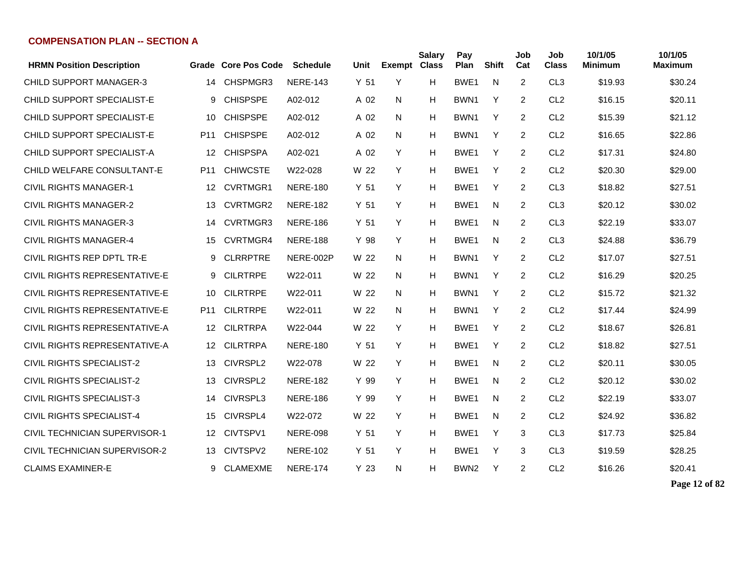| <b>HRMN Position Description</b>     |                 | Grade Core Pos Code | <b>Schedule</b> | Unit            | <b>Exempt Class</b> | <b>Salary</b> | Pay<br>Plan      | <b>Shift</b> | Job<br>Cat     | Job<br><b>Class</b> | 10/1/05<br><b>Minimum</b> | 10/1/05<br><b>Maximum</b> |
|--------------------------------------|-----------------|---------------------|-----------------|-----------------|---------------------|---------------|------------------|--------------|----------------|---------------------|---------------------------|---------------------------|
| <b>CHILD SUPPORT MANAGER-3</b>       | 14              | CHSPMGR3            | <b>NERE-143</b> | Y <sub>51</sub> | Y                   | H             | BWE1             | N            | $\overline{2}$ | CL <sub>3</sub>     | \$19.93                   | \$30.24                   |
| CHILD SUPPORT SPECIALIST-E           | 9               | <b>CHISPSPE</b>     | A02-012         | A 02            | N                   | H             | BWN1             | Y            | 2              | CL <sub>2</sub>     | \$16.15                   | \$20.11                   |
| CHILD SUPPORT SPECIALIST-E           | 10              | <b>CHISPSPE</b>     | A02-012         | A 02            | N                   | H             | BWN1             | Y            | 2              | CL <sub>2</sub>     | \$15.39                   | \$21.12                   |
| CHILD SUPPORT SPECIALIST-E           | P <sub>11</sub> | <b>CHISPSPE</b>     | A02-012         | A 02            | N                   | H             | BWN <sub>1</sub> | Y            | $\overline{2}$ | CL <sub>2</sub>     | \$16.65                   | \$22.86                   |
| CHILD SUPPORT SPECIALIST-A           | 12              | <b>CHISPSPA</b>     | A02-021         | A 02            | Y                   | H             | BWE1             | Y            | $\overline{2}$ | CL <sub>2</sub>     | \$17.31                   | \$24.80                   |
| CHILD WELFARE CONSULTANT-E           | P <sub>11</sub> | <b>CHIWCSTE</b>     | W22-028         | W 22            | Y                   | H             | BWE1             | Y            | 2              | CL <sub>2</sub>     | \$20.30                   | \$29.00                   |
| <b>CIVIL RIGHTS MANAGER-1</b>        | 12              | <b>CVRTMGR1</b>     | <b>NERE-180</b> | Y <sub>51</sub> | Y                   | H             | BWE1             | Y            | 2              | CL <sub>3</sub>     | \$18.82                   | \$27.51                   |
| <b>CIVIL RIGHTS MANAGER-2</b>        | 13              | CVRTMGR2            | <b>NERE-182</b> | Y 51            | Y                   | H             | BWE1             | N            | 2              | CL <sub>3</sub>     | \$20.12                   | \$30.02                   |
| <b>CIVIL RIGHTS MANAGER-3</b>        | 14              | CVRTMGR3            | <b>NERE-186</b> | Y <sub>51</sub> | Y                   | H             | BWE1             | N            | 2              | CL <sub>3</sub>     | \$22.19                   | \$33.07                   |
| CIVIL RIGHTS MANAGER-4               | 15              | CVRTMGR4            | <b>NERE-188</b> | Y 98            | Y                   | н             | BWE1             | N            | $\overline{2}$ | CL <sub>3</sub>     | \$24.88                   | \$36.79                   |
| CIVIL RIGHTS REP DPTL TR-E           | 9               | <b>CLRRPTRE</b>     | NERE-002P       | W 22            | N                   | H             | BWN1             | Υ            | $\overline{2}$ | CL <sub>2</sub>     | \$17.07                   | \$27.51                   |
| CIVIL RIGHTS REPRESENTATIVE-E        | 9               | <b>CILRTRPE</b>     | W22-011         | W 22            | N                   | H             | BWN1             | Y            | $\overline{2}$ | CL <sub>2</sub>     | \$16.29                   | \$20.25                   |
| CIVIL RIGHTS REPRESENTATIVE-E        | 10              | <b>CILRTRPE</b>     | W22-011         | W 22            | N.                  | H             | BWN1             | Υ            | 2              | CL <sub>2</sub>     | \$15.72                   | \$21.32                   |
| CIVIL RIGHTS REPRESENTATIVE-E        | P <sub>11</sub> | <b>CILRTRPE</b>     | W22-011         | W 22            | N.                  | H             | BWN1             | Y            | 2              | CL <sub>2</sub>     | \$17.44                   | \$24.99                   |
| CIVIL RIGHTS REPRESENTATIVE-A        | 12              | <b>CILRTRPA</b>     | W22-044         | W 22            | Y                   | H             | BWE1             | Y            | $\overline{2}$ | CL <sub>2</sub>     | \$18.67                   | \$26.81                   |
| CIVIL RIGHTS REPRESENTATIVE-A        | 12              | <b>CILRTRPA</b>     | <b>NERE-180</b> | Y 51            | Y                   | н             | BWE1             | Y            | 2              | CL <sub>2</sub>     | \$18.82                   | \$27.51                   |
| <b>CIVIL RIGHTS SPECIALIST-2</b>     | 13              | CIVRSPL2            | W22-078         | W 22            | Y                   | н             | BWE <sub>1</sub> | N            | $\overline{2}$ | CL <sub>2</sub>     | \$20.11                   | \$30.05                   |
| <b>CIVIL RIGHTS SPECIALIST-2</b>     | 13              | CIVRSPL2            | <b>NERE-182</b> | Y 99            | Y                   | H             | BWE1             | N            | 2              | CL <sub>2</sub>     | \$20.12                   | \$30.02                   |
| <b>CIVIL RIGHTS SPECIALIST-3</b>     | 14              | CIVRSPL3            | <b>NERE-186</b> | Y 99            | Y                   | H             | BWE1             | N            | $\overline{2}$ | CL <sub>2</sub>     | \$22.19                   | \$33.07                   |
| <b>CIVIL RIGHTS SPECIALIST-4</b>     | 15              | CIVRSPL4            | W22-072         | W 22            | Y                   | H             | BWE1             | N            | $\overline{2}$ | CL <sub>2</sub>     | \$24.92                   | \$36.82                   |
| <b>CIVIL TECHNICIAN SUPERVISOR-1</b> | 12              | CIVTSPV1            | <b>NERE-098</b> | Y <sub>51</sub> | Y                   | H             | BWE1             | Y            | 3              | CL <sub>3</sub>     | \$17.73                   | \$25.84                   |
| CIVIL TECHNICIAN SUPERVISOR-2        | 13.             | CIVTSPV2            | <b>NERE-102</b> | Y <sub>51</sub> | Y                   | H             | BWE1             | Y            | 3              | CL <sub>3</sub>     | \$19.59                   | \$28.25                   |
| <b>CLAIMS EXAMINER-E</b>             | 9               | <b>CLAMEXME</b>     | <b>NERE-174</b> | Y <sub>23</sub> | N                   | H             | BWN <sub>2</sub> | Y            | $\overline{2}$ | CL <sub>2</sub>     | \$16.26                   | \$20.41                   |

**Page 12 of 82**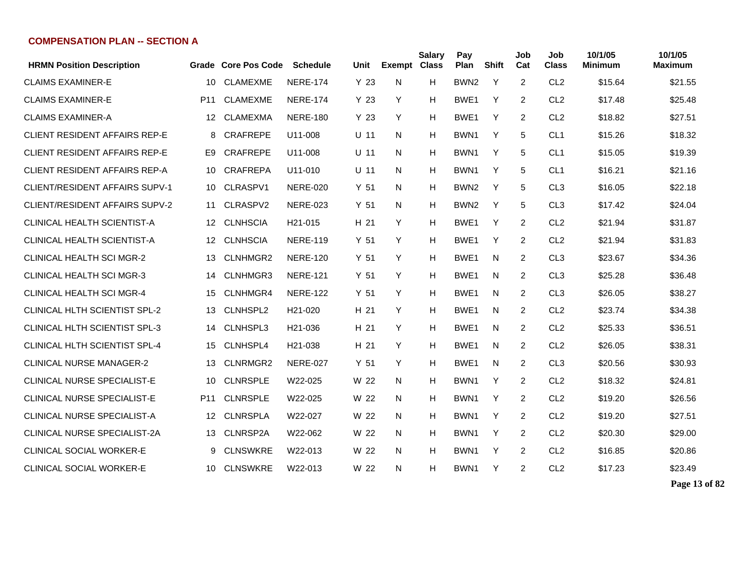| <b>HRMN Position Description</b>      |                 | Grade Core Pos Code | <b>Schedule</b>      | Unit            | <b>Exempt Class</b> | <b>Salary</b> | Pay<br>Plan      | <b>Shift</b> | Job<br>Cat     | Job<br><b>Class</b> | 10/1/05<br><b>Minimum</b> | 10/1/05<br><b>Maximum</b> |
|---------------------------------------|-----------------|---------------------|----------------------|-----------------|---------------------|---------------|------------------|--------------|----------------|---------------------|---------------------------|---------------------------|
| <b>CLAIMS EXAMINER-E</b>              | 10              | <b>CLAMEXME</b>     | <b>NERE-174</b>      | Y 23            | N                   | н             | BWN <sub>2</sub> | Y            | 2              | CL <sub>2</sub>     | \$15.64                   | \$21.55                   |
| <b>CLAIMS EXAMINER-E</b>              | P <sub>11</sub> | <b>CLAMEXME</b>     | <b>NERE-174</b>      | Y 23            | Y                   | H             | BWE1             | Y            | $\overline{2}$ | CL <sub>2</sub>     | \$17.48                   | \$25.48                   |
| <b>CLAIMS EXAMINER-A</b>              | 12              | <b>CLAMEXMA</b>     | <b>NERE-180</b>      | Y 23            | Y                   | н             | BWE1             | Y            | 2              | CL <sub>2</sub>     | \$18.82                   | \$27.51                   |
| <b>CLIENT RESIDENT AFFAIRS REP-E</b>  | 8               | <b>CRAFREPE</b>     | U11-008              | $U$ 11          | N                   | н             | BWN <sub>1</sub> | Y            | 5              | CL <sub>1</sub>     | \$15.26                   | \$18.32                   |
| <b>CLIENT RESIDENT AFFAIRS REP-E</b>  | E9.             | <b>CRAFREPE</b>     | U11-008              | $U$ 11          | N                   | н             | BWN1             | Y            | 5              | CL <sub>1</sub>     | \$15.05                   | \$19.39                   |
| <b>CLIENT RESIDENT AFFAIRS REP-A</b>  | 10              | <b>CRAFREPA</b>     | U11-010              | U 11            | N                   | н             | BWN1             | Y            | 5              | CL <sub>1</sub>     | \$16.21                   | \$21.16                   |
| <b>CLIENT/RESIDENT AFFAIRS SUPV-1</b> | 10              | CLRASPV1            | <b>NERE-020</b>      | Y 51            | N                   | н             | BWN <sub>2</sub> | Y            | 5              | CL <sub>3</sub>     | \$16.05                   | \$22.18                   |
| <b>CLIENT/RESIDENT AFFAIRS SUPV-2</b> | 11              | CLRASPV2            | <b>NERE-023</b>      | Y <sub>51</sub> | N                   | н             | BWN <sub>2</sub> | Y            | 5              | CL <sub>3</sub>     | \$17.42                   | \$24.04                   |
| <b>CLINICAL HEALTH SCIENTIST-A</b>    | 12              | <b>CLNHSCIA</b>     | H <sub>21</sub> -015 | H 21            | Y                   | н             | BWE <sub>1</sub> | Y            | 2              | CL <sub>2</sub>     | \$21.94                   | \$31.87                   |
| <b>CLINICAL HEALTH SCIENTIST-A</b>    | 12 <sup>°</sup> | <b>CLNHSCIA</b>     | <b>NERE-119</b>      | Y <sub>51</sub> | Y                   | н             | BWE <sub>1</sub> | Y            | $\overline{2}$ | CL <sub>2</sub>     | \$21.94                   | \$31.83                   |
| CLINICAL HEALTH SCI MGR-2             | 13              | CLNHMGR2            | <b>NERE-120</b>      | Y 51            | Y                   | н             | BWE <sub>1</sub> | N            | 2              | CL <sub>3</sub>     | \$23.67                   | \$34.36                   |
| <b>CLINICAL HEALTH SCI MGR-3</b>      | 14              | CLNHMGR3            | <b>NERE-121</b>      | Y <sub>51</sub> | Y                   | н             | BWE1             | N            | $\overline{2}$ | CL <sub>3</sub>     | \$25.28                   | \$36.48                   |
| CLINICAL HEALTH SCI MGR-4             | 15              | CLNHMGR4            | <b>NERE-122</b>      | Y 51            | Y                   | н             | BWE1             | N            | $\overline{2}$ | CL <sub>3</sub>     | \$26.05                   | \$38.27                   |
| CLINICAL HLTH SCIENTIST SPL-2         | 13              | CLNHSPL2            | H <sub>21</sub> -020 | H 21            | Y                   | н             | BWE <sub>1</sub> | N            | 2              | CL <sub>2</sub>     | \$23.74                   | \$34.38                   |
| CLINICAL HLTH SCIENTIST SPL-3         | 14              | CLNHSPL3            | H21-036              | H 21            | Y                   | H             | BWE <sub>1</sub> | N            | $\overline{2}$ | CL <sub>2</sub>     | \$25.33                   | \$36.51                   |
| CLINICAL HLTH SCIENTIST SPL-4         | 15              | CLNHSPL4            | H21-038              | H 21            | Y                   | H             | BWE <sub>1</sub> | N            | $\overline{2}$ | CL <sub>2</sub>     | \$26.05                   | \$38.31                   |
| <b>CLINICAL NURSE MANAGER-2</b>       | 13              | CLNRMGR2            | <b>NERE-027</b>      | Y 51            | Y                   | H             | BWE <sub>1</sub> | N            | 2              | CL <sub>3</sub>     | \$20.56                   | \$30.93                   |
| <b>CLINICAL NURSE SPECIALIST-E</b>    | 10              | <b>CLNRSPLE</b>     | W22-025              | W 22            | N                   | н             | BWN1             | Y            | 2              | CL <sub>2</sub>     | \$18.32                   | \$24.81                   |
| <b>CLINICAL NURSE SPECIALIST-E</b>    | P <sub>11</sub> | <b>CLNRSPLE</b>     | W22-025              | W 22            | N                   | н             | BWN1             | Y            | 2              | CL <sub>2</sub>     | \$19.20                   | \$26.56                   |
| <b>CLINICAL NURSE SPECIALIST-A</b>    | 12              | <b>CLNRSPLA</b>     | W22-027              | W 22            | N                   | Н             | BWN1             | Y            | 2              | CL <sub>2</sub>     | \$19.20                   | \$27.51                   |
| <b>CLINICAL NURSE SPECIALIST-2A</b>   | 13              | CLNRSP2A            | W22-062              | W 22            | N                   | н             | BWN1             | Y            | 2              | CL <sub>2</sub>     | \$20.30                   | \$29.00                   |
| CLINICAL SOCIAL WORKER-E              | 9               | <b>CLNSWKRE</b>     | W22-013              | W 22            | N                   | н             | BWN1             | Y            | 2              | CL <sub>2</sub>     | \$16.85                   | \$20.86                   |
| CLINICAL SOCIAL WORKER-E              | 10              | <b>CLNSWKRE</b>     | W22-013              | W 22            | N                   | н             | BWN1             | Y            | 2              | CL <sub>2</sub>     | \$17.23                   | \$23.49                   |

**Page 13 of 82**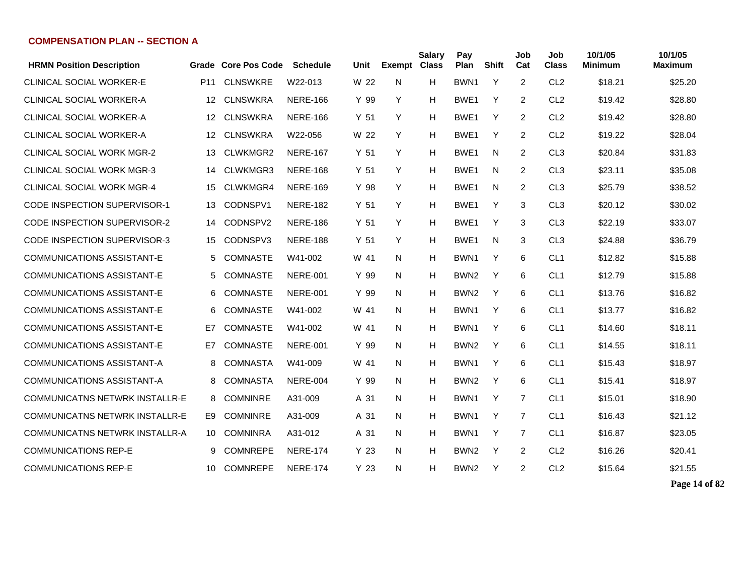| <b>HRMN Position Description</b>      |                 | Grade Core Pos Code | <b>Schedule</b> | Unit            | <b>Exempt Class</b> | <b>Salary</b> | Pay<br>Plan      | <b>Shift</b> | Job<br>Cat     | Job<br><b>Class</b> | 10/1/05<br><b>Minimum</b> | 10/1/05<br><b>Maximum</b> |
|---------------------------------------|-----------------|---------------------|-----------------|-----------------|---------------------|---------------|------------------|--------------|----------------|---------------------|---------------------------|---------------------------|
| <b>CLINICAL SOCIAL WORKER-E</b>       | P <sub>11</sub> | <b>CLNSWKRE</b>     | W22-013         | W 22            | N                   | H             | BWN <sub>1</sub> | Y            | $\overline{2}$ | CL <sub>2</sub>     | \$18.21                   | \$25.20                   |
| CLINICAL SOCIAL WORKER-A              | 12              | <b>CLNSWKRA</b>     | <b>NERE-166</b> | Y 99            | Y                   | H             | BWE <sub>1</sub> | Y            | $\overline{2}$ | CL <sub>2</sub>     | \$19.42                   | \$28.80                   |
| <b>CLINICAL SOCIAL WORKER-A</b>       | 12 <sup>°</sup> | <b>CLNSWKRA</b>     | <b>NERE-166</b> | Y <sub>51</sub> | Y                   | н             | BWE1             | Y            | 2              | CL <sub>2</sub>     | \$19.42                   | \$28.80                   |
| <b>CLINICAL SOCIAL WORKER-A</b>       | $12 \,$         | <b>CLNSWKRA</b>     | W22-056         | W 22            | Y                   | H             | BWE <sub>1</sub> | Y            | 2              | CL <sub>2</sub>     | \$19.22                   | \$28.04                   |
| <b>CLINICAL SOCIAL WORK MGR-2</b>     | 13              | CLWKMGR2            | <b>NERE-167</b> | Y 51            | Y                   | H             | BWE <sub>1</sub> | N            | 2              | CL <sub>3</sub>     | \$20.84                   | \$31.83                   |
| <b>CLINICAL SOCIAL WORK MGR-3</b>     | 14              | CLWKMGR3            | <b>NERE-168</b> | Y 51            | Y                   | H             | BWE <sub>1</sub> | N            | 2              | CL <sub>3</sub>     | \$23.11                   | \$35.08                   |
| <b>CLINICAL SOCIAL WORK MGR-4</b>     | 15              | CLWKMGR4            | <b>NERE-169</b> | Y 98            | Y                   | H             | BWE <sub>1</sub> | N            | 2              | CL <sub>3</sub>     | \$25.79                   | \$38.52                   |
| <b>CODE INSPECTION SUPERVISOR-1</b>   | 13              | CODNSPV1            | <b>NERE-182</b> | Y <sub>51</sub> | Y                   | H             | BWE <sub>1</sub> | Y            | 3              | CL <sub>3</sub>     | \$20.12                   | \$30.02                   |
| <b>CODE INSPECTION SUPERVISOR-2</b>   | 14              | CODNSPV2            | <b>NERE-186</b> | Y 51            | Y                   | H             | BWE <sub>1</sub> | Y            | 3              | CL <sub>3</sub>     | \$22.19                   | \$33.07                   |
| <b>CODE INSPECTION SUPERVISOR-3</b>   | 15              | CODNSPV3            | <b>NERE-188</b> | Y <sub>51</sub> | Y                   | H             | BWE <sub>1</sub> | N            | 3              | CL <sub>3</sub>     | \$24.88                   | \$36.79                   |
| <b>COMMUNICATIONS ASSISTANT-E</b>     | 5               | <b>COMNASTE</b>     | W41-002         | W 41            | N                   | н             | BWN <sub>1</sub> | Y            | 6              | CL <sub>1</sub>     | \$12.82                   | \$15.88                   |
| <b>COMMUNICATIONS ASSISTANT-E</b>     | 5.              | <b>COMNASTE</b>     | <b>NERE-001</b> | Y 99            | N                   | н             | BWN <sub>2</sub> | Y            | 6              | CL <sub>1</sub>     | \$12.79                   | \$15.88                   |
| <b>COMMUNICATIONS ASSISTANT-E</b>     | 6               | <b>COMNASTE</b>     | <b>NERE-001</b> | Y 99            | N                   | н             | BWN <sub>2</sub> | Y            | 6              | CL <sub>1</sub>     | \$13.76                   | \$16.82                   |
| <b>COMMUNICATIONS ASSISTANT-E</b>     | 6               | <b>COMNASTE</b>     | W41-002         | W 41            | N                   | н             | BWN <sub>1</sub> | Y            | 6              | CL <sub>1</sub>     | \$13.77                   | \$16.82                   |
| <b>COMMUNICATIONS ASSISTANT-E</b>     | E7              | <b>COMNASTE</b>     | W41-002         | W 41            | N                   | H             | BWN1             | Y            | 6              | CL <sub>1</sub>     | \$14.60                   | \$18.11                   |
| <b>COMMUNICATIONS ASSISTANT-E</b>     | E7              | <b>COMNASTE</b>     | <b>NERE-001</b> | Y 99            | N                   | н             | BWN <sub>2</sub> | Y            | 6              | CL <sub>1</sub>     | \$14.55                   | \$18.11                   |
| <b>COMMUNICATIONS ASSISTANT-A</b>     | 8               | <b>COMNASTA</b>     | W41-009         | W 41            | N                   | н             | BWN <sub>1</sub> | Y            | 6              | CL <sub>1</sub>     | \$15.43                   | \$18.97                   |
| <b>COMMUNICATIONS ASSISTANT-A</b>     | 8               | <b>COMNASTA</b>     | <b>NERE-004</b> | Y 99            | N                   | н             | BWN <sub>2</sub> | Y            | 6              | CL <sub>1</sub>     | \$15.41                   | \$18.97                   |
| <b>COMMUNICATNS NETWRK INSTALLR-E</b> | 8               | <b>COMNINRE</b>     | A31-009         | A 31            | N                   | H             | BWN1             | Y            | $\overline{7}$ | CL <sub>1</sub>     | \$15.01                   | \$18.90                   |
| <b>COMMUNICATNS NETWRK INSTALLR-E</b> | E9              | <b>COMNINRE</b>     | A31-009         | A 31            | N                   | H             | BWN1             | Y            | $\overline{7}$ | CL <sub>1</sub>     | \$16.43                   | \$21.12                   |
| <b>COMMUNICATNS NETWRK INSTALLR-A</b> | 10              | <b>COMNINRA</b>     | A31-012         | A 31            | N                   | Н             | BWN1             | Y            | 7              | CL <sub>1</sub>     | \$16.87                   | \$23.05                   |
| <b>COMMUNICATIONS REP-E</b>           | 9               | <b>COMNREPE</b>     | <b>NERE-174</b> | Y 23            | N                   | Н             | BWN <sub>2</sub> | Y            | $\overline{2}$ | CL <sub>2</sub>     | \$16.26                   | \$20.41                   |
| <b>COMMUNICATIONS REP-E</b>           | 10              | <b>COMNREPE</b>     | <b>NERE-174</b> | Y <sub>23</sub> | N                   | н             | BWN <sub>2</sub> | Y            | $\overline{c}$ | CL <sub>2</sub>     | \$15.64                   | \$21.55                   |

**Page 14 of 82**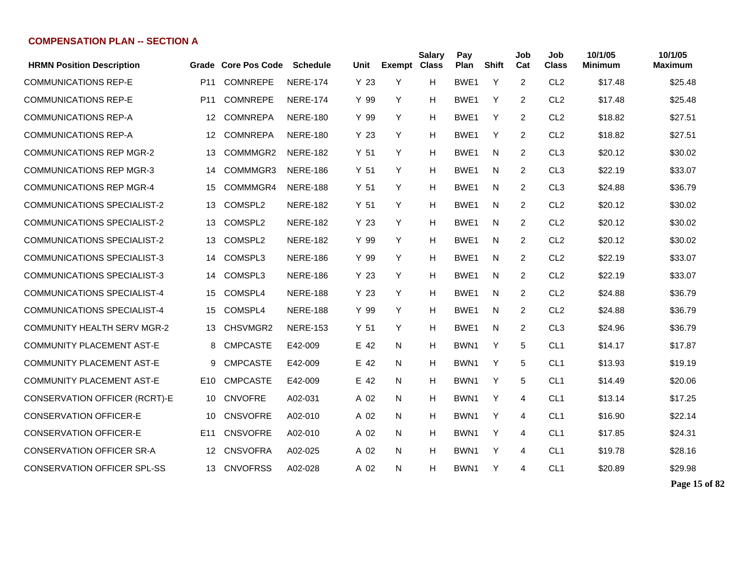| <b>HRMN Position Description</b>     |                 | Grade Core Pos Code | <b>Schedule</b> | Unit            | <b>Exempt Class</b> | <b>Salary</b> | Pay<br>Plan      | <b>Shift</b> | Job<br>Cat     | Job<br><b>Class</b> | 10/1/05<br><b>Minimum</b> | 10/1/05<br><b>Maximum</b> |
|--------------------------------------|-----------------|---------------------|-----------------|-----------------|---------------------|---------------|------------------|--------------|----------------|---------------------|---------------------------|---------------------------|
| <b>COMMUNICATIONS REP-E</b>          | P <sub>11</sub> | <b>COMNREPE</b>     | <b>NERE-174</b> | Y <sub>23</sub> | Y                   | н             | BWE1             | Y            | $\overline{2}$ | CL <sub>2</sub>     | \$17.48                   | \$25.48                   |
| <b>COMMUNICATIONS REP-E</b>          | P <sub>11</sub> | <b>COMNREPE</b>     | <b>NERE-174</b> | Y 99            | Y                   | H             | BWE1             | Y            | $\overline{2}$ | CL <sub>2</sub>     | \$17.48                   | \$25.48                   |
| <b>COMMUNICATIONS REP-A</b>          | 12              | <b>COMNREPA</b>     | <b>NERE-180</b> | Y 99            | Y                   | н             | BWE1             | Y            | $\overline{2}$ | CL <sub>2</sub>     | \$18.82                   | \$27.51                   |
| <b>COMMUNICATIONS REP-A</b>          | 12              | <b>COMNREPA</b>     | <b>NERE-180</b> | Y <sub>23</sub> | Y                   | н             | BWE <sub>1</sub> | Y            | $\overline{2}$ | CL <sub>2</sub>     | \$18.82                   | \$27.51                   |
| <b>COMMUNICATIONS REP MGR-2</b>      | 13              | COMMMGR2            | <b>NERE-182</b> | Y <sub>51</sub> | Y                   | н             | BWE1             | N            | 2              | CL <sub>3</sub>     | \$20.12                   | \$30.02                   |
| <b>COMMUNICATIONS REP MGR-3</b>      | 14              | COMMMGR3            | <b>NERE-186</b> | Y <sub>51</sub> | Y                   | Н             | BWE1             | N.           | $\overline{2}$ | CL <sub>3</sub>     | \$22.19                   | \$33.07                   |
| <b>COMMUNICATIONS REP MGR-4</b>      | 15              | COMMMGR4            | <b>NERE-188</b> | Y <sub>51</sub> | Y                   | н             | BWE1             | N            | 2              | CL <sub>3</sub>     | \$24.88                   | \$36.79                   |
| <b>COMMUNICATIONS SPECIALIST-2</b>   | 13              | COMSPL2             | <b>NERE-182</b> | Y <sub>51</sub> | Y                   | н             | BWE1             | N            | $\overline{2}$ | CL <sub>2</sub>     | \$20.12                   | \$30.02                   |
| <b>COMMUNICATIONS SPECIALIST-2</b>   | 13              | COMSPL2             | <b>NERE-182</b> | Y <sub>23</sub> | Y                   | Н             | BWE1             | N            | 2              | CL <sub>2</sub>     | \$20.12                   | \$30.02                   |
| <b>COMMUNICATIONS SPECIALIST-2</b>   | 13              | COMSPL2             | <b>NERE-182</b> | Y 99            | Y                   | Н             | BWE1             | N            | 2              | CL <sub>2</sub>     | \$20.12                   | \$30.02                   |
| <b>COMMUNICATIONS SPECIALIST-3</b>   | 14              | COMSPL3             | <b>NERE-186</b> | Y 99            | Y                   | Н             | BWE <sub>1</sub> | N            | 2              | CL <sub>2</sub>     | \$22.19                   | \$33.07                   |
| <b>COMMUNICATIONS SPECIALIST-3</b>   | 14              | COMSPL3             | <b>NERE-186</b> | Y <sub>23</sub> | Y                   | н             | BWE1             | N            | $\overline{2}$ | CL <sub>2</sub>     | \$22.19                   | \$33.07                   |
| COMMUNICATIONS SPECIALIST-4          | 15              | COMSPL4             | <b>NERE-188</b> | Y 23            | Y                   | н             | BWE <sub>1</sub> | N            | $\overline{2}$ | CL <sub>2</sub>     | \$24.88                   | \$36.79                   |
| <b>COMMUNICATIONS SPECIALIST-4</b>   | 15              | COMSPL4             | <b>NERE-188</b> | Y 99            | Y                   | н             | BWE1             | N            | $\overline{2}$ | CL <sub>2</sub>     | \$24.88                   | \$36.79                   |
| <b>COMMUNITY HEALTH SERV MGR-2</b>   | 13              | CHSVMGR2            | <b>NERE-153</b> | Y <sub>51</sub> | Y                   | н             | BWE1             | N            | $\overline{2}$ | CL <sub>3</sub>     | \$24.96                   | \$36.79                   |
| <b>COMMUNITY PLACEMENT AST-E</b>     | 8               | <b>CMPCASTE</b>     | E42-009         | E 42            | N                   | н             | BWN1             | Y            | 5              | CL <sub>1</sub>     | \$14.17                   | \$17.87                   |
| <b>COMMUNITY PLACEMENT AST-E</b>     | 9               | <b>CMPCASTE</b>     | E42-009         | E 42            | N                   | Н             | BWN <sub>1</sub> | Y            | 5              | CL <sub>1</sub>     | \$13.93                   | \$19.19                   |
| <b>COMMUNITY PLACEMENT AST-E</b>     | E10             | <b>CMPCASTE</b>     | E42-009         | E 42            | N                   | Н             | BWN <sub>1</sub> | Y            | 5              | CL <sub>1</sub>     | \$14.49                   | \$20.06                   |
| <b>CONSERVATION OFFICER (RCRT)-E</b> | 10              | <b>CNVOFRE</b>      | A02-031         | A 02            | N.                  | н             | BWN <sub>1</sub> | Y            | 4              | CL <sub>1</sub>     | \$13.14                   | \$17.25                   |
| <b>CONSERVATION OFFICER-E</b>        | 10              | <b>CNSVOFRE</b>     | A02-010         | A 02            | N                   | н             | BWN1             | Y            | 4              | CL <sub>1</sub>     | \$16.90                   | \$22.14                   |
| <b>CONSERVATION OFFICER-E</b>        | E <sub>11</sub> | <b>CNSVOFRE</b>     | A02-010         | A 02            | N.                  | н             | BWN1             | Y            | 4              | CL <sub>1</sub>     | \$17.85                   | \$24.31                   |
| <b>CONSERVATION OFFICER SR-A</b>     | 12              | <b>CNSVOFRA</b>     | A02-025         | A 02            | N                   | Н             | BWN <sub>1</sub> | Y            | 4              | CL <sub>1</sub>     | \$19.78                   | \$28.16                   |
| <b>CONSERVATION OFFICER SPL-SS</b>   | 13              | <b>CNVOFRSS</b>     | A02-028         | A 02            | N                   | н             | BWN1             | Y            | 4              | CL <sub>1</sub>     | \$20.89                   | \$29.98                   |

**Page 15 of 82**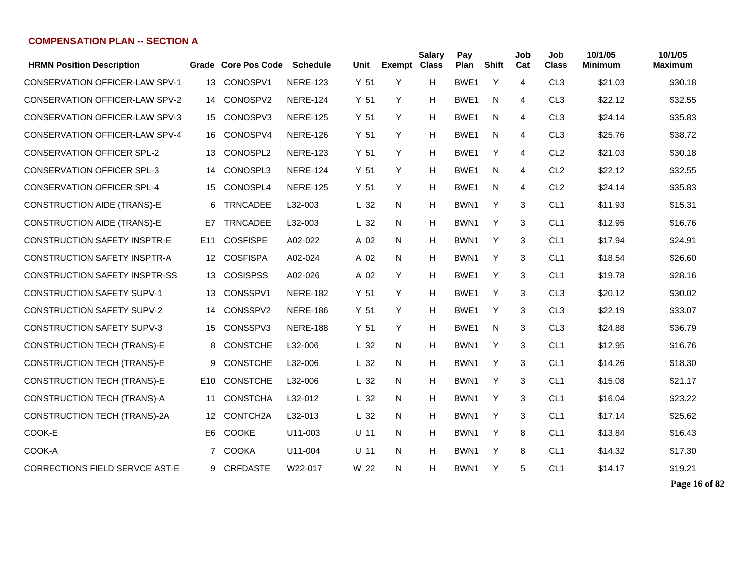| <b>HRMN Position Description</b>      |                 | Grade Core Pos Code   | <b>Schedule</b> | Unit            | <b>Exempt Class</b> | <b>Salary</b> | Pay<br>Plan      | <b>Shift</b> | Job<br>Cat     | Job<br><b>Class</b> | 10/1/05<br>Minimum | 10/1/05<br><b>Maximum</b> |
|---------------------------------------|-----------------|-----------------------|-----------------|-----------------|---------------------|---------------|------------------|--------------|----------------|---------------------|--------------------|---------------------------|
| <b>CONSERVATION OFFICER-LAW SPV-1</b> | 13              | CONOSPV1              | <b>NERE-123</b> | Y <sub>51</sub> | Y                   | H             | BWE <sub>1</sub> | Y            | $\overline{4}$ | CL <sub>3</sub>     | \$21.03            | \$30.18                   |
| <b>CONSERVATION OFFICER-LAW SPV-2</b> | 14              | CONOSPV2              | <b>NERE-124</b> | Y <sub>51</sub> | Y                   | H             | BWE <sub>1</sub> | N            | 4              | CL <sub>3</sub>     | \$22.12            | \$32.55                   |
| <b>CONSERVATION OFFICER-LAW SPV-3</b> | 15              | CONOSPV3              | <b>NERE-125</b> | Y <sub>51</sub> | Y                   | н             | BWE <sub>1</sub> | N            | 4              | CL <sub>3</sub>     | \$24.14            | \$35.83                   |
| <b>CONSERVATION OFFICER-LAW SPV-4</b> | 16              | CONOSPV4              | <b>NERE-126</b> | Y <sub>51</sub> | Y                   | H             | BWE <sub>1</sub> | N            | 4              | CL <sub>3</sub>     | \$25.76            | \$38.72                   |
| <b>CONSERVATION OFFICER SPL-2</b>     | 13              | CONOSPL2              | <b>NERE-123</b> | Y <sub>51</sub> | Y                   | H             | BWE1             | Y            | 4              | CL <sub>2</sub>     | \$21.03            | \$30.18                   |
| <b>CONSERVATION OFFICER SPL-3</b>     | 14              | CONOSPL3              | <b>NERE-124</b> | Y <sub>51</sub> | Y                   | н             | BWE <sub>1</sub> | N            | 4              | CL <sub>2</sub>     | \$22.12            | \$32.55                   |
| <b>CONSERVATION OFFICER SPL-4</b>     | 15              | CONOSPL4              | <b>NERE-125</b> | Y <sub>51</sub> | Y                   | H             | BWE1             | N            | 4              | CL <sub>2</sub>     | \$24.14            | \$35.83                   |
| <b>CONSTRUCTION AIDE (TRANS)-E</b>    | 6               | <b>TRNCADEE</b>       | L32-003         | L <sub>32</sub> | N                   | H             | BWN1             | Y            | 3              | CL <sub>1</sub>     | \$11.93            | \$15.31                   |
| <b>CONSTRUCTION AIDE (TRANS)-E</b>    | E7              | <b>TRNCADEE</b>       | L32-003         | L <sub>32</sub> | N                   | H             | BWN1             | Y            | 3              | CL <sub>1</sub>     | \$12.95            | \$16.76                   |
| <b>CONSTRUCTION SAFETY INSPTR-E</b>   | E11             | <b>COSFISPE</b>       | A02-022         | A 02            | N                   | н             | BWN1             | Y            | 3              | CL <sub>1</sub>     | \$17.94            | \$24.91                   |
| <b>CONSTRUCTION SAFETY INSPTR-A</b>   | 12              | <b>COSFISPA</b>       | A02-024         | A 02            | N                   | н             | BWN1             | Y            | 3              | CL <sub>1</sub>     | \$18.54            | \$26.60                   |
| <b>CONSTRUCTION SAFETY INSPTR-SS</b>  | 13              | <b>COSISPSS</b>       | A02-026         | A 02            | Y                   | н             | BWE <sub>1</sub> | Y            | 3              | CL <sub>1</sub>     | \$19.78            | \$28.16                   |
| <b>CONSTRUCTION SAFETY SUPV-1</b>     | 13              | CONSSPV1              | <b>NERE-182</b> | Y 51            | Y                   | н             | BWE <sub>1</sub> | Y            | 3              | CL <sub>3</sub>     | \$20.12            | \$30.02                   |
| <b>CONSTRUCTION SAFETY SUPV-2</b>     | 14              | CONSSPV2              | <b>NERE-186</b> | Y <sub>51</sub> | Y                   | н             | BWE1             | Y            | 3              | CL <sub>3</sub>     | \$22.19            | \$33.07                   |
| <b>CONSTRUCTION SAFETY SUPV-3</b>     | 15              | CONSSPV3              | <b>NERE-188</b> | Y <sub>51</sub> | Y                   | н             | BWE <sub>1</sub> | N            | 3              | CL <sub>3</sub>     | \$24.88            | \$36.79                   |
| CONSTRUCTION TECH (TRANS)-E           | 8               | <b>CONSTCHE</b>       | L32-006         | L <sub>32</sub> | N                   | н             | BWN1             | Y            | 3              | CL <sub>1</sub>     | \$12.95            | \$16.76                   |
| CONSTRUCTION TECH (TRANS)-E           | 9               | <b>CONSTCHE</b>       | L32-006         | L <sub>32</sub> | N                   | H             | BWN1             | Y            | 3              | CL <sub>1</sub>     | \$14.26            | \$18.30                   |
| CONSTRUCTION TECH (TRANS)-E           | E <sub>10</sub> | <b>CONSTCHE</b>       | L32-006         | L <sub>32</sub> | N                   | н             | BWN1             | Y            | 3              | CL <sub>1</sub>     | \$15.08            | \$21.17                   |
| CONSTRUCTION TECH (TRANS)-A           | 11              | <b>CONSTCHA</b>       | L32-012         | L <sub>32</sub> | N                   | н             | BWN <sub>1</sub> | Y            | 3              | CL <sub>1</sub>     | \$16.04            | \$23.22                   |
| CONSTRUCTION TECH (TRANS)-2A          | 12              | CONTCH <sub>2</sub> A | L32-013         | L <sub>32</sub> | N                   | н             | BWN1             | Y            | 3              | CL <sub>1</sub>     | \$17.14            | \$25.62                   |
| COOK-E                                | E <sub>6</sub>  | <b>COOKE</b>          | U11-003         | $U$ 11          | N                   | H             | BWN1             | Y            | 8              | CL <sub>1</sub>     | \$13.84            | \$16.43                   |
| COOK-A                                | 7               | <b>COOKA</b>          | U11-004         | U 11            | N                   | H             | BWN1             | Y            | 8              | CL <sub>1</sub>     | \$14.32            | \$17.30                   |
| <b>CORRECTIONS FIELD SERVCE AST-E</b> |                 | 9 CRFDASTE            | W22-017         | W 22            | N                   | H             | BWN <sub>1</sub> | Y            | 5              | CL <sub>1</sub>     | \$14.17            | \$19.21                   |

**Page 16 of 82**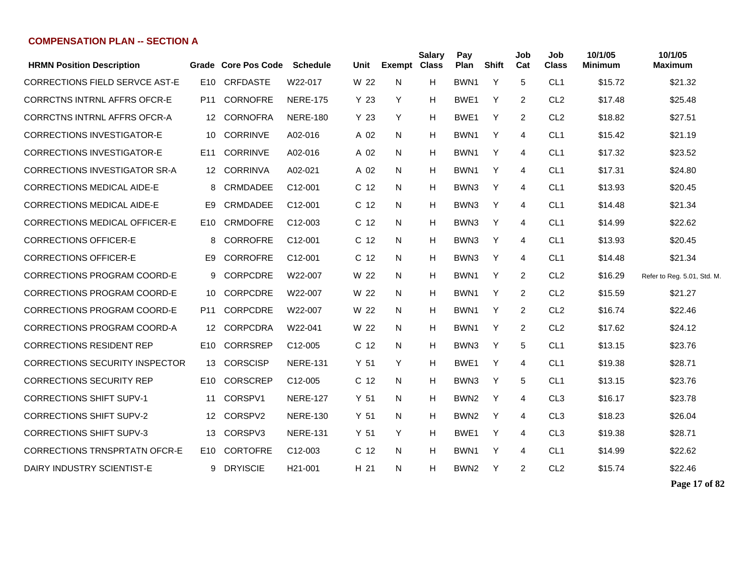| <b>HRMN Position Description</b>      |                 | Grade Core Pos Code | Schedule             | Unit            | <b>Exempt Class</b> | <b>Salary</b> | Pay<br>Plan      | Shift | Job<br>Cat     | Job<br><b>Class</b> | 10/1/05<br><b>Minimum</b> | 10/1/05<br>Maximum          |
|---------------------------------------|-----------------|---------------------|----------------------|-----------------|---------------------|---------------|------------------|-------|----------------|---------------------|---------------------------|-----------------------------|
| <b>CORRECTIONS FIELD SERVCE AST-E</b> | E10             | <b>CRFDASTE</b>     | W22-017              | W 22            | N                   | H             | BWN1             | Y     | 5              | CL <sub>1</sub>     | \$15.72                   | \$21.32                     |
| <b>CORRCTNS INTRNL AFFRS OFCR-E</b>   | P <sub>11</sub> | <b>CORNOFRE</b>     | <b>NERE-175</b>      | Y <sub>23</sub> | Y                   | H             | BWE <sub>1</sub> | Y     | 2              | CL <sub>2</sub>     | \$17.48                   | \$25.48                     |
| <b>CORRCTNS INTRNL AFFRS OFCR-A</b>   | 12              | <b>CORNOFRA</b>     | <b>NERE-180</b>      | Y <sub>23</sub> | Y                   | H             | BWE <sub>1</sub> | Y     | 2              | CL <sub>2</sub>     | \$18.82                   | \$27.51                     |
| <b>CORRECTIONS INVESTIGATOR-E</b>     | 10              | <b>CORRINVE</b>     | A02-016              | A 02            | N                   | H             | BWN <sub>1</sub> | Y     | 4              | CL <sub>1</sub>     | \$15.42                   | \$21.19                     |
| <b>CORRECTIONS INVESTIGATOR-E</b>     | E <sub>11</sub> | <b>CORRINVE</b>     | A02-016              | A 02            | N                   | H             | BWN <sub>1</sub> | Y     | 4              | CL <sub>1</sub>     | \$17.32                   | \$23.52                     |
| <b>CORRECTIONS INVESTIGATOR SR-A</b>  | 12              | <b>CORRINVA</b>     | A02-021              | A 02            | N                   | H             | BWN <sub>1</sub> | Y     | 4              | CL <sub>1</sub>     | \$17.31                   | \$24.80                     |
| <b>CORRECTIONS MEDICAL AIDE-E</b>     | 8               | CRMDADEE            | C12-001              | C <sub>12</sub> | N                   | H             | BWN3             | Y     | 4              | CL <sub>1</sub>     | \$13.93                   | \$20.45                     |
| <b>CORRECTIONS MEDICAL AIDE-E</b>     | E9              | CRMDADEE            | C12-001              | C <sub>12</sub> | N                   | H             | BWN3             | Y     | 4              | CL <sub>1</sub>     | \$14.48                   | \$21.34                     |
| <b>CORRECTIONS MEDICAL OFFICER-E</b>  | E <sub>10</sub> | <b>CRMDOFRE</b>     | C <sub>12</sub> -003 | C <sub>12</sub> | N                   | H             | BWN3             | Y     | $\overline{4}$ | CL <sub>1</sub>     | \$14.99                   | \$22.62                     |
| <b>CORRECTIONS OFFICER-E</b>          | 8               | <b>CORROFRE</b>     | C <sub>12</sub> -001 | C <sub>12</sub> | N                   | H             | BWN3             | Y     | $\overline{4}$ | CL <sub>1</sub>     | \$13.93                   | \$20.45                     |
| <b>CORRECTIONS OFFICER-E</b>          | E9              | <b>CORROFRE</b>     | C <sub>12</sub> -001 | C <sub>12</sub> | N                   | H             | BWN3             | Y     | $\overline{4}$ | CL <sub>1</sub>     | \$14.48                   | \$21.34                     |
| <b>CORRECTIONS PROGRAM COORD-E</b>    | 9               | <b>CORPCDRE</b>     | W22-007              | W 22            | N                   | н             | BWN <sub>1</sub> | Y     | 2              | CL <sub>2</sub>     | \$16.29                   | Refer to Reg. 5.01, Std. M. |
| <b>CORRECTIONS PROGRAM COORD-E</b>    | 10              | <b>CORPCDRE</b>     | W22-007              | W 22            | N                   | н             | BWN1             | Y     | $\overline{2}$ | CL <sub>2</sub>     | \$15.59                   | \$21.27                     |
| <b>CORRECTIONS PROGRAM COORD-E</b>    | P11             | <b>CORPCDRE</b>     | W22-007              | W 22            | N                   | H             | BWN1             | Y     | $\overline{2}$ | CL <sub>2</sub>     | \$16.74                   | \$22.46                     |
| <b>CORRECTIONS PROGRAM COORD-A</b>    | 12              | <b>CORPCDRA</b>     | W22-041              | W 22            | N.                  | н             | BWN1             | Y     | $\overline{2}$ | CL <sub>2</sub>     | \$17.62                   | \$24.12                     |
| <b>CORRECTIONS RESIDENT REP</b>       | E10             | <b>CORRSREP</b>     | C12-005              | C <sub>12</sub> | N                   | H             | BWN3             | Y     | 5              | CL <sub>1</sub>     | \$13.15                   | \$23.76                     |
| <b>CORRECTIONS SECURITY INSPECTOR</b> | 13              | <b>CORSCISP</b>     | <b>NERE-131</b>      | Y 51            | Y                   | H             | BWE <sub>1</sub> | Y     | 4              | CL <sub>1</sub>     | \$19.38                   | \$28.71                     |
| <b>CORRECTIONS SECURITY REP</b>       | E <sub>10</sub> | <b>CORSCREP</b>     | C12-005              | C <sub>12</sub> | N                   | H             | BWN3             | Y     | 5              | CL <sub>1</sub>     | \$13.15                   | \$23.76                     |
| <b>CORRECTIONS SHIFT SUPV-1</b>       | 11              | CORSPV1             | <b>NERE-127</b>      | Y 51            | N                   | H             | BWN <sub>2</sub> | Y     | 4              | CL <sub>3</sub>     | \$16.17                   | \$23.78                     |
| <b>CORRECTIONS SHIFT SUPV-2</b>       | 12 <sup>°</sup> | CORSPV2             | <b>NERE-130</b>      | Y <sub>51</sub> | N                   | H             | BWN <sub>2</sub> | Y     | 4              | CL <sub>3</sub>     | \$18.23                   | \$26.04                     |
| <b>CORRECTIONS SHIFT SUPV-3</b>       | 13              | CORSPV3             | <b>NERE-131</b>      | Y <sub>51</sub> | Y                   | H             | BWE <sub>1</sub> | Y     | 4              | CL <sub>3</sub>     | \$19.38                   | \$28.71                     |
| <b>CORRECTIONS TRNSPRTATN OFCR-E</b>  | E10             | <b>CORTOFRE</b>     | C <sub>12</sub> -003 | C <sub>12</sub> | N                   | H             | BWN <sub>1</sub> | Y     | $\overline{4}$ | CL <sub>1</sub>     | \$14.99                   | \$22.62                     |
| DAIRY INDUSTRY SCIENTIST-E            | 9               | <b>DRYISCIE</b>     | H <sub>21</sub> -001 | H <sub>21</sub> | N                   | H             | BWN <sub>2</sub> | Y     | 2              | CL <sub>2</sub>     | \$15.74                   | \$22.46                     |
|                                       |                 |                     |                      |                 |                     |               |                  |       |                |                     |                           |                             |

**Page 17 of 82**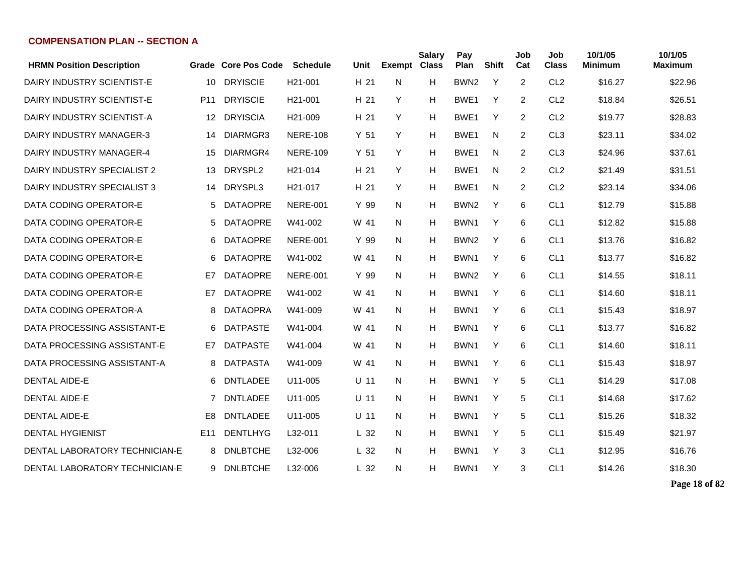|                 |                 | <b>Schedule</b>      | Unit                |   | <b>Salary</b> | Pay<br>Plan         |   | Job<br>Cat   | Job<br><b>Class</b> | 10/1/05<br><b>Minimum</b> | 10/1/05<br><b>Maximum</b> |
|-----------------|-----------------|----------------------|---------------------|---|---------------|---------------------|---|--------------|---------------------|---------------------------|---------------------------|
| 10              | <b>DRYISCIE</b> | H <sub>21</sub> -001 | H 21                | N | H             | BWN <sub>2</sub>    | Y | 2            | CL <sub>2</sub>     | \$16.27                   | \$22.96                   |
| P <sub>11</sub> | <b>DRYISCIE</b> | H <sub>21</sub> -001 | H 21                | Y | Н             | BWE1                | Y | 2            | CL <sub>2</sub>     | \$18.84                   | \$26.51                   |
| 12              | <b>DRYISCIA</b> | H <sub>21</sub> -009 | H 21                | Y | H             | BWE1                | Y | 2            | CL <sub>2</sub>     | \$19.77                   | \$28.83                   |
| 14              | DIARMGR3        | <b>NERE-108</b>      | Y <sub>51</sub>     | Y | H             | BWE1                | N | 2            | CL <sub>3</sub>     | \$23.11                   | \$34.02                   |
| 15              | DIARMGR4        | <b>NERE-109</b>      | Y <sub>51</sub>     | Y | H             | BWE1                | N | 2            | CL <sub>3</sub>     | \$24.96                   | \$37.61                   |
| 13              | DRYSPL2         | H <sub>21</sub> -014 | H 21                | Y | H             | BWE1                | N | 2            | CL <sub>2</sub>     | \$21.49                   | \$31.51                   |
| 14              | DRYSPL3         | H <sub>21</sub> -017 | H 21                | Y | H             | BWE1                | N | 2            | CL <sub>2</sub>     | \$23.14                   | \$34.06                   |
| 5               | <b>DATAOPRE</b> | <b>NERE-001</b>      | Y 99                | N | Н             | BWN <sub>2</sub>    | Y | 6            | CL <sub>1</sub>     | \$12.79                   | \$15.88                   |
| 5               | <b>DATAOPRE</b> | W41-002              | W 41                | N | Н             | BWN <sub>1</sub>    | Υ | 6            | CL <sub>1</sub>     | \$12.82                   | \$15.88                   |
| 6               | <b>DATAOPRE</b> | <b>NERE-001</b>      | Y 99                | N | H             | BWN <sub>2</sub>    | Y | 6            | CL <sub>1</sub>     | \$13.76                   | \$16.82                   |
| 6               | <b>DATAOPRE</b> | W41-002              | W 41                | N | H             | BWN <sub>1</sub>    | Υ | 6            | CL <sub>1</sub>     | \$13.77                   | \$16.82                   |
| E7              | <b>DATAOPRE</b> | <b>NERE-001</b>      | Y 99                | N | H             | BWN <sub>2</sub>    | Υ | 6            | CL <sub>1</sub>     | \$14.55                   | \$18.11                   |
| E7              | <b>DATAOPRE</b> | W41-002              | W 41                | N | H             | BWN <sub>1</sub>    | Υ | 6            | CL <sub>1</sub>     | \$14.60                   | \$18.11                   |
| 8               | <b>DATAOPRA</b> | W41-009              | W 41                | N | H             | BWN <sub>1</sub>    | Y | 6            | CL <sub>1</sub>     | \$15.43                   | \$18.97                   |
| 6               | <b>DATPASTE</b> | W41-004              | W 41                | N | H             | BWN <sub>1</sub>    | Y | 6            | CL <sub>1</sub>     | \$13.77                   | \$16.82                   |
| E7              | <b>DATPASTE</b> | W41-004              | W 41                | N | H             | BWN <sub>1</sub>    | Y | 6            | CL <sub>1</sub>     | \$14.60                   | \$18.11                   |
| 8               | <b>DATPASTA</b> | W41-009              | W 41                | N | Н             | BWN <sub>1</sub>    | Y | 6            | CL <sub>1</sub>     | \$15.43                   | \$18.97                   |
| 6               | <b>DNTLADEE</b> | U11-005              | $U$ 11              | N | H             | BWN <sub>1</sub>    | Y | 5            | CL <sub>1</sub>     | \$14.29                   | \$17.08                   |
| 7               | <b>DNTLADEE</b> | U11-005              | $U$ 11              | N | H             | BWN <sub>1</sub>    | Y | 5            | CL <sub>1</sub>     | \$14.68                   | \$17.62                   |
| E <sub>8</sub>  | <b>DNTLADEE</b> | U11-005              | $U$ 11              | N | H             | BWN <sub>1</sub>    | Y | 5            | CL <sub>1</sub>     | \$15.26                   | \$18.32                   |
| E <sub>11</sub> | <b>DENTLHYG</b> | L32-011              | L <sub>32</sub>     | N | H             | BWN <sub>1</sub>    | Y | 5            | CL <sub>1</sub>     | \$15.49                   | \$21.97                   |
| 8               | <b>DNLBTCHE</b> | L32-006              | L <sub>32</sub>     | N | H             | BWN <sub>1</sub>    | Y | 3            | CL <sub>1</sub>     | \$12.95                   | \$16.76                   |
|                 | <b>DNLBTCHE</b> | L32-006              | L <sub>32</sub>     | N | H             | BWN <sub>1</sub>    | Y | 3            | CL <sub>1</sub>     | \$14.26                   | \$18.30                   |
|                 |                 | 9                    | Grade Core Pos Code |   |               | <b>Exempt Class</b> |   | <b>Shift</b> |                     |                           |                           |

**Page 18 of 82**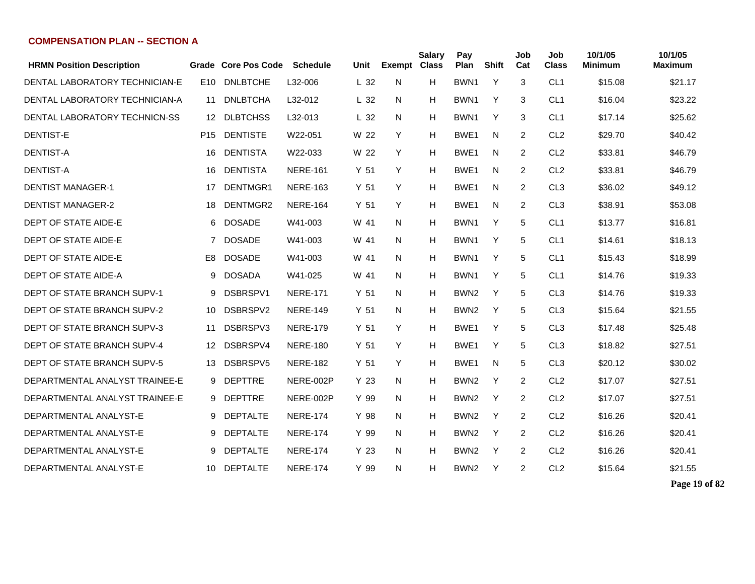| <b>HRMN Position Description</b> |                 | Grade Core Pos Code | <b>Schedule</b> | Unit            | <b>Exempt Class</b> | <b>Salary</b> | Pay<br>Plan      | <b>Shift</b> | Job<br>Cat | Job<br><b>Class</b> | 10/1/05<br>Minimum | 10/1/05<br><b>Maximum</b> |
|----------------------------------|-----------------|---------------------|-----------------|-----------------|---------------------|---------------|------------------|--------------|------------|---------------------|--------------------|---------------------------|
| DENTAL LABORATORY TECHNICIAN-E   | E <sub>10</sub> | <b>DNLBTCHE</b>     | L32-006         | L <sub>32</sub> | N                   | H             | BWN1             | Y            | 3          | CL <sub>1</sub>     | \$15.08            | \$21.17                   |
| DENTAL LABORATORY TECHNICIAN-A   | 11              | <b>DNLBTCHA</b>     | L32-012         | L <sub>32</sub> | N                   | Н             | BWN <sub>1</sub> | Y            | 3          | CL <sub>1</sub>     | \$16.04            | \$23.22                   |
| DENTAL LABORATORY TECHNICN-SS    | 12              | <b>DLBTCHSS</b>     | L32-013         | L <sub>32</sub> | N                   | н             | BWN <sub>1</sub> | Y            | 3          | CL <sub>1</sub>     | \$17.14            | \$25.62                   |
| <b>DENTIST-E</b>                 | P <sub>15</sub> | <b>DENTISTE</b>     | W22-051         | W 22            | Y                   | Н             | BWE <sub>1</sub> | N            | 2          | CL <sub>2</sub>     | \$29.70            | \$40.42                   |
| <b>DENTIST-A</b>                 | 16              | <b>DENTISTA</b>     | W22-033         | W 22            | Y                   | H             | BWE <sub>1</sub> | N            | 2          | CL <sub>2</sub>     | \$33.81            | \$46.79                   |
| <b>DENTIST-A</b>                 | 16              | <b>DENTISTA</b>     | <b>NERE-161</b> | Y 51            | Y                   | H             | BWE <sub>1</sub> | N            | 2          | CL <sub>2</sub>     | \$33.81            | \$46.79                   |
| <b>DENTIST MANAGER-1</b>         | 17              | DENTMGR1            | <b>NERE-163</b> | Y <sub>51</sub> | Y                   | Н             | BWE1             | N            | 2          | CL <sub>3</sub>     | \$36.02            | \$49.12                   |
| <b>DENTIST MANAGER-2</b>         | 18              | DENTMGR2            | <b>NERE-164</b> | Y 51            | Y                   | H             | BWE <sub>1</sub> | N            | 2          | CL <sub>3</sub>     | \$38.91            | \$53.08                   |
| DEPT OF STATE AIDE-E             | 6               | <b>DOSADE</b>       | W41-003         | W 41            | N                   | н             | BWN <sub>1</sub> | Y            | 5          | CL <sub>1</sub>     | \$13.77            | \$16.81                   |
| DEPT OF STATE AIDE-E             | $\overline{7}$  | <b>DOSADE</b>       | W41-003         | W 41            | N                   | н             | BWN <sub>1</sub> | Y            | 5          | CL <sub>1</sub>     | \$14.61            | \$18.13                   |
| DEPT OF STATE AIDE-E             | E8              | <b>DOSADE</b>       | W41-003         | W 41            | N                   | н             | BWN <sub>1</sub> | Y            | 5          | CL <sub>1</sub>     | \$15.43            | \$18.99                   |
| DEPT OF STATE AIDE-A             | 9               | <b>DOSADA</b>       | W41-025         | W 41            | N                   | н             | BWN1             | Y            | 5          | CL <sub>1</sub>     | \$14.76            | \$19.33                   |
| DEPT OF STATE BRANCH SUPV-1      | 9               | DSBRSPV1            | <b>NERE-171</b> | Y 51            | N                   | н             | BWN <sub>2</sub> | Y            | 5          | CL <sub>3</sub>     | \$14.76            | \$19.33                   |
| DEPT OF STATE BRANCH SUPV-2      | 10              | DSBRSPV2            | <b>NERE-149</b> | Y <sub>51</sub> | N                   | н             | BWN <sub>2</sub> | Y            | 5          | CL <sub>3</sub>     | \$15.64            | \$21.55                   |
| DEPT OF STATE BRANCH SUPV-3      | 11              | DSBRSPV3            | <b>NERE-179</b> | Y 51            | Y                   | Н             | BWE <sub>1</sub> | Y            | 5          | CL <sub>3</sub>     | \$17.48            | \$25.48                   |
| DEPT OF STATE BRANCH SUPV-4      | 12              | DSBRSPV4            | <b>NERE-180</b> | Y <sub>51</sub> | Y                   | н             | BWE <sub>1</sub> | Y            | 5          | CL <sub>3</sub>     | \$18.82            | \$27.51                   |
| DEPT OF STATE BRANCH SUPV-5      | 13              | DSBRSPV5            | <b>NERE-182</b> | Y 51            | Y                   | н             | BWE <sub>1</sub> | N            | 5          | CL <sub>3</sub>     | \$20.12            | \$30.02                   |
| DEPARTMENTAL ANALYST TRAINEE-E   | 9               | <b>DEPTTRE</b>      | NERE-002P       | Y 23            | N                   | н             | BWN <sub>2</sub> | Y            | 2          | CL <sub>2</sub>     | \$17.07            | \$27.51                   |
| DEPARTMENTAL ANALYST TRAINEE-E   | 9               | <b>DEPTTRE</b>      | NERE-002P       | Y 99            | N                   | H             | BWN <sub>2</sub> | Y            | 2          | CL <sub>2</sub>     | \$17.07            | \$27.51                   |
| DEPARTMENTAL ANALYST-E           | 9               | <b>DEPTALTE</b>     | <b>NERE-174</b> | Y 98            | N                   | H             | BWN <sub>2</sub> | Y            | 2          | CL <sub>2</sub>     | \$16.26            | \$20.41                   |
| DEPARTMENTAL ANALYST-E           | 9               | <b>DEPTALTE</b>     | <b>NERE-174</b> | Y 99            | N                   | H             | BWN <sub>2</sub> | Y            | 2          | CL <sub>2</sub>     | \$16.26            | \$20.41                   |
| DEPARTMENTAL ANALYST-E           | 9               | <b>DEPTALTE</b>     | <b>NERE-174</b> | Y 23            | N                   | Н             | BWN <sub>2</sub> | Y            | 2          | CL <sub>2</sub>     | \$16.26            | \$20.41                   |
| DEPARTMENTAL ANALYST-E           | 10              | <b>DEPTALTE</b>     | <b>NERE-174</b> | Y 99            | N                   | н             | BWN <sub>2</sub> | Y            | 2          | CL <sub>2</sub>     | \$15.64            | \$21.55                   |

**Page 19 of 82**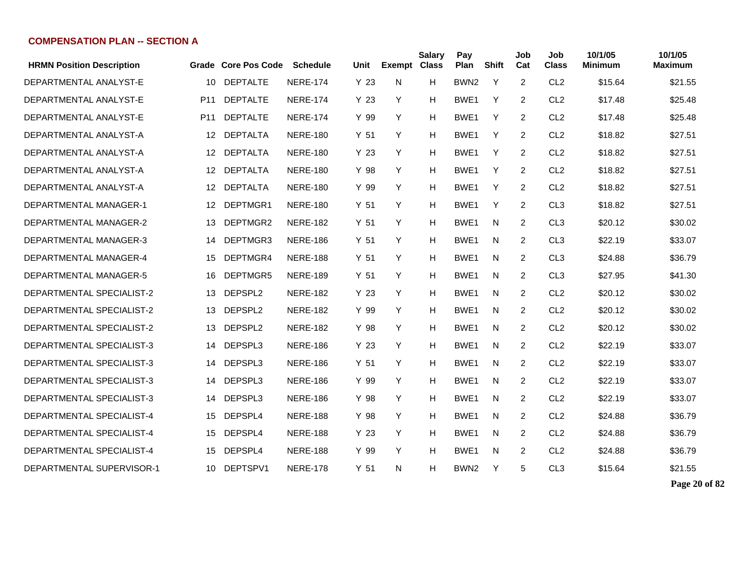| <b>HRMN Position Description</b> |                 | Grade Core Pos Code | <b>Schedule</b> | Unit            | <b>Exempt Class</b> | <b>Salary</b> | Pay<br>Plan      | <b>Shift</b> | Job<br>Cat     | Job<br><b>Class</b> | 10/1/05<br><b>Minimum</b> | 10/1/05<br><b>Maximum</b> |
|----------------------------------|-----------------|---------------------|-----------------|-----------------|---------------------|---------------|------------------|--------------|----------------|---------------------|---------------------------|---------------------------|
| DEPARTMENTAL ANALYST-E           | 10              | <b>DEPTALTE</b>     | <b>NERE-174</b> | Y <sub>23</sub> | N                   | н             | BWN <sub>2</sub> | Y            | $\overline{2}$ | CL <sub>2</sub>     | \$15.64                   | \$21.55                   |
| DEPARTMENTAL ANALYST-E           | P <sub>11</sub> | <b>DEPTALTE</b>     | <b>NERE-174</b> | Y 23            | Y                   | H             | BWE1             | Y            | $\overline{2}$ | CL <sub>2</sub>     | \$17.48                   | \$25.48                   |
| DEPARTMENTAL ANALYST-E           | P <sub>11</sub> | <b>DEPTALTE</b>     | <b>NERE-174</b> | Y 99            | Y                   | н             | BWE1             | Y            | $\overline{2}$ | CL <sub>2</sub>     | \$17.48                   | \$25.48                   |
| DEPARTMENTAL ANALYST-A           | 12              | <b>DEPTALTA</b>     | <b>NERE-180</b> | Y <sub>51</sub> | Y                   | н             | BWE <sub>1</sub> | Y            | $\overline{2}$ | CL <sub>2</sub>     | \$18.82                   | \$27.51                   |
| DEPARTMENTAL ANALYST-A           | 12 <sup>°</sup> | <b>DEPTALTA</b>     | <b>NERE-180</b> | Y <sub>23</sub> | Y                   | н             | BWE1             | Y            | $\overline{2}$ | CL <sub>2</sub>     | \$18.82                   | \$27.51                   |
| DEPARTMENTAL ANALYST-A           | 12              | <b>DEPTALTA</b>     | <b>NERE-180</b> | Y 98            | Y                   | Н             | BWE1             | Y            | $\overline{2}$ | CL <sub>2</sub>     | \$18.82                   | \$27.51                   |
| DEPARTMENTAL ANALYST-A           | 12              | <b>DEPTALTA</b>     | <b>NERE-180</b> | Y 99            | Y                   | н             | BWE <sub>1</sub> | Y            | $\overline{2}$ | CL <sub>2</sub>     | \$18.82                   | \$27.51                   |
| <b>DEPARTMENTAL MANAGER-1</b>    | 12              | DEPTMGR1            | <b>NERE-180</b> | Y <sub>51</sub> | Y                   | н             | BWE <sub>1</sub> | Y            | $\overline{2}$ | CL <sub>3</sub>     | \$18.82                   | \$27.51                   |
| DEPARTMENTAL MANAGER-2           | 13              | DEPTMGR2            | <b>NERE-182</b> | Y 51            | Y                   | Н             | BWE <sub>1</sub> | N            | 2              | CL <sub>3</sub>     | \$20.12                   | \$30.02                   |
| <b>DEPARTMENTAL MANAGER-3</b>    | 14              | DEPTMGR3            | <b>NERE-186</b> | Y <sub>51</sub> | Y                   | Н             | BWE <sub>1</sub> | N            | 2              | CL <sub>3</sub>     | \$22.19                   | \$33.07                   |
| DEPARTMENTAL MANAGER-4           | 15              | DEPTMGR4            | <b>NERE-188</b> | Y <sub>51</sub> | Y                   | Н             | BWE <sub>1</sub> | N            | 2              | CL <sub>3</sub>     | \$24.88                   | \$36.79                   |
| DEPARTMENTAL MANAGER-5           | 16              | DEPTMGR5            | <b>NERE-189</b> | Y <sub>51</sub> | Y                   | н             | BWE <sub>1</sub> | N            | $\overline{2}$ | CL <sub>3</sub>     | \$27.95                   | \$41.30                   |
| DEPARTMENTAL SPECIALIST-2        | 13              | DEPSPL2             | <b>NERE-182</b> | Y 23            | Y                   | н             | BWE <sub>1</sub> | N            | $\overline{2}$ | CL <sub>2</sub>     | \$20.12                   | \$30.02                   |
| DEPARTMENTAL SPECIALIST-2        | 13              | DEPSPL2             | <b>NERE-182</b> | Y 99            | Y                   | н             | BWE <sub>1</sub> | N            | $\overline{2}$ | CL <sub>2</sub>     | \$20.12                   | \$30.02                   |
| DEPARTMENTAL SPECIALIST-2        | 13              | DEPSPL2             | <b>NERE-182</b> | Y 98            | Y                   | H             | BWE <sub>1</sub> | N            | $\overline{2}$ | CL <sub>2</sub>     | \$20.12                   | \$30.02                   |
| DEPARTMENTAL SPECIALIST-3        | 14              | DEPSPL3             | <b>NERE-186</b> | Y <sub>23</sub> | Y                   | H             | BWE1             | N            | $\overline{2}$ | CL <sub>2</sub>     | \$22.19                   | \$33.07                   |
| DEPARTMENTAL SPECIALIST-3        | 14              | DEPSPL3             | <b>NERE-186</b> | Y <sub>51</sub> | Y                   | H             | BWE <sub>1</sub> | N            | 2              | CL <sub>2</sub>     | \$22.19                   | \$33.07                   |
| DEPARTMENTAL SPECIALIST-3        | 14              | DEPSPL3             | <b>NERE-186</b> | Y 99            | Y                   | н             | BWE <sub>1</sub> | N            | 2              | CL <sub>2</sub>     | \$22.19                   | \$33.07                   |
| DEPARTMENTAL SPECIALIST-3        | 14              | DEPSPL3             | <b>NERE-186</b> | Y 98            | Y                   | Н             | BWE <sub>1</sub> | N.           | 2              | CL <sub>2</sub>     | \$22.19                   | \$33.07                   |
| DEPARTMENTAL SPECIALIST-4        | 15              | DEPSPL4             | <b>NERE-188</b> | Y 98            | Y                   | н             | BWE <sub>1</sub> | N            | 2              | CL <sub>2</sub>     | \$24.88                   | \$36.79                   |
| DEPARTMENTAL SPECIALIST-4        | 15              | DEPSPL4             | <b>NERE-188</b> | Y 23            | Y                   | н             | BWE <sub>1</sub> | N            | 2              | CL <sub>2</sub>     | \$24.88                   | \$36.79                   |
| DEPARTMENTAL SPECIALIST-4        | 15              | DEPSPL4             | <b>NERE-188</b> | Y 99            | Y                   | н             | BWE <sub>1</sub> | N            | 2              | CL <sub>2</sub>     | \$24.88                   | \$36.79                   |
| DEPARTMENTAL SUPERVISOR-1        | 10              | DEPTSPV1            | <b>NERE-178</b> | Y <sub>51</sub> | N                   | н             | BWN <sub>2</sub> | Y            | 5              | CL <sub>3</sub>     | \$15.64                   | \$21.55                   |

**Page 20 of 82**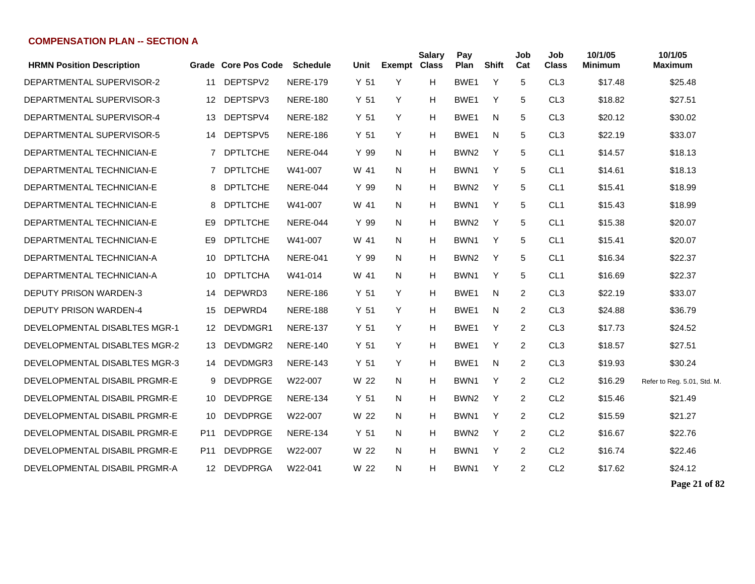| <b>HRMN Position Description</b> |     | Grade Core Pos Code | <b>Schedule</b> | Unit            | <b>Exempt Class</b> | <b>Salary</b> | Pay<br>Plan      | Shift | Job<br>Cat | Job<br><b>Class</b> | 10/1/05<br><b>Minimum</b> | 10/1/05<br><b>Maximum</b>   |
|----------------------------------|-----|---------------------|-----------------|-----------------|---------------------|---------------|------------------|-------|------------|---------------------|---------------------------|-----------------------------|
| DEPARTMENTAL SUPERVISOR-2        | 11  | DEPTSPV2            | <b>NERE-179</b> | Y 51            | Y                   | H             | BWE1             | Y     | 5          | CL <sub>3</sub>     | \$17.48                   | \$25.48                     |
| DEPARTMENTAL SUPERVISOR-3        | 12  | DEPTSPV3            | <b>NERE-180</b> | Y 51            | Y                   | H             | BWE1             | Y     | 5          | CL <sub>3</sub>     | \$18.82                   | \$27.51                     |
| DEPARTMENTAL SUPERVISOR-4        | 13  | DEPTSPV4            | <b>NERE-182</b> | Y 51            | Y                   | H             | BWE <sub>1</sub> | N     | 5          | CL <sub>3</sub>     | \$20.12                   | \$30.02                     |
| DEPARTMENTAL SUPERVISOR-5        | 14  | DEPTSPV5            | <b>NERE-186</b> | Y <sub>51</sub> | Y                   | H             | BWE1             | N     | 5          | CL <sub>3</sub>     | \$22.19                   | \$33.07                     |
| DEPARTMENTAL TECHNICIAN-E        | 7   | <b>DPTLTCHE</b>     | NERE-044        | Y 99            | N                   | H             | BWN <sub>2</sub> | Y     | 5          | CL <sub>1</sub>     | \$14.57                   | \$18.13                     |
| DEPARTMENTAL TECHNICIAN-E        | 7   | <b>DPTLTCHE</b>     | W41-007         | W 41            | N                   | H             | BWN <sub>1</sub> | Y     | 5          | CL <sub>1</sub>     | \$14.61                   | \$18.13                     |
| DEPARTMENTAL TECHNICIAN-E        | 8   | <b>DPTLTCHE</b>     | NERE-044        | Y 99            | N                   | H             | BWN <sub>2</sub> | Y     | 5          | CL <sub>1</sub>     | \$15.41                   | \$18.99                     |
| DEPARTMENTAL TECHNICIAN-E        | 8   | <b>DPTLTCHE</b>     | W41-007         | W 41            | N                   | H             | BWN <sub>1</sub> | Y     | 5          | CL <sub>1</sub>     | \$15.43                   | \$18.99                     |
| DEPARTMENTAL TECHNICIAN-E        | E9  | <b>DPTLTCHE</b>     | <b>NERE-044</b> | Y 99            | N                   | н             | BWN <sub>2</sub> | Y     | 5          | CL <sub>1</sub>     | \$15.38                   | \$20.07                     |
| DEPARTMENTAL TECHNICIAN-E        | E9  | <b>DPTLTCHE</b>     | W41-007         | W 41            | N.                  | н             | BWN <sub>1</sub> | Y     | 5          | CL <sub>1</sub>     | \$15.41                   | \$20.07                     |
| DEPARTMENTAL TECHNICIAN-A        | 10  | <b>DPTLTCHA</b>     | <b>NERE-041</b> | Y 99            | N                   | н             | BWN <sub>2</sub> | Y     | 5          | CL <sub>1</sub>     | \$16.34                   | \$22.37                     |
| DEPARTMENTAL TECHNICIAN-A        | 10  | <b>DPTLTCHA</b>     | W41-014         | W 41            | N                   | н             | BWN <sub>1</sub> | Y     | 5          | CL <sub>1</sub>     | \$16.69                   | \$22.37                     |
| DEPUTY PRISON WARDEN-3           | 14  | DEPWRD3             | <b>NERE-186</b> | Y <sub>51</sub> | Y                   | H             | BWE1             | N     | 2          | CL <sub>3</sub>     | \$22.19                   | \$33.07                     |
| <b>DEPUTY PRISON WARDEN-4</b>    | 15  | DEPWRD4             | <b>NERE-188</b> | Y 51            | Y                   | H             | BWE1             | N     | 2          | CL <sub>3</sub>     | \$24.88                   | \$36.79                     |
| DEVELOPMENTAL DISABLTES MGR-1    | 12  | DEVDMGR1            | <b>NERE-137</b> | Y 51            | Y                   | H             | BWE1             | Y     | 2          | CL <sub>3</sub>     | \$17.73                   | \$24.52                     |
| DEVELOPMENTAL DISABLTES MGR-2    | 13  | DEVDMGR2            | <b>NERE-140</b> | Y 51            | Y                   | H             | BWE <sub>1</sub> | Y     | 2          | CL <sub>3</sub>     | \$18.57                   | \$27.51                     |
| DEVELOPMENTAL DISABLTES MGR-3    | 14  | DEVDMGR3            | <b>NERE-143</b> | Y 51            | Y                   | H             | BWE1             | N     | 2          | CL <sub>3</sub>     | \$19.93                   | \$30.24                     |
| DEVELOPMENTAL DISABIL PRGMR-E    | 9   | <b>DEVDPRGE</b>     | W22-007         | W 22            | N                   | H             | BWN <sub>1</sub> | Y     | 2          | CL <sub>2</sub>     | \$16.29                   | Refer to Reg. 5.01, Std. M. |
| DEVELOPMENTAL DISABIL PRGMR-E    | 10  | <b>DEVDPRGE</b>     | <b>NERE-134</b> | Y <sub>51</sub> | N                   | H             | BWN <sub>2</sub> | Y     | 2          | CL <sub>2</sub>     | \$15.46                   | \$21.49                     |
| DEVELOPMENTAL DISABIL PRGMR-E    | 10  | <b>DEVDPRGE</b>     | W22-007         | W 22            | N                   | H             | BWN <sub>1</sub> | Y     | 2          | CL <sub>2</sub>     | \$15.59                   | \$21.27                     |
| DEVELOPMENTAL DISABIL PRGMR-E    | P11 | <b>DEVDPRGE</b>     | <b>NERE-134</b> | Y 51            | N                   | H             | BWN <sub>2</sub> | Y     | 2          | CL <sub>2</sub>     | \$16.67                   | \$22.76                     |
| DEVELOPMENTAL DISABIL PRGMR-E    | P11 | <b>DEVDPRGE</b>     | W22-007         | W 22            | N                   | H             | BWN <sub>1</sub> | Y     | 2          | CL <sub>2</sub>     | \$16.74                   | \$22.46                     |
| DEVELOPMENTAL DISABIL PRGMR-A    | 12  | <b>DEVDPRGA</b>     | W22-041         | W 22            | N                   | H             | BWN <sub>1</sub> | Y     | 2          | CL <sub>2</sub>     | \$17.62                   | \$24.12                     |
|                                  |     |                     |                 |                 |                     |               |                  |       |            |                     |                           |                             |

**Page 21 of 82**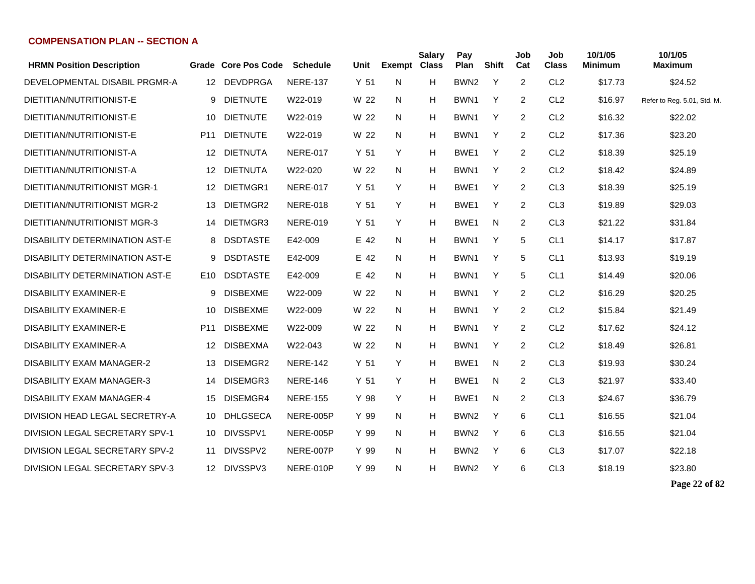| <b>HRMN Position Description</b>      | Grade           | <b>Core Pos Code</b> | Schedule        | Unit            | <b>Exempt</b> | Salary<br><b>Class</b> | Pay<br>Plan      | <b>Shift</b> | Job<br>Cat | Job<br>Class    | 10/1/05<br><b>Minimum</b> | 10/1/05<br><b>Maximum</b>   |
|---------------------------------------|-----------------|----------------------|-----------------|-----------------|---------------|------------------------|------------------|--------------|------------|-----------------|---------------------------|-----------------------------|
| DEVELOPMENTAL DISABIL PRGMR-A         | 12              | <b>DEVDPRGA</b>      | <b>NERE-137</b> | Y <sub>51</sub> | N             | H                      | BWN <sub>2</sub> | Y            | 2          | CL <sub>2</sub> | \$17.73                   | \$24.52                     |
| DIETITIAN/NUTRITIONIST-E              | 9               | <b>DIETNUTE</b>      | W22-019         | W 22            | N             | H                      | BWN <sub>1</sub> | Y            | 2          | CL <sub>2</sub> | \$16.97                   | Refer to Reg. 5.01, Std. M. |
| DIETITIAN/NUTRITIONIST-E              | 10              | <b>DIETNUTE</b>      | W22-019         | W 22            | N             | H                      | BWN <sub>1</sub> | Y            | 2          | CL <sub>2</sub> | \$16.32                   | \$22.02                     |
| DIETITIAN/NUTRITIONIST-E              | P <sub>11</sub> | <b>DIETNUTE</b>      | W22-019         | W 22            | N             | H                      | BWN <sub>1</sub> | Y            | 2          | CL <sub>2</sub> | \$17.36                   | \$23.20                     |
| DIETITIAN/NUTRITIONIST-A              | 12              | <b>DIETNUTA</b>      | <b>NERE-017</b> | Y <sub>51</sub> | Y             | H                      | BWE1             | Y            | 2          | CL <sub>2</sub> | \$18.39                   | \$25.19                     |
| DIETITIAN/NUTRITIONIST-A              | 12              | <b>DIETNUTA</b>      | W22-020         | W 22            | N             | н                      | BWN <sub>1</sub> | Y            | 2          | CL <sub>2</sub> | \$18.42                   | \$24.89                     |
| DIETITIAN/NUTRITIONIST MGR-1          | 12              | DIETMGR1             | <b>NERE-017</b> | Y <sub>51</sub> | Y             | н                      | BWE <sub>1</sub> | Y            | 2          | CL <sub>3</sub> | \$18.39                   | \$25.19                     |
| DIETITIAN/NUTRITIONIST MGR-2          | 13              | DIETMGR2             | <b>NERE-018</b> | Y <sub>51</sub> | Y             | H                      | BWE1             | Y            | 2          | CL <sub>3</sub> | \$19.89                   | \$29.03                     |
| DIETITIAN/NUTRITIONIST MGR-3          | 14              | DIETMGR3             | <b>NERE-019</b> | Y <sub>51</sub> | Y             | H                      | BWE1             | N            | 2          | CL <sub>3</sub> | \$21.22                   | \$31.84                     |
| <b>DISABILITY DETERMINATION AST-E</b> | 8               | <b>DSDTASTE</b>      | E42-009         | E 42            | N             | H                      | BWN <sub>1</sub> | Y            | 5          | CL <sub>1</sub> | \$14.17                   | \$17.87                     |
| <b>DISABILITY DETERMINATION AST-E</b> | 9               | <b>DSDTASTE</b>      | E42-009         | E 42            | N             | H                      | BWN <sub>1</sub> | Y            | 5          | CL <sub>1</sub> | \$13.93                   | \$19.19                     |
| DISABILITY DETERMINATION AST-E        | E10             | <b>DSDTASTE</b>      | E42-009         | E 42            | N             | H                      | BWN <sub>1</sub> | Y            | 5          | CL <sub>1</sub> | \$14.49                   | \$20.06                     |
| <b>DISABILITY EXAMINER-E</b>          | 9               | <b>DISBEXME</b>      | W22-009         | W 22            | N             | H                      | BWN1             | Y            | 2          | CL <sub>2</sub> | \$16.29                   | \$20.25                     |
| <b>DISABILITY EXAMINER-E</b>          | 10              | <b>DISBEXME</b>      | W22-009         | W 22            | N             | H                      | BWN1             | Y            | 2          | CL <sub>2</sub> | \$15.84                   | \$21.49                     |
| <b>DISABILITY EXAMINER-E</b>          | P <sub>11</sub> | <b>DISBEXME</b>      | W22-009         | W 22            | N             | H                      | BWN <sub>1</sub> | Y            | 2          | CL <sub>2</sub> | \$17.62                   | \$24.12                     |
| <b>DISABILITY EXAMINER-A</b>          | 12              | <b>DISBEXMA</b>      | W22-043         | W 22            | N             | H                      | BWN <sub>1</sub> | Y            | 2          | CL <sub>2</sub> | \$18.49                   | \$26.81                     |
| <b>DISABILITY EXAM MANAGER-2</b>      | 13              | DISEMGR2             | <b>NERE-142</b> | Y <sub>51</sub> | Y             | H                      | BWE1             | N            | 2          | CL <sub>3</sub> | \$19.93                   | \$30.24                     |
| <b>DISABILITY EXAM MANAGER-3</b>      | 14              | DISEMGR3             | <b>NERE-146</b> | Y <sub>51</sub> | Y             | H                      | BWE1             | N            | 2          | CL <sub>3</sub> | \$21.97                   | \$33.40                     |
| <b>DISABILITY EXAM MANAGER-4</b>      | 15              | DISEMGR4             | <b>NERE-155</b> | Y 98            | Y             | H                      | BWE1             | N            | 2          | CL <sub>3</sub> | \$24.67                   | \$36.79                     |
| DIVISION HEAD LEGAL SECRETRY-A        | 10              | <b>DHLGSECA</b>      | NERE-005P       | Y 99            | N             | H                      | BWN <sub>2</sub> | Y            | 6          | CL <sub>1</sub> | \$16.55                   | \$21.04                     |
| DIVISION LEGAL SECRETARY SPV-1        | 10              | DIVSSPV1             | NERE-005P       | Y 99            | N             | H                      | BWN <sub>2</sub> | Y            | 6          | CL <sub>3</sub> | \$16.55                   | \$21.04                     |
| DIVISION LEGAL SECRETARY SPV-2        | 11              | DIVSSPV2             | NERE-007P       | Y 99            | N             | н                      | BWN <sub>2</sub> | Y            | 6          | CL <sub>3</sub> | \$17.07                   | \$22.18                     |
| DIVISION LEGAL SECRETARY SPV-3        |                 | 12 DIVSSPV3          | NERE-010P       | Y 99            | N             | H                      | BWN <sub>2</sub> | Y            | 6          | CL <sub>3</sub> | \$18.19                   | \$23.80                     |

**Page 22 of 82**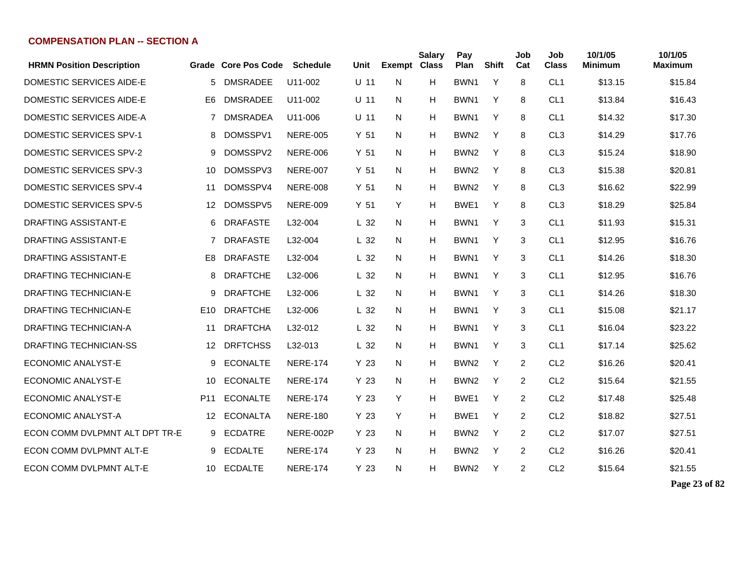| <b>HRMN Position Description</b> |                 | Grade Core Pos Code | <b>Schedule</b> | Unit            | <b>Exempt Class</b> | <b>Salary</b> | Pay<br>Plan      | <b>Shift</b> | Job<br>Cat     | Job<br><b>Class</b> | 10/1/05<br><b>Minimum</b> | 10/1/05<br><b>Maximum</b> |
|----------------------------------|-----------------|---------------------|-----------------|-----------------|---------------------|---------------|------------------|--------------|----------------|---------------------|---------------------------|---------------------------|
| DOMESTIC SERVICES AIDE-E         | 5               | <b>DMSRADEE</b>     | U11-002         | $U$ 11          | N                   | H             | BWN <sub>1</sub> | Y            | 8              | CL <sub>1</sub>     | \$13.15                   | \$15.84                   |
| DOMESTIC SERVICES AIDE-E         | E <sub>6</sub>  | <b>DMSRADEE</b>     | U11-002         | $U$ 11          | N                   | H             | BWN1             | Y            | 8              | CL <sub>1</sub>     | \$13.84                   | \$16.43                   |
| DOMESTIC SERVICES AIDE-A         | 7               | <b>DMSRADEA</b>     | U11-006         | $U$ 11          | N                   | H             | BWN1             | Y            | 8              | CL <sub>1</sub>     | \$14.32                   | \$17.30                   |
| DOMESTIC SERVICES SPV-1          | 8               | DOMSSPV1            | <b>NERE-005</b> | Y <sub>51</sub> | N                   | H             | BWN <sub>2</sub> | Y            | 8              | CL <sub>3</sub>     | \$14.29                   | \$17.76                   |
| DOMESTIC SERVICES SPV-2          | 9               | DOMSSPV2            | <b>NERE-006</b> | Y <sub>51</sub> | N                   | H             | BWN <sub>2</sub> | Y            | 8              | CL <sub>3</sub>     | \$15.24                   | \$18.90                   |
| DOMESTIC SERVICES SPV-3          | 10              | DOMSSPV3            | <b>NERE-007</b> | Y <sub>51</sub> | N.                  | H             | BWN <sub>2</sub> | Y            | 8              | CL <sub>3</sub>     | \$15.38                   | \$20.81                   |
| DOMESTIC SERVICES SPV-4          | 11              | DOMSSPV4            | <b>NERE-008</b> | Y <sub>51</sub> | N                   | H             | BWN <sub>2</sub> | Y            | 8              | CL <sub>3</sub>     | \$16.62                   | \$22.99                   |
| <b>DOMESTIC SERVICES SPV-5</b>   | 12              | DOMSSPV5            | <b>NERE-009</b> | Y <sub>51</sub> | Y                   | H             | BWE1             | Y            | 8              | CL <sub>3</sub>     | \$18.29                   | \$25.84                   |
| DRAFTING ASSISTANT-E             | 6               | <b>DRAFASTE</b>     | L32-004         | L <sub>32</sub> | N                   | H             | BWN1             | Y            | 3              | CL <sub>1</sub>     | \$11.93                   | \$15.31                   |
| <b>DRAFTING ASSISTANT-E</b>      | 7               | <b>DRAFASTE</b>     | L32-004         | L <sub>32</sub> | N                   | H             | BWN1             | Y            | 3              | CL <sub>1</sub>     | \$12.95                   | \$16.76                   |
| <b>DRAFTING ASSISTANT-E</b>      | E8              | <b>DRAFASTE</b>     | L32-004         | L <sub>32</sub> | N                   | н             | BWN <sub>1</sub> | Y            | 3              | CL <sub>1</sub>     | \$14.26                   | \$18.30                   |
| <b>DRAFTING TECHNICIAN-E</b>     | 8               | <b>DRAFTCHE</b>     | L32-006         | L <sub>32</sub> | N                   | н             | BWN1             | Y            | 3              | CL <sub>1</sub>     | \$12.95                   | \$16.76                   |
| <b>DRAFTING TECHNICIAN-E</b>     | 9               | <b>DRAFTCHE</b>     | L32-006         | L <sub>32</sub> | N                   | H             | BWN <sub>1</sub> | Y            | 3              | CL <sub>1</sub>     | \$14.26                   | \$18.30                   |
| DRAFTING TECHNICIAN-E            | E <sub>10</sub> | <b>DRAFTCHE</b>     | L32-006         | L <sub>32</sub> | N                   | н             | BWN1             | Y            | 3              | CL <sub>1</sub>     | \$15.08                   | \$21.17                   |
| <b>DRAFTING TECHNICIAN-A</b>     | 11              | <b>DRAFTCHA</b>     | L32-012         | L <sub>32</sub> | N                   | Н             | BWN <sub>1</sub> | Y            | 3              | CL <sub>1</sub>     | \$16.04                   | \$23.22                   |
| <b>DRAFTING TECHNICIAN-SS</b>    | 12              | <b>DRFTCHSS</b>     | L32-013         | L <sub>32</sub> | N                   | H             | BWN <sub>1</sub> | Y            | 3              | CL <sub>1</sub>     | \$17.14                   | \$25.62                   |
| <b>ECONOMIC ANALYST-E</b>        | 9               | <b>ECONALTE</b>     | <b>NERE-174</b> | Y <sub>23</sub> | N                   | H             | BWN <sub>2</sub> | Y            | $\overline{2}$ | CL <sub>2</sub>     | \$16.26                   | \$20.41                   |
| ECONOMIC ANALYST-E               | 10              | <b>ECONALTE</b>     | <b>NERE-174</b> | Y <sub>23</sub> | N                   | н             | BWN <sub>2</sub> | Y            | 2              | CL <sub>2</sub>     | \$15.64                   | \$21.55                   |
| <b>ECONOMIC ANALYST-E</b>        | P <sub>11</sub> | <b>ECONALTE</b>     | <b>NERE-174</b> | Y <sub>23</sub> | Y                   | H             | BWE <sub>1</sub> | Y            | $\overline{2}$ | CL <sub>2</sub>     | \$17.48                   | \$25.48                   |
| ECONOMIC ANALYST-A               | 12              | <b>ECONALTA</b>     | <b>NERE-180</b> | Y 23            | Y                   | Н             | BWE1             | Y            | 2              | CL <sub>2</sub>     | \$18.82                   | \$27.51                   |
| ECON COMM DVLPMNT ALT DPT TR-E   | 9               | <b>ECDATRE</b>      | NERE-002P       | Y <sub>23</sub> | N                   | H             | BWN <sub>2</sub> | Y            | $\overline{2}$ | CL <sub>2</sub>     | \$17.07                   | \$27.51                   |
| ECON COMM DVLPMNT ALT-E          | 9               | <b>ECDALTE</b>      | <b>NERE-174</b> | Y <sub>23</sub> | N                   | H             | BWN <sub>2</sub> | Y            | $\overline{2}$ | CL <sub>2</sub>     | \$16.26                   | \$20.41                   |
| ECON COMM DVLPMNT ALT-E          | 10              | <b>ECDALTE</b>      | <b>NERE-174</b> | Y <sub>23</sub> | N                   | н             | BWN <sub>2</sub> | Y            | $\overline{2}$ | CL <sub>2</sub>     | \$15.64                   | \$21.55                   |

**Page 23 of 82**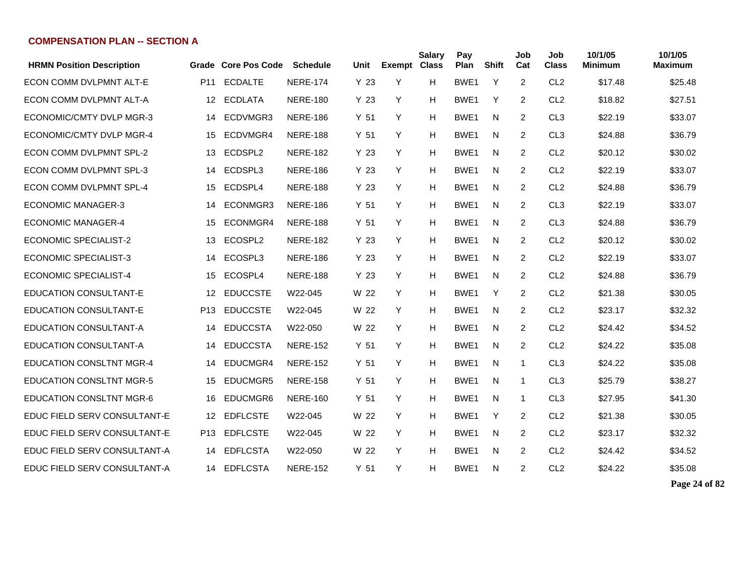| <b>HRMN Position Description</b> |                 | Grade Core Pos Code | <b>Schedule</b> | Unit            | <b>Exempt Class</b> | <b>Salary</b> | Pay<br>Plan      | <b>Shift</b> | Job<br>Cat     | Job<br><b>Class</b> | 10/1/05<br><b>Minimum</b> | 10/1/05<br><b>Maximum</b> |
|----------------------------------|-----------------|---------------------|-----------------|-----------------|---------------------|---------------|------------------|--------------|----------------|---------------------|---------------------------|---------------------------|
| ECON COMM DVLPMNT ALT-E          | P <sub>11</sub> | <b>ECDALTE</b>      | <b>NERE-174</b> | Y <sub>23</sub> | Y                   | н             | BWE1             | Y            | $\overline{2}$ | CL <sub>2</sub>     | \$17.48                   | \$25.48                   |
| ECON COMM DVLPMNT ALT-A          | 12              | <b>ECDLATA</b>      | <b>NERE-180</b> | Y 23            | Y                   | H             | BWE1             | Y            | $\overline{2}$ | CL <sub>2</sub>     | \$18.82                   | \$27.51                   |
| ECONOMIC/CMTY DVLP MGR-3         | 14              | ECDVMGR3            | <b>NERE-186</b> | Y <sub>51</sub> | Y                   | Н             | BWE1             | N            | 2              | CL <sub>3</sub>     | \$22.19                   | \$33.07                   |
| ECONOMIC/CMTY DVLP MGR-4         | 15              | ECDVMGR4            | <b>NERE-188</b> | Y <sub>51</sub> | Y                   | Н             | BWE1             | N            | 2              | CL <sub>3</sub>     | \$24.88                   | \$36.79                   |
| <b>ECON COMM DVLPMNT SPL-2</b>   | 13              | ECDSPL2             | <b>NERE-182</b> | Y <sub>23</sub> | Y                   | Н             | BWE1             | N.           | 2              | CL <sub>2</sub>     | \$20.12                   | \$30.02                   |
| ECON COMM DVLPMNT SPL-3          | 14              | ECDSPL3             | <b>NERE-186</b> | Y 23            | Y                   | Н             | BWE <sub>1</sub> | N            | 2              | CL <sub>2</sub>     | \$22.19                   | \$33.07                   |
| ECON COMM DVLPMNT SPL-4          | 15              | ECDSPL4             | <b>NERE-188</b> | Y <sub>23</sub> | Y                   | Н             | BWE <sub>1</sub> | N            | 2              | CL <sub>2</sub>     | \$24.88                   | \$36.79                   |
| <b>ECONOMIC MANAGER-3</b>        | 14              | ECONMGR3            | <b>NERE-186</b> | Y <sub>51</sub> | Y                   | H             | BWE1             | N            | 2              | CL <sub>3</sub>     | \$22.19                   | \$33.07                   |
| <b>ECONOMIC MANAGER-4</b>        | 15              | ECONMGR4            | <b>NERE-188</b> | Y <sub>51</sub> | Y                   | H             | BWE1             | N            | $\overline{c}$ | CL <sub>3</sub>     | \$24.88                   | \$36.79                   |
| <b>ECONOMIC SPECIALIST-2</b>     | 13              | ECOSPL2             | <b>NERE-182</b> | Y <sub>23</sub> | Y                   | н             | BWE1             | N            | $\overline{2}$ | CL <sub>2</sub>     | \$20.12                   | \$30.02                   |
| <b>ECONOMIC SPECIALIST-3</b>     | 14              | ECOSPL3             | <b>NERE-186</b> | Y <sub>23</sub> | Y                   | Н             | BWE1             | N            | 2              | CL <sub>2</sub>     | \$22.19                   | \$33.07                   |
| <b>ECONOMIC SPECIALIST-4</b>     | 15              | ECOSPL4             | <b>NERE-188</b> | Y 23            | Y                   | н             | BWE1             | N            | $\overline{2}$ | CL <sub>2</sub>     | \$24.88                   | \$36.79                   |
| <b>EDUCATION CONSULTANT-E</b>    | 12              | <b>EDUCCSTE</b>     | W22-045         | W 22            | Y                   | н             | BWE1             | Y            | 2              | CL <sub>2</sub>     | \$21.38                   | \$30.05                   |
| <b>EDUCATION CONSULTANT-E</b>    | P <sub>13</sub> | <b>EDUCCSTE</b>     | W22-045         | W 22            | Y                   | н             | BWE1             | N            | 2              | CL <sub>2</sub>     | \$23.17                   | \$32.32                   |
| <b>EDUCATION CONSULTANT-A</b>    | 14              | <b>EDUCCSTA</b>     | W22-050         | W 22            | Y                   | н             | BWE1             | N            | 2              | CL <sub>2</sub>     | \$24.42                   | \$34.52                   |
| <b>EDUCATION CONSULTANT-A</b>    | 14              | <b>EDUCCSTA</b>     | <b>NERE-152</b> | Y 51            | Y                   | H             | BWE1             | N            | $\overline{2}$ | CL <sub>2</sub>     | \$24.22                   | \$35.08                   |
| <b>EDUCATION CONSLTNT MGR-4</b>  | 14              | EDUCMGR4            | <b>NERE-152</b> | Y <sub>51</sub> | Y                   | н             | BWE <sub>1</sub> | N            | 1              | CL <sub>3</sub>     | \$24.22                   | \$35.08                   |
| <b>EDUCATION CONSLTNT MGR-5</b>  | 15              | EDUCMGR5            | <b>NERE-158</b> | Y <sub>51</sub> | Y                   | Н             | BWE1             | N            | 1              | CL <sub>3</sub>     | \$25.79                   | \$38.27                   |
| <b>EDUCATION CONSLTNT MGR-6</b>  | 16              | EDUCMGR6            | <b>NERE-160</b> | Y <sub>51</sub> | Y                   | Н             | BWE1             | N.           | 1              | CL <sub>3</sub>     | \$27.95                   | \$41.30                   |
| EDUC FIELD SERV CONSULTANT-E     | 12              | <b>EDFLCSTE</b>     | W22-045         | W 22            | Y                   | н             | BWE1             | Y            | 2              | CL <sub>2</sub>     | \$21.38                   | \$30.05                   |
| EDUC FIELD SERV CONSULTANT-E     | P13             | <b>EDFLCSTE</b>     | W22-045         | W 22            | Y                   | н             | BWE1             | N            | 2              | CL <sub>2</sub>     | \$23.17                   | \$32.32                   |
| EDUC FIELD SERV CONSULTANT-A     | 14              | <b>EDFLCSTA</b>     | W22-050         | W 22            | Y                   | Н             | BWE1             | N            | 2              | CL <sub>2</sub>     | \$24.42                   | \$34.52                   |
| EDUC FIELD SERV CONSULTANT-A     | 14              | <b>EDFLCSTA</b>     | <b>NERE-152</b> | Y <sub>51</sub> | Y                   | н             | BWE1             | N            | 2              | CL <sub>2</sub>     | \$24.22                   | \$35.08                   |

**Page 24 of 82**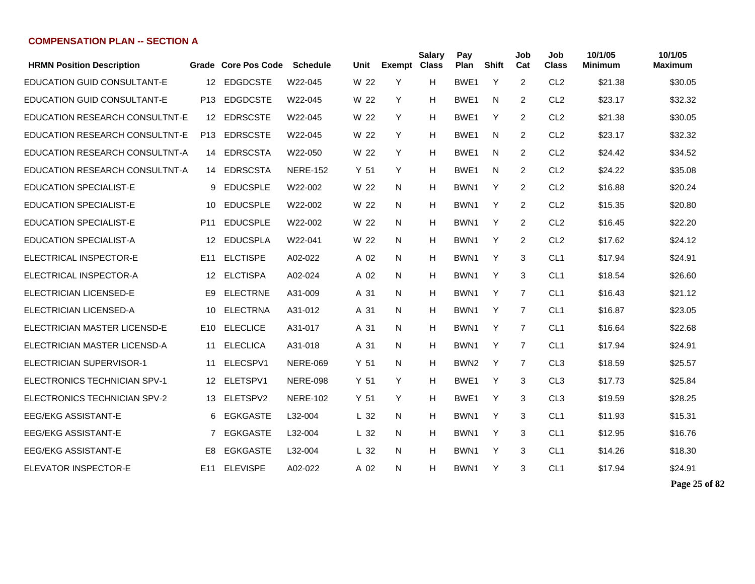| <b>HRMN Position Description</b>   |                 | Grade Core Pos Code | <b>Schedule</b> | Unit            | <b>Exempt Class</b> | <b>Salary</b> | Pay<br>Plan      | <b>Shift</b> | Job<br>Cat     | Job<br><b>Class</b> | 10/1/05<br><b>Minimum</b> | 10/1/05<br><b>Maximum</b> |
|------------------------------------|-----------------|---------------------|-----------------|-----------------|---------------------|---------------|------------------|--------------|----------------|---------------------|---------------------------|---------------------------|
| <b>EDUCATION GUID CONSULTANT-E</b> | 12              | <b>EDGDCSTE</b>     | W22-045         | W 22            | Y                   | н             | BWE <sub>1</sub> | Y            | 2              | CL <sub>2</sub>     | \$21.38                   | \$30.05                   |
| <b>EDUCATION GUID CONSULTANT-E</b> | P <sub>13</sub> | <b>EDGDCSTE</b>     | W22-045         | W 22            | Y                   | н             | BWE <sub>1</sub> | N            | 2              | CL <sub>2</sub>     | \$23.17                   | \$32.32                   |
| EDUCATION RESEARCH CONSULTNT-E     | 12              | <b>EDRSCSTE</b>     | W22-045         | W 22            | Y                   | н             | BWE <sub>1</sub> | Y            | 2              | CL <sub>2</sub>     | \$21.38                   | \$30.05                   |
| EDUCATION RESEARCH CONSULTNT-E     | P <sub>13</sub> | <b>EDRSCSTE</b>     | W22-045         | W 22            | Y                   | н             | BWE <sub>1</sub> | N            | 2              | CL <sub>2</sub>     | \$23.17                   | \$32.32                   |
| EDUCATION RESEARCH CONSULTNT-A     | 14              | <b>EDRSCSTA</b>     | W22-050         | W 22            | Y                   | H             | BWE <sub>1</sub> | N            | $\overline{2}$ | CL <sub>2</sub>     | \$24.42                   | \$34.52                   |
| EDUCATION RESEARCH CONSULTNT-A     | 14              | <b>EDRSCSTA</b>     | <b>NERE-152</b> | Y 51            | Y                   | н             | BWE <sub>1</sub> | N            | 2              | CL <sub>2</sub>     | \$24.22                   | \$35.08                   |
| <b>EDUCATION SPECIALIST-E</b>      | 9               | <b>EDUCSPLE</b>     | W22-002         | W 22            | N                   | н             | BWN1             | Y            | 2              | CL <sub>2</sub>     | \$16.88                   | \$20.24                   |
| <b>EDUCATION SPECIALIST-E</b>      | 10              | <b>EDUCSPLE</b>     | W22-002         | W 22            | N                   | н             | BWN1             | Y            | 2              | CL <sub>2</sub>     | \$15.35                   | \$20.80                   |
| <b>EDUCATION SPECIALIST-E</b>      | P <sub>11</sub> | <b>EDUCSPLE</b>     | W22-002         | W 22            | N                   | н             | BWN1             | Y            | 2              | CL <sub>2</sub>     | \$16.45                   | \$22.20                   |
| <b>EDUCATION SPECIALIST-A</b>      | 12              | <b>EDUCSPLA</b>     | W22-041         | W 22            | N                   | н             | BWN1             | Y            | 2              | CL <sub>2</sub>     | \$17.62                   | \$24.12                   |
| ELECTRICAL INSPECTOR-E             | E <sub>11</sub> | <b>ELCTISPE</b>     | A02-022         | A 02            | N                   | н             | BWN <sub>1</sub> | Y            | 3              | CL <sub>1</sub>     | \$17.94                   | \$24.91                   |
| ELECTRICAL INSPECTOR-A             | 12              | <b>ELCTISPA</b>     | A02-024         | A 02            | N                   | н             | BWN1             | Y            | 3              | CL <sub>1</sub>     | \$18.54                   | \$26.60                   |
| <b>ELECTRICIAN LICENSED-E</b>      | E <sub>9</sub>  | <b>ELECTRNE</b>     | A31-009         | A 31            | N                   | н             | BWN1             | Y            | $\overline{7}$ | CL <sub>1</sub>     | \$16.43                   | \$21.12                   |
| <b>ELECTRICIAN LICENSED-A</b>      | 10              | <b>ELECTRNA</b>     | A31-012         | A 31            | N                   | н             | BWN1             | Y            | $\overline{7}$ | CL <sub>1</sub>     | \$16.87                   | \$23.05                   |
| ELECTRICIAN MASTER LICENSD-E       | E10             | <b>ELECLICE</b>     | A31-017         | A 31            | N                   | н             | BWN <sub>1</sub> | Y            | $\overline{7}$ | CL <sub>1</sub>     | \$16.64                   | \$22.68                   |
| ELECTRICIAN MASTER LICENSD-A       | 11              | <b>ELECLICA</b>     | A31-018         | A 31            | N                   | н             | BWN1             | Y            | $\overline{7}$ | CL <sub>1</sub>     | \$17.94                   | \$24.91                   |
| ELECTRICIAN SUPERVISOR-1           | 11              | ELECSPV1            | <b>NERE-069</b> | Y <sub>51</sub> | N                   | H             | BWN <sub>2</sub> | Y            | $\overline{7}$ | CL <sub>3</sub>     | \$18.59                   | \$25.57                   |
| ELECTRONICS TECHNICIAN SPV-1       | 12              | ELETSPV1            | <b>NERE-098</b> | Y 51            | Y                   | H             | BWE <sub>1</sub> | Y            | 3              | CL <sub>3</sub>     | \$17.73                   | \$25.84                   |
| ELECTRONICS TECHNICIAN SPV-2       | 13              | ELETSPV2            | <b>NERE-102</b> | Y <sub>51</sub> | Y                   | H             | BWE <sub>1</sub> | Y            | 3              | CL <sub>3</sub>     | \$19.59                   | \$28.25                   |
| <b>EEG/EKG ASSISTANT-E</b>         | 6               | <b>EGKGASTE</b>     | L32-004         | L <sub>32</sub> | N                   | н             | BWN1             | Y            | 3              | CL <sub>1</sub>     | \$11.93                   | \$15.31                   |
| <b>EEG/EKG ASSISTANT-E</b>         | 7               | <b>EGKGASTE</b>     | L32-004         | L <sub>32</sub> | N                   | н             | BWN <sub>1</sub> | Y            | 3              | CL <sub>1</sub>     | \$12.95                   | \$16.76                   |
| <b>EEG/EKG ASSISTANT-E</b>         | E8              | <b>EGKGASTE</b>     | L32-004         | L <sub>32</sub> | N                   | Н             | BWN <sub>1</sub> | Y            | 3              | CL <sub>1</sub>     | \$14.26                   | \$18.30                   |
| <b>ELEVATOR INSPECTOR-E</b>        | E <sub>11</sub> | <b>ELEVISPE</b>     | A02-022         | A 02            | N                   | H             | BWN1             | Y            | 3              | CL <sub>1</sub>     | \$17.94                   | \$24.91                   |

**Page 25 of 82**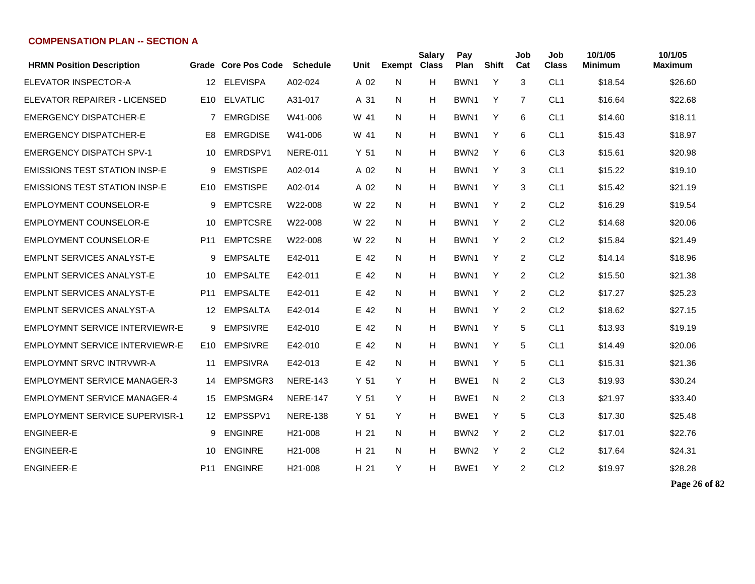| <b>HRMN Position Description</b>      |                   | Grade Core Pos Code | <b>Schedule</b>      | Unit            | <b>Exempt</b> | <b>Salary</b><br><b>Class</b> | Pay<br>Plan      | <b>Shift</b> | Job<br>Cat     | Job<br><b>Class</b> | 10/1/05<br><b>Minimum</b> | 10/1/05<br><b>Maximum</b> |
|---------------------------------------|-------------------|---------------------|----------------------|-----------------|---------------|-------------------------------|------------------|--------------|----------------|---------------------|---------------------------|---------------------------|
| ELEVATOR INSPECTOR-A                  | $12 \overline{ }$ | <b>ELEVISPA</b>     | A02-024              | A 02            | N             | H                             | BWN1             | Y            | 3              | CL <sub>1</sub>     | \$18.54                   | \$26.60                   |
| ELEVATOR REPAIRER - LICENSED          | E <sub>10</sub>   | <b>ELVATLIC</b>     | A31-017              | A 31            | N             | H                             | BWN <sub>1</sub> | Y            | $\overline{7}$ | CL <sub>1</sub>     | \$16.64                   | \$22.68                   |
| <b>EMERGENCY DISPATCHER-E</b>         | 7                 | <b>EMRGDISE</b>     | W41-006              | W 41            | N             | H                             | BWN <sub>1</sub> | Y            | 6              | CL <sub>1</sub>     | \$14.60                   | \$18.11                   |
| <b>EMERGENCY DISPATCHER-E</b>         | E <sub>8</sub>    | <b>EMRGDISE</b>     | W41-006              | W 41            | N             | H                             | BWN1             | Y            | 6              | CL <sub>1</sub>     | \$15.43                   | \$18.97                   |
| <b>EMERGENCY DISPATCH SPV-1</b>       | 10                | EMRDSPV1            | <b>NERE-011</b>      | Y <sub>51</sub> | N             | H                             | BWN <sub>2</sub> | Y            | 6              | CL <sub>3</sub>     | \$15.61                   | \$20.98                   |
| <b>EMISSIONS TEST STATION INSP-E</b>  | 9                 | <b>EMSTISPE</b>     | A02-014              | A 02            | N             | H                             | BWN1             | Y            | 3              | CL <sub>1</sub>     | \$15.22                   | \$19.10                   |
| <b>EMISSIONS TEST STATION INSP-E</b>  | E10               | <b>EMSTISPE</b>     | A02-014              | A 02            | N             | H                             | BWN1             | Y            | 3              | CL <sub>1</sub>     | \$15.42                   | \$21.19                   |
| <b>EMPLOYMENT COUNSELOR-E</b>         | 9                 | <b>EMPTCSRE</b>     | W22-008              | W 22            | N             | H                             | BWN1             | Y            | $\overline{2}$ | CL <sub>2</sub>     | \$16.29                   | \$19.54                   |
| <b>EMPLOYMENT COUNSELOR-E</b>         | 10                | <b>EMPTCSRE</b>     | W22-008              | W 22            | N             | н                             | BWN1             | Y            | $\overline{2}$ | CL <sub>2</sub>     | \$14.68                   | \$20.06                   |
| <b>EMPLOYMENT COUNSELOR-E</b>         | P <sub>11</sub>   | <b>EMPTCSRE</b>     | W22-008              | W 22            | N             | н                             | BWN1             | Y            | 2              | CL <sub>2</sub>     | \$15.84                   | \$21.49                   |
| <b>EMPLNT SERVICES ANALYST-E</b>      | 9                 | <b>EMPSALTE</b>     | E42-011              | E 42            | N             | н                             | BWN1             | Y            | 2              | CL <sub>2</sub>     | \$14.14                   | \$18.96                   |
| <b>EMPLNT SERVICES ANALYST-E</b>      | 10                | <b>EMPSALTE</b>     | E42-011              | E 42            | N             | н                             | BWN1             | Y            | $\overline{2}$ | CL <sub>2</sub>     | \$15.50                   | \$21.38                   |
| <b>EMPLNT SERVICES ANALYST-E</b>      | P <sub>11</sub>   | <b>EMPSALTE</b>     | E42-011              | E 42            | N             | н                             | BWN <sub>1</sub> | Y            | 2              | CL <sub>2</sub>     | \$17.27                   | \$25.23                   |
| <b>EMPLNT SERVICES ANALYST-A</b>      | 12                | <b>EMPSALTA</b>     | E42-014              | E 42            | N             | Н                             | BWN1             | Y            | 2              | CL <sub>2</sub>     | \$18.62                   | \$27.15                   |
| EMPLOYMNT SERVICE INTERVIEWR-E        | 9                 | <b>EMPSIVRE</b>     | E42-010              | E 42            | N             | H                             | BWN <sub>1</sub> | Y            | 5              | CL <sub>1</sub>     | \$13.93                   | \$19.19                   |
| <b>EMPLOYMNT SERVICE INTERVIEWR-E</b> | E <sub>10</sub>   | <b>EMPSIVRE</b>     | E42-010              | E 42            | N             | н                             | BWN1             | Y            | 5              | CL <sub>1</sub>     | \$14.49                   | \$20.06                   |
| EMPLOYMNT SRVC INTRVWR-A              | 11                | <b>EMPSIVRA</b>     | E42-013              | E 42            | N             | H                             | BWN <sub>1</sub> | Y            | 5              | CL <sub>1</sub>     | \$15.31                   | \$21.36                   |
| <b>EMPLOYMENT SERVICE MANAGER-3</b>   | 14                | EMPSMGR3            | <b>NERE-143</b>      | Y <sub>51</sub> | Y             | н                             | BWE <sub>1</sub> | N            | 2              | CL <sub>3</sub>     | \$19.93                   | \$30.24                   |
| <b>EMPLOYMENT SERVICE MANAGER-4</b>   | 15                | EMPSMGR4            | <b>NERE-147</b>      | Y <sub>51</sub> | Y             | H                             | BWE <sub>1</sub> | N            | 2              | CL <sub>3</sub>     | \$21.97                   | \$33.40                   |
| <b>EMPLOYMENT SERVICE SUPERVISR-1</b> | 12                | EMPSSPV1            | <b>NERE-138</b>      | Y <sub>51</sub> | Y             | H                             | BWE <sub>1</sub> | Y            | 5              | CL <sub>3</sub>     | \$17.30                   | \$25.48                   |
| <b>ENGINEER-E</b>                     | 9                 | <b>ENGINRE</b>      | H <sub>21</sub> -008 | H 21            | N             | H                             | BWN <sub>2</sub> | Y            | $\overline{2}$ | CL <sub>2</sub>     | \$17.01                   | \$22.76                   |
| <b>ENGINEER-E</b>                     | 10                | <b>ENGINRE</b>      | H <sub>21</sub> -008 | H 21            | N             | H                             | BWN <sub>2</sub> | Y            | 2              | CL <sub>2</sub>     | \$17.64                   | \$24.31                   |
| <b>ENGINEER-E</b>                     | P <sub>11</sub>   | <b>ENGINRE</b>      | H <sub>21</sub> -008 | H 21            | Y             | н                             | BWE <sub>1</sub> | Y            | 2              | CL <sub>2</sub>     | \$19.97                   | \$28.28                   |

**Page 26 of 82**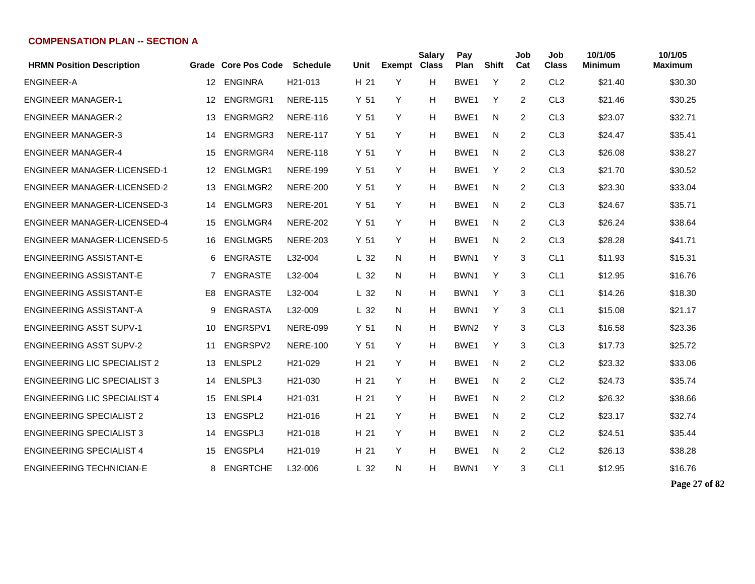| <b>HRMN Position Description</b>    |                 | Grade Core Pos Code | <b>Schedule</b>      | Unit            | <b>Exempt</b> | <b>Salary</b><br><b>Class</b> | Pay<br>Plan      | Shift | Job<br>Cat     | Job<br><b>Class</b> | 10/1/05<br>Minimum | 10/1/05<br>Maximum |
|-------------------------------------|-----------------|---------------------|----------------------|-----------------|---------------|-------------------------------|------------------|-------|----------------|---------------------|--------------------|--------------------|
| <b>ENGINEER-A</b>                   | 12 <sup>°</sup> | <b>ENGINRA</b>      | H <sub>21</sub> -013 | H 21            | Y             | н                             | BWE1             | Y     | $\overline{2}$ | CL <sub>2</sub>     | \$21.40            | \$30.30            |
| <b>ENGINEER MANAGER-1</b>           | 12              | ENGRMGR1            | <b>NERE-115</b>      | Y <sub>51</sub> | Y             | Н                             | BWE1             | Y     | 2              | CL <sub>3</sub>     | \$21.46            | \$30.25            |
| <b>ENGINEER MANAGER-2</b>           | 13              | ENGRMGR2            | <b>NERE-116</b>      | Y <sub>51</sub> | Y             | н                             | BWE1             | N     | 2              | CL <sub>3</sub>     | \$23.07            | \$32.71            |
| <b>ENGINEER MANAGER-3</b>           | 14              | ENGRMGR3            | <b>NERE-117</b>      | Y <sub>51</sub> | Y             | Н                             | BWE <sub>1</sub> | N     | 2              | CL <sub>3</sub>     | \$24.47            | \$35.41            |
| <b>ENGINEER MANAGER-4</b>           | 15              | ENGRMGR4            | <b>NERE-118</b>      | Y <sub>51</sub> | Y             | Н                             | BWE <sub>1</sub> | N     | 2              | CL <sub>3</sub>     | \$26.08            | \$38.27            |
| <b>ENGINEER MANAGER-LICENSED-1</b>  | 12              | ENGLMGR1            | <b>NERE-199</b>      | Y <sub>51</sub> | Y             | Н                             | BWE <sub>1</sub> | Y     | 2              | CL <sub>3</sub>     | \$21.70            | \$30.52            |
| <b>ENGINEER MANAGER-LICENSED-2</b>  | 13              | ENGLMGR2            | <b>NERE-200</b>      | Y <sub>51</sub> | Y             | Н                             | BWE1             | N     | 2              | CL <sub>3</sub>     | \$23.30            | \$33.04            |
| <b>ENGINEER MANAGER-LICENSED-3</b>  | 14              | ENGLMGR3            | <b>NERE-201</b>      | Y <sub>51</sub> | Y             | Н                             | BWE1             | N     | 2              | CL <sub>3</sub>     | \$24.67            | \$35.71            |
| <b>ENGINEER MANAGER-LICENSED-4</b>  | 15              | ENGLMGR4            | <b>NERE-202</b>      | Y <sub>51</sub> | Y             | Н                             | BWE1             | N     | 2              | CL <sub>3</sub>     | \$26.24            | \$38.64            |
| <b>ENGINEER MANAGER-LICENSED-5</b>  | 16              | <b>ENGLMGR5</b>     | <b>NERE-203</b>      | Y <sub>51</sub> | Y             | Н                             | BWE1             | N     | $\overline{c}$ | CL <sub>3</sub>     | \$28.28            | \$41.71            |
| <b>ENGINEERING ASSISTANT-E</b>      | 6               | <b>ENGRASTE</b>     | L32-004              | L <sub>32</sub> | N             | Н                             | BWN <sub>1</sub> | Υ     | 3              | CL <sub>1</sub>     | \$11.93            | \$15.31            |
| <b>ENGINEERING ASSISTANT-E</b>      | $\overline{7}$  | <b>ENGRASTE</b>     | L32-004              | L <sub>32</sub> | N             | Н                             | BWN1             | Y     | 3              | CL <sub>1</sub>     | \$12.95            | \$16.76            |
| <b>ENGINEERING ASSISTANT-E</b>      | E <sub>8</sub>  | <b>ENGRASTE</b>     | L32-004              | L <sub>32</sub> | N             | Н                             | BWN1             | Y     | 3              | CL <sub>1</sub>     | \$14.26            | \$18.30            |
| ENGINEERING ASSISTANT-A             | 9               | ENGRASTA            | L32-009              | L <sub>32</sub> | N.            | н                             | BWN1             | Y     | 3              | CL <sub>1</sub>     | \$15.08            | \$21.17            |
| <b>ENGINEERING ASST SUPV-1</b>      | 10              | ENGRSPV1            | <b>NERE-099</b>      | Y <sub>51</sub> | N             | н                             | BWN <sub>2</sub> | Y     | 3              | CL <sub>3</sub>     | \$16.58            | \$23.36            |
| <b>ENGINEERING ASST SUPV-2</b>      | 11              | ENGRSPV2            | <b>NERE-100</b>      | Y <sub>51</sub> | Y             | H                             | BWE1             | Y     | 3              | CL <sub>3</sub>     | \$17.73            | \$25.72            |
| <b>ENGINEERING LIC SPECIALIST 2</b> | 13              | ENLSPL2             | H21-029              | H 21            | Y             | H                             | BWE1             | N     | $\overline{2}$ | CL <sub>2</sub>     | \$23.32            | \$33.06            |
| <b>ENGINEERING LIC SPECIALIST 3</b> | 14              | ENLSPL3             | H <sub>21</sub> -030 | H 21            | Y             | H                             | BWE <sub>1</sub> | N     | $\overline{2}$ | CL <sub>2</sub>     | \$24.73            | \$35.74            |
| <b>ENGINEERING LIC SPECIALIST 4</b> | 15              | ENLSPL4             | H21-031              | H 21            | Y             | н                             | BWE <sub>1</sub> | N     | $\overline{2}$ | CL <sub>2</sub>     | \$26.32            | \$38.66            |
| <b>ENGINEERING SPECIALIST 2</b>     | 13              | ENGSPL2             | H <sub>21</sub> -016 | H 21            | Y             | Н                             | BWE <sub>1</sub> | N     | $\overline{2}$ | CL <sub>2</sub>     | \$23.17            | \$32.74            |
| <b>ENGINEERING SPECIALIST 3</b>     | 14              | ENGSPL3             | H21-018              | H 21            | Y             | н                             | BWE <sub>1</sub> | N     | $\overline{2}$ | CL <sub>2</sub>     | \$24.51            | \$35.44            |
| <b>ENGINEERING SPECIALIST 4</b>     | 15              | ENGSPL4             | H <sub>21</sub> -019 | H 21            | Y             | н                             | BWE <sub>1</sub> | N     | $\overline{2}$ | CL <sub>2</sub>     | \$26.13            | \$38.28            |
| <b>ENGINEERING TECHNICIAN-E</b>     | 8               | <b>ENGRTCHE</b>     | L32-006              | L <sub>32</sub> | N             | н                             | BWN1             | Y     | 3              | CL <sub>1</sub>     | \$12.95            | \$16.76            |

**Page 27 of 82**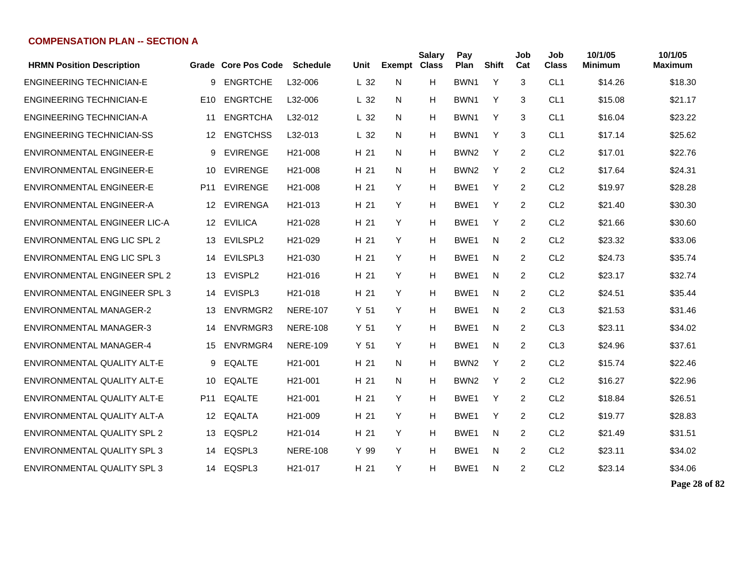| <b>HRMN Position Description</b>    |                  | Grade Core Pos Code | <b>Schedule</b>      | Unit            | <b>Exempt Class</b> | <b>Salary</b> | Pay<br>Plan      | <b>Shift</b> | Job<br>Cat     | Job<br><b>Class</b> | 10/1/05<br><b>Minimum</b> | 10/1/05<br><b>Maximum</b> |
|-------------------------------------|------------------|---------------------|----------------------|-----------------|---------------------|---------------|------------------|--------------|----------------|---------------------|---------------------------|---------------------------|
| <b>ENGINEERING TECHNICIAN-E</b>     | 9                | <b>ENGRTCHE</b>     | L32-006              | L <sub>32</sub> | N                   | н             | BWN <sub>1</sub> | Y            | 3              | CL <sub>1</sub>     | \$14.26                   | \$18.30                   |
| <b>ENGINEERING TECHNICIAN-E</b>     | E <sub>10</sub>  | <b>ENGRTCHE</b>     | L32-006              | L <sub>32</sub> | N                   | н             | BWN1             | Y            | 3              | CL <sub>1</sub>     | \$15.08                   | \$21.17                   |
| <b>ENGINEERING TECHNICIAN-A</b>     | 11               | <b>ENGRTCHA</b>     | L32-012              | L <sub>32</sub> | N                   | Н             | BWN <sub>1</sub> | Y            | 3              | CL <sub>1</sub>     | \$16.04                   | \$23.22                   |
| <b>ENGINEERING TECHNICIAN-SS</b>    | 12               | <b>ENGTCHSS</b>     | L32-013              | L <sub>32</sub> | N                   | Н             | BWN <sub>1</sub> | Y            | 3              | CL <sub>1</sub>     | \$17.14                   | \$25.62                   |
| <b>ENVIRONMENTAL ENGINEER-E</b>     | 9                | <b>EVIRENGE</b>     | H <sub>21</sub> -008 | H 21            | N.                  | н             | BWN <sub>2</sub> | Y            | 2              | CL <sub>2</sub>     | \$17.01                   | \$22.76                   |
| ENVIRONMENTAL ENGINEER-E            | 10               | <b>EVIRENGE</b>     | H <sub>21</sub> -008 | H 21            | N                   | н             | BWN <sub>2</sub> | Y            | 2              | CL <sub>2</sub>     | \$17.64                   | \$24.31                   |
| ENVIRONMENTAL ENGINEER-E            | P <sub>11</sub>  | <b>EVIRENGE</b>     | H <sub>21</sub> -008 | H 21            | Y                   | Н             | BWE1             | Y            | 2              | CL <sub>2</sub>     | \$19.97                   | \$28.28                   |
| ENVIRONMENTAL ENGINEER-A            | 12               | <b>EVIRENGA</b>     | H <sub>21</sub> -013 | H 21            | Y                   | H             | BWE1             | Y            | 2              | CL <sub>2</sub>     | \$21.40                   | \$30.30                   |
| <b>ENVIRONMENTAL ENGINEER LIC-A</b> | 12 <sup>12</sup> | <b>EVILICA</b>      | H21-028              | H 21            | Y                   | H             | BWE <sub>1</sub> | Y            | $\overline{2}$ | CL <sub>2</sub>     | \$21.66                   | \$30.60                   |
| <b>ENVIRONMENTAL ENG LIC SPL 2</b>  | 13               | EVILSPL2            | H <sub>21</sub> -029 | H 21            | Y                   | н             | BWE <sub>1</sub> | N            | $\overline{2}$ | CL <sub>2</sub>     | \$23.32                   | \$33.06                   |
| <b>ENVIRONMENTAL ENG LIC SPL 3</b>  | 14               | EVILSPL3            | H21-030              | H 21            | Y                   | Н             | BWE <sub>1</sub> | N            | 2              | CL <sub>2</sub>     | \$24.73                   | \$35.74                   |
| <b>ENVIRONMENTAL ENGINEER SPL 2</b> | 13               | EVISPL2             | H <sub>21</sub> -016 | H 21            | Y                   | н             | BWE <sub>1</sub> | N            | $\overline{2}$ | CL <sub>2</sub>     | \$23.17                   | \$32.74                   |
| <b>ENVIRONMENTAL ENGINEER SPL 3</b> | 14               | EVISPL3             | H <sub>21</sub> -018 | H <sub>21</sub> | Y                   | н             | BWE <sub>1</sub> | N            | 2              | CL <sub>2</sub>     | \$24.51                   | \$35.44                   |
| <b>ENVIRONMENTAL MANAGER-2</b>      | 13               | ENVRMGR2            | <b>NERE-107</b>      | Y <sub>51</sub> | Y                   | н             | BWE1             | N            | 2              | CL <sub>3</sub>     | \$21.53                   | \$31.46                   |
| <b>ENVIRONMENTAL MANAGER-3</b>      | 14               | ENVRMGR3            | <b>NERE-108</b>      | Y <sub>51</sub> | Y                   | н             | BWE <sub>1</sub> | N.           | 2              | CL <sub>3</sub>     | \$23.11                   | \$34.02                   |
| <b>ENVIRONMENTAL MANAGER-4</b>      | 15               | ENVRMGR4            | <b>NERE-109</b>      | Y <sub>51</sub> | Y                   | H             | BWE1             | N            | $\overline{2}$ | CL <sub>3</sub>     | \$24.96                   | \$37.61                   |
| ENVIRONMENTAL QUALITY ALT-E         | 9                | <b>EQALTE</b>       | H <sub>21</sub> -001 | H 21            | N                   | н             | BWN <sub>2</sub> | Y            | $\overline{2}$ | CL <sub>2</sub>     | \$15.74                   | \$22.46                   |
| ENVIRONMENTAL QUALITY ALT-E         | 10               | <b>EQALTE</b>       | H <sub>21</sub> -001 | H 21            | N                   | Н             | BWN <sub>2</sub> | Y            | $\overline{2}$ | CL <sub>2</sub>     | \$16.27                   | \$22.96                   |
| ENVIRONMENTAL QUALITY ALT-E         | P11              | <b>EQALTE</b>       | H <sub>21</sub> -001 | H 21            | Y                   | Н             | BWE <sub>1</sub> | Y            | 2              | CL <sub>2</sub>     | \$18.84                   | \$26.51                   |
| ENVIRONMENTAL QUALITY ALT-A         | 12               | <b>EQALTA</b>       | H <sub>21</sub> -009 | H 21            | Y                   | н             | BWE <sub>1</sub> | Y            | $\overline{2}$ | CL <sub>2</sub>     | \$19.77                   | \$28.83                   |
| ENVIRONMENTAL QUALITY SPL 2         | 13               | EQSPL2              | H <sub>21</sub> -014 | H 21            | Y                   | н             | BWE <sub>1</sub> | N            | $\overline{2}$ | CL <sub>2</sub>     | \$21.49                   | \$31.51                   |
| ENVIRONMENTAL QUALITY SPL 3         | 14               | EQSPL3              | <b>NERE-108</b>      | Y 99            | Y                   | Н             | BWE <sub>1</sub> | N            | 2              | CL <sub>2</sub>     | \$23.11                   | \$34.02                   |
| ENVIRONMENTAL QUALITY SPL 3         | 14               | EQSPL3              | H <sub>21</sub> -017 | H 21            | Y                   | н             | BWE <sub>1</sub> | N            | 2              | CL <sub>2</sub>     | \$23.14                   | \$34.06                   |

**Page 28 of 82**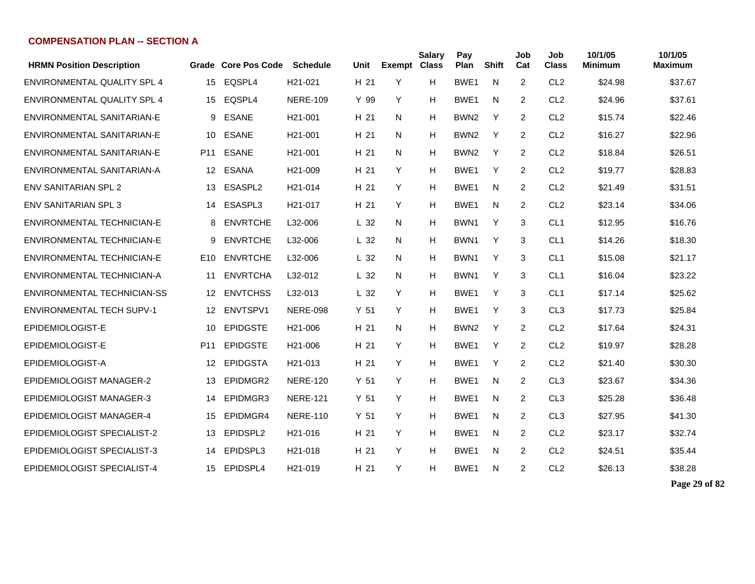| <b>HRMN Position Description</b> |                 | Grade Core Pos Code | <b>Schedule</b>      | Unit            | <b>Exempt Class</b> | <b>Salary</b> | Pay<br>Plan      | <b>Shift</b> | Job<br>Cat     | Job<br><b>Class</b> | 10/1/05<br><b>Minimum</b> | 10/1/05<br><b>Maximum</b> |
|----------------------------------|-----------------|---------------------|----------------------|-----------------|---------------------|---------------|------------------|--------------|----------------|---------------------|---------------------------|---------------------------|
| ENVIRONMENTAL QUALITY SPL 4      | 15              | EQSPL4              | H21-021              | H <sub>21</sub> | Y                   | н             | BWE1             | N            | $\overline{2}$ | CL <sub>2</sub>     | \$24.98                   | \$37.67                   |
| ENVIRONMENTAL QUALITY SPL 4      | 15              | EQSPL4              | <b>NERE-109</b>      | Y 99            | Y                   | H             | BWE1             | N            | $\overline{2}$ | CL <sub>2</sub>     | \$24.96                   | \$37.61                   |
| ENVIRONMENTAL SANITARIAN-E       | 9               | <b>ESANE</b>        | H <sub>21</sub> -001 | H 21            | N                   | н             | BWN <sub>2</sub> | Y            | $\overline{2}$ | CL <sub>2</sub>     | \$15.74                   | \$22.46                   |
| ENVIRONMENTAL SANITARIAN-E       | 10              | <b>ESANE</b>        | H <sub>21</sub> -001 | H 21            | N                   | Н             | BWN <sub>2</sub> | Y            | $\overline{2}$ | CL <sub>2</sub>     | \$16.27                   | \$22.96                   |
| ENVIRONMENTAL SANITARIAN-E       | P11             | <b>ESANE</b>        | H <sub>21</sub> -001 | H 21            | N                   | н             | BWN <sub>2</sub> | Y            | 2              | CL <sub>2</sub>     | \$18.84                   | \$26.51                   |
| ENVIRONMENTAL SANITARIAN-A       | 12              | <b>ESANA</b>        | H <sub>21</sub> -009 | H 21            | Y                   | Н             | BWE <sub>1</sub> | Y            | $\overline{2}$ | CL <sub>2</sub>     | \$19.77                   | \$28.83                   |
| <b>ENV SANITARIAN SPL 2</b>      | 13              | ESASPL2             | H <sub>21</sub> -014 | H 21            | Y                   | н             | BWE <sub>1</sub> | N            | 2              | CL <sub>2</sub>     | \$21.49                   | \$31.51                   |
| <b>ENV SANITARIAN SPL 3</b>      | 14              | ESASPL3             | H <sub>21</sub> -017 | H 21            | Y                   | Н             | BWE <sub>1</sub> | N            | 2              | CL <sub>2</sub>     | \$23.14                   | \$34.06                   |
| ENVIRONMENTAL TECHNICIAN-E       | 8               | <b>ENVRTCHE</b>     | L32-006              | L <sub>32</sub> | N                   | Н             | BWN1             | Y            | 3              | CL <sub>1</sub>     | \$12.95                   | \$16.76                   |
| ENVIRONMENTAL TECHNICIAN-E       | 9               | <b>ENVRTCHE</b>     | L32-006              | L <sub>32</sub> | N                   | н             | BWN <sub>1</sub> | Y            | 3              | CL <sub>1</sub>     | \$14.26                   | \$18.30                   |
| ENVIRONMENTAL TECHNICIAN-E       | E10             | <b>ENVRTCHE</b>     | L32-006              | L <sub>32</sub> | N                   | Н             | BWN <sub>1</sub> | Y            | 3              | CL <sub>1</sub>     | \$15.08                   | \$21.17                   |
| ENVIRONMENTAL TECHNICIAN-A       | 11              | <b>ENVRTCHA</b>     | L32-012              | L <sub>32</sub> | N                   | Н             | BWN1             | Y            | 3              | CL <sub>1</sub>     | \$16.04                   | \$23.22                   |
| ENVIRONMENTAL TECHNICIAN-SS      | 12 <sup>1</sup> | <b>ENVTCHSS</b>     | L32-013              | L <sub>32</sub> | Y                   | н             | BWE <sub>1</sub> | Y            | 3              | CL <sub>1</sub>     | \$17.14                   | \$25.62                   |
| <b>ENVIRONMENTAL TECH SUPV-1</b> | 12 <sup>°</sup> | ENVTSPV1            | <b>NERE-098</b>      | Y <sub>51</sub> | Y                   | н             | BWE <sub>1</sub> | Y            | 3              | CL <sub>3</sub>     | \$17.73                   | \$25.84                   |
| EPIDEMIOLOGIST-E                 | 10              | <b>EPIDGSTE</b>     | H <sub>21</sub> -006 | H 21            | N                   | н             | BWN <sub>2</sub> | Y            | $\overline{2}$ | CL <sub>2</sub>     | \$17.64                   | \$24.31                   |
| EPIDEMIOLOGIST-E                 | P <sub>11</sub> | <b>EPIDGSTE</b>     | H <sub>21</sub> -006 | H 21            | Y                   | H             | BWE1             | Y            | $\overline{2}$ | CL <sub>2</sub>     | \$19.97                   | \$28.28                   |
| EPIDEMIOLOGIST-A                 | 12              | <b>EPIDGSTA</b>     | H <sub>21</sub> -013 | H 21            | Y                   | н             | BWE <sub>1</sub> | Y            | 2              | CL <sub>2</sub>     | \$21.40                   | \$30.30                   |
| EPIDEMIOLOGIST MANAGER-2         | 13              | EPIDMGR2            | <b>NERE-120</b>      | Y <sub>51</sub> | Y                   | Н             | BWE <sub>1</sub> | N            | 2              | CL <sub>3</sub>     | \$23.67                   | \$34.36                   |
| <b>EPIDEMIOLOGIST MANAGER-3</b>  | 14              | EPIDMGR3            | <b>NERE-121</b>      | Y <sub>51</sub> | Y                   | Н             | BWE <sub>1</sub> | N.           | 2              | CL <sub>3</sub>     | \$25.28                   | \$36.48                   |
| <b>EPIDEMIOLOGIST MANAGER-4</b>  | 15              | EPIDMGR4            | <b>NERE-110</b>      | Y <sub>51</sub> | Y                   | Н             | BWE <sub>1</sub> | N            | 2              | CL <sub>3</sub>     | \$27.95                   | \$41.30                   |
| EPIDEMIOLOGIST SPECIALIST-2      | 13              | EPIDSPL2            | H <sub>21</sub> -016 | H 21            | Y                   | н             | BWE <sub>1</sub> | N            | 2              | CL <sub>2</sub>     | \$23.17                   | \$32.74                   |
| EPIDEMIOLOGIST SPECIALIST-3      | 14              | EPIDSPL3            | H <sub>21</sub> -018 | H 21            | Y                   | н             | BWE <sub>1</sub> | N            | 2              | CL <sub>2</sub>     | \$24.51                   | \$35.44                   |
| EPIDEMIOLOGIST SPECIALIST-4      | 15              | EPIDSPL4            | H <sub>21</sub> -019 | H 21            | Y                   | н             | BWE1             | N            | 2              | CL <sub>2</sub>     | \$26.13                   | \$38.28                   |

**Page 29 of 82**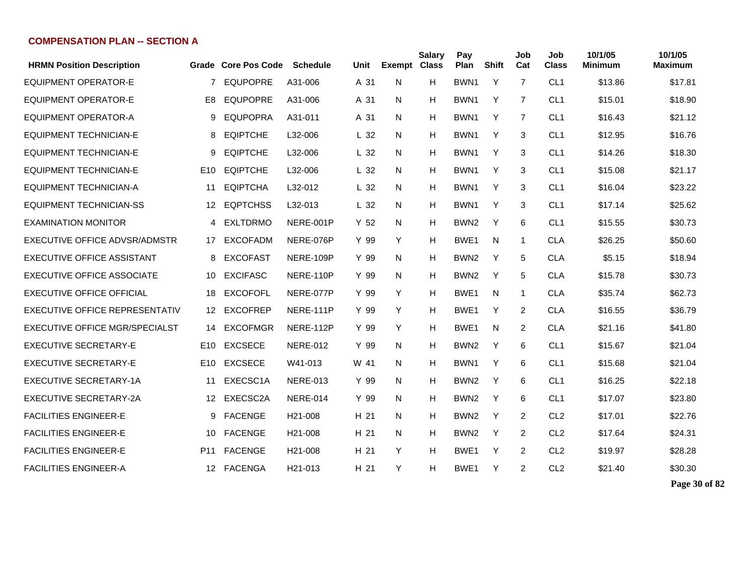| <b>HRMN Position Description</b>  |                 | Grade Core Pos Code | <b>Schedule</b>      | Unit            | <b>Exempt</b> | <b>Salary</b><br><b>Class</b> | Pay<br>Plan      | <b>Shift</b> | Job<br>Cat     | Job<br><b>Class</b> | 10/1/05<br><b>Minimum</b> | 10/1/05<br>Maximum |
|-----------------------------------|-----------------|---------------------|----------------------|-----------------|---------------|-------------------------------|------------------|--------------|----------------|---------------------|---------------------------|--------------------|
| <b>EQUIPMENT OPERATOR-E</b>       | $\overline{7}$  | <b>EQUPOPRE</b>     | A31-006              | A 31            | N             | H                             | BWN <sub>1</sub> | Y            | $\overline{7}$ | CL <sub>1</sub>     | \$13.86                   | \$17.81            |
| <b>EQUIPMENT OPERATOR-E</b>       | E <sub>8</sub>  | <b>EQUPOPRE</b>     | A31-006              | A 31            | N             | H                             | BWN <sub>1</sub> | Y            | $\overline{7}$ | CL <sub>1</sub>     | \$15.01                   | \$18.90            |
| <b>EQUIPMENT OPERATOR-A</b>       | 9               | <b>EQUPOPRA</b>     | A31-011              | A 31            | N             | H                             | BWN <sub>1</sub> | Y            | 7              | CL <sub>1</sub>     | \$16.43                   | \$21.12            |
| <b>EQUIPMENT TECHNICIAN-E</b>     | 8               | <b>EQIPTCHE</b>     | L32-006              | L <sub>32</sub> | N             | H                             | BWN1             | Y            | 3              | CL <sub>1</sub>     | \$12.95                   | \$16.76            |
| <b>EQUIPMENT TECHNICIAN-E</b>     | 9               | <b>EQIPTCHE</b>     | L32-006              | L <sub>32</sub> | N             | H                             | BWN <sub>1</sub> | Y            | 3              | CL <sub>1</sub>     | \$14.26                   | \$18.30            |
| <b>EQUIPMENT TECHNICIAN-E</b>     | E <sub>10</sub> | <b>EQIPTCHE</b>     | L32-006              | L <sub>32</sub> | N             | H                             | BWN <sub>1</sub> | Y            | 3              | CL <sub>1</sub>     | \$15.08                   | \$21.17            |
| <b>EQUIPMENT TECHNICIAN-A</b>     | 11              | <b>EQIPTCHA</b>     | L32-012              | L <sub>32</sub> | N             | H                             | BWN1             | Y            | 3              | CL <sub>1</sub>     | \$16.04                   | \$23.22            |
| <b>EQUIPMENT TECHNICIAN-SS</b>    | 12              | <b>EQPTCHSS</b>     | L32-013              | L <sub>32</sub> | N             | H                             | BWN <sub>1</sub> | Y            | 3              | CL <sub>1</sub>     | \$17.14                   | \$25.62            |
| <b>EXAMINATION MONITOR</b>        | 4               | <b>EXLTDRMO</b>     | NERE-001P            | Y <sub>52</sub> | N             | H                             | BWN <sub>2</sub> | Υ            | 6              | CL <sub>1</sub>     | \$15.55                   | \$30.73            |
| EXECUTIVE OFFICE ADVSR/ADMSTR     | 17              | EXCOFADM            | NERE-076P            | Y 99            | Y             | H                             | BWE <sub>1</sub> | N            | 1              | <b>CLA</b>          | \$26.25                   | \$50.60            |
| <b>EXECUTIVE OFFICE ASSISTANT</b> | 8               | <b>EXCOFAST</b>     | NERE-109P            | Y 99            | N             | H                             | BWN <sub>2</sub> | Υ            | 5              | <b>CLA</b>          | \$5.15                    | \$18.94            |
| EXECUTIVE OFFICE ASSOCIATE        | 10              | <b>EXCIFASC</b>     | NERE-110P            | Y 99            | N             | H                             | BWN <sub>2</sub> | Y            | 5              | <b>CLA</b>          | \$15.78                   | \$30.73            |
| <b>EXECUTIVE OFFICE OFFICIAL</b>  | 18              | <b>EXCOFOFL</b>     | NERE-077P            | Y 99            | Y             | H                             | BWE1             | N            | 1              | <b>CLA</b>          | \$35.74                   | \$62.73            |
| EXECUTIVE OFFICE REPRESENTATIV    | 12              | <b>EXCOFREP</b>     | NERE-111P            | Y 99            | Y             | H                             | BWE <sub>1</sub> | Y            | $\overline{2}$ | <b>CLA</b>          | \$16.55                   | \$36.79            |
| EXECUTIVE OFFICE MGR/SPECIALST    | 14              | <b>EXCOFMGR</b>     | NERE-112P            | Y 99            | Y             | H                             | BWE1             | N            | 2              | <b>CLA</b>          | \$21.16                   | \$41.80            |
| <b>EXECUTIVE SECRETARY-E</b>      | E <sub>10</sub> | <b>EXCSECE</b>      | <b>NERE-012</b>      | Y 99            | N             | H                             | BWN <sub>2</sub> | Y            | 6              | CL <sub>1</sub>     | \$15.67                   | \$21.04            |
| <b>EXECUTIVE SECRETARY-E</b>      | E <sub>10</sub> | <b>EXCSECE</b>      | W41-013              | W 41            | N             | H                             | BWN <sub>1</sub> | Y            | 6              | CL <sub>1</sub>     | \$15.68                   | \$21.04            |
| EXECUTIVE SECRETARY-1A            | 11              | EXECSC1A            | <b>NERE-013</b>      | Y 99            | N             | H                             | BWN <sub>2</sub> | Y            | 6              | CL <sub>1</sub>     | \$16.25                   | \$22.18            |
| EXECUTIVE SECRETARY-2A            | 12              | EXECSC2A            | <b>NERE-014</b>      | Y 99            | N.            | H                             | BWN <sub>2</sub> | Y            | 6              | CL <sub>1</sub>     | \$17.07                   | \$23.80            |
| <b>FACILITIES ENGINEER-E</b>      | 9               | <b>FACENGE</b>      | H21-008              | H 21            | N             | H                             | BWN <sub>2</sub> | Υ            | 2              | CL <sub>2</sub>     | \$17.01                   | \$22.76            |
| <b>FACILITIES ENGINEER-E</b>      | 10              | <b>FACENGE</b>      | H <sub>21</sub> -008 | H 21            | N             | H                             | BWN <sub>2</sub> | Y            | 2              | CL <sub>2</sub>     | \$17.64                   | \$24.31            |
| <b>FACILITIES ENGINEER-E</b>      | P11             | <b>FACENGE</b>      | H <sub>21</sub> -008 | H 21            | Y             | H                             | BWE1             | Υ            | 2              | CL <sub>2</sub>     | \$19.97                   | \$28.28            |
| <b>FACILITIES ENGINEER-A</b>      |                 | 12 FACENGA          | H <sub>21</sub> -013 | H 21            | Υ             | H                             | BWE <sub>1</sub> | Υ            | 2              | CL <sub>2</sub>     | \$21.40                   | \$30.30            |

**Page 30 of 82**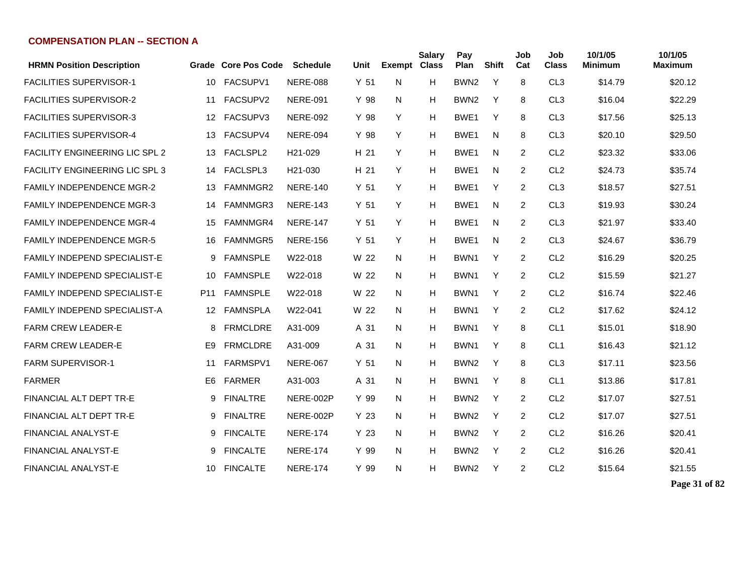| <b>HRMN Position Description</b>    |                 | Grade Core Pos Code | <b>Schedule</b>      | Unit            | Exempt | <b>Salary</b><br><b>Class</b> | Pay<br>Plan      | <b>Shift</b> | Job<br>Cat     | Job<br><b>Class</b> | 10/1/05<br>Minimum | 10/1/05<br><b>Maximum</b> |
|-------------------------------------|-----------------|---------------------|----------------------|-----------------|--------|-------------------------------|------------------|--------------|----------------|---------------------|--------------------|---------------------------|
| <b>FACILITIES SUPERVISOR-1</b>      | 10              | FACSUPV1            | <b>NERE-088</b>      | Y <sub>51</sub> | N      | н                             | BWN <sub>2</sub> | Y            | 8              | CL <sub>3</sub>     | \$14.79            | \$20.12                   |
| <b>FACILITIES SUPERVISOR-2</b>      | 11              | FACSUPV2            | <b>NERE-091</b>      | Y 98            | N.     | Н                             | BWN <sub>2</sub> | Y            | 8              | CL <sub>3</sub>     | \$16.04            | \$22.29                   |
| <b>FACILITIES SUPERVISOR-3</b>      | 12              | FACSUPV3            | <b>NERE-092</b>      | Y 98            | Y      | Н                             | BWE1             | Y            | 8              | CL <sub>3</sub>     | \$17.56            | \$25.13                   |
| <b>FACILITIES SUPERVISOR-4</b>      | 13              | FACSUPV4            | <b>NERE-094</b>      | Y 98            | Y      | Н                             | BWE <sub>1</sub> | N            | 8              | CL <sub>3</sub>     | \$20.10            | \$29.50                   |
| FACILITY ENGINEERING LIC SPL 2      | 13              | FACLSPL2            | H <sub>21</sub> -029 | H 21            | Y      | Н                             | BWE1             | N            | 2              | CL <sub>2</sub>     | \$23.32            | \$33.06                   |
| FACILITY ENGINEERING LIC SPL 3      | 14              | FACLSPL3            | H <sub>21</sub> -030 | H 21            | Y      | Н                             | BWE <sub>1</sub> | N            | 2              | CL <sub>2</sub>     | \$24.73            | \$35.74                   |
| FAMILY INDEPENDENCE MGR-2           | 13              | FAMNMGR2            | <b>NERE-140</b>      | Y <sub>51</sub> | Y      | Н                             | BWE1             | Y            | 2              | CL <sub>3</sub>     | \$18.57            | \$27.51                   |
| <b>FAMILY INDEPENDENCE MGR-3</b>    | 14              | FAMNMGR3            | <b>NERE-143</b>      | Y <sub>51</sub> | Y      | Н                             | BWE1             | N            | $\overline{2}$ | CL <sub>3</sub>     | \$19.93            | \$30.24                   |
| <b>FAMILY INDEPENDENCE MGR-4</b>    | 15              | FAMNMGR4            | <b>NERE-147</b>      | Y <sub>51</sub> | Y      | Н                             | BWE1             | N            | $\overline{2}$ | CL <sub>3</sub>     | \$21.97            | \$33.40                   |
| <b>FAMILY INDEPENDENCE MGR-5</b>    | 16              | <b>FAMNMGR5</b>     | <b>NERE-156</b>      | Y <sub>51</sub> | Y      | Н                             | BWE <sub>1</sub> | N            | $\overline{2}$ | CL <sub>3</sub>     | \$24.67            | \$36.79                   |
| FAMILY INDEPEND SPECIALIST-E        | 9               | <b>FAMNSPLE</b>     | W22-018              | W 22            | N      | Н                             | BWN <sub>1</sub> | Υ            | 2              | CL <sub>2</sub>     | \$16.29            | \$20.25                   |
| FAMILY INDEPEND SPECIALIST-E        | 10              | <b>FAMNSPLE</b>     | W22-018              | W 22            | N.     | Н                             | BWN1             | Y            | $\overline{2}$ | CL <sub>2</sub>     | \$15.59            | \$21.27                   |
| <b>FAMILY INDEPEND SPECIALIST-E</b> | P <sub>11</sub> | <b>FAMNSPLE</b>     | W22-018              | W 22            | N.     | Н                             | BWN <sub>1</sub> | Y            | 2              | CL <sub>2</sub>     | \$16.74            | \$22.46                   |
| <b>FAMILY INDEPEND SPECIALIST-A</b> | 12              | FAMNSPLA            | W22-041              | W 22            | N.     | Н                             | BWN1             | Y            | 2              | CL <sub>2</sub>     | \$17.62            | \$24.12                   |
| FARM CREW LEADER-E                  | 8               | <b>FRMCLDRE</b>     | A31-009              | A 31            | N      | Н                             | BWN <sub>1</sub> | Y            | 8              | CL <sub>1</sub>     | \$15.01            | \$18.90                   |
| FARM CREW LEADER-E                  | E9              | <b>FRMCLDRE</b>     | A31-009              | A 31            | N      | Н                             | BWN1             | Y            | 8              | CL <sub>1</sub>     | \$16.43            | \$21.12                   |
| <b>FARM SUPERVISOR-1</b>            | 11              | <b>FARMSPV1</b>     | <b>NERE-067</b>      | Y <sub>51</sub> | N.     | Н                             | BWN <sub>2</sub> | Y            | 8              | CL <sub>3</sub>     | \$17.11            | \$23.56                   |
| <b>FARMER</b>                       | E6              | <b>FARMER</b>       | A31-003              | A 31            | N.     | Н                             | BWN <sub>1</sub> | Y            | 8              | CL <sub>1</sub>     | \$13.86            | \$17.81                   |
| FINANCIAL ALT DEPT TR-E             | 9               | <b>FINALTRE</b>     | NERE-002P            | Y 99            | N.     | Н                             | BWN <sub>2</sub> | Y            | 2              | CL <sub>2</sub>     | \$17.07            | \$27.51                   |
| FINANCIAL ALT DEPT TR-E             | 9               | <b>FINALTRE</b>     | NERE-002P            | Y <sub>23</sub> | N.     | Н                             | BWN <sub>2</sub> | Y            | 2              | CL <sub>2</sub>     | \$17.07            | \$27.51                   |
| <b>FINANCIAL ANALYST-E</b>          | 9               | <b>FINCALTE</b>     | <b>NERE-174</b>      | Y 23            | N.     | Н                             | BWN <sub>2</sub> | Y            | 2              | CL <sub>2</sub>     | \$16.26            | \$20.41                   |
| <b>FINANCIAL ANALYST-E</b>          | 9               | <b>FINCALTE</b>     | <b>NERE-174</b>      | Y 99            | N      | Н                             | BWN <sub>2</sub> | Y            | 2              | CL <sub>2</sub>     | \$16.26            | \$20.41                   |
| <b>FINANCIAL ANALYST-E</b>          | 10              | <b>FINCALTE</b>     | <b>NERE-174</b>      | Y 99            | N.     | н                             | BWN <sub>2</sub> | Y            | 2              | CL <sub>2</sub>     | \$15.64            | \$21.55                   |

**Page 31 of 82**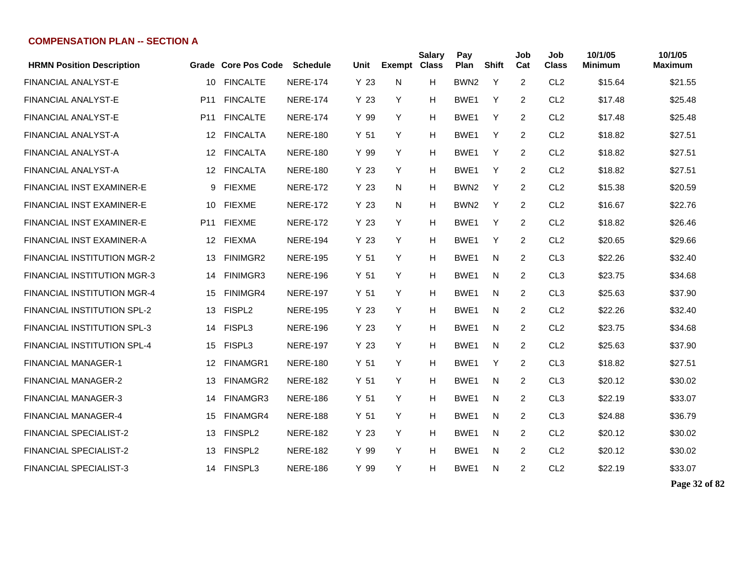| <b>HRMN Position Description</b>   |                 | <b>Grade Core Pos Code</b> | <b>Schedule</b> | Unit            | <b>Exempt</b> | <b>Salary</b><br><b>Class</b> | Pay<br>Plan      | <b>Shift</b> | Job<br>Cat     | Job<br><b>Class</b> | 10/1/05<br><b>Minimum</b> | 10/1/05<br>Maximum |
|------------------------------------|-----------------|----------------------------|-----------------|-----------------|---------------|-------------------------------|------------------|--------------|----------------|---------------------|---------------------------|--------------------|
| <b>FINANCIAL ANALYST-E</b>         | 10              | <b>FINCALTE</b>            | <b>NERE-174</b> | Y 23            | N             | H                             | BWN <sub>2</sub> | Y            | 2              | CL <sub>2</sub>     | \$15.64                   | \$21.55            |
| <b>FINANCIAL ANALYST-E</b>         | P <sub>11</sub> | <b>FINCALTE</b>            | <b>NERE-174</b> | Y 23            | Y             | H                             | BWE <sub>1</sub> | Y            | 2              | CL <sub>2</sub>     | \$17.48                   | \$25.48            |
| <b>FINANCIAL ANALYST-E</b>         | P <sub>11</sub> | <b>FINCALTE</b>            | <b>NERE-174</b> | Y 99            | Y             | H                             | BWE <sub>1</sub> | Y            | $\overline{2}$ | CL <sub>2</sub>     | \$17.48                   | \$25.48            |
| <b>FINANCIAL ANALYST-A</b>         | 12              | <b>FINCALTA</b>            | <b>NERE-180</b> | Y <sub>51</sub> | Y             | H                             | BWE1             | Y            | 2              | CL <sub>2</sub>     | \$18.82                   | \$27.51            |
| <b>FINANCIAL ANALYST-A</b>         | 12              | <b>FINCALTA</b>            | <b>NERE-180</b> | Y 99            | Y             | H                             | BWE <sub>1</sub> | Υ            | $\overline{2}$ | CL <sub>2</sub>     | \$18.82                   | \$27.51            |
| FINANCIAL ANALYST-A                | 12              | <b>FINCALTA</b>            | <b>NERE-180</b> | Y <sub>23</sub> | Y             | H                             | BWE1             | Y            | $\overline{2}$ | CL <sub>2</sub>     | \$18.82                   | \$27.51            |
| FINANCIAL INST EXAMINER-E          | 9               | <b>FIEXME</b>              | <b>NERE-172</b> | Y 23            | N             | H                             | BWN <sub>2</sub> | Y            | 2              | CL <sub>2</sub>     | \$15.38                   | \$20.59            |
| <b>FINANCIAL INST EXAMINER-E</b>   | 10              | <b>FIEXME</b>              | <b>NERE-172</b> | Y <sub>23</sub> | N             | H                             | BWN <sub>2</sub> | Y            | 2              | CL <sub>2</sub>     | \$16.67                   | \$22.76            |
| FINANCIAL INST EXAMINER-E          | P11             | <b>FIEXME</b>              | <b>NERE-172</b> | Y <sub>23</sub> | Y             | H                             | BWE <sub>1</sub> | Υ            | $\overline{2}$ | CL <sub>2</sub>     | \$18.82                   | \$26.46            |
| FINANCIAL INST EXAMINER-A          | 12              | FIEXMA                     | <b>NERE-194</b> | Y <sub>23</sub> | Y             | H                             | BWE <sub>1</sub> | Y            | $\overline{2}$ | CL <sub>2</sub>     | \$20.65                   | \$29.66            |
| FINANCIAL INSTITUTION MGR-2        | 13              | FINIMGR2                   | <b>NERE-195</b> | Y <sub>51</sub> | Y             | H                             | BWE1             | N            | 2              | CL <sub>3</sub>     | \$22.26                   | \$32.40            |
| <b>FINANCIAL INSTITUTION MGR-3</b> | 14              | <b>FINIMGR3</b>            | <b>NERE-196</b> | Y <sub>51</sub> | Y             | H                             | BWE1             | N            | 2              | CL <sub>3</sub>     | \$23.75                   | \$34.68            |
| FINANCIAL INSTITUTION MGR-4        | 15              | FINIMGR4                   | <b>NERE-197</b> | Y <sub>51</sub> | Y             | H                             | BWE1             | N            | $\overline{2}$ | CL <sub>3</sub>     | \$25.63                   | \$37.90            |
| FINANCIAL INSTITUTION SPL-2        | 13              | FISPL <sub>2</sub>         | <b>NERE-195</b> | Y <sub>23</sub> | Y             | H                             | BWE1             | N            | 2              | CL <sub>2</sub>     | \$22.26                   | \$32.40            |
| <b>FINANCIAL INSTITUTION SPL-3</b> | 14              | FISPL3                     | <b>NERE-196</b> | Y <sub>23</sub> | Y             | H                             | BWE1             | N            | $\overline{2}$ | CL <sub>2</sub>     | \$23.75                   | \$34.68            |
| <b>FINANCIAL INSTITUTION SPL-4</b> | 15              | FISPL3                     | <b>NERE-197</b> | Y 23            | Y             | H                             | BWE1             | N            | 2              | CL <sub>2</sub>     | \$25.63                   | \$37.90            |
| <b>FINANCIAL MANAGER-1</b>         | 12              | FINAMGR1                   | <b>NERE-180</b> | Y <sub>51</sub> | Y             | H                             | BWE <sub>1</sub> | Y            | 2              | CL <sub>3</sub>     | \$18.82                   | \$27.51            |
| FINANCIAL MANAGER-2                | 13              | FINAMGR2                   | <b>NERE-182</b> | Y <sub>51</sub> | Y             | H                             | BWE1             | N            | 2              | CL <sub>3</sub>     | \$20.12                   | \$30.02            |
| <b>FINANCIAL MANAGER-3</b>         | 14              | FINAMGR3                   | <b>NERE-186</b> | Y <sub>51</sub> | Y             | H                             | BWE1             | N            | 2              | CL <sub>3</sub>     | \$22.19                   | \$33.07            |
| FINANCIAL MANAGER-4                | 15              | FINAMGR4                   | <b>NERE-188</b> | Y <sub>51</sub> | Y             | Н                             | BWE1             | N            | 2              | CL <sub>3</sub>     | \$24.88                   | \$36.79            |
| <b>FINANCIAL SPECIALIST-2</b>      | 13              | FINSPL2                    | <b>NERE-182</b> | Y <sub>23</sub> | Y             | H                             | BWE1             | N            | 2              | CL <sub>2</sub>     | \$20.12                   | \$30.02            |
| <b>FINANCIAL SPECIALIST-2</b>      | 13              | <b>FINSPL2</b>             | <b>NERE-182</b> | Y 99            | Y             | H                             | BWE1             | N            | 2              | CL <sub>2</sub>     | \$20.12                   | \$30.02            |
| <b>FINANCIAL SPECIALIST-3</b>      |                 | 14 FINSPL3                 | <b>NERE-186</b> | Y 99            | Y             | H                             | BWE1             | N            | 2              | CL <sub>2</sub>     | \$22.19                   | \$33.07            |

**Page 32 of 82**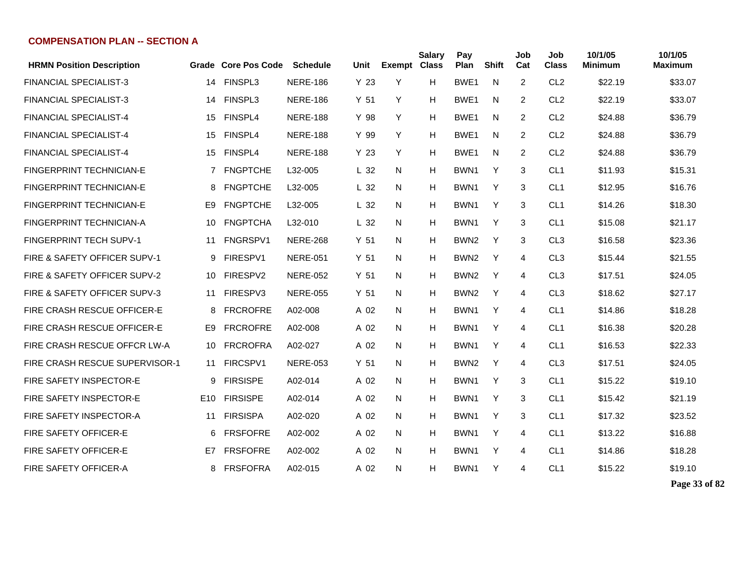| <b>HRMN Position Description</b>   |                 | Grade Core Pos Code | <b>Schedule</b> | Unit            | <b>Exempt Class</b> | <b>Salary</b> | Pay<br>Plan      | <b>Shift</b> | Job<br>Cat     | Job<br><b>Class</b> | 10/1/05<br>Minimum | 10/1/05<br><b>Maximum</b> |
|------------------------------------|-----------------|---------------------|-----------------|-----------------|---------------------|---------------|------------------|--------------|----------------|---------------------|--------------------|---------------------------|
| <b>FINANCIAL SPECIALIST-3</b>      | 14              | <b>FINSPL3</b>      | <b>NERE-186</b> | Y <sub>23</sub> | Y                   | Н             | BWE1             | N            | $\overline{2}$ | CL <sub>2</sub>     | \$22.19            | \$33.07                   |
| <b>FINANCIAL SPECIALIST-3</b>      | 14              | <b>FINSPL3</b>      | <b>NERE-186</b> | Y <sub>51</sub> | Y                   | н             | BWE1             | N            | 2              | CL <sub>2</sub>     | \$22.19            | \$33.07                   |
| <b>FINANCIAL SPECIALIST-4</b>      | 15              | FINSPL4             | <b>NERE-188</b> | Y 98            | Y                   | н             | BWE <sub>1</sub> | N            | 2              | CL <sub>2</sub>     | \$24.88            | \$36.79                   |
| <b>FINANCIAL SPECIALIST-4</b>      | 15              | FINSPL4             | <b>NERE-188</b> | Y 99            | Y                   | н             | BWE <sub>1</sub> | N            | 2              | CL <sub>2</sub>     | \$24.88            | \$36.79                   |
| <b>FINANCIAL SPECIALIST-4</b>      | 15              | FINSPL4             | <b>NERE-188</b> | Y <sub>23</sub> | Y                   | н             | BWE <sub>1</sub> | N            | 2              | CL <sub>2</sub>     | \$24.88            | \$36.79                   |
| <b>FINGERPRINT TECHNICIAN-E</b>    | $\overline{7}$  | <b>FNGPTCHE</b>     | L32-005         | L <sub>32</sub> | N                   | н             | BWN <sub>1</sub> | Y            | 3              | CL <sub>1</sub>     | \$11.93            | \$15.31                   |
| <b>FINGERPRINT TECHNICIAN-E</b>    | 8               | <b>FNGPTCHE</b>     | L32-005         | L <sub>32</sub> | N                   | Н             | BWN1             | Y            | 3              | CL <sub>1</sub>     | \$12.95            | \$16.76                   |
| <b>FINGERPRINT TECHNICIAN-E</b>    | E9              | <b>FNGPTCHE</b>     | L32-005         | L <sub>32</sub> | N                   | Н             | BWN1             | Y            | 3              | CL <sub>1</sub>     | \$14.26            | \$18.30                   |
| <b>FINGERPRINT TECHNICIAN-A</b>    | 10              | <b>FNGPTCHA</b>     | L32-010         | L <sub>32</sub> | N                   | Н             | BWN <sub>1</sub> | Y            | 3              | CL <sub>1</sub>     | \$15.08            | \$21.17                   |
| <b>FINGERPRINT TECH SUPV-1</b>     | 11              | FNGRSPV1            | <b>NERE-268</b> | Y <sub>51</sub> | N                   | Н             | BWN <sub>2</sub> | Y            | 3              | CL <sub>3</sub>     | \$16.58            | \$23.36                   |
| FIRE & SAFETY OFFICER SUPV-1       | 9               | FIRESPV1            | <b>NERE-051</b> | Y <sub>51</sub> | N                   | н             | BWN <sub>2</sub> | Y            | 4              | CL <sub>3</sub>     | \$15.44            | \$21.55                   |
| FIRE & SAFETY OFFICER SUPV-2       | 10              | FIRESPV2            | <b>NERE-052</b> | Y <sub>51</sub> | N                   | н             | BWN <sub>2</sub> | Y            | 4              | CL <sub>3</sub>     | \$17.51            | \$24.05                   |
| FIRE & SAFETY OFFICER SUPV-3       | 11              | FIRESPV3            | <b>NERE-055</b> | Y <sub>51</sub> | N                   | н             | BWN <sub>2</sub> | Y            | 4              | CL <sub>3</sub>     | \$18.62            | \$27.17                   |
| <b>FIRE CRASH RESCUE OFFICER-E</b> | 8               | <b>FRCROFRE</b>     | A02-008         | A 02            | N                   | Н             | BWN <sub>1</sub> | Y            | 4              | CL <sub>1</sub>     | \$14.86            | \$18.28                   |
| <b>FIRE CRASH RESCUE OFFICER-E</b> | E9              | <b>FRCROFRE</b>     | A02-008         | A 02            | N                   | Н             | BWN <sub>1</sub> | Y            | 4              | CL <sub>1</sub>     | \$16.38            | \$20.28                   |
| FIRE CRASH RESCUE OFFCR LW-A       | 10              | <b>FRCROFRA</b>     | A02-027         | A 02            | N                   | Н             | BWN1             | Y            | 4              | CL <sub>1</sub>     | \$16.53            | \$22.33                   |
| FIRE CRASH RESCUE SUPERVISOR-1     | 11              | FIRCSPV1            | <b>NERE-053</b> | Y <sub>51</sub> | N                   | н             | BWN <sub>2</sub> | Y            | 4              | CL <sub>3</sub>     | \$17.51            | \$24.05                   |
| FIRE SAFETY INSPECTOR-E            | 9               | <b>FIRSISPE</b>     | A02-014         | A 02            | N                   | Н             | BWN <sub>1</sub> | Y            | 3              | CL <sub>1</sub>     | \$15.22            | \$19.10                   |
| <b>FIRE SAFETY INSPECTOR-E</b>     | E <sub>10</sub> | <b>FIRSISPE</b>     | A02-014         | A 02            | N                   | Н             | BWN <sub>1</sub> | Y            | 3              | CL <sub>1</sub>     | \$15.42            | \$21.19                   |
| FIRE SAFETY INSPECTOR-A            | 11              | <b>FIRSISPA</b>     | A02-020         | A 02            | N                   | н             | BWN <sub>1</sub> | Y            | 3              | CL <sub>1</sub>     | \$17.32            | \$23.52                   |
| <b>FIRE SAFETY OFFICER-E</b>       | 6               | <b>FRSFOFRE</b>     | A02-002         | A 02            | N                   | н             | BWN <sub>1</sub> | Y            | 4              | CL <sub>1</sub>     | \$13.22            | \$16.88                   |
| FIRE SAFETY OFFICER-E              | E7              | <b>FRSFOFRE</b>     | A02-002         | A 02            | N                   | Н             | BWN1             | Y            | 4              | CL <sub>1</sub>     | \$14.86            | \$18.28                   |
| FIRE SAFETY OFFICER-A              | 8               | <b>FRSFOFRA</b>     | A02-015         | A 02            | N                   | Н             | BWN1             | Y            | 4              | CL <sub>1</sub>     | \$15.22            | \$19.10                   |

**Page 33 of 82**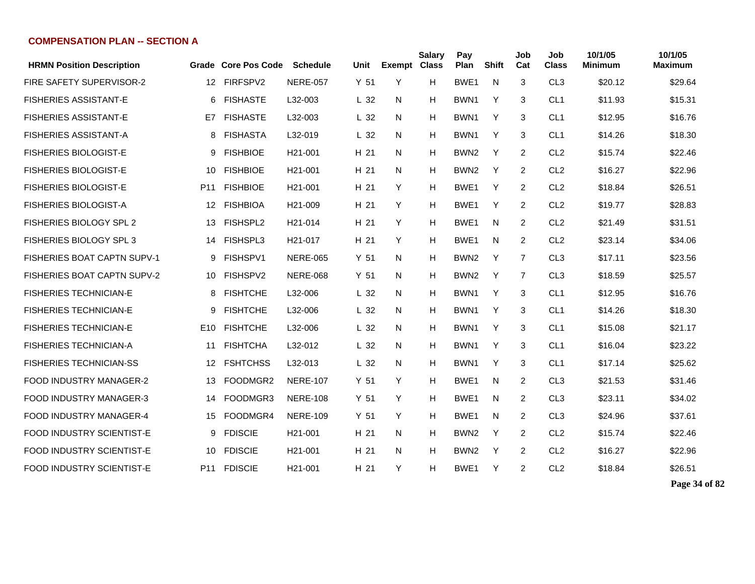| <b>HRMN Position Description</b>   |                 | Grade Core Pos Code | <b>Schedule</b>      | Unit            | <b>Exempt Class</b> | <b>Salary</b> | Pay<br>Plan      | <b>Shift</b> | Job<br>Cat     | Job<br><b>Class</b> | 10/1/05<br><b>Minimum</b> | 10/1/05<br><b>Maximum</b> |
|------------------------------------|-----------------|---------------------|----------------------|-----------------|---------------------|---------------|------------------|--------------|----------------|---------------------|---------------------------|---------------------------|
| FIRE SAFETY SUPERVISOR-2           | 12 <sup>°</sup> | FIRFSPV2            | <b>NERE-057</b>      | Y <sub>51</sub> | Y                   | H             | BWE1             | N            | 3              | CL <sub>3</sub>     | \$20.12                   | \$29.64                   |
| <b>FISHERIES ASSISTANT-E</b>       | 6               | <b>FISHASTE</b>     | L32-003              | L <sub>32</sub> | N                   | H             | BWN1             | Y            | 3              | CL <sub>1</sub>     | \$11.93                   | \$15.31                   |
| <b>FISHERIES ASSISTANT-E</b>       | E7              | <b>FISHASTE</b>     | L32-003              | L <sub>32</sub> | N                   | H             | BWN1             | Y            | 3              | CL <sub>1</sub>     | \$12.95                   | \$16.76                   |
| <b>FISHERIES ASSISTANT-A</b>       | 8               | <b>FISHASTA</b>     | L32-019              | L <sub>32</sub> | N                   | Н             | BWN <sub>1</sub> | Y            | 3              | CL <sub>1</sub>     | \$14.26                   | \$18.30                   |
| <b>FISHERIES BIOLOGIST-E</b>       | 9               | <b>FISHBIOE</b>     | H21-001              | H 21            | N                   | H             | BWN <sub>2</sub> | Y            | 2              | CL <sub>2</sub>     | \$15.74                   | \$22.46                   |
| <b>FISHERIES BIOLOGIST-E</b>       | 10              | <b>FISHBIOE</b>     | H <sub>21</sub> -001 | H 21            | N                   | H             | BWN <sub>2</sub> | Y            | 2              | CL <sub>2</sub>     | \$16.27                   | \$22.96                   |
| <b>FISHERIES BIOLOGIST-E</b>       | P <sub>11</sub> | <b>FISHBIOE</b>     | H <sub>21</sub> -001 | H 21            | Y                   | Н             | BWE1             | Υ            | 2              | CL <sub>2</sub>     | \$18.84                   | \$26.51                   |
| <b>FISHERIES BIOLOGIST-A</b>       | 12              | <b>FISHBIOA</b>     | H <sub>21</sub> -009 | H 21            | Y                   | H             | BWE1             | Y            | 2              | CL <sub>2</sub>     | \$19.77                   | \$28.83                   |
| <b>FISHERIES BIOLOGY SPL 2</b>     | 13              | FISHSPL2            | H <sub>21</sub> -014 | H 21            | Y                   | H             | BWE1             | N            | 2              | CL <sub>2</sub>     | \$21.49                   | \$31.51                   |
| <b>FISHERIES BIOLOGY SPL 3</b>     | 14              | FISHSPL3            | H <sub>21</sub> -017 | H 21            | Y                   | H             | BWE <sub>1</sub> | N            | 2              | CL <sub>2</sub>     | \$23.14                   | \$34.06                   |
| <b>FISHERIES BOAT CAPTN SUPV-1</b> | 9               | FISHSPV1            | <b>NERE-065</b>      | Y <sub>51</sub> | N                   | Н             | BWN <sub>2</sub> | Υ            | 7              | CL <sub>3</sub>     | \$17.11                   | \$23.56                   |
| <b>FISHERIES BOAT CAPTN SUPV-2</b> | 10              | FISHSPV2            | <b>NERE-068</b>      | Y <sub>51</sub> | N                   | H             | BWN <sub>2</sub> | Y            | $\overline{7}$ | CL <sub>3</sub>     | \$18.59                   | \$25.57                   |
| <b>FISHERIES TECHNICIAN-E</b>      | 8               | <b>FISHTCHE</b>     | L32-006              | L <sub>32</sub> | N                   | H             | BWN1             | Y            | 3              | CL <sub>1</sub>     | \$12.95                   | \$16.76                   |
| <b>FISHERIES TECHNICIAN-E</b>      | 9               | <b>FISHTCHE</b>     | L32-006              | L <sub>32</sub> | N                   | Н             | BWN1             | Y            | 3              | CL <sub>1</sub>     | \$14.26                   | \$18.30                   |
| <b>FISHERIES TECHNICIAN-E</b>      | E <sub>10</sub> | <b>FISHTCHE</b>     | L32-006              | L <sub>32</sub> | N                   | Н             | BWN <sub>1</sub> | Y            | 3              | CL <sub>1</sub>     | \$15.08                   | \$21.17                   |
| <b>FISHERIES TECHNICIAN-A</b>      | 11              | <b>FISHTCHA</b>     | L32-012              | L <sub>32</sub> | N                   | H             | BWN1             | Y            | 3              | CL <sub>1</sub>     | \$16.04                   | \$23.22                   |
| <b>FISHERIES TECHNICIAN-SS</b>     | 12              | <b>FSHTCHSS</b>     | L32-013              | L <sub>32</sub> | N                   | H             | BWN <sub>1</sub> | Y            | 3              | CL <sub>1</sub>     | \$17.14                   | \$25.62                   |
| <b>FOOD INDUSTRY MANAGER-2</b>     | 13              | FOODMGR2            | <b>NERE-107</b>      | Y <sub>51</sub> | Y                   | H             | BWE1             | N            | 2              | CL <sub>3</sub>     | \$21.53                   | \$31.46                   |
| <b>FOOD INDUSTRY MANAGER-3</b>     | 14              | FOODMGR3            | <b>NERE-108</b>      | Y <sub>51</sub> | Y                   | H             | BWE1             | N            | 2              | CL <sub>3</sub>     | \$23.11                   | \$34.02                   |
| <b>FOOD INDUSTRY MANAGER-4</b>     | 15              | FOODMGR4            | <b>NERE-109</b>      | Y <sub>51</sub> | Y                   | H             | BWE1             | N            | 2              | CL <sub>3</sub>     | \$24.96                   | \$37.61                   |
| FOOD INDUSTRY SCIENTIST-E          | 9               | <b>FDISCIE</b>      | H21-001              | H 21            | N                   | H             | BWN <sub>2</sub> | Y            | 2              | CL <sub>2</sub>     | \$15.74                   | \$22.46                   |
| <b>FOOD INDUSTRY SCIENTIST-E</b>   | 10              | <b>FDISCIE</b>      | H <sub>21</sub> -001 | H 21            | N                   | H             | BWN <sub>2</sub> | Y            | 2              | CL <sub>2</sub>     | \$16.27                   | \$22.96                   |
| FOOD INDUSTRY SCIENTIST-E          |                 | P11 FDISCIE         | H <sub>21</sub> -001 | H 21            | Y                   | H             | BWE <sub>1</sub> | Y            | 2              | CL <sub>2</sub>     | \$18.84                   | \$26.51                   |

**Page 34 of 82**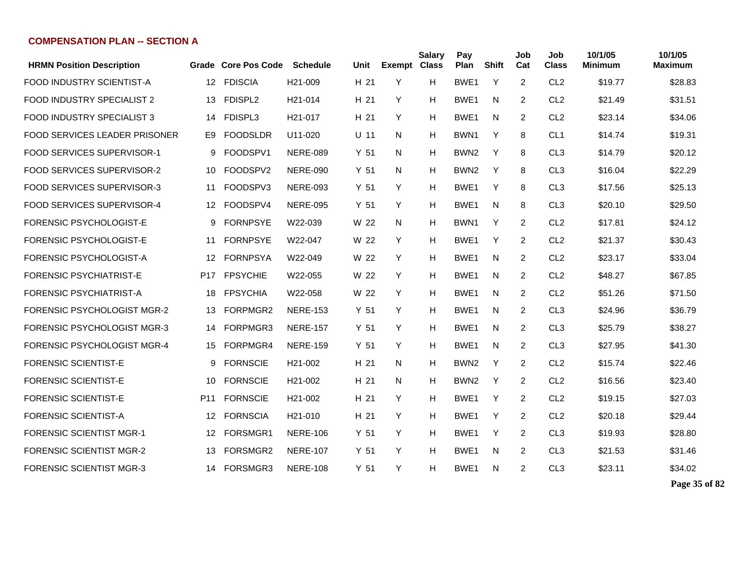| <b>HRMN Position Description</b>     |                   | Grade Core Pos Code | <b>Schedule</b>      | Unit            | <b>Exempt Class</b> | <b>Salary</b> | Pay<br>Plan      | <b>Shift</b> | Job<br>Cat     | Job<br><b>Class</b> | 10/1/05<br><b>Minimum</b> | 10/1/05<br><b>Maximum</b> |
|--------------------------------------|-------------------|---------------------|----------------------|-----------------|---------------------|---------------|------------------|--------------|----------------|---------------------|---------------------------|---------------------------|
| <b>FOOD INDUSTRY SCIENTIST-A</b>     | 12                | <b>FDISCIA</b>      | H <sub>21</sub> -009 | H <sub>21</sub> | Y                   | н             | BWE1             | Y            | $\overline{2}$ | CL <sub>2</sub>     | \$19.77                   | \$28.83                   |
| FOOD INDUSTRY SPECIALIST 2           | 13                | FDISPL2             | H21-014              | H 21            | Y                   | H             | BWE1             | N            | $\overline{2}$ | CL <sub>2</sub>     | \$21.49                   | \$31.51                   |
| <b>FOOD INDUSTRY SPECIALIST 3</b>    | 14                | FDISPL3             | H <sub>21</sub> -017 | H 21            | Y                   | н             | BWE1             | N            | 2              | CL <sub>2</sub>     | \$23.14                   | \$34.06                   |
| <b>FOOD SERVICES LEADER PRISONER</b> | E9                | <b>FOODSLDR</b>     | U11-020              | U 11            | N                   | н             | BWN <sub>1</sub> | Y            | 8              | CL <sub>1</sub>     | \$14.74                   | \$19.31                   |
| <b>FOOD SERVICES SUPERVISOR-1</b>    | 9                 | FOODSPV1            | <b>NERE-089</b>      | Y <sub>51</sub> | N.                  | н             | BWN <sub>2</sub> | Y            | 8              | CL <sub>3</sub>     | \$14.79                   | \$20.12                   |
| <b>FOOD SERVICES SUPERVISOR-2</b>    | 10                | FOODSPV2            | <b>NERE-090</b>      | Y 51            | N.                  | н             | BWN <sub>2</sub> | Y            | 8              | CL <sub>3</sub>     | \$16.04                   | \$22.29                   |
| FOOD SERVICES SUPERVISOR-3           | 11                | FOODSPV3            | <b>NERE-093</b>      | Y <sub>51</sub> | Y                   | н             | BWE1             | Y            | 8              | CL <sub>3</sub>     | \$17.56                   | \$25.13                   |
| FOOD SERVICES SUPERVISOR-4           | $12 \overline{ }$ | FOODSPV4            | <b>NERE-095</b>      | Y 51            | Y                   | H             | BWE1             | N            | 8              | CL <sub>3</sub>     | \$20.10                   | \$29.50                   |
| FORENSIC PSYCHOLOGIST-E              | 9                 | <b>FORNPSYE</b>     | W22-039              | W 22            | N                   | H             | BWN1             | Y            | $\overline{c}$ | CL <sub>2</sub>     | \$17.81                   | \$24.12                   |
| <b>FORENSIC PSYCHOLOGIST-E</b>       | 11                | <b>FORNPSYE</b>     | W22-047              | W 22            | Y                   | н             | BWE <sub>1</sub> | Y            | $\overline{2}$ | CL <sub>2</sub>     | \$21.37                   | \$30.43                   |
| FORENSIC PSYCHOLOGIST-A              | 12                | <b>FORNPSYA</b>     | W22-049              | W 22            | Y                   | н             | BWE1             | N            | 2              | CL <sub>2</sub>     | \$23.17                   | \$33.04                   |
| <b>FORENSIC PSYCHIATRIST-E</b>       | P <sub>17</sub>   | <b>FPSYCHIE</b>     | W22-055              | W 22            | Y                   | н             | BWE1             | N            | 2              | CL <sub>2</sub>     | \$48.27                   | \$67.85                   |
| <b>FORENSIC PSYCHIATRIST-A</b>       | 18                | <b>FPSYCHIA</b>     | W22-058              | W 22            | Y                   | н             | BWE1             | N            | 2              | CL <sub>2</sub>     | \$51.26                   | \$71.50                   |
| <b>FORENSIC PSYCHOLOGIST MGR-2</b>   | 13                | FORPMGR2            | <b>NERE-153</b>      | Y 51            | Y                   | н             | BWE1             | N            | 2              | CL <sub>3</sub>     | \$24.96                   | \$36.79                   |
| <b>FORENSIC PSYCHOLOGIST MGR-3</b>   | 14                | FORPMGR3            | <b>NERE-157</b>      | Y 51            | Y                   | н             | BWE1             | N            | 2              | CL <sub>3</sub>     | \$25.79                   | \$38.27                   |
| <b>FORENSIC PSYCHOLOGIST MGR-4</b>   | 15                | FORPMGR4            | <b>NERE-159</b>      | Y <sub>51</sub> | Y                   | H             | BWE1             | N            | 2              | CL <sub>3</sub>     | \$27.95                   | \$41.30                   |
| <b>FORENSIC SCIENTIST-E</b>          | 9                 | <b>FORNSCIE</b>     | H <sub>21</sub> -002 | H <sub>21</sub> | N                   | н             | BWN <sub>2</sub> | Y            | $\overline{2}$ | CL <sub>2</sub>     | \$15.74                   | \$22.46                   |
| <b>FORENSIC SCIENTIST-E</b>          | 10                | <b>FORNSCIE</b>     | H <sub>21</sub> -002 | H 21            | N                   | н             | BWN <sub>2</sub> | Y            | $\overline{2}$ | CL <sub>2</sub>     | \$16.56                   | \$23.40                   |
| <b>FORENSIC SCIENTIST-E</b>          | P <sub>11</sub>   | <b>FORNSCIE</b>     | H <sub>21</sub> -002 | H <sub>21</sub> | Y                   | н             | BWE1             | Y            | 2              | CL <sub>2</sub>     | \$19.15                   | \$27.03                   |
| <b>FORENSIC SCIENTIST-A</b>          | 12                | <b>FORNSCIA</b>     | H <sub>21</sub> -010 | H <sub>21</sub> | Y                   | н             | BWE1             | Y            | 2              | CL <sub>2</sub>     | \$20.18                   | \$29.44                   |
| <b>FORENSIC SCIENTIST MGR-1</b>      | 12                | FORSMGR1            | <b>NERE-106</b>      | Y <sub>51</sub> | Y                   | н             | BWE1             | Y            | 2              | CL <sub>3</sub>     | \$19.93                   | \$28.80                   |
| <b>FORENSIC SCIENTIST MGR-2</b>      | 13                | FORSMGR2            | <b>NERE-107</b>      | Y 51            | Y                   | н             | BWE <sub>1</sub> | N            | 2              | CL <sub>3</sub>     | \$21.53                   | \$31.46                   |
| <b>FORENSIC SCIENTIST MGR-3</b>      | 14                | FORSMGR3            | <b>NERE-108</b>      | Y <sub>51</sub> | Y                   | н             | BWE <sub>1</sub> | N            | 2              | CL <sub>3</sub>     | \$23.11                   | \$34.02                   |

**Page 35 of 82**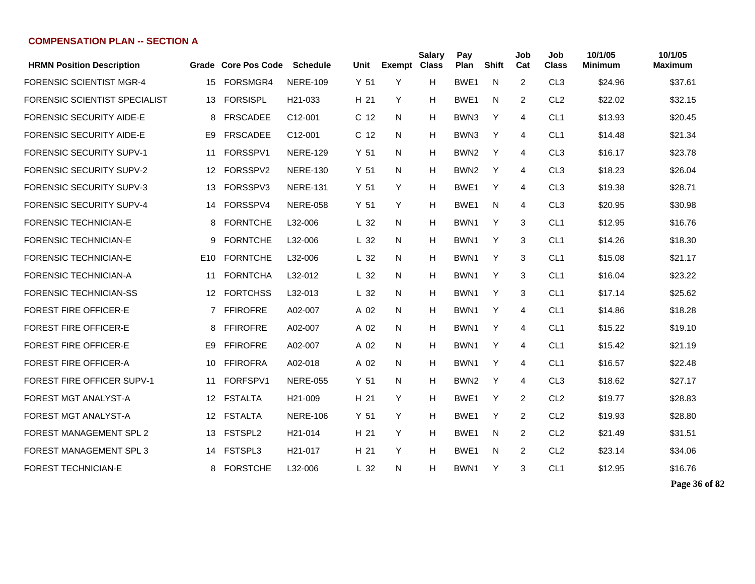|                 |                 | <b>Schedule</b>                      | Unit                |    | <b>Salary</b> | Pay<br>Plan         | Shift | Job<br>Cat     | Job<br><b>Class</b> | 10/1/05<br><b>Minimum</b> | 10/1/05<br><b>Maximum</b> |
|-----------------|-----------------|--------------------------------------|---------------------|----|---------------|---------------------|-------|----------------|---------------------|---------------------------|---------------------------|
| 15              | FORSMGR4        | <b>NERE-109</b>                      | Y <sub>51</sub>     | Y  | н             | BWE <sub>1</sub>    | N     | 2              | CL <sub>3</sub>     | \$24.96                   | \$37.61                   |
| 13              | <b>FORSISPL</b> | H <sub>21</sub> -033                 | H 21                | Y  | н             | BWE1                | N     | 2              | CL <sub>2</sub>     | \$22.02                   | \$32.15                   |
| 8               | <b>FRSCADEE</b> | C12-001                              | C <sub>12</sub>     | N. | H             | BWN3                | Y     | 4              | CL <sub>1</sub>     | \$13.93                   | \$20.45                   |
| E9              | <b>FRSCADEE</b> | C12-001                              | C <sub>12</sub>     | N  | н             | BWN3                | Y     | 4              | CL <sub>1</sub>     | \$14.48                   | \$21.34                   |
| 11              | FORSSPV1        | <b>NERE-129</b>                      | Y <sub>51</sub>     | N. | H             | BWN <sub>2</sub>    | Y     | 4              | CL <sub>3</sub>     | \$16.17                   | \$23.78                   |
| 12 <sup>°</sup> | FORSSPV2        | <b>NERE-130</b>                      | Y 51                | N. | H             | BWN <sub>2</sub>    | Y     | 4              | CL <sub>3</sub>     | \$18.23                   | \$26.04                   |
| 13              | FORSSPV3        | <b>NERE-131</b>                      | Y <sub>51</sub>     | Y  | H             | BWE <sub>1</sub>    | Y     | 4              | CL <sub>3</sub>     | \$19.38                   | \$28.71                   |
| 14              | FORSSPV4        | <b>NERE-058</b>                      | Y <sub>51</sub>     | Y  | н             | BWE1                | N     | 4              | CL <sub>3</sub>     | \$20.95                   | \$30.98                   |
| 8               | <b>FORNTCHE</b> | L32-006                              | L <sub>32</sub>     | N  | н             | BWN1                | Y     | 3              | CL <sub>1</sub>     | \$12.95                   | \$16.76                   |
| 9               | <b>FORNTCHE</b> | L32-006                              | L <sub>32</sub>     | N  | н             | BWN1                | Y     | 3              | CL <sub>1</sub>     | \$14.26                   | \$18.30                   |
|                 | <b>FORNTCHE</b> | L32-006                              | L <sub>32</sub>     | N  | н             | BWN1                | Y     | 3              | CL <sub>1</sub>     | \$15.08                   | \$21.17                   |
| 11              | <b>FORNTCHA</b> | L32-012                              | L <sub>32</sub>     | N  | н             | BWN1                | Y     | 3              | CL <sub>1</sub>     | \$16.04                   | \$23.22                   |
|                 | <b>FORTCHSS</b> | L32-013                              | L <sub>32</sub>     | N  | H             | BWN1                | Y     | 3              | CL <sub>1</sub>     | \$17.14                   | \$25.62                   |
|                 | <b>FFIROFRE</b> | A02-007                              | A 02                | N  | H             | BWN1                | Y     | 4              | CL <sub>1</sub>     | \$14.86                   | \$18.28                   |
| 8               | <b>FFIROFRE</b> | A02-007                              | A 02                | N  | H             | BWN <sub>1</sub>    | Y     | 4              | CL <sub>1</sub>     | \$15.22                   | \$19.10                   |
| E <sub>9</sub>  | <b>FFIROFRE</b> | A02-007                              | A 02                | N  | H             | BWN <sub>1</sub>    | Y     | 4              | CL <sub>1</sub>     | \$15.42                   | \$21.19                   |
| 10              | <b>FFIROFRA</b> | A02-018                              | A 02                | N  | H             | BWN <sub>1</sub>    | Y     | 4              | CL <sub>1</sub>     | \$16.57                   | \$22.48                   |
| 11              | FORFSPV1        | <b>NERE-055</b>                      | Y <sub>51</sub>     | N  | H             | BWN <sub>2</sub>    | Y     | 4              | CL <sub>3</sub>     | \$18.62                   | \$27.17                   |
|                 | <b>FSTALTA</b>  | H <sub>21</sub> -009                 | H 21                | Y  | H             | BWE <sub>1</sub>    | Y     | 2              | CL <sub>2</sub>     | \$19.77                   | \$28.83                   |
| 12 <sup>°</sup> | <b>FSTALTA</b>  | <b>NERE-106</b>                      | Y <sub>51</sub>     | Y  | H             | BWE <sub>1</sub>    | Y     | 2              | CL <sub>2</sub>     | \$19.93                   | \$28.80                   |
| 13              | FSTSPL2         | H <sub>21</sub> -014                 | H <sub>21</sub>     | Y  | H             | BWE <sub>1</sub>    | N     | $\overline{2}$ | CL <sub>2</sub>     | \$21.49                   | \$31.51                   |
| 14              | FSTSPL3         | H <sub>21</sub> -017                 | H <sub>21</sub>     | Y  | H             | BWE <sub>1</sub>    | N     | 2              | CL <sub>2</sub>     | \$23.14                   | \$34.06                   |
| 8               | <b>FORSTCHE</b> | L32-006                              | L <sub>32</sub>     | N  | н             | BWN1                | Y     | 3              | CL <sub>1</sub>     | \$12.95                   | \$16.76                   |
|                 | 12 <sup>2</sup> | E <sub>10</sub><br>12<br>$7^{\circ}$ | Grade Core Pos Code |    |               | <b>Exempt Class</b> |       |                |                     |                           |                           |

**Page 36 of 82**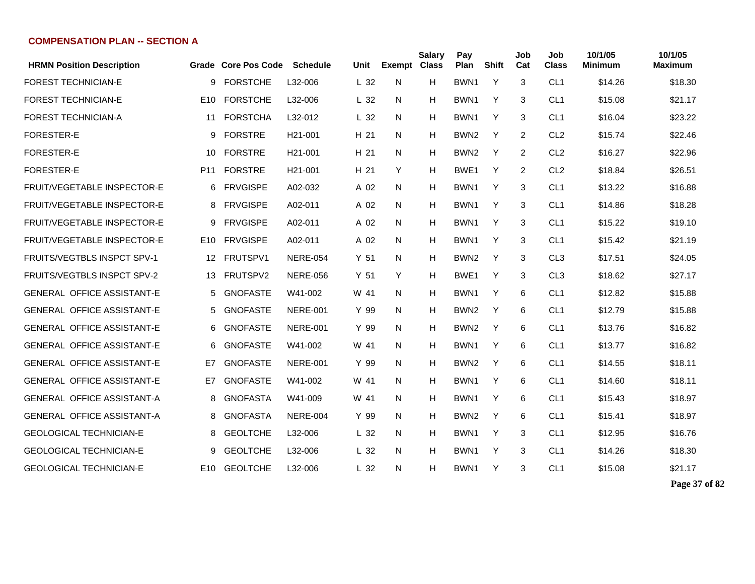| <b>HRMN Position Description</b>   |                 | Grade Core Pos Code | <b>Schedule</b>      | Unit            | <b>Exempt</b> | <b>Salary</b><br><b>Class</b> | Pay<br>Plan      | <b>Shift</b> | Job<br>Cat     | Job<br><b>Class</b> | 10/1/05<br>Minimum | 10/1/05<br>Maximum |
|------------------------------------|-----------------|---------------------|----------------------|-----------------|---------------|-------------------------------|------------------|--------------|----------------|---------------------|--------------------|--------------------|
| <b>FOREST TECHNICIAN-E</b>         | 9               | <b>FORSTCHE</b>     | L32-006              | L <sub>32</sub> | N             | H                             | BWN1             | Y            | 3              | CL <sub>1</sub>     | \$14.26            | \$18.30            |
| <b>FOREST TECHNICIAN-E</b>         | E <sub>10</sub> | <b>FORSTCHE</b>     | L32-006              | L <sub>32</sub> | N             | H                             | BWN <sub>1</sub> | Y            | 3              | CL <sub>1</sub>     | \$15.08            | \$21.17            |
| <b>FOREST TECHNICIAN-A</b>         | 11              | <b>FORSTCHA</b>     | L32-012              | L <sub>32</sub> | N             | H                             | BWN <sub>1</sub> | Y            | 3              | CL <sub>1</sub>     | \$16.04            | \$23.22            |
| <b>FORESTER-E</b>                  | 9               | <b>FORSTRE</b>      | H <sub>21</sub> -001 | H 21            | N             | Н                             | BWN <sub>2</sub> | Y            | $\overline{2}$ | CL <sub>2</sub>     | \$15.74            | \$22.46            |
| <b>FORESTER-E</b>                  | 10              | <b>FORSTRE</b>      | H <sub>21</sub> -001 | H 21            | N.            | H                             | BWN <sub>2</sub> | Y            | 2              | CL <sub>2</sub>     | \$16.27            | \$22.96            |
| <b>FORESTER-E</b>                  | P <sub>11</sub> | <b>FORSTRE</b>      | H <sub>21</sub> -001 | H 21            | Y             | H                             | BWE1             | Y            | $\overline{2}$ | CL <sub>2</sub>     | \$18.84            | \$26.51            |
| <b>FRUIT/VEGETABLE INSPECTOR-E</b> | 6               | <b>FRVGISPE</b>     | A02-032              | A 02            | N             | H                             | BWN1             | Y            | 3              | CL <sub>1</sub>     | \$13.22            | \$16.88            |
| <b>FRUIT/VEGETABLE INSPECTOR-E</b> | 8               | <b>FRVGISPE</b>     | A02-011              | A 02            | N             | H                             | BWN1             | Y            | 3              | CL <sub>1</sub>     | \$14.86            | \$18.28            |
| FRUIT/VEGETABLE INSPECTOR-E        | 9               | <b>FRVGISPE</b>     | A02-011              | A 02            | N             | Н                             | BWN <sub>1</sub> | Y            | 3              | CL <sub>1</sub>     | \$15.22            | \$19.10            |
| <b>FRUIT/VEGETABLE INSPECTOR-E</b> | E10             | <b>FRVGISPE</b>     | A02-011              | A 02            | N             | н                             | BWN <sub>1</sub> | Υ            | 3              | CL <sub>1</sub>     | \$15.42            | \$21.19            |
| <b>FRUITS/VEGTBLS INSPCT SPV-1</b> | 12              | FRUTSPV1            | <b>NERE-054</b>      | Y <sub>51</sub> | N             | H                             | BWN <sub>2</sub> | Y            | 3              | CL <sub>3</sub>     | \$17.51            | \$24.05            |
| <b>FRUITS/VEGTBLS INSPCT SPV-2</b> | 13              | FRUTSPV2            | <b>NERE-056</b>      | Y <sub>51</sub> | Y             | H                             | BWE1             | Y            | 3              | CL <sub>3</sub>     | \$18.62            | \$27.17            |
| <b>GENERAL OFFICE ASSISTANT-E</b>  | 5               | <b>GNOFASTE</b>     | W41-002              | W 41            | N.            | H                             | BWN <sub>1</sub> | Y            | 6              | CL <sub>1</sub>     | \$12.82            | \$15.88            |
| GENERAL OFFICE ASSISTANT-E         | 5               | <b>GNOFASTE</b>     | <b>NERE-001</b>      | Y 99            | N             | H                             | BWN <sub>2</sub> | Y            | 6              | CL <sub>1</sub>     | \$12.79            | \$15.88            |
| <b>GENERAL OFFICE ASSISTANT-E</b>  | 6               | <b>GNOFASTE</b>     | <b>NERE-001</b>      | Y 99            | N             | H                             | BWN <sub>2</sub> | Y            | 6              | CL <sub>1</sub>     | \$13.76            | \$16.82            |
| <b>GENERAL OFFICE ASSISTANT-E</b>  | 6               | <b>GNOFASTE</b>     | W41-002              | W 41            | N             | H                             | BWN1             | Y            | 6              | CL <sub>1</sub>     | \$13.77            | \$16.82            |
| <b>GENERAL OFFICE ASSISTANT-E</b>  | E7              | <b>GNOFASTE</b>     | <b>NERE-001</b>      | Y 99            | N             | H                             | BWN <sub>2</sub> | Y            | 6              | CL <sub>1</sub>     | \$14.55            | \$18.11            |
| <b>GENERAL OFFICE ASSISTANT-E</b>  | E7              | <b>GNOFASTE</b>     | W41-002              | W 41            | N             | H                             | BWN1             | Y            | 6              | CL <sub>1</sub>     | \$14.60            | \$18.11            |
| <b>GENERAL OFFICE ASSISTANT-A</b>  | 8               | <b>GNOFASTA</b>     | W41-009              | W 41            | N             | H                             | BWN <sub>1</sub> | Y            | 6              | CL <sub>1</sub>     | \$15.43            | \$18.97            |
| <b>GENERAL OFFICE ASSISTANT-A</b>  | 8               | <b>GNOFASTA</b>     | <b>NERE-004</b>      | Y 99            | N             | H                             | BWN <sub>2</sub> | Y            | 6              | CL <sub>1</sub>     | \$15.41            | \$18.97            |
| <b>GEOLOGICAL TECHNICIAN-E</b>     | 8               | <b>GEOLTCHE</b>     | L32-006              | L 32            | N.            | H                             | BWN <sub>1</sub> | Y            | 3              | CL <sub>1</sub>     | \$12.95            | \$16.76            |
| <b>GEOLOGICAL TECHNICIAN-E</b>     | 9               | <b>GEOLTCHE</b>     | L32-006              | L <sub>32</sub> | N             | H                             | BWN <sub>1</sub> | Y            | 3              | CL <sub>1</sub>     | \$14.26            | \$18.30            |
| <b>GEOLOGICAL TECHNICIAN-E</b>     | E <sub>10</sub> | <b>GEOLTCHE</b>     | L32-006              | L <sub>32</sub> | N             | н                             | BWN1             | Y            | 3              | CL <sub>1</sub>     | \$15.08            | \$21.17            |

**Page 37 of 82**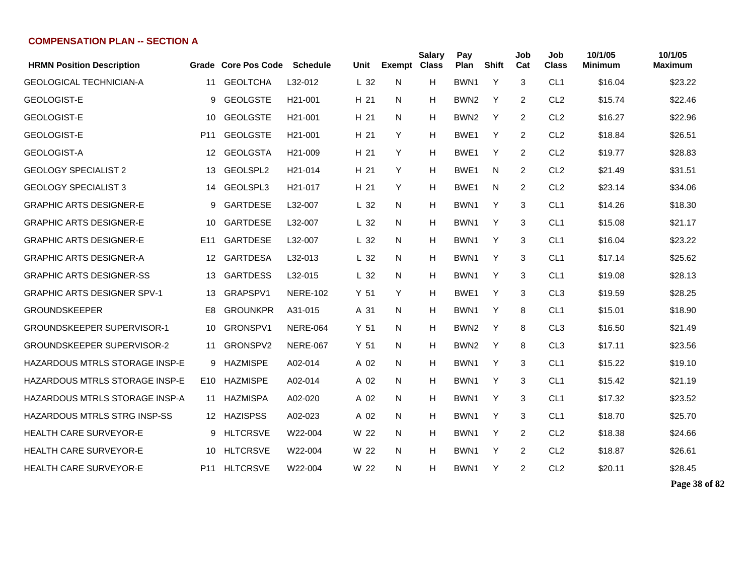| <b>HRMN Position Description</b>      |                 | <b>Grade Core Pos Code</b> | <b>Schedule</b>      | Unit            | Exempt Class | <b>Salary</b> | Pay<br>Plan      | <b>Shift</b> | Job<br>Cat     | Job<br><b>Class</b> | 10/1/05<br><b>Minimum</b> | 10/1/05<br>Maximum |
|---------------------------------------|-----------------|----------------------------|----------------------|-----------------|--------------|---------------|------------------|--------------|----------------|---------------------|---------------------------|--------------------|
| <b>GEOLOGICAL TECHNICIAN-A</b>        | 11              | <b>GEOLTCHA</b>            | L32-012              | L <sub>32</sub> | N            | н             | BWN1             | Y            | 3              | CL <sub>1</sub>     | \$16.04                   | \$23.22            |
| <b>GEOLOGIST-E</b>                    | 9               | <b>GEOLGSTE</b>            | H <sub>21</sub> -001 | H 21            | N            | н             | BWN <sub>2</sub> | Y            | 2              | CL <sub>2</sub>     | \$15.74                   | \$22.46            |
| <b>GEOLOGIST-E</b>                    | 10              | <b>GEOLGSTE</b>            | H <sub>21</sub> -001 | H 21            | N            | н             | BWN <sub>2</sub> | Y            | 2              | CL <sub>2</sub>     | \$16.27                   | \$22.96            |
| <b>GEOLOGIST-E</b>                    | P <sub>11</sub> | <b>GEOLGSTE</b>            | H <sub>21</sub> -001 | H 21            | Y            | н             | BWE <sub>1</sub> | Y            | 2              | CL <sub>2</sub>     | \$18.84                   | \$26.51            |
| <b>GEOLOGIST-A</b>                    | 12              | <b>GEOLGSTA</b>            | H <sub>21</sub> -009 | H 21            | Y            | н             | BWE <sub>1</sub> | Y            | 2              | CL <sub>2</sub>     | \$19.77                   | \$28.83            |
| <b>GEOLOGY SPECIALIST 2</b>           | 13              | GEOLSPL2                   | H21-014              | H 21            | Y            | н             | BWE <sub>1</sub> | N            | $\overline{2}$ | CL <sub>2</sub>     | \$21.49                   | \$31.51            |
| <b>GEOLOGY SPECIALIST 3</b>           | 14              | GEOLSPL3                   | H <sub>21</sub> -017 | H 21            | Y            | н             | BWE <sub>1</sub> | N            | $\overline{c}$ | CL <sub>2</sub>     | \$23.14                   | \$34.06            |
| <b>GRAPHIC ARTS DESIGNER-E</b>        | 9               | <b>GARTDESE</b>            | L32-007              | L <sub>32</sub> | N            | н             | BWN1             | Y            | 3              | CL <sub>1</sub>     | \$14.26                   | \$18.30            |
| <b>GRAPHIC ARTS DESIGNER-E</b>        | 10              | <b>GARTDESE</b>            | L32-007              | L <sub>32</sub> | N            | н             | BWN1             | Y            | 3              | CL <sub>1</sub>     | \$15.08                   | \$21.17            |
| <b>GRAPHIC ARTS DESIGNER-E</b>        | E <sub>11</sub> | <b>GARTDESE</b>            | L32-007              | L <sub>32</sub> | N            | н             | BWN1             | Y            | 3              | CL <sub>1</sub>     | \$16.04                   | \$23.22            |
| <b>GRAPHIC ARTS DESIGNER-A</b>        | 12 <sup>2</sup> | <b>GARTDESA</b>            | L32-013              | L <sub>32</sub> | N            | н             | BWN1             | Y            | 3              | CL <sub>1</sub>     | \$17.14                   | \$25.62            |
| <b>GRAPHIC ARTS DESIGNER-SS</b>       | 13              | <b>GARTDESS</b>            | L32-015              | L <sub>32</sub> | N            | н             | BWN <sub>1</sub> | Y            | 3              | CL <sub>1</sub>     | \$19.08                   | \$28.13            |
| <b>GRAPHIC ARTS DESIGNER SPV-1</b>    | 13              | GRAPSPV1                   | <b>NERE-102</b>      | Y 51            | Y            | н             | BWE <sub>1</sub> | Y            | 3              | CL <sub>3</sub>     | \$19.59                   | \$28.25            |
| <b>GROUNDSKEEPER</b>                  | E <sub>8</sub>  | <b>GROUNKPR</b>            | A31-015              | A 31            | N            | н             | BWN1             | Y            | 8              | CL <sub>1</sub>     | \$15.01                   | \$18.90            |
| <b>GROUNDSKEEPER SUPERVISOR-1</b>     | 10              | GRONSPV1                   | <b>NERE-064</b>      | Y 51            | N            | н             | BWN <sub>2</sub> | Y            | 8              | CL <sub>3</sub>     | \$16.50                   | \$21.49            |
| <b>GROUNDSKEEPER SUPERVISOR-2</b>     | 11              | GRONSPV2                   | <b>NERE-067</b>      | Y 51            | N            | н             | BWN <sub>2</sub> | Y            | 8              | CL <sub>3</sub>     | \$17.11                   | \$23.56            |
| <b>HAZARDOUS MTRLS STORAGE INSP-E</b> | 9               | <b>HAZMISPE</b>            | A02-014              | A 02            | N            | н             | BWN1             | Y            | 3              | CL <sub>1</sub>     | \$15.22                   | \$19.10            |
| <b>HAZARDOUS MTRLS STORAGE INSP-E</b> | E <sub>10</sub> | <b>HAZMISPE</b>            | A02-014              | A 02            | N            | н             | BWN1             | Y            | 3              | CL <sub>1</sub>     | \$15.42                   | \$21.19            |
| <b>HAZARDOUS MTRLS STORAGE INSP-A</b> | 11              | <b>HAZMISPA</b>            | A02-020              | A 02            | N            | н             | BWN1             | Y            | 3              | CL <sub>1</sub>     | \$17.32                   | \$23.52            |
| HAZARDOUS MTRLS STRG INSP-SS          | 12 <sup>°</sup> | <b>HAZISPSS</b>            | A02-023              | A 02            | N            | н             | BWN1             | Y            | 3              | CL <sub>1</sub>     | \$18.70                   | \$25.70            |
| <b>HEALTH CARE SURVEYOR-E</b>         | 9               | <b>HLTCRSVE</b>            | W22-004              | W 22            | N            | н             | BWN1             | Y            | 2              | CL <sub>2</sub>     | \$18.38                   | \$24.66            |
| <b>HEALTH CARE SURVEYOR-E</b>         | 10              | <b>HLTCRSVE</b>            | W22-004              | W 22            | N            | н             | BWN1             | Y            | 2              | CL <sub>2</sub>     | \$18.87                   | \$26.61            |
| <b>HEALTH CARE SURVEYOR-E</b>         | P11             | <b>HLTCRSVE</b>            | W22-004              | W 22            | N            | н             | BWN1             | Y            | 2              | CL <sub>2</sub>     | \$20.11                   | \$28.45            |

**Page 38 of 82**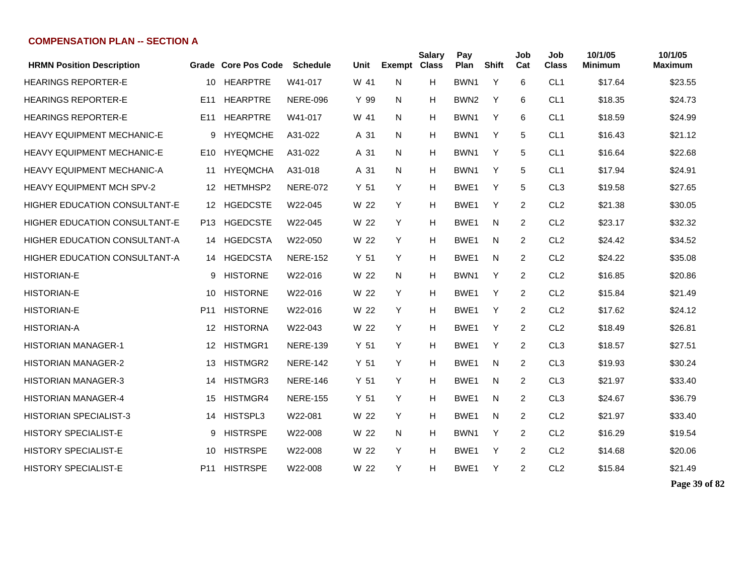| <b>HRMN Position Description</b>     |                 | Grade Core Pos Code | <b>Schedule</b> | Unit            | <b>Exempt</b> | <b>Salary</b><br><b>Class</b> | Pay<br>Plan      | <b>Shift</b> | Job<br>Cat     | Job<br><b>Class</b> | 10/1/05<br><b>Minimum</b> | 10/1/05<br><b>Maximum</b> |
|--------------------------------------|-----------------|---------------------|-----------------|-----------------|---------------|-------------------------------|------------------|--------------|----------------|---------------------|---------------------------|---------------------------|
| <b>HEARINGS REPORTER-E</b>           | 10              | <b>HEARPTRE</b>     | W41-017         | W 41            | N             | н                             | BWN1             | Y            | 6              | CL <sub>1</sub>     | \$17.64                   | \$23.55                   |
| <b>HEARINGS REPORTER-E</b>           | E <sub>11</sub> | <b>HEARPTRE</b>     | <b>NERE-096</b> | Y 99            | N             | H                             | BWN <sub>2</sub> | Y            | 6              | CL <sub>1</sub>     | \$18.35                   | \$24.73                   |
| <b>HEARINGS REPORTER-E</b>           | E <sub>11</sub> | <b>HEARPTRE</b>     | W41-017         | W 41            | N             | н                             | BWN <sub>1</sub> | Y            | 6              | CL <sub>1</sub>     | \$18.59                   | \$24.99                   |
| <b>HEAVY EQUIPMENT MECHANIC-E</b>    | 9               | <b>HYEQMCHE</b>     | A31-022         | A 31            | N.            | Н                             | BWN1             | Y            | 5              | CL <sub>1</sub>     | \$16.43                   | \$21.12                   |
| <b>HEAVY EQUIPMENT MECHANIC-E</b>    | E10             | <b>HYEQMCHE</b>     | A31-022         | A 31            | N.            | н                             | BWN1             | Y            | 5              | CL <sub>1</sub>     | \$16.64                   | \$22.68                   |
| <b>HEAVY EQUIPMENT MECHANIC-A</b>    | 11              | <b>HYEQMCHA</b>     | A31-018         | A 31            | N             | н                             | BWN1             | Y            | 5              | CL <sub>1</sub>     | \$17.94                   | \$24.91                   |
| <b>HEAVY EQUIPMENT MCH SPV-2</b>     | 12              | HETMHSP2            | <b>NERE-072</b> | Y <sub>51</sub> | Y             | н                             | BWE1             | Y            | 5              | CL <sub>3</sub>     | \$19.58                   | \$27.65                   |
| <b>HIGHER EDUCATION CONSULTANT-E</b> | 12              | <b>HGEDCSTE</b>     | W22-045         | W 22            | Y             | Н                             | BWE1             | Y            | 2              | CL <sub>2</sub>     | \$21.38                   | \$30.05                   |
| <b>HIGHER EDUCATION CONSULTANT-E</b> | P13             | <b>HGEDCSTE</b>     | W22-045         | W 22            | Y             | Н                             | BWE1             | N            | 2              | CL <sub>2</sub>     | \$23.17                   | \$32.32                   |
| HIGHER EDUCATION CONSULTANT-A        |                 | 14 HGEDCSTA         | W22-050         | W 22            | Y             | Н                             | BWE1             | N            | 2              | CL <sub>2</sub>     | \$24.42                   | \$34.52                   |
| HIGHER EDUCATION CONSULTANT-A        |                 | 14 HGEDCSTA         | <b>NERE-152</b> | Y <sub>51</sub> | Y             | Н                             | BWE <sub>1</sub> | N            | 2              | CL <sub>2</sub>     | \$24.22                   | \$35.08                   |
| <b>HISTORIAN-E</b>                   | 9               | <b>HISTORNE</b>     | W22-016         | W 22            | N             | н                             | BWN1             | Y            | $\overline{2}$ | CL <sub>2</sub>     | \$16.85                   | \$20.86                   |
| <b>HISTORIAN-E</b>                   | 10              | <b>HISTORNE</b>     | W22-016         | W 22            | Y             | н                             | BWE1             | Υ            | $\overline{2}$ | CL <sub>2</sub>     | \$15.84                   | \$21.49                   |
| <b>HISTORIAN-E</b>                   | P <sub>11</sub> | <b>HISTORNE</b>     | W22-016         | W 22            | Y             | H                             | BWE1             | Y            | $\overline{2}$ | CL <sub>2</sub>     | \$17.62                   | \$24.12                   |
| <b>HISTORIAN-A</b>                   | 12              | <b>HISTORNA</b>     | W22-043         | W 22            | Y             | H                             | BWE1             | Y            | $\overline{2}$ | CL <sub>2</sub>     | \$18.49                   | \$26.81                   |
| <b>HISTORIAN MANAGER-1</b>           | 12              | <b>HISTMGR1</b>     | <b>NERE-139</b> | Y <sub>51</sub> | Y             | H                             | BWE1             | Y            | 2              | CL <sub>3</sub>     | \$18.57                   | \$27.51                   |
| <b>HISTORIAN MANAGER-2</b>           | 13              | <b>HISTMGR2</b>     | <b>NERE-142</b> | Y <sub>51</sub> | Y             | Н                             | BWE1             | N            | 2              | CL <sub>3</sub>     | \$19.93                   | \$30.24                   |
| <b>HISTORIAN MANAGER-3</b>           | 14              | <b>HISTMGR3</b>     | <b>NERE-146</b> | Y <sub>51</sub> | Y             | н                             | BWE1             | N            | 2              | CL <sub>3</sub>     | \$21.97                   | \$33.40                   |
| HISTORIAN MANAGER-4                  | 15              | <b>HISTMGR4</b>     | <b>NERE-155</b> | Y <sub>51</sub> | Y             | н                             | BWE1             | N            | 2              | CL <sub>3</sub>     | \$24.67                   | \$36.79                   |
| <b>HISTORIAN SPECIALIST-3</b>        | 14              | HISTSPL3            | W22-081         | W 22            | Y             | н                             | BWE1             | N            | 2              | CL <sub>2</sub>     | \$21.97                   | \$33.40                   |
| <b>HISTORY SPECIALIST-E</b>          | 9               | <b>HISTRSPE</b>     | W22-008         | W 22            | N.            | н                             | BWN1             | Υ            | 2              | CL <sub>2</sub>     | \$16.29                   | \$19.54                   |
| <b>HISTORY SPECIALIST-E</b>          | 10              | <b>HISTRSPE</b>     | W22-008         | W 22            | Y             | Н                             | BWE1             | Y            | 2              | CL <sub>2</sub>     | \$14.68                   | \$20.06                   |
| <b>HISTORY SPECIALIST-E</b>          |                 | P11 HISTRSPE        | W22-008         | W 22            | Y             | н                             | BWE <sub>1</sub> | Υ            | 2              | CL <sub>2</sub>     | \$15.84                   | \$21.49                   |

**Page 39 of 82**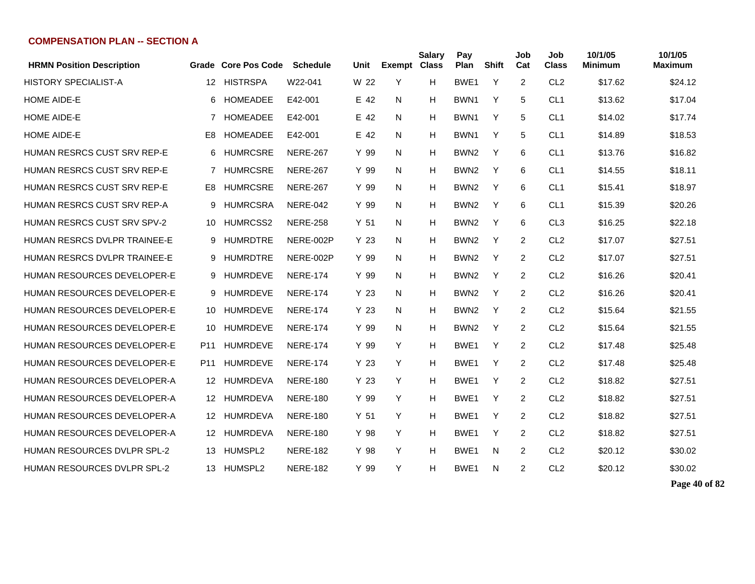| <b>HRMN Position Description</b>   |                 | Grade Core Pos Code | <b>Schedule</b> | Unit            | Exempt Class | <b>Salary</b> | Pay<br>Plan      | <b>Shift</b> | Job<br>Cat | Job<br><b>Class</b> | 10/1/05<br><b>Minimum</b> | 10/1/05<br><b>Maximum</b> |
|------------------------------------|-----------------|---------------------|-----------------|-----------------|--------------|---------------|------------------|--------------|------------|---------------------|---------------------------|---------------------------|
| <b>HISTORY SPECIALIST-A</b>        | 12              | <b>HISTRSPA</b>     | W22-041         | W 22            | Y            | H             | BWE <sub>1</sub> | Y            | 2          | CL <sub>2</sub>     | \$17.62                   | \$24.12                   |
| <b>HOME AIDE-E</b>                 | 6               | <b>HOMEADEE</b>     | E42-001         | E 42            | N            | H             | BWN <sub>1</sub> | Y            | 5          | CL <sub>1</sub>     | \$13.62                   | \$17.04                   |
| <b>HOME AIDE-E</b>                 | 7               | HOMEADEE            | E42-001         | E 42            | N            | H.            | BWN1             | Y            | 5          | CL <sub>1</sub>     | \$14.02                   | \$17.74                   |
| <b>HOME AIDE-E</b>                 | E8              | <b>HOMEADEE</b>     | E42-001         | E 42            | N            | H             | BWN <sub>1</sub> | Y            | 5          | CL <sub>1</sub>     | \$14.89                   | \$18.53                   |
| HUMAN RESRCS CUST SRV REP-E        | 6               | <b>HUMRCSRE</b>     | <b>NERE-267</b> | Y 99            | N            | H             | BWN <sub>2</sub> | Y            | 6          | CL <sub>1</sub>     | \$13.76                   | \$16.82                   |
| <b>HUMAN RESRCS CUST SRV REP-E</b> |                 | 7 HUMRCSRE          | <b>NERE-267</b> | Y 99            | N            | H             | BWN <sub>2</sub> | Y            | 6          | CL <sub>1</sub>     | \$14.55                   | \$18.11                   |
| HUMAN RESRCS CUST SRV REP-E        | E8              | <b>HUMRCSRE</b>     | <b>NERE-267</b> | Y 99            | N            | H             | BWN <sub>2</sub> | Y            | 6          | CL <sub>1</sub>     | \$15.41                   | \$18.97                   |
| HUMAN RESRCS CUST SRV REP-A        | 9               | <b>HUMRCSRA</b>     | <b>NERE-042</b> | Y 99            | N            | H             | BWN <sub>2</sub> | Y            | 6          | CL <sub>1</sub>     | \$15.39                   | \$20.26                   |
| <b>HUMAN RESRCS CUST SRV SPV-2</b> | 10              | HUMRCSS2            | <b>NERE-258</b> | Y <sub>51</sub> | N            | H             | BWN <sub>2</sub> | Y            | 6          | CL <sub>3</sub>     | \$16.25                   | \$22.18                   |
| HUMAN RESRCS DVLPR TRAINEE-E       | 9               | <b>HUMRDTRE</b>     | NERE-002P       | Y 23            | N            | н             | BWN <sub>2</sub> | Y            | 2          | CL <sub>2</sub>     | \$17.07                   | \$27.51                   |
| HUMAN RESRCS DVLPR TRAINEE-E       | 9               | <b>HUMRDTRE</b>     | NERE-002P       | Y 99            | N            | H             | BWN <sub>2</sub> | Y            | 2          | CL <sub>2</sub>     | \$17.07                   | \$27.51                   |
| <b>HUMAN RESOURCES DEVELOPER-E</b> |                 | 9 HUMRDEVE          | <b>NERE-174</b> | Y 99            | N            | H             | BWN <sub>2</sub> | Y            | 2          | CL <sub>2</sub>     | \$16.26                   | \$20.41                   |
| <b>HUMAN RESOURCES DEVELOPER-E</b> |                 | 9 HUMRDEVE          | <b>NERE-174</b> | Y 23            | N            | H             | BWN <sub>2</sub> | Y            | 2          | CL <sub>2</sub>     | \$16.26                   | \$20.41                   |
| HUMAN RESOURCES DEVELOPER-E        | 10              | <b>HUMRDEVE</b>     | <b>NERE-174</b> | Y 23            | N            | H             | BWN <sub>2</sub> | Y            | 2          | CL <sub>2</sub>     | \$15.64                   | \$21.55                   |
| <b>HUMAN RESOURCES DEVELOPER-E</b> | 10              | <b>HUMRDEVE</b>     | <b>NERE-174</b> | Y 99            | N            | H             | BWN <sub>2</sub> | Y            | 2          | CL <sub>2</sub>     | \$15.64                   | \$21.55                   |
| HUMAN RESOURCES DEVELOPER-E        | P <sub>11</sub> | <b>HUMRDEVE</b>     | <b>NERE-174</b> | Y 99            | Y            | H             | BWE1             | Y            | 2          | CL <sub>2</sub>     | \$17.48                   | \$25.48                   |
| HUMAN RESOURCES DEVELOPER-E        | P <sub>11</sub> | <b>HUMRDEVE</b>     | <b>NERE-174</b> | Y 23            | Y            | н             | BWE1             | Y            | 2          | CL <sub>2</sub>     | \$17.48                   | \$25.48                   |
| <b>HUMAN RESOURCES DEVELOPER-A</b> | 12              | <b>HUMRDEVA</b>     | <b>NERE-180</b> | Y 23            | Y            | H             | BWE1             | Y            | 2          | CL <sub>2</sub>     | \$18.82                   | \$27.51                   |
| HUMAN RESOURCES DEVELOPER-A        | 12              | <b>HUMRDEVA</b>     | <b>NERE-180</b> | Y 99            | Y            | H             | BWE <sub>1</sub> | Y            | 2          | CL <sub>2</sub>     | \$18.82                   | \$27.51                   |
| HUMAN RESOURCES DEVELOPER-A        | 12              | HUMRDEVA            | <b>NERE-180</b> | Y <sub>51</sub> | Y            | H             | BWE1             | Y            | 2          | CL <sub>2</sub>     | \$18.82                   | \$27.51                   |
| <b>HUMAN RESOURCES DEVELOPER-A</b> | 12              | HUMRDEVA            | <b>NERE-180</b> | Y 98            | Y            | H             | BWE1             | Y            | 2          | CL <sub>2</sub>     | \$18.82                   | \$27.51                   |
| <b>HUMAN RESOURCES DVLPR SPL-2</b> | 13              | HUMSPL2             | <b>NERE-182</b> | Y 98            | Y            | H             | BWE1             | N            | 2          | CL <sub>2</sub>     | \$20.12                   | \$30.02                   |
| HUMAN RESOURCES DVLPR SPL-2        | 13              | HUMSPL2             | <b>NERE-182</b> | Y 99            | Y            | H             | BWE1             | N            | 2          | CL <sub>2</sub>     | \$20.12                   | \$30.02                   |

**Page 40 of 82**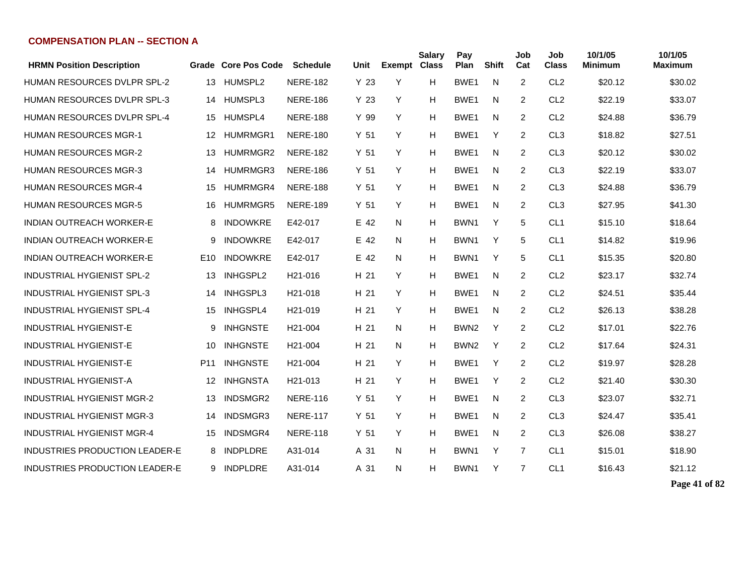| <b>HRMN Position Description</b>   |                 | Grade Core Pos Code | <b>Schedule</b>      | Unit            | <b>Exempt</b> | <b>Salary</b><br><b>Class</b> | Pay<br>Plan      | <b>Shift</b> | Job<br>Cat     | Job<br><b>Class</b> | 10/1/05<br>Minimum | 10/1/05<br>Maximum |
|------------------------------------|-----------------|---------------------|----------------------|-----------------|---------------|-------------------------------|------------------|--------------|----------------|---------------------|--------------------|--------------------|
| <b>HUMAN RESOURCES DVLPR SPL-2</b> | 13              | HUMSPL2             | <b>NERE-182</b>      | Y <sub>23</sub> | Y             | н                             | BWE1             | N            | 2              | CL <sub>2</sub>     | \$20.12            | \$30.02            |
| <b>HUMAN RESOURCES DVLPR SPL-3</b> | 14              | HUMSPL3             | <b>NERE-186</b>      | Y <sub>23</sub> | Y             | н                             | BWE1             | N            | $\overline{2}$ | CL <sub>2</sub>     | \$22.19            | \$33.07            |
| <b>HUMAN RESOURCES DVLPR SPL-4</b> | 15              | HUMSPL4             | <b>NERE-188</b>      | Y 99            | Y             | н                             | BWE1             | N            | 2              | CL <sub>2</sub>     | \$24.88            | \$36.79            |
| <b>HUMAN RESOURCES MGR-1</b>       | 12              | HUMRMGR1            | <b>NERE-180</b>      | Y <sub>51</sub> | Y             | н                             | BWE1             | Y            | 2              | CL <sub>3</sub>     | \$18.82            | \$27.51            |
| <b>HUMAN RESOURCES MGR-2</b>       | 13              | HUMRMGR2            | <b>NERE-182</b>      | Y <sub>51</sub> | Y             | н                             | BWE1             | N            | 2              | CL <sub>3</sub>     | \$20.12            | \$30.02            |
| <b>HUMAN RESOURCES MGR-3</b>       | 14              | HUMRMGR3            | <b>NERE-186</b>      | Y <sub>51</sub> | Y             | н                             | BWE1             | N            | $\overline{2}$ | CL <sub>3</sub>     | \$22.19            | \$33.07            |
| <b>HUMAN RESOURCES MGR-4</b>       | 15              | HUMRMGR4            | <b>NERE-188</b>      | Y <sub>51</sub> | Y             | н                             | BWE1             | N            | 2              | CL <sub>3</sub>     | \$24.88            | \$36.79            |
| <b>HUMAN RESOURCES MGR-5</b>       | 16              | HUMRMGR5            | <b>NERE-189</b>      | Y <sub>51</sub> | Y             | н                             | BWE1             | N            | $\overline{2}$ | CL <sub>3</sub>     | \$27.95            | \$41.30            |
| <b>INDIAN OUTREACH WORKER-E</b>    | 8               | <b>INDOWKRE</b>     | E42-017              | E 42            | N             | Н                             | BWN1             | Y            | 5              | CL <sub>1</sub>     | \$15.10            | \$18.64            |
| <b>INDIAN OUTREACH WORKER-E</b>    | 9               | <b>INDOWKRE</b>     | E42-017              | E 42            | N             | Н                             | BWN1             | Y            | 5              | CL <sub>1</sub>     | \$14.82            | \$19.96            |
| <b>INDIAN OUTREACH WORKER-E</b>    | E10             | <b>INDOWKRE</b>     | E42-017              | E 42            | N             | Н                             | BWN <sub>1</sub> | Υ            | 5              | CL <sub>1</sub>     | \$15.35            | \$20.80            |
| <b>INDUSTRIAL HYGIENIST SPL-2</b>  | 13              | INHGSPL2            | H <sub>21</sub> -016 | H 21            | Y             | н                             | BWE1             | N            | 2              | CL <sub>2</sub>     | \$23.17            | \$32.74            |
| <b>INDUSTRIAL HYGIENIST SPL-3</b>  | 14              | INHGSPL3            | H <sub>21</sub> -018 | H 21            | Y             | н                             | BWE1             | N            | $\overline{2}$ | CL <sub>2</sub>     | \$24.51            | \$35.44            |
| <b>INDUSTRIAL HYGIENIST SPL-4</b>  | 15              | INHGSPL4            | H <sub>21</sub> -019 | H 21            | Y             | н                             | BWE1             | N            | 2              | CL <sub>2</sub>     | \$26.13            | \$38.28            |
| <b>INDUSTRIAL HYGIENIST-E</b>      | 9               | <b>INHGNSTE</b>     | H <sub>21</sub> -004 | H 21            | N             | н                             | BWN <sub>2</sub> | Υ            | $\overline{2}$ | CL <sub>2</sub>     | \$17.01            | \$22.76            |
| <b>INDUSTRIAL HYGIENIST-E</b>      | 10              | <b>INHGNSTE</b>     | H <sub>21</sub> -004 | H 21            | N             | н                             | BWN <sub>2</sub> | Y            | $\overline{2}$ | CL <sub>2</sub>     | \$17.64            | \$24.31            |
| <b>INDUSTRIAL HYGIENIST-E</b>      | P <sub>11</sub> | <b>INHGNSTE</b>     | H <sub>21</sub> -004 | H 21            | Y             | H                             | BWE1             | Y            | 2              | CL <sub>2</sub>     | \$19.97            | \$28.28            |
| <b>INDUSTRIAL HYGIENIST-A</b>      | 12              | <b>INHGNSTA</b>     | H <sub>21</sub> -013 | H 21            | Y             | н                             | BWE1             | Y            | 2              | CL <sub>2</sub>     | \$21.40            | \$30.30            |
| <b>INDUSTRIAL HYGIENIST MGR-2</b>  | 13              | INDSMGR2            | <b>NERE-116</b>      | Y <sub>51</sub> | Y             | н                             | BWE1             | N            | $\overline{2}$ | CL <sub>3</sub>     | \$23.07            | \$32.71            |
| <b>INDUSTRIAL HYGIENIST MGR-3</b>  | 14              | INDSMGR3            | <b>NERE-117</b>      | Y <sub>51</sub> | Y             | н                             | BWE1             | N            | $\overline{2}$ | CL <sub>3</sub>     | \$24.47            | \$35.41            |
| <b>INDUSTRIAL HYGIENIST MGR-4</b>  | 15              | INDSMGR4            | <b>NERE-118</b>      | Y <sub>51</sub> | Y             | н                             | BWE <sub>1</sub> | N            | $\overline{2}$ | CL <sub>3</sub>     | \$26.08            | \$38.27            |
| INDUSTRIES PRODUCTION LEADER-E     | 8               | <b>INDPLDRE</b>     | A31-014              | A 31            | N             | н                             | BWN <sub>1</sub> | Y            | $\overline{7}$ | CL <sub>1</sub>     | \$15.01            | \$18.90            |
| INDUSTRIES PRODUCTION LEADER-E     |                 | 9 INDPLDRE          | A31-014              | A 31            | N             | н                             | BWN1             | Y            | $\overline{7}$ | CL <sub>1</sub>     | \$16.43            | \$21.12            |

**Page 41 of 82**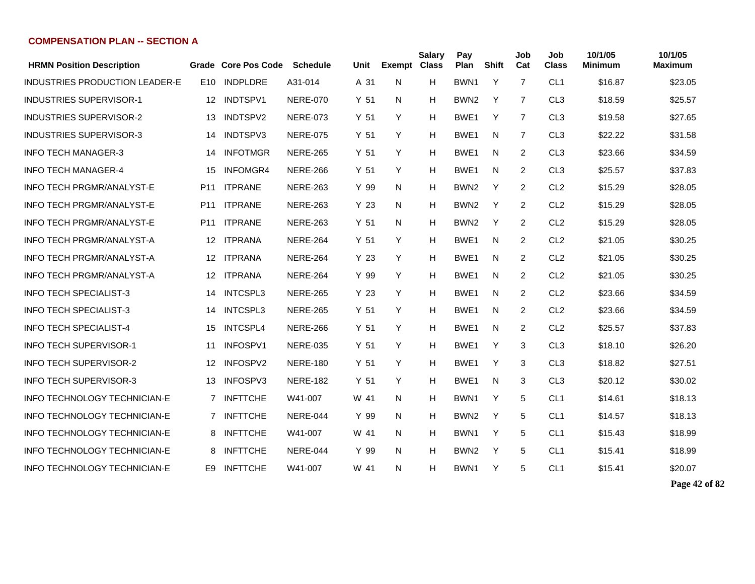| <b>HRMN Position Description</b>    |                 | Grade Core Pos Code | <b>Schedule</b> | Unit | <b>Exempt Class</b> | Salary | Pay<br>Plan      | <b>Shift</b> | Job<br>Cat     | Job<br><b>Class</b> | 10/1/05<br>Minimum | 10/1/05<br><b>Maximum</b> |
|-------------------------------------|-----------------|---------------------|-----------------|------|---------------------|--------|------------------|--------------|----------------|---------------------|--------------------|---------------------------|
| INDUSTRIES PRODUCTION LEADER-E      | E10             | <b>INDPLDRE</b>     | A31-014         | A 31 | N                   | H      | BWN <sub>1</sub> | Y            | $\overline{7}$ | CL <sub>1</sub>     | \$16.87            | \$23.05                   |
| <b>INDUSTRIES SUPERVISOR-1</b>      | 12              | INDTSPV1            | <b>NERE-070</b> | Y 51 | N                   | H      | BWN <sub>2</sub> | Y            | 7              | CL <sub>3</sub>     | \$18.59            | \$25.57                   |
| <b>INDUSTRIES SUPERVISOR-2</b>      | 13              | INDTSPV2            | <b>NERE-073</b> | Y 51 | Y                   | H      | BWE <sub>1</sub> | Y            | 7              | CL <sub>3</sub>     | \$19.58            | \$27.65                   |
| <b>INDUSTRIES SUPERVISOR-3</b>      | 14              | INDTSPV3            | <b>NERE-075</b> | Y 51 | Y                   | н      | BWE1             | N            | 7              | CL <sub>3</sub>     | \$22.22            | \$31.58                   |
| <b>INFO TECH MANAGER-3</b>          | 14              | <b>INFOTMGR</b>     | <b>NERE-265</b> | Y 51 | Y                   | H      | BWE1             | N            | 2              | CL <sub>3</sub>     | \$23.66            | \$34.59                   |
| <b>INFO TECH MANAGER-4</b>          | 15              | <b>INFOMGR4</b>     | <b>NERE-266</b> | Y 51 | Y                   | H      | BWE1             | N            | 2              | CL <sub>3</sub>     | \$25.57            | \$37.83                   |
| <b>INFO TECH PRGMR/ANALYST-E</b>    | P <sub>11</sub> | <b>ITPRANE</b>      | <b>NERE-263</b> | Y 99 | N                   | н      | BWN <sub>2</sub> | Y            | 2              | CL <sub>2</sub>     | \$15.29            | \$28.05                   |
| <b>INFO TECH PRGMR/ANALYST-E</b>    | P11             | <b>ITPRANE</b>      | <b>NERE-263</b> | Y 23 | N                   | H      | BWN <sub>2</sub> | Y            | 2              | CL <sub>2</sub>     | \$15.29            | \$28.05                   |
| <b>INFO TECH PRGMR/ANALYST-E</b>    | P11             | <b>ITPRANE</b>      | <b>NERE-263</b> | Y 51 | N                   | H      | BWN <sub>2</sub> | Y            | 2              | CL <sub>2</sub>     | \$15.29            | \$28.05                   |
| <b>INFO TECH PRGMR/ANALYST-A</b>    | 12 <sup>1</sup> | <b>ITPRANA</b>      | <b>NERE-264</b> | Y 51 | Y                   | H      | BWE1             | N            | 2              | CL <sub>2</sub>     | \$21.05            | \$30.25                   |
| <b>INFO TECH PRGMR/ANALYST-A</b>    | 12 <sup>°</sup> | <b>ITPRANA</b>      | <b>NERE-264</b> | Y 23 | Y                   | н      | BWE <sub>1</sub> | N            | $\overline{c}$ | CL <sub>2</sub>     | \$21.05            | \$30.25                   |
| INFO TECH PRGMR/ANALYST-A           |                 | 12 ITPRANA          | <b>NERE-264</b> | Y 99 | Y                   | н      | BWE1             | N            | 2              | CL <sub>2</sub>     | \$21.05            | \$30.25                   |
| <b>INFO TECH SPECIALIST-3</b>       | 14              | <b>INTCSPL3</b>     | <b>NERE-265</b> | Y 23 | Y                   | н      | BWE <sub>1</sub> | N            | 2              | CL <sub>2</sub>     | \$23.66            | \$34.59                   |
| <b>INFO TECH SPECIALIST-3</b>       | 14              | INTCSPL3            | <b>NERE-265</b> | Y 51 | Y                   | H      | BWE <sub>1</sub> | N            | 2              | CL <sub>2</sub>     | \$23.66            | \$34.59                   |
| <b>INFO TECH SPECIALIST-4</b>       | 15              | INTCSPL4            | <b>NERE-266</b> | Y 51 | Y                   | н      | BWE <sub>1</sub> | N            | 2              | CL <sub>2</sub>     | \$25.57            | \$37.83                   |
| <b>INFO TECH SUPERVISOR-1</b>       | 11              | INFOSPV1            | <b>NERE-035</b> | Y 51 | Y                   | H      | BWE <sub>1</sub> | Y            | 3              | CL <sub>3</sub>     | \$18.10            | \$26.20                   |
| <b>INFO TECH SUPERVISOR-2</b>       | 12              | INFOSPV2            | <b>NERE-180</b> | Y 51 | Y                   | H      | BWE <sub>1</sub> | Y            | 3              | CL <sub>3</sub>     | \$18.82            | \$27.51                   |
| <b>INFO TECH SUPERVISOR-3</b>       | 13              | INFOSPV3            | <b>NERE-182</b> | Y 51 | Y                   | H      | BWE1             | N            | 3              | CL <sub>3</sub>     | \$20.12            | \$30.02                   |
| <b>INFO TECHNOLOGY TECHNICIAN-E</b> | 7               | <b>INFTTCHE</b>     | W41-007         | W 41 | N                   | н      | BWN <sub>1</sub> | Y            | 5              | CL <sub>1</sub>     | \$14.61            | \$18.13                   |
| <b>INFO TECHNOLOGY TECHNICIAN-E</b> | $\overline{7}$  | <b>INFTTCHE</b>     | NERE-044        | Y 99 | N                   | н      | BWN <sub>2</sub> | Y            | 5              | CL <sub>1</sub>     | \$14.57            | \$18.13                   |
| <b>INFO TECHNOLOGY TECHNICIAN-E</b> | 8               | <b>INFTTCHE</b>     | W41-007         | W 41 | N                   | H      | BWN <sub>1</sub> | Y            | 5              | CL <sub>1</sub>     | \$15.43            | \$18.99                   |
| <b>INFO TECHNOLOGY TECHNICIAN-E</b> | 8               | <b>INFTTCHE</b>     | NERE-044        | Y 99 | N                   | H      | BWN <sub>2</sub> | Y            | 5              | CL <sub>1</sub>     | \$15.41            | \$18.99                   |
| <b>INFO TECHNOLOGY TECHNICIAN-E</b> | E9              | <b>INFTTCHE</b>     | W41-007         | W 41 | N                   | Н      | BWN <sub>1</sub> | Y            | 5              | CL <sub>1</sub>     | \$15.41            | \$20.07                   |

**Page 42 of 82**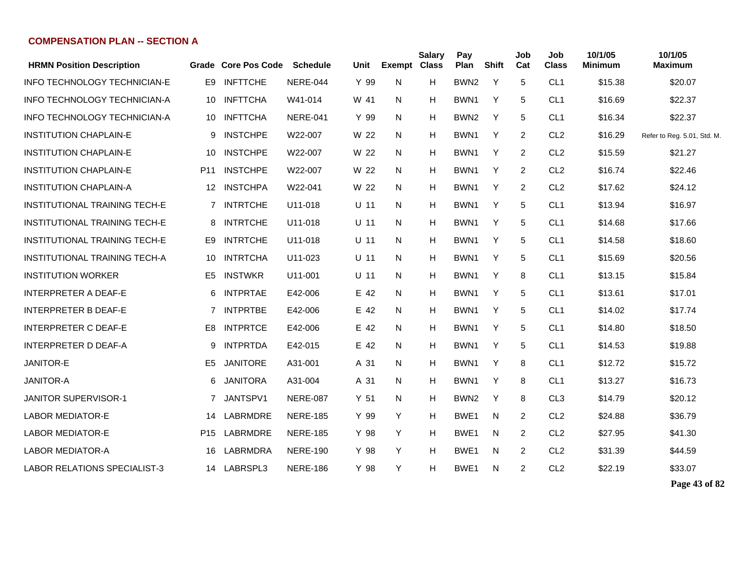| <b>HRMN Position Description</b>     | Grade           | <b>Core Pos Code</b> | <b>Schedule</b> | Unit            | <b>Exempt Class</b> | <b>Salary</b> | Pay<br>Plan      | <b>Shift</b> | Job<br>Cat     | Job<br><b>Class</b> | 10/1/05<br><b>Minimum</b> | 10/1/05<br><b>Maximum</b>   |
|--------------------------------------|-----------------|----------------------|-----------------|-----------------|---------------------|---------------|------------------|--------------|----------------|---------------------|---------------------------|-----------------------------|
| INFO TECHNOLOGY TECHNICIAN-E         | E9              | <b>INFTTCHE</b>      | NERE-044        | Y 99            | N                   | н             | BWN <sub>2</sub> | Y            | 5              | CL <sub>1</sub>     | \$15.38                   | \$20.07                     |
| INFO TECHNOLOGY TECHNICIAN-A         | 10              | <b>INFTTCHA</b>      | W41-014         | W 41            | N                   | н             | BWN <sub>1</sub> | Y            | 5              | CL <sub>1</sub>     | \$16.69                   | \$22.37                     |
| <b>INFO TECHNOLOGY TECHNICIAN-A</b>  | 10              | <b>INFTTCHA</b>      | <b>NERE-041</b> | Y 99            | N                   | н             | BWN <sub>2</sub> | Y            | 5              | CL <sub>1</sub>     | \$16.34                   | \$22.37                     |
| <b>INSTITUTION CHAPLAIN-E</b>        | 9               | <b>INSTCHPE</b>      | W22-007         | W 22            | N                   | н             | BWN <sub>1</sub> | Y            | 2              | CL <sub>2</sub>     | \$16.29                   | Refer to Reg. 5.01, Std. M. |
| <b>INSTITUTION CHAPLAIN-E</b>        | 10              | <b>INSTCHPE</b>      | W22-007         | W 22            | N                   | н             | BWN <sub>1</sub> | Y            | 2              | CL <sub>2</sub>     | \$15.59                   | \$21.27                     |
| <b>INSTITUTION CHAPLAIN-E</b>        | P <sub>11</sub> | <b>INSTCHPE</b>      | W22-007         | W 22            | N                   | н             | BWN <sub>1</sub> | Y            | 2              | CL <sub>2</sub>     | \$16.74                   | \$22.46                     |
| <b>INSTITUTION CHAPLAIN-A</b>        | $12 \,$         | <b>INSTCHPA</b>      | W22-041         | W 22            | N                   | н             | BWN <sub>1</sub> | Y            | 2              | CL <sub>2</sub>     | \$17.62                   | \$24.12                     |
| <b>INSTITUTIONAL TRAINING TECH-E</b> | 7               | <b>INTRTCHE</b>      | U11-018         | U 11            | N                   | H             | BWN <sub>1</sub> | Y            | 5              | CL <sub>1</sub>     | \$13.94                   | \$16.97                     |
| <b>INSTITUTIONAL TRAINING TECH-E</b> | 8               | <b>INTRTCHE</b>      | U11-018         | U 11            | N                   | н             | BWN1             | Y            | 5              | CL <sub>1</sub>     | \$14.68                   | \$17.66                     |
| <b>INSTITUTIONAL TRAINING TECH-E</b> | E9              | <b>INTRTCHE</b>      | U11-018         | U 11            | N                   | н             | BWN <sub>1</sub> | Y            | 5              | CL <sub>1</sub>     | \$14.58                   | \$18.60                     |
| INSTITUTIONAL TRAINING TECH-A        | 10              | <b>INTRTCHA</b>      | U11-023         | U 11            | N                   | н             | BWN <sub>1</sub> | Y            | 5              | CL <sub>1</sub>     | \$15.69                   | \$20.56                     |
| <b>INSTITUTION WORKER</b>            | E5              | <b>INSTWKR</b>       | U11-001         | U 11            | N                   | H.            | BWN1             | Y            | 8              | CL <sub>1</sub>     | \$13.15                   | \$15.84                     |
| <b>INTERPRETER A DEAF-E</b>          | 6               | <b>INTPRTAE</b>      | E42-006         | E 42            | N                   | H.            | BWN <sub>1</sub> | Y            | 5              | CL <sub>1</sub>     | \$13.61                   | \$17.01                     |
| <b>INTERPRETER B DEAF-E</b>          | $\overline{7}$  | <b>INTPRTBE</b>      | E42-006         | E 42            | N                   | H.            | BWN <sub>1</sub> | Y            | 5              | CL <sub>1</sub>     | \$14.02                   | \$17.74                     |
| <b>INTERPRETER C DEAF-E</b>          | E <sub>8</sub>  | <b>INTPRTCE</b>      | E42-006         | E 42            | N                   | H             | BWN <sub>1</sub> | Y            | 5              | CL <sub>1</sub>     | \$14.80                   | \$18.50                     |
| <b>INTERPRETER D DEAF-A</b>          | 9               | <b>INTPRTDA</b>      | E42-015         | E 42            | N                   | H             | BWN <sub>1</sub> | Y            | 5              | CL <sub>1</sub>     | \$14.53                   | \$19.88                     |
| <b>JANITOR-E</b>                     | E <sub>5</sub>  | <b>JANITORE</b>      | A31-001         | A 31            | N                   | H             | BWN <sub>1</sub> | Y            | 8              | CL <sub>1</sub>     | \$12.72                   | \$15.72                     |
| <b>JANITOR-A</b>                     | 6               | <b>JANITORA</b>      | A31-004         | A 31            | N                   | H             | BWN <sub>1</sub> | Y            | 8              | CL <sub>1</sub>     | \$13.27                   | \$16.73                     |
| <b>JANITOR SUPERVISOR-1</b>          | 7               | JANTSPV1             | <b>NERE-087</b> | Y <sub>51</sub> | N                   | н             | BWN <sub>2</sub> | Y            | 8              | CL <sub>3</sub>     | \$14.79                   | \$20.12                     |
| <b>LABOR MEDIATOR-E</b>              | 14              | <b>LABRMDRE</b>      | <b>NERE-185</b> | Y 99            | Y                   | н             | BWE1             | N.           | $\overline{2}$ | CL <sub>2</sub>     | \$24.88                   | \$36.79                     |
| <b>LABOR MEDIATOR-E</b>              | P <sub>15</sub> | LABRMDRE             | <b>NERE-185</b> | Y 98            | Y                   | н             | BWE1             | N            | 2              | CL <sub>2</sub>     | \$27.95                   | \$41.30                     |
| <b>LABOR MEDIATOR-A</b>              | 16              | <b>LABRMDRA</b>      | <b>NERE-190</b> | Y 98            | Y                   | н             | BWE1             | N            | $\overline{2}$ | CL <sub>2</sub>     | \$31.39                   | \$44.59                     |
| LABOR RELATIONS SPECIALIST-3         |                 | 14 LABRSPL3          | <b>NERE-186</b> | Y 98            | Y                   | H.            | BWE1             | N            | 2              | CL <sub>2</sub>     | \$22.19                   | \$33.07                     |

**Page 43 of 82**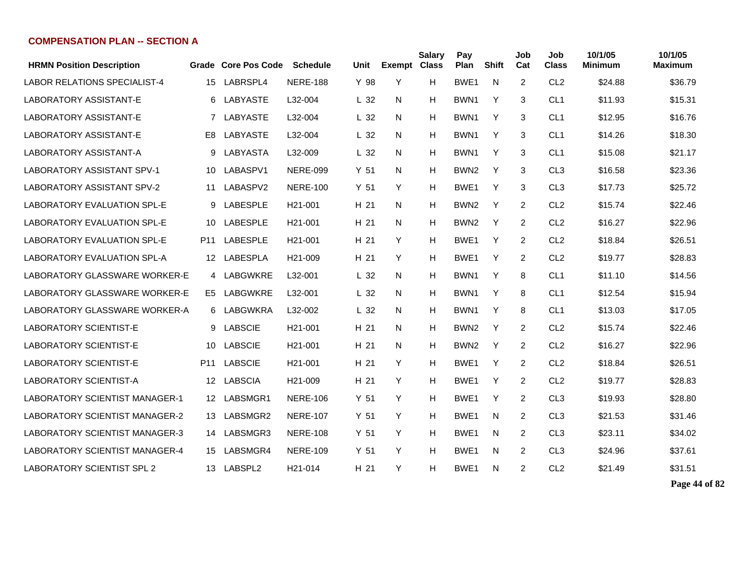| <b>HRMN Position Description</b>      |                 | Grade Core Pos Code | <b>Schedule</b>      | Unit            | <b>Exempt</b> | <b>Salary</b><br><b>Class</b> | Pay<br>Plan      | <b>Shift</b> | Job<br>Cat     | Job<br><b>Class</b> | 10/1/05<br><b>Minimum</b> | 10/1/05<br>Maximum |
|---------------------------------------|-----------------|---------------------|----------------------|-----------------|---------------|-------------------------------|------------------|--------------|----------------|---------------------|---------------------------|--------------------|
| <b>LABOR RELATIONS SPECIALIST-4</b>   | 15              | LABRSPL4            | <b>NERE-188</b>      | Y 98            | Y             | H                             | BWE1             | N            | 2              | CL <sub>2</sub>     | \$24.88                   | \$36.79            |
| <b>LABORATORY ASSISTANT-E</b>         | 6               | LABYASTE            | L32-004              | L <sub>32</sub> | N             | н                             | BWN <sub>1</sub> | Y            | 3              | CL <sub>1</sub>     | \$11.93                   | \$15.31            |
| <b>LABORATORY ASSISTANT-E</b>         | $\overline{7}$  | LABYASTE            | L32-004              | L <sub>32</sub> | N             | н                             | BWN <sub>1</sub> | Y            | 3              | CL <sub>1</sub>     | \$12.95                   | \$16.76            |
| <b>LABORATORY ASSISTANT-E</b>         | E <sub>8</sub>  | <b>LABYASTE</b>     | L32-004              | L <sub>32</sub> | N             | н                             | BWN <sub>1</sub> | Y            | 3              | CL <sub>1</sub>     | \$14.26                   | \$18.30            |
| <b>LABORATORY ASSISTANT-A</b>         | 9               | LABYASTA            | L32-009              | L <sub>32</sub> | N             | н                             | BWN <sub>1</sub> | Y            | 3              | CL <sub>1</sub>     | \$15.08                   | \$21.17            |
| <b>LABORATORY ASSISTANT SPV-1</b>     | 10              | LABASPV1            | <b>NERE-099</b>      | Y <sub>51</sub> | N             | Н                             | BWN <sub>2</sub> | Y            | 3              | CL <sub>3</sub>     | \$16.58                   | \$23.36            |
| <b>LABORATORY ASSISTANT SPV-2</b>     | 11              | LABASPV2            | <b>NERE-100</b>      | Y <sub>51</sub> | Y             | Н                             | BWE <sub>1</sub> | Y            | 3              | CL <sub>3</sub>     | \$17.73                   | \$25.72            |
| <b>LABORATORY EVALUATION SPL-E</b>    | 9               | <b>LABESPLE</b>     | H <sub>21</sub> -001 | H 21            | N             | Н                             | BWN <sub>2</sub> | Y            | $\overline{2}$ | CL <sub>2</sub>     | \$15.74                   | \$22.46            |
| <b>LABORATORY EVALUATION SPL-E</b>    | 10              | <b>LABESPLE</b>     | H <sub>21</sub> -001 | H 21            | N             | Н                             | BWN <sub>2</sub> | Y            | 2              | CL <sub>2</sub>     | \$16.27                   | \$22.96            |
| <b>LABORATORY EVALUATION SPL-E</b>    | P11             | LABESPLE            | H <sub>21</sub> -001 | H 21            | Y             | Н                             | BWE <sub>1</sub> | Y            | $\overline{2}$ | CL <sub>2</sub>     | \$18.84                   | \$26.51            |
| <b>LABORATORY EVALUATION SPL-A</b>    | 12              | LABESPLA            | H <sub>21</sub> -009 | H 21            | Y             | Н                             | BWE <sub>1</sub> | Y            | 2              | CL <sub>2</sub>     | \$19.77                   | \$28.83            |
| <b>LABORATORY GLASSWARE WORKER-E</b>  |                 | 4 LABGWKRE          | L32-001              | L <sub>32</sub> | N             | н                             | BWN <sub>1</sub> | Y            | 8              | CL <sub>1</sub>     | \$11.10                   | \$14.56            |
| LABORATORY GLASSWARE WORKER-E         | E <sub>5</sub>  | LABGWKRE            | L32-001              | L <sub>32</sub> | N             | н                             | BWN <sub>1</sub> | Y            | 8              | CL <sub>1</sub>     | \$12.54                   | \$15.94            |
| LABORATORY GLASSWARE WORKER-A         | 6.              | LABGWKRA            | L32-002              | L <sub>32</sub> | N             | н                             | BWN <sub>1</sub> | Y            | 8              | CL <sub>1</sub>     | \$13.03                   | \$17.05            |
| <b>LABORATORY SCIENTIST-E</b>         | 9               | <b>LABSCIE</b>      | H <sub>21</sub> -001 | H 21            | N             | Н                             | BWN <sub>2</sub> | Y            | $\overline{2}$ | CL <sub>2</sub>     | \$15.74                   | \$22.46            |
| <b>LABORATORY SCIENTIST-E</b>         | 10              | <b>LABSCIE</b>      | H <sub>21</sub> -001 | H 21            | N             | н                             | BWN <sub>2</sub> | Y            | $\overline{2}$ | CL <sub>2</sub>     | \$16.27                   | \$22.96            |
| <b>LABORATORY SCIENTIST-E</b>         | P <sub>11</sub> | <b>LABSCIE</b>      | H <sub>21</sub> -001 | H 21            | Y             | н                             | BWE <sub>1</sub> | Y            | $\overline{2}$ | CL <sub>2</sub>     | \$18.84                   | \$26.51            |
| <b>LABORATORY SCIENTIST-A</b>         | 12              | <b>LABSCIA</b>      | H21-009              | H 21            | Y             | Н                             | BWE1             | Y            | 2              | CL <sub>2</sub>     | \$19.77                   | \$28.83            |
| <b>LABORATORY SCIENTIST MANAGER-1</b> | 12              | LABSMGR1            | <b>NERE-106</b>      | Y <sub>51</sub> | Y             | Н                             | BWE1             | Y            | 2              | CL <sub>3</sub>     | \$19.93                   | \$28.80            |
| <b>LABORATORY SCIENTIST MANAGER-2</b> | 13              | LABSMGR2            | <b>NERE-107</b>      | Y <sub>51</sub> | Y             | н                             | BWE <sub>1</sub> | N            | 2              | CL <sub>3</sub>     | \$21.53                   | \$31.46            |
| LABORATORY SCIENTIST MANAGER-3        | 14              | LABSMGR3            | <b>NERE-108</b>      | Y <sub>51</sub> | Y             | Н                             | BWE1             | N            | 2              | CL <sub>3</sub>     | \$23.11                   | \$34.02            |
| <b>LABORATORY SCIENTIST MANAGER-4</b> | 15              | LABSMGR4            | <b>NERE-109</b>      | Y <sub>51</sub> | Y             | Н                             | BWE1             | N            | 2              | CL <sub>3</sub>     | \$24.96                   | \$37.61            |
| <b>LABORATORY SCIENTIST SPL 2</b>     | 13              | LABSPL2             | H <sub>21</sub> -014 | H 21            | Y             | н                             | BWE1             | N            | 2              | CL <sub>2</sub>     | \$21.49                   | \$31.51            |

**Page 44 of 82**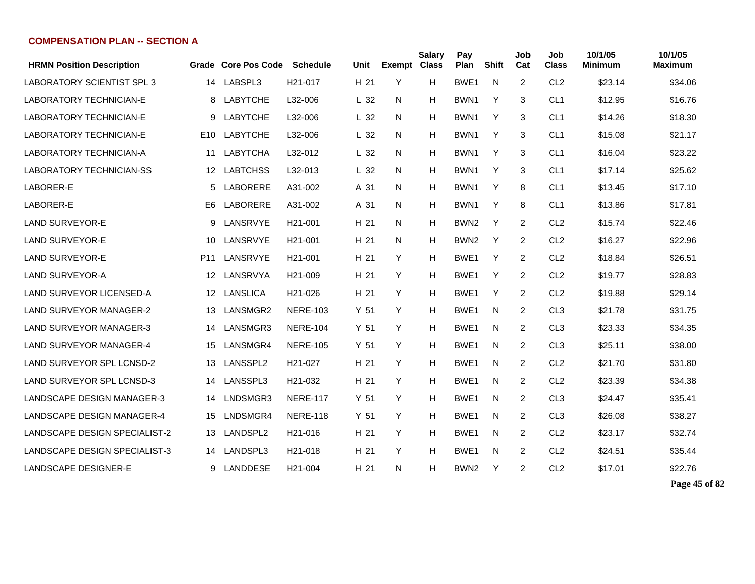| <b>HRMN Position Description</b>     |                 | Grade Core Pos Code | <b>Schedule</b>      | Unit            | <b>Exempt Class</b> | <b>Salary</b> | Pay<br>Plan      | <b>Shift</b> | Job<br>Cat     | Job<br><b>Class</b> | 10/1/05<br><b>Minimum</b> | 10/1/05<br><b>Maximum</b> |
|--------------------------------------|-----------------|---------------------|----------------------|-----------------|---------------------|---------------|------------------|--------------|----------------|---------------------|---------------------------|---------------------------|
| <b>LABORATORY SCIENTIST SPL 3</b>    | 14              | LABSPL3             | H <sub>21</sub> -017 | H 21            | Y                   | H             | BWE1             | N            | $\overline{2}$ | CL <sub>2</sub>     | \$23.14                   | \$34.06                   |
| <b>LABORATORY TECHNICIAN-E</b>       | 8               | <b>LABYTCHE</b>     | L32-006              | L <sub>32</sub> | N                   | н             | BWN <sub>1</sub> | Y            | 3              | CL <sub>1</sub>     | \$12.95                   | \$16.76                   |
| <b>LABORATORY TECHNICIAN-E</b>       | 9               | <b>LABYTCHE</b>     | L32-006              | L <sub>32</sub> | N                   | Н             | BWN <sub>1</sub> | Y            | 3              | CL <sub>1</sub>     | \$14.26                   | \$18.30                   |
| <b>LABORATORY TECHNICIAN-E</b>       | E <sub>10</sub> | <b>LABYTCHE</b>     | L32-006              | L <sub>32</sub> | N                   | Н             | BWN <sub>1</sub> | Y            | 3              | CL <sub>1</sub>     | \$15.08                   | \$21.17                   |
| <b>LABORATORY TECHNICIAN-A</b>       | 11              | LABYTCHA            | L32-012              | L <sub>32</sub> | N                   | Н             | BWN1             | Y            | 3              | CL <sub>1</sub>     | \$16.04                   | \$23.22                   |
| <b>LABORATORY TECHNICIAN-SS</b>      | 12 <sup>°</sup> | <b>LABTCHSS</b>     | L32-013              | L <sub>32</sub> | N                   | Н             | BWN1             | Y            | 3              | CL <sub>1</sub>     | \$17.14                   | \$25.62                   |
| LABORER-E                            | 5               | LABORERE            | A31-002              | A 31            | N                   | Н             | BWN1             | Y            | 8              | CL <sub>1</sub>     | \$13.45                   | \$17.10                   |
| LABORER-E                            | E <sub>6</sub>  | LABORERE            | A31-002              | A 31            | N                   | Н             | BWN1             | Y            | 8              | CL <sub>1</sub>     | \$13.86                   | \$17.81                   |
| <b>LAND SURVEYOR-E</b>               | 9               | LANSRVYE            | H <sub>21</sub> -001 | H 21            | N                   | Н             | BWN <sub>2</sub> | Y            | 2              | CL <sub>2</sub>     | \$15.74                   | \$22.46                   |
| <b>LAND SURVEYOR-E</b>               | 10              | LANSRVYE            | H <sub>21</sub> -001 | H 21            | N                   | Н             | BWN <sub>2</sub> | Y            | 2              | CL <sub>2</sub>     | \$16.27                   | \$22.96                   |
| <b>LAND SURVEYOR-E</b>               | P11             | LANSRVYE            | H <sub>21</sub> -001 | H 21            | Y                   | Н             | BWE <sub>1</sub> | Y            | 2              | CL <sub>2</sub>     | \$18.84                   | \$26.51                   |
| <b>LAND SURVEYOR-A</b>               | 12 <sup>°</sup> | LANSRVYA            | H <sub>21</sub> -009 | H 21            | Y                   | Н             | BWE1             | Y            | $\overline{2}$ | CL <sub>2</sub>     | \$19.77                   | \$28.83                   |
| <b>LAND SURVEYOR LICENSED-A</b>      | 12 <sup>2</sup> | LANSLICA            | H21-026              | H 21            | Y                   | н             | BWE <sub>1</sub> | Y            | $\overline{2}$ | CL <sub>2</sub>     | \$19.88                   | \$29.14                   |
| <b>LAND SURVEYOR MANAGER-2</b>       | 13              | LANSMGR2            | <b>NERE-103</b>      | Y <sub>51</sub> | Y                   | н             | BWE1             | N            | $\overline{2}$ | CL <sub>3</sub>     | \$21.78                   | \$31.75                   |
| <b>LAND SURVEYOR MANAGER-3</b>       | 14              | LANSMGR3            | <b>NERE-104</b>      | Y <sub>51</sub> | Y                   | н             | BWE1             | N            | $\overline{2}$ | CL <sub>3</sub>     | \$23.33                   | \$34.35                   |
| <b>LAND SURVEYOR MANAGER-4</b>       | 15              | LANSMGR4            | <b>NERE-105</b>      | Y <sub>51</sub> | Y                   | H             | BWE1             | N            | $\overline{2}$ | CL <sub>3</sub>     | \$25.11                   | \$38.00                   |
| <b>LAND SURVEYOR SPL LCNSD-2</b>     | 13              | LANSSPL2            | H21-027              | H 21            | Y                   | Н             | BWE1             | N            | 2              | CL <sub>2</sub>     | \$21.70                   | \$31.80                   |
| <b>LAND SURVEYOR SPL LCNSD-3</b>     | 14              | LANSSPL3            | H21-032              | H 21            | Y                   | Н             | BWE1             | N            | 2              | CL <sub>2</sub>     | \$23.39                   | \$34.38                   |
| <b>LANDSCAPE DESIGN MANAGER-3</b>    | 14              | LNDSMGR3            | <b>NERE-117</b>      | Y <sub>51</sub> | Y                   | н             | BWE <sub>1</sub> | N            | 2              | CL <sub>3</sub>     | \$24.47                   | \$35.41                   |
| <b>LANDSCAPE DESIGN MANAGER-4</b>    | 15              | LNDSMGR4            | <b>NERE-118</b>      | Y <sub>51</sub> | Y                   | н             | BWE1             | N            | 2              | CL <sub>3</sub>     | \$26.08                   | \$38.27                   |
| <b>LANDSCAPE DESIGN SPECIALIST-2</b> | 13              | LANDSPL2            | H <sub>21</sub> -016 | H 21            | Y                   | н             | BWE <sub>1</sub> | N            | 2              | CL <sub>2</sub>     | \$23.17                   | \$32.74                   |
| LANDSCAPE DESIGN SPECIALIST-3        | 14              | LANDSPL3            | H <sub>21</sub> -018 | H 21            | Y                   | н             | BWE1             | N            | 2              | CL <sub>2</sub>     | \$24.51                   | \$35.44                   |
| LANDSCAPE DESIGNER-E                 | 9               | LANDDESE            | H <sub>21</sub> -004 | H 21            | N                   | н             | BWN <sub>2</sub> | Y            | 2              | CL <sub>2</sub>     | \$17.01                   | \$22.76                   |

**Page 45 of 82**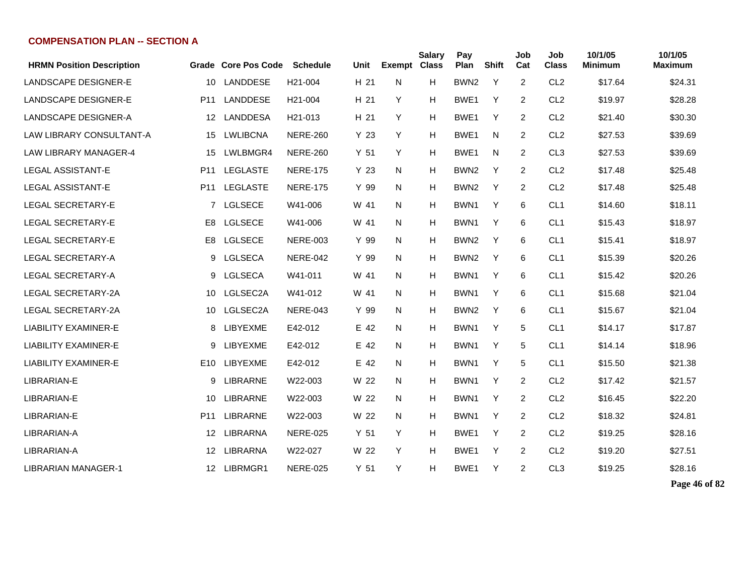| <b>HRMN Position Description</b> |                 | <b>Grade Core Pos Code</b> | <b>Schedule</b>      | <b>Unit</b>     | Exempt | <b>Salary</b><br><b>Class</b> | Pay<br>Plan      | <b>Shift</b> | Job<br>Cat     | Job<br><b>Class</b> | 10/1/05<br><b>Minimum</b> | 10/1/05<br><b>Maximum</b> |
|----------------------------------|-----------------|----------------------------|----------------------|-----------------|--------|-------------------------------|------------------|--------------|----------------|---------------------|---------------------------|---------------------------|
| <b>LANDSCAPE DESIGNER-E</b>      | 10              | <b>LANDDESE</b>            | H21-004              | H 21            | N      | H                             | BWN <sub>2</sub> | Y            | 2              | CL <sub>2</sub>     | \$17.64                   | \$24.31                   |
| <b>LANDSCAPE DESIGNER-E</b>      | P <sub>11</sub> | <b>LANDDESE</b>            | H <sub>21</sub> -004 | H 21            | Y      | H                             | BWE1             | Y            | 2              | CL <sub>2</sub>     | \$19.97                   | \$28.28                   |
| <b>LANDSCAPE DESIGNER-A</b>      | 12              | <b>LANDDESA</b>            | H <sub>21</sub> -013 | H 21            | Y      | H                             | BWE <sub>1</sub> | Y            | 2              | CL <sub>2</sub>     | \$21.40                   | \$30.30                   |
| <b>LAW LIBRARY CONSULTANT-A</b>  | 15              | <b>LWLIBCNA</b>            | <b>NERE-260</b>      | Y 23            | Y      | H                             | BWE1             | N            | $\overline{2}$ | CL <sub>2</sub>     | \$27.53                   | \$39.69                   |
| <b>LAW LIBRARY MANAGER-4</b>     | 15              | LWLBMGR4                   | <b>NERE-260</b>      | Y <sub>51</sub> | Y      | H                             | BWE1             | N            | 2              | CL <sub>3</sub>     | \$27.53                   | \$39.69                   |
| LEGAL ASSISTANT-E                | P <sub>11</sub> | <b>LEGLASTE</b>            | <b>NERE-175</b>      | Y 23            | N      | H                             | BWN <sub>2</sub> | Y            | $\overline{2}$ | CL <sub>2</sub>     | \$17.48                   | \$25.48                   |
| LEGAL ASSISTANT-E                | P <sub>11</sub> | <b>LEGLASTE</b>            | <b>NERE-175</b>      | Y 99            | N      | H                             | BWN <sub>2</sub> | Y            | 2              | CL <sub>2</sub>     | \$17.48                   | \$25.48                   |
| <b>LEGAL SECRETARY-E</b>         |                 | 7 LGLSECE                  | W41-006              | W 41            | N      | H                             | BWN1             | Y            | 6              | CL <sub>1</sub>     | \$14.60                   | \$18.11                   |
| <b>LEGAL SECRETARY-E</b>         | E8              | <b>LGLSECE</b>             | W41-006              | W 41            | N      | H                             | BWN1             | Y            | 6              | CL <sub>1</sub>     | \$15.43                   | \$18.97                   |
| <b>LEGAL SECRETARY-E</b>         | E8              | <b>LGLSECE</b>             | <b>NERE-003</b>      | Y 99            | N      | H                             | BWN2             | Y            | 6              | CL <sub>1</sub>     | \$15.41                   | \$18.97                   |
| <b>LEGAL SECRETARY-A</b>         | 9               | <b>LGLSECA</b>             | <b>NERE-042</b>      | Y 99            | N      | Н                             | BWN <sub>2</sub> | Y            | 6              | CL <sub>1</sub>     | \$15.39                   | \$20.26                   |
| LEGAL SECRETARY-A                | 9               | <b>LGLSECA</b>             | W41-011              | W 41            | N      | H                             | BWN1             | Y            | 6              | CL <sub>1</sub>     | \$15.42                   | \$20.26                   |
| LEGAL SECRETARY-2A               | 10              | LGLSEC2A                   | W41-012              | W 41            | N      | Н                             | BWN1             | Y            | 6              | CL <sub>1</sub>     | \$15.68                   | \$21.04                   |
| LEGAL SECRETARY-2A               | 10              | LGLSEC2A                   | <b>NERE-043</b>      | Y 99            | N      | H                             | BWN <sub>2</sub> | Y            | 6              | CL <sub>1</sub>     | \$15.67                   | \$21.04                   |
| <b>LIABILITY EXAMINER-E</b>      | 8               | LIBYEXME                   | E42-012              | E 42            | N      | Н                             | BWN1             | Y            | 5              | CL <sub>1</sub>     | \$14.17                   | \$17.87                   |
| LIABILITY EXAMINER-E             | 9               | LIBYEXME                   | E42-012              | E 42            | N      | H                             | BWN1             | Y            | 5              | CL <sub>1</sub>     | \$14.14                   | \$18.96                   |
| <b>LIABILITY EXAMINER-E</b>      | E <sub>10</sub> | LIBYEXME                   | E42-012              | E 42            | N      | H                             | BWN1             | Y            | 5              | CL <sub>1</sub>     | \$15.50                   | \$21.38                   |
| LIBRARIAN-E                      | 9               | <b>LIBRARNE</b>            | W22-003              | W 22            | N      | Н                             | BWN1             | Y            | 2              | CL <sub>2</sub>     | \$17.42                   | \$21.57                   |
| LIBRARIAN-E                      | 10              | <b>LIBRARNE</b>            | W22-003              | W 22            | N      | Н                             | BWN1             | Y            | 2              | CL <sub>2</sub>     | \$16.45                   | \$22.20                   |
| LIBRARIAN-E                      | P <sub>11</sub> | <b>LIBRARNE</b>            | W22-003              | W 22            | N      | H                             | BWN1             | Y            | $\overline{2}$ | CL <sub>2</sub>     | \$18.32                   | \$24.81                   |
| LIBRARIAN-A                      | 12              | <b>LIBRARNA</b>            | <b>NERE-025</b>      | Y 51            | Y      | Н                             | BWE1             | Y            | 2              | CL <sub>2</sub>     | \$19.25                   | \$28.16                   |
| LIBRARIAN-A                      | $12 \,$         | <b>LIBRARNA</b>            | W22-027              | W 22            | Y      | Н                             | BWE1             | Y            | 2              | CL <sub>2</sub>     | \$19.20                   | \$27.51                   |
| LIBRARIAN MANAGER-1              |                 | 12 LIBRMGR1                | <b>NERE-025</b>      | Y <sub>51</sub> | Y      | Н                             | BWE1             | Y            | 2              | CL <sub>3</sub>     | \$19.25                   | \$28.16                   |

**Page 46 of 82**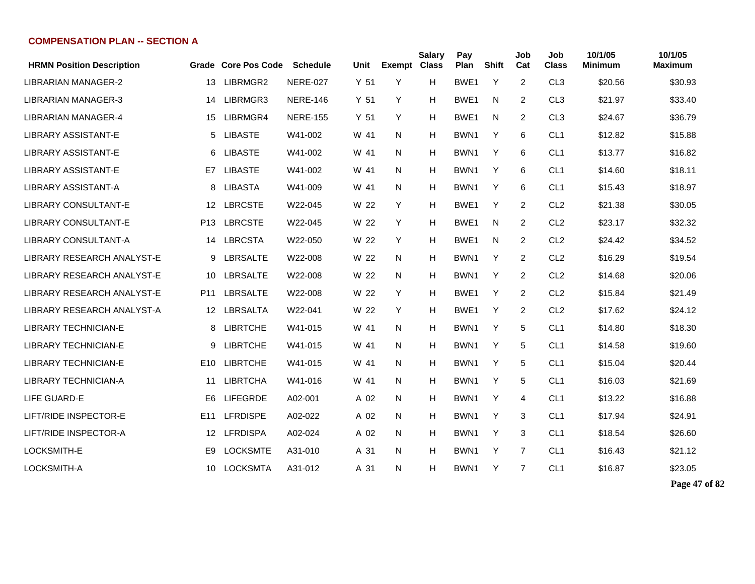| <b>HRMN Position Description</b> |                 | <b>Grade Core Pos Code</b> | <b>Schedule</b> | Unit            | <b>Exempt</b> | <b>Salary</b><br><b>Class</b> | Pay<br>Plan      | <b>Shift</b> | Job<br>Cat     | Job<br><b>Class</b> | 10/1/05<br><b>Minimum</b> | 10/1/05<br><b>Maximum</b> |
|----------------------------------|-----------------|----------------------------|-----------------|-----------------|---------------|-------------------------------|------------------|--------------|----------------|---------------------|---------------------------|---------------------------|
| LIBRARIAN MANAGER-2              | 13              | LIBRMGR2                   | <b>NERE-027</b> | Y <sub>51</sub> | Y             | H                             | BWE1             | Y            | 2              | CL <sub>3</sub>     | \$20.56                   | \$30.93                   |
| <b>LIBRARIAN MANAGER-3</b>       | 14              | LIBRMGR3                   | <b>NERE-146</b> | Y <sub>51</sub> | Y             | H                             | BWE1             | N            | 2              | CL <sub>3</sub>     | \$21.97                   | \$33.40                   |
| <b>LIBRARIAN MANAGER-4</b>       | 15              | LIBRMGR4                   | <b>NERE-155</b> | Y <sub>51</sub> | Y             | H                             | BWE1             | N            | 2              | CL <sub>3</sub>     | \$24.67                   | \$36.79                   |
| <b>LIBRARY ASSISTANT-E</b>       | 5               | <b>LIBASTE</b>             | W41-002         | W 41            | N             | H                             | BWN <sub>1</sub> | Y            | 6              | CL <sub>1</sub>     | \$12.82                   | \$15.88                   |
| <b>LIBRARY ASSISTANT-E</b>       | 6               | <b>LIBASTE</b>             | W41-002         | W 41            | N             | H                             | BWN1             | Y            | 6              | CL <sub>1</sub>     | \$13.77                   | \$16.82                   |
| <b>LIBRARY ASSISTANT-E</b>       | E7              | <b>LIBASTE</b>             | W41-002         | W 41            | N             | H                             | BWN <sub>1</sub> | Y            | 6              | CL <sub>1</sub>     | \$14.60                   | \$18.11                   |
| <b>LIBRARY ASSISTANT-A</b>       | 8               | <b>LIBASTA</b>             | W41-009         | W 41            | N             | H                             | BWN <sub>1</sub> | Y            | 6              | CL <sub>1</sub>     | \$15.43                   | \$18.97                   |
| <b>LIBRARY CONSULTANT-E</b>      | 12              | <b>LBRCSTE</b>             | W22-045         | W 22            | Y             | H                             | BWE1             | Y            | 2              | CL <sub>2</sub>     | \$21.38                   | \$30.05                   |
| <b>LIBRARY CONSULTANT-E</b>      | P13             | <b>LBRCSTE</b>             | W22-045         | W 22            | Y             | H                             | BWE1             | N            | 2              | CL <sub>2</sub>     | \$23.17                   | \$32.32                   |
| <b>LIBRARY CONSULTANT-A</b>      | 14              | <b>LBRCSTA</b>             | W22-050         | W 22            | Y             | H                             | BWE1             | N            | 2              | CL <sub>2</sub>     | \$24.42                   | \$34.52                   |
| LIBRARY RESEARCH ANALYST-E       | 9               | LBRSALTE                   | W22-008         | W 22            | N             | Н                             | BWN1             | Υ            | 2              | CL <sub>2</sub>     | \$16.29                   | \$19.54                   |
| LIBRARY RESEARCH ANALYST-E       | 10              | <b>LBRSALTE</b>            | W22-008         | W 22            | N             | H                             | BWN1             | Υ            | $\overline{2}$ | CL <sub>2</sub>     | \$14.68                   | \$20.06                   |
| LIBRARY RESEARCH ANALYST-E       | P11             | LBRSALTE                   | W22-008         | W 22            | Y             | H                             | BWE1             | Y            | 2              | CL <sub>2</sub>     | \$15.84                   | \$21.49                   |
| LIBRARY RESEARCH ANALYST-A       | 12 <sup>°</sup> | LBRSALTA                   | W22-041         | W 22            | Y             | н                             | BWE1             | Y            | $\overline{2}$ | CL <sub>2</sub>     | \$17.62                   | \$24.12                   |
| <b>LIBRARY TECHNICIAN-E</b>      | 8               | <b>LIBRTCHE</b>            | W41-015         | W 41            | N             | H                             | BWN <sub>1</sub> | Υ            | 5              | CL <sub>1</sub>     | \$14.80                   | \$18.30                   |
| <b>LIBRARY TECHNICIAN-E</b>      | 9               | <b>LIBRTCHE</b>            | W41-015         | W 41            | N             | H                             | BWN <sub>1</sub> | Y            | 5              | CL <sub>1</sub>     | \$14.58                   | \$19.60                   |
| <b>LIBRARY TECHNICIAN-E</b>      | E <sub>10</sub> | <b>LIBRTCHE</b>            | W41-015         | W 41            | N.            | H                             | BWN1             | Y            | 5              | CL <sub>1</sub>     | \$15.04                   | \$20.44                   |
| <b>LIBRARY TECHNICIAN-A</b>      | 11              | <b>LIBRTCHA</b>            | W41-016         | W 41            | N             | H                             | BWN1             | Y            | 5              | CL <sub>1</sub>     | \$16.03                   | \$21.69                   |
| LIFE GUARD-E                     | E <sub>6</sub>  | <b>LIFEGRDE</b>            | A02-001         | A 02            | N             | H                             | BWN <sub>1</sub> | Y            | 4              | CL <sub>1</sub>     | \$13.22                   | \$16.88                   |
| LIFT/RIDE INSPECTOR-E            | E <sub>11</sub> | <b>LFRDISPE</b>            | A02-022         | A 02            | N             | H                             | BWN <sub>1</sub> | Y            | 3              | CL <sub>1</sub>     | \$17.94                   | \$24.91                   |
| LIFT/RIDE INSPECTOR-A            | 12              | <b>LFRDISPA</b>            | A02-024         | A 02            | N.            | H                             | BWN1             | Y            | 3              | CL <sub>1</sub>     | \$18.54                   | \$26.60                   |
| LOCKSMITH-E                      | E <sub>9</sub>  | <b>LOCKSMTE</b>            | A31-010         | A 31            | N             | H                             | BWN1             | Y            | 7              | CL <sub>1</sub>     | \$16.43                   | \$21.12                   |
| LOCKSMITH-A                      | 10              | <b>LOCKSMTA</b>            | A31-012         | A 31            | N             | н                             | BWN1             | Y            | $\overline{7}$ | CL <sub>1</sub>     | \$16.87                   | \$23.05                   |

**Page 47 of 82**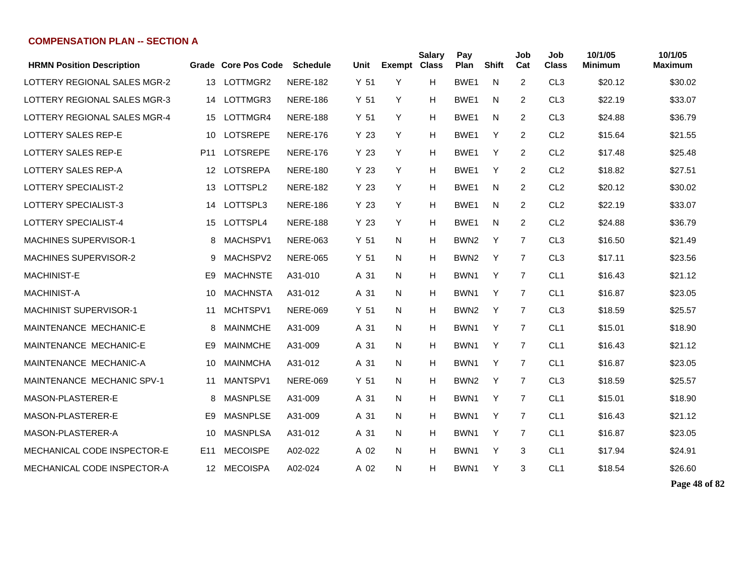| <b>HRMN Position Description</b> |                 | Grade Core Pos Code | <b>Schedule</b> | Unit            | <b>Exempt Class</b> | <b>Salary</b> | Pay<br>Plan      | <b>Shift</b> | Job<br>Cat     | Job<br><b>Class</b> | 10/1/05<br><b>Minimum</b> | 10/1/05<br><b>Maximum</b> |
|----------------------------------|-----------------|---------------------|-----------------|-----------------|---------------------|---------------|------------------|--------------|----------------|---------------------|---------------------------|---------------------------|
| LOTTERY REGIONAL SALES MGR-2     | 13              | LOTTMGR2            | <b>NERE-182</b> | Y 51            | Y                   | H             | BWE1             | N            | 2              | CL <sub>3</sub>     | \$20.12                   | \$30.02                   |
| LOTTERY REGIONAL SALES MGR-3     | 14              | LOTTMGR3            | <b>NERE-186</b> | Y <sub>51</sub> | Y                   | H             | BWE1             | N            | $\overline{2}$ | CL <sub>3</sub>     | \$22.19                   | \$33.07                   |
| LOTTERY REGIONAL SALES MGR-4     | 15              | LOTTMGR4            | <b>NERE-188</b> | Y <sub>51</sub> | Y                   | н             | BWE <sub>1</sub> | N            | $\overline{2}$ | CL <sub>3</sub>     | \$24.88                   | \$36.79                   |
| LOTTERY SALES REP-E              | 10              | <b>LOTSREPE</b>     | <b>NERE-176</b> | Y 23            | Y                   | н             | BWE1             | Y            | $\overline{2}$ | CL <sub>2</sub>     | \$15.64                   | \$21.55                   |
| LOTTERY SALES REP-E              | P <sub>11</sub> | <b>LOTSREPE</b>     | <b>NERE-176</b> | Y 23            | Y                   | н             | BWE <sub>1</sub> | Y            | $\overline{2}$ | CL <sub>2</sub>     | \$17.48                   | \$25.48                   |
| LOTTERY SALES REP-A              | 12              | <b>LOTSREPA</b>     | <b>NERE-180</b> | Y 23            | Y                   | н             | BWE <sub>1</sub> | Y            | $\overline{2}$ | CL <sub>2</sub>     | \$18.82                   | \$27.51                   |
| LOTTERY SPECIALIST-2             | 13              | LOTTSPL2            | <b>NERE-182</b> | Y 23            | Y                   | н             | BWE1             | N            | $\overline{2}$ | CL <sub>2</sub>     | \$20.12                   | \$30.02                   |
| LOTTERY SPECIALIST-3             | 14              | LOTTSPL3            | <b>NERE-186</b> | Y 23            | Y                   | н             | BWE <sub>1</sub> | N            | 2              | CL <sub>2</sub>     | \$22.19                   | \$33.07                   |
| LOTTERY SPECIALIST-4             | 15              | LOTTSPL4            | <b>NERE-188</b> | Y 23            | Y                   | н             | BWE <sub>1</sub> | N            | $\overline{2}$ | CL <sub>2</sub>     | \$24.88                   | \$36.79                   |
| MACHINES SUPERVISOR-1            | 8               | MACHSPV1            | <b>NERE-063</b> | Y <sub>51</sub> | N                   | н             | BWN <sub>2</sub> | Y            | $\overline{7}$ | CL <sub>3</sub>     | \$16.50                   | \$21.49                   |
| <b>MACHINES SUPERVISOR-2</b>     | 9               | MACHSPV2            | <b>NERE-065</b> | Y <sub>51</sub> | N                   | н             | BWN <sub>2</sub> | Y            | $\overline{7}$ | CL <sub>3</sub>     | \$17.11                   | \$23.56                   |
| MACHINIST-E                      | E <sub>9</sub>  | <b>MACHNSTE</b>     | A31-010         | A 31            | N                   | н             | BWN1             | Y            | $\overline{7}$ | CL <sub>1</sub>     | \$16.43                   | \$21.12                   |
| <b>MACHINIST-A</b>               | 10              | <b>MACHNSTA</b>     | A31-012         | A 31            | N                   | н             | BWN1             | Y            | $\overline{7}$ | CL <sub>1</sub>     | \$16.87                   | \$23.05                   |
| <b>MACHINIST SUPERVISOR-1</b>    | 11              | MCHTSPV1            | <b>NERE-069</b> | Y <sub>51</sub> | N                   | н             | BWN <sub>2</sub> | Y            | $\overline{7}$ | CL <sub>3</sub>     | \$18.59                   | \$25.57                   |
| MAINTENANCE MECHANIC-E           | 8               | <b>MAINMCHE</b>     | A31-009         | A 31            | N                   | н             | BWN1             | Y            | $\overline{7}$ | CL <sub>1</sub>     | \$15.01                   | \$18.90                   |
| MAINTENANCE MECHANIC-E           | E <sub>9</sub>  | <b>MAINMCHE</b>     | A31-009         | A 31            | N                   | н             | BWN1             | Y            | $\overline{7}$ | CL <sub>1</sub>     | \$16.43                   | \$21.12                   |
| MAINTENANCE MECHANIC-A           | 10              | <b>MAINMCHA</b>     | A31-012         | A 31            | N                   | н             | BWN1             | Y            | $\overline{7}$ | CL <sub>1</sub>     | \$16.87                   | \$23.05                   |
| MAINTENANCE MECHANIC SPV-1       | 11              | MANTSPV1            | <b>NERE-069</b> | Y <sub>51</sub> | N                   | н             | BWN <sub>2</sub> | Y            | $\overline{7}$ | CL <sub>3</sub>     | \$18.59                   | \$25.57                   |
| MASON-PLASTERER-E                | 8               | <b>MASNPLSE</b>     | A31-009         | A 31            | N                   | н             | BWN1             | Y            | $\overline{7}$ | CL <sub>1</sub>     | \$15.01                   | \$18.90                   |
| MASON-PLASTERER-E                | E <sub>9</sub>  | <b>MASNPLSE</b>     | A31-009         | A 31            | N                   | Н             | BWN1             | Y            | $\overline{7}$ | CL <sub>1</sub>     | \$16.43                   | \$21.12                   |
| MASON-PLASTERER-A                | 10              | <b>MASNPLSA</b>     | A31-012         | A 31            | N                   | н             | BWN1             | Y            | $\overline{7}$ | CL <sub>1</sub>     | \$16.87                   | \$23.05                   |
| MECHANICAL CODE INSPECTOR-E      | E11             | <b>MECOISPE</b>     | A02-022         | A 02            | N                   | н             | BWN1             | Y            | 3              | CL <sub>1</sub>     | \$17.94                   | \$24.91                   |
| MECHANICAL CODE INSPECTOR-A      |                 | 12 MECOISPA         | A02-024         | A 02            | N                   | н             | BWN1             | Y            | 3              | CL <sub>1</sub>     | \$18.54                   | \$26.60                   |

**Page 48 of 82**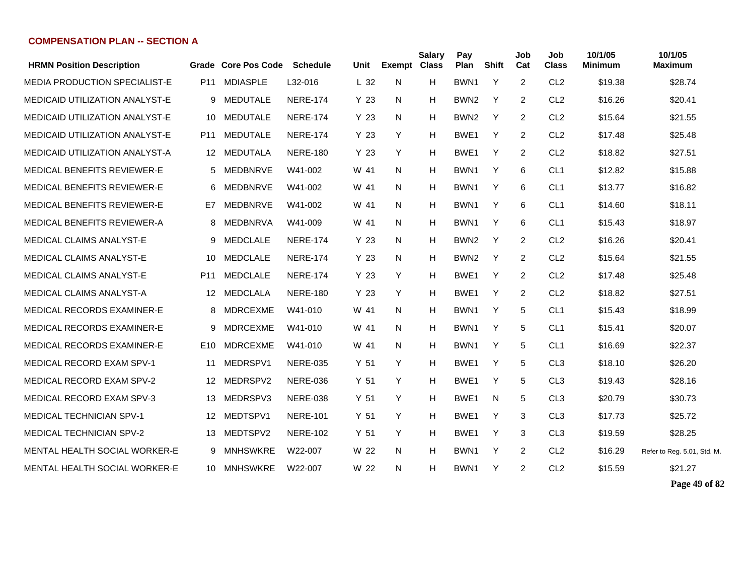| <b>HRMN Position Description</b>      |                 | Grade Core Pos Code | <b>Schedule</b> | Unit            | <b>Exempt Class</b> | <b>Salary</b> | Pay<br>Plan      | <b>Shift</b> | Job<br>Cat     | Job<br><b>Class</b> | 10/1/05<br><b>Minimum</b> | 10/1/05<br><b>Maximum</b>   |
|---------------------------------------|-----------------|---------------------|-----------------|-----------------|---------------------|---------------|------------------|--------------|----------------|---------------------|---------------------------|-----------------------------|
| <b>MEDIA PRODUCTION SPECIALIST-E</b>  | P <sub>11</sub> | <b>MDIASPLE</b>     | L32-016         | L <sub>32</sub> | N                   | H             | BWN1             | Y            | 2              | CL <sub>2</sub>     | \$19.38                   | \$28.74                     |
|                                       |                 |                     |                 |                 |                     |               |                  |              |                |                     |                           |                             |
| <b>MEDICAID UTILIZATION ANALYST-E</b> | 9               | <b>MEDUTALE</b>     | <b>NERE-174</b> | Y 23            | N                   | н             | BWN <sub>2</sub> | Y            | 2              | CL <sub>2</sub>     | \$16.26                   | \$20.41                     |
| <b>MEDICAID UTILIZATION ANALYST-E</b> | 10              | <b>MEDUTALE</b>     | <b>NERE-174</b> | Y 23            | N                   | H             | BWN <sub>2</sub> | Y            | 2              | CL <sub>2</sub>     | \$15.64                   | \$21.55                     |
| <b>MEDICAID UTILIZATION ANALYST-E</b> | P <sub>11</sub> | <b>MEDUTALE</b>     | <b>NERE-174</b> | Y <sub>23</sub> | Y                   | H             | BWE <sub>1</sub> | Y            | 2              | CL <sub>2</sub>     | \$17.48                   | \$25.48                     |
| <b>MEDICAID UTILIZATION ANALYST-A</b> | 12              | MEDUTALA            | <b>NERE-180</b> | Y <sub>23</sub> | Y                   | H             | BWE <sub>1</sub> | Y            | $\overline{2}$ | CL <sub>2</sub>     | \$18.82                   | \$27.51                     |
| <b>MEDICAL BENEFITS REVIEWER-E</b>    | 5               | MEDBNRVE            | W41-002         | W 41            | N                   | H             | BWN <sub>1</sub> | Y            | 6              | CL <sub>1</sub>     | \$12.82                   | \$15.88                     |
| MEDICAL BENEFITS REVIEWER-E           | 6               | MEDBNRVE            | W41-002         | W 41            | N.                  | Н             | BWN <sub>1</sub> | Y            | 6              | CL <sub>1</sub>     | \$13.77                   | \$16.82                     |
| MEDICAL BENEFITS REVIEWER-E           | E7              | <b>MEDBNRVE</b>     | W41-002         | W 41            | N                   | H             | BWN <sub>1</sub> | Y            | 6              | CL <sub>1</sub>     | \$14.60                   | \$18.11                     |
| MEDICAL BENEFITS REVIEWER-A           | 8               | <b>MEDBNRVA</b>     | W41-009         | W 41            | N                   | H             | BWN1             | Y            | 6              | CL <sub>1</sub>     | \$15.43                   | \$18.97                     |
| <b>MEDICAL CLAIMS ANALYST-E</b>       | 9               | <b>MEDCLALE</b>     | <b>NERE-174</b> | Y <sub>23</sub> | N                   | H             | BWN <sub>2</sub> | Y            | 2              | CL <sub>2</sub>     | \$16.26                   | \$20.41                     |
| <b>MEDICAL CLAIMS ANALYST-E</b>       | 10              | <b>MEDCLALE</b>     | <b>NERE-174</b> | Y <sub>23</sub> | N                   | H             | BWN <sub>2</sub> | Y            | 2              | CL <sub>2</sub>     | \$15.64                   | \$21.55                     |
| <b>MEDICAL CLAIMS ANALYST-E</b>       | P <sub>11</sub> | <b>MEDCLALE</b>     | <b>NERE-174</b> | Y 23            | Y                   | н             | BWE <sub>1</sub> | Y            | 2              | CL <sub>2</sub>     | \$17.48                   | \$25.48                     |
| MEDICAL CLAIMS ANALYST-A              | 12              | MEDCLALA            | <b>NERE-180</b> | Y 23            | Y                   | H             | BWE <sub>1</sub> | Y            | 2              | CL <sub>2</sub>     | \$18.82                   | \$27.51                     |
| MEDICAL RECORDS EXAMINER-E            | 8               | <b>MDRCEXME</b>     | W41-010         | W 41            | N.                  | н             | BWN1             | Y            | 5              | CL <sub>1</sub>     | \$15.43                   | \$18.99                     |
| MEDICAL RECORDS EXAMINER-E            | 9               | <b>MDRCEXME</b>     | W41-010         | W 41            | N                   | н             | BWN1             | Y            | 5              | CL <sub>1</sub>     | \$15.41                   | \$20.07                     |
| MEDICAL RECORDS EXAMINER-E            | E <sub>10</sub> | <b>MDRCEXME</b>     | W41-010         | W 41            | N                   | H             | BWN1             | Y            | 5              | CL <sub>1</sub>     | \$16.69                   | \$22.37                     |
| MEDICAL RECORD EXAM SPV-1             | 11              | MEDRSPV1            | <b>NERE-035</b> | Y <sub>51</sub> | Y                   | H             | BWE1             | Y            | 5              | CL <sub>3</sub>     | \$18.10                   | \$26.20                     |
| MEDICAL RECORD EXAM SPV-2             | 12 <sup>°</sup> | MEDRSPV2            | <b>NERE-036</b> | Y <sub>51</sub> | Y                   | H             | BWE <sub>1</sub> | Y            | 5              | CL <sub>3</sub>     | \$19.43                   | \$28.16                     |
| <b>MEDICAL RECORD EXAM SPV-3</b>      | 13              | MEDRSPV3            | <b>NERE-038</b> | Y <sub>51</sub> | Y                   | H             | BWE <sub>1</sub> | N            | 5              | CL <sub>3</sub>     | \$20.79                   | \$30.73                     |
| <b>MEDICAL TECHNICIAN SPV-1</b>       | 12              | MEDTSPV1            | <b>NERE-101</b> | Y 51            | Y                   | H             | BWE <sub>1</sub> | Y            | 3              | CL <sub>3</sub>     | \$17.73                   | \$25.72                     |
| <b>MEDICAL TECHNICIAN SPV-2</b>       | 13              | MEDTSPV2            | <b>NERE-102</b> | Y 51            | Y                   | H             | BWE <sub>1</sub> | Y            | 3              | CL <sub>3</sub>     | \$19.59                   | \$28.25                     |
| <b>MENTAL HEALTH SOCIAL WORKER-E</b>  | 9               | <b>MNHSWKRE</b>     | W22-007         | W 22            | N                   | н             | BWN <sub>1</sub> | Y            | 2              | CL <sub>2</sub>     | \$16.29                   | Refer to Reg. 5.01, Std. M. |
| MENTAL HEALTH SOCIAL WORKER-E         |                 | 10 MNHSWKRE         | W22-007         | W 22            | N                   | H             | BWN1             | Y            | 2              | CL <sub>2</sub>     | \$15.59                   | \$21.27                     |
|                                       |                 |                     |                 |                 |                     |               |                  |              |                |                     |                           |                             |

**Page 49 of 82**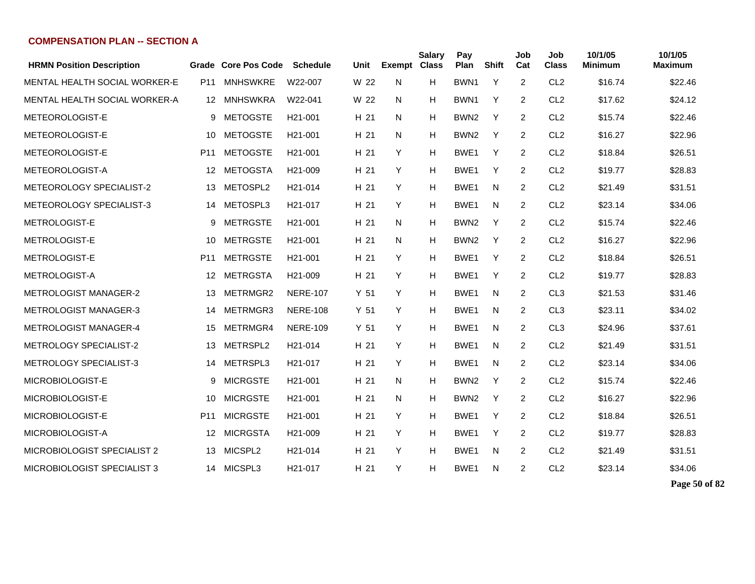| <b>HRMN Position Description</b> |                 | Grade Core Pos Code | <b>Schedule</b>      | Unit            | <b>Exempt Class</b> | <b>Salary</b> | Pay<br>Plan      | <b>Shift</b> | Job<br>Cat     | Job<br><b>Class</b> | 10/1/05<br><b>Minimum</b> | 10/1/05<br><b>Maximum</b> |
|----------------------------------|-----------------|---------------------|----------------------|-----------------|---------------------|---------------|------------------|--------------|----------------|---------------------|---------------------------|---------------------------|
| MENTAL HEALTH SOCIAL WORKER-E    | P <sub>11</sub> | <b>MNHSWKRE</b>     | W22-007              | W 22            | N                   | H             | BWN1             | Y            | 2              | CL <sub>2</sub>     | \$16.74                   | \$22.46                   |
| MENTAL HEALTH SOCIAL WORKER-A    | 12              | <b>MNHSWKRA</b>     | W22-041              | W 22            | N                   | Н             | BWN <sub>1</sub> | Y            | 2              | CL <sub>2</sub>     | \$17.62                   | \$24.12                   |
| METEOROLOGIST-E                  | 9               | <b>METOGSTE</b>     | H <sub>21</sub> -001 | H 21            | N                   | н             | BWN <sub>2</sub> | Y            | 2              | CL <sub>2</sub>     | \$15.74                   | \$22.46                   |
| METEOROLOGIST-E                  | 10              | <b>METOGSTE</b>     | H <sub>21</sub> -001 | H 21            | N                   | H             | BWN <sub>2</sub> | Y            | 2              | CL <sub>2</sub>     | \$16.27                   | \$22.96                   |
| METEOROLOGIST-E                  | P <sub>11</sub> | <b>METOGSTE</b>     | H <sub>21</sub> -001 | H 21            | Y                   | H             | BWE <sub>1</sub> | Y            | 2              | CL <sub>2</sub>     | \$18.84                   | \$26.51                   |
| METEOROLOGIST-A                  | 12              | <b>METOGSTA</b>     | H <sub>21</sub> -009 | H 21            | Y                   | H             | BWE <sub>1</sub> | Y            | 2              | CL <sub>2</sub>     | \$19.77                   | \$28.83                   |
| METEOROLOGY SPECIALIST-2         | 13              | METOSPL2            | H21-014              | H 21            | Y                   | H             | BWE <sub>1</sub> | N            | $\overline{c}$ | CL <sub>2</sub>     | \$21.49                   | \$31.51                   |
| METEOROLOGY SPECIALIST-3         | 14              | METOSPL3            | H <sub>21</sub> -017 | H 21            | Y                   | н             | BWE <sub>1</sub> | N            | $\overline{c}$ | CL <sub>2</sub>     | \$23.14                   | \$34.06                   |
| <b>METROLOGIST-E</b>             | 9               | <b>METRGSTE</b>     | H <sub>21</sub> -001 | H 21            | N                   | н             | BWN <sub>2</sub> | Y            | 2              | CL <sub>2</sub>     | \$15.74                   | \$22.46                   |
| <b>METROLOGIST-E</b>             | 10              | <b>METRGSTE</b>     | H <sub>21</sub> -001 | H 21            | N                   | н             | BWN <sub>2</sub> | Y            | 2              | CL <sub>2</sub>     | \$16.27                   | \$22.96                   |
| <b>METROLOGIST-E</b>             | P <sub>11</sub> | <b>METRGSTE</b>     | H <sub>21</sub> -001 | H 21            | Y                   | н             | BWE <sub>1</sub> | Y            | 2              | CL <sub>2</sub>     | \$18.84                   | \$26.51                   |
| METROLOGIST-A                    | 12              | METRGSTA            | H <sub>21</sub> -009 | H 21            | Y                   | н             | BWE <sub>1</sub> | Y            | 2              | CL <sub>2</sub>     | \$19.77                   | \$28.83                   |
| <b>METROLOGIST MANAGER-2</b>     | 13              | METRMGR2            | <b>NERE-107</b>      | Y <sub>51</sub> | Y                   | н             | BWE <sub>1</sub> | N            | 2              | CL <sub>3</sub>     | \$21.53                   | \$31.46                   |
| <b>METROLOGIST MANAGER-3</b>     | 14              | METRMGR3            | <b>NERE-108</b>      | Y <sub>51</sub> | Y                   | H             | BWE1             | N            | 2              | CL <sub>3</sub>     | \$23.11                   | \$34.02                   |
| <b>METROLOGIST MANAGER-4</b>     | 15              | METRMGR4            | <b>NERE-109</b>      | Y 51            | Y                   | H             | BWE <sub>1</sub> | N            | 2              | CL <sub>3</sub>     | \$24.96                   | \$37.61                   |
| <b>METROLOGY SPECIALIST-2</b>    | 13              | METRSPL2            | H21-014              | H 21            | Y                   | H             | BWE <sub>1</sub> | N            | 2              | CL <sub>2</sub>     | \$21.49                   | \$31.51                   |
| <b>METROLOGY SPECIALIST-3</b>    | 14              | METRSPL3            | H <sub>21</sub> -017 | H 21            | Y                   | H             | BWE <sub>1</sub> | N            | 2              | CL <sub>2</sub>     | \$23.14                   | \$34.06                   |
| MICROBIOLOGIST-E                 | 9               | <b>MICRGSTE</b>     | H <sub>21</sub> -001 | H 21            | N                   | н             | BWN <sub>2</sub> | Y            | 2              | CL <sub>2</sub>     | \$15.74                   | \$22.46                   |
| MICROBIOLOGIST-E                 | 10              | <b>MICRGSTE</b>     | H <sub>21</sub> -001 | H 21            | N                   | H             | BWN <sub>2</sub> | Y            | $\overline{2}$ | CL <sub>2</sub>     | \$16.27                   | \$22.96                   |
| MICROBIOLOGIST-E                 | P <sub>11</sub> | <b>MICRGSTE</b>     | H <sub>21</sub> -001 | H 21            | Y                   | H             | BWE <sub>1</sub> | Y            | 2              | CL <sub>2</sub>     | \$18.84                   | \$26.51                   |
| MICROBIOLOGIST-A                 | 12              | <b>MICRGSTA</b>     | H <sub>21</sub> -009 | H 21            | Y                   | H             | BWE <sub>1</sub> | Y            | $\overline{2}$ | CL <sub>2</sub>     | \$19.77                   | \$28.83                   |
| MICROBIOLOGIST SPECIALIST 2      | 13              | MICSPL2             | H21-014              | H 21            | Y                   | H             | BWE1             | N            | $\overline{2}$ | CL <sub>2</sub>     | \$21.49                   | \$31.51                   |
| MICROBIOLOGIST SPECIALIST 3      | 14              | MICSPL3             | H21-017              | H 21            | Y                   | H             | BWE1             | N            | $\overline{c}$ | CL <sub>2</sub>     | \$23.14                   | \$34.06                   |

**Page 50 of 82**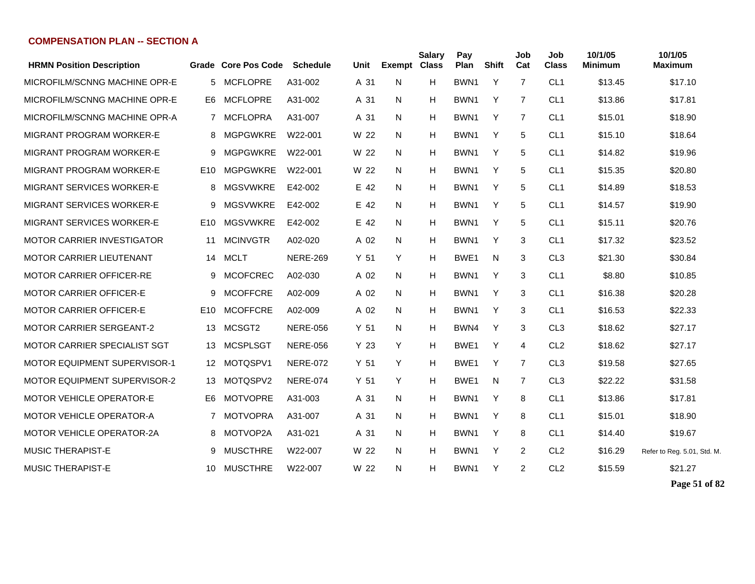| <b>HRMN Position Description</b>    | Grade           | <b>Core Pos Code</b> | <b>Schedule</b> | Unit            | <b>Exempt Class</b> | <b>Salary</b> | Pay<br>Plan      | <b>Shift</b> | Job<br>Cat | Job<br><b>Class</b> | 10/1/05<br>Minimum | 10/1/05<br>Maximum          |
|-------------------------------------|-----------------|----------------------|-----------------|-----------------|---------------------|---------------|------------------|--------------|------------|---------------------|--------------------|-----------------------------|
| MICROFILM/SCNNG MACHINE OPR-E       | 5               | <b>MCFLOPRE</b>      | A31-002         | A 31            | N                   | H             | BWN <sub>1</sub> | Y            | 7          | CL <sub>1</sub>     | \$13.45            | \$17.10                     |
| MICROFILM/SCNNG MACHINE OPR-E       | E6.             | <b>MCFLOPRE</b>      | A31-002         | A 31            | N                   | Н             | BWN <sub>1</sub> | Y            | 7          | CL <sub>1</sub>     | \$13.86            | \$17.81                     |
| MICROFILM/SCNNG MACHINE OPR-A       | 7               | <b>MCFLOPRA</b>      | A31-007         | A 31            | N.                  | H             | BWN <sub>1</sub> | Y            | 7          | CL <sub>1</sub>     | \$15.01            | \$18.90                     |
| MIGRANT PROGRAM WORKER-E            | 8               | MGPGWKRE             | W22-001         | W 22            | N                   | H             | BWN <sub>1</sub> | Y            | 5          | CL <sub>1</sub>     | \$15.10            | \$18.64                     |
| MIGRANT PROGRAM WORKER-E            | 9               | <b>MGPGWKRE</b>      | W22-001         | W 22            | N.                  | Н             | BWN <sub>1</sub> | Y            | 5          | CL <sub>1</sub>     | \$14.82            | \$19.96                     |
| MIGRANT PROGRAM WORKER-E            | E10             | <b>MGPGWKRE</b>      | W22-001         | W 22            | N                   | H             | BWN <sub>1</sub> | Y            | 5          | CL <sub>1</sub>     | \$15.35            | \$20.80                     |
| MIGRANT SERVICES WORKER-E           | 8               | <b>MGSVWKRE</b>      | E42-002         | E 42            | N                   | н             | BWN1             | Y            | 5          | CL <sub>1</sub>     | \$14.89            | \$18.53                     |
| <b>MIGRANT SERVICES WORKER-E</b>    | 9               | <b>MGSVWKRE</b>      | E42-002         | E 42            | N                   | н             | BWN <sub>1</sub> | Y            | 5          | CL <sub>1</sub>     | \$14.57            | \$19.90                     |
| <b>MIGRANT SERVICES WORKER-E</b>    | E <sub>10</sub> | <b>MGSVWKRE</b>      | E42-002         | E 42            | N                   | н             | BWN <sub>1</sub> | Y            | 5          | CL <sub>1</sub>     | \$15.11            | \$20.76                     |
| <b>MOTOR CARRIER INVESTIGATOR</b>   | 11              | <b>MCINVGTR</b>      | A02-020         | A 02            | N                   | н             | BWN <sub>1</sub> | Y            | 3          | CL <sub>1</sub>     | \$17.32            | \$23.52                     |
| <b>MOTOR CARRIER LIEUTENANT</b>     | 14              | <b>MCLT</b>          | <b>NERE-269</b> | Y <sub>51</sub> | Υ                   | H             | BWE1             | N            | 3          | CL <sub>3</sub>     | \$21.30            | \$30.84                     |
| <b>MOTOR CARRIER OFFICER-RE</b>     | 9               | <b>MCOFCREC</b>      | A02-030         | A 02            | N                   | H             | BWN <sub>1</sub> | Y            | 3          | CL <sub>1</sub>     | \$8.80             | \$10.85                     |
| <b>MOTOR CARRIER OFFICER-E</b>      | 9               | <b>MCOFFCRE</b>      | A02-009         | A 02            | N                   | H             | BWN1             | Y            | 3          | CL <sub>1</sub>     | \$16.38            | \$20.28                     |
| <b>MOTOR CARRIER OFFICER-E</b>      | E <sub>10</sub> | <b>MCOFFCRE</b>      | A02-009         | A 02            | N                   | H             | BWN <sub>1</sub> | Y            | 3          | CL <sub>1</sub>     | \$16.53            | \$22.33                     |
| <b>MOTOR CARRIER SERGEANT-2</b>     | 13              | MCSGT2               | <b>NERE-056</b> | Y 51            | N                   | H             | BWN4             | Y            | 3          | CL <sub>3</sub>     | \$18.62            | \$27.17                     |
| <b>MOTOR CARRIER SPECIALIST SGT</b> | 13              | <b>MCSPLSGT</b>      | <b>NERE-056</b> | Y <sub>23</sub> | Y                   | H             | BWE <sub>1</sub> | Y            | 4          | CL <sub>2</sub>     | \$18.62            | \$27.17                     |
| <b>MOTOR EQUIPMENT SUPERVISOR-1</b> | 12              | MOTQSPV1             | <b>NERE-072</b> | Y <sub>51</sub> | Y                   | H             | BWE1             | Y            | 7          | CL <sub>3</sub>     | \$19.58            | \$27.65                     |
| <b>MOTOR EQUIPMENT SUPERVISOR-2</b> | 13              | MOTQSPV2             | <b>NERE-074</b> | Y <sub>51</sub> | Y                   | H             | BWE <sub>1</sub> | N            | 7          | CL <sub>3</sub>     | \$22.22            | \$31.58                     |
| <b>MOTOR VEHICLE OPERATOR-E</b>     | E6              | <b>MOTVOPRE</b>      | A31-003         | A 31            | N                   | H             | BWN <sub>1</sub> | Y            | 8          | CL <sub>1</sub>     | \$13.86            | \$17.81                     |
| <b>MOTOR VEHICLE OPERATOR-A</b>     | 7               | <b>MOTVOPRA</b>      | A31-007         | A 31            | N                   | H             | BWN <sub>1</sub> | Y            | 8          | CL <sub>1</sub>     | \$15.01            | \$18.90                     |
| <b>MOTOR VEHICLE OPERATOR-2A</b>    | 8               | MOTVOP2A             | A31-021         | A 31            | N                   | H             | BWN <sub>1</sub> | Y            | 8          | CL <sub>1</sub>     | \$14.40            | \$19.67                     |
| <b>MUSIC THERAPIST-E</b>            | 9               | <b>MUSCTHRE</b>      | W22-007         | W 22            | N                   | H             | BWN <sub>1</sub> | Y            | 2          | CL <sub>2</sub>     | \$16.29            | Refer to Reg. 5.01, Std. M. |
| <b>MUSIC THERAPIST-E</b>            | 10              | <b>MUSCTHRE</b>      | W22-007         | W 22            | N                   | H             | BWN1             | Y            | 2          | CL <sub>2</sub>     | \$15.59            | \$21.27                     |

**Page 51 of 82**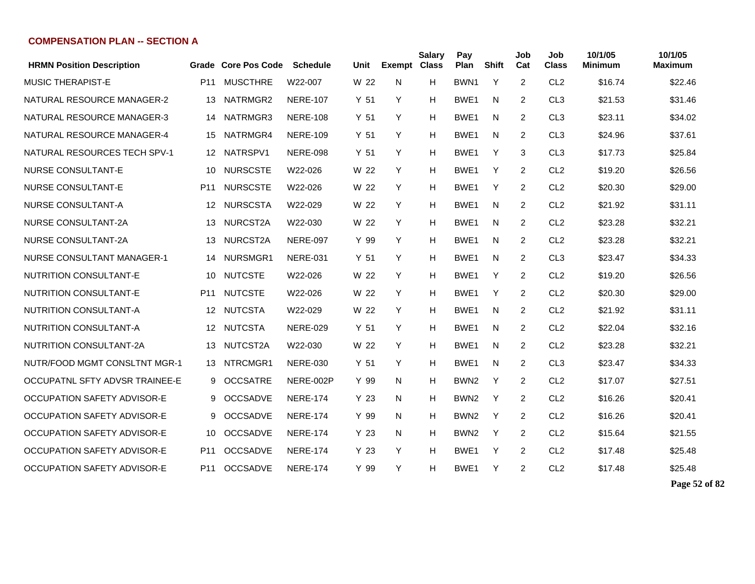| <b>HRMN Position Description</b>  | Grade           | <b>Core Pos Code</b> | <b>Schedule</b> | Unit            | <b>Exempt</b> | <b>Salary</b><br><b>Class</b> | Pay<br>Plan      | <b>Shift</b> | Job<br>Cat     | Job<br><b>Class</b> | 10/1/05<br><b>Minimum</b> | 10/1/05<br>Maximum |
|-----------------------------------|-----------------|----------------------|-----------------|-----------------|---------------|-------------------------------|------------------|--------------|----------------|---------------------|---------------------------|--------------------|
| <b>MUSIC THERAPIST-E</b>          | P11             | <b>MUSCTHRE</b>      | W22-007         | W 22            | N             | H                             | BWN <sub>1</sub> | Y            | 2              | CL <sub>2</sub>     | \$16.74                   | \$22.46            |
| NATURAL RESOURCE MANAGER-2        | 13              | NATRMGR2             | <b>NERE-107</b> | Y <sub>51</sub> | Y             | H                             | BWE1             | N            | 2              | CL <sub>3</sub>     | \$21.53                   | \$31.46            |
| NATURAL RESOURCE MANAGER-3        | 14              | NATRMGR3             | <b>NERE-108</b> | Y <sub>51</sub> | Y             | H                             | BWE <sub>1</sub> | N            | 2              | CL <sub>3</sub>     | \$23.11                   | \$34.02            |
| NATURAL RESOURCE MANAGER-4        | 15              | NATRMGR4             | <b>NERE-109</b> | Y <sub>51</sub> | Y             | H                             | BWE1             | N            | $\overline{2}$ | CL <sub>3</sub>     | \$24.96                   | \$37.61            |
| NATURAL RESOURCES TECH SPV-1      | 12              | NATRSPV1             | <b>NERE-098</b> | Y <sub>51</sub> | Y             | H                             | BWE1             | Y            | 3              | CL <sub>3</sub>     | \$17.73                   | \$25.84            |
| <b>NURSE CONSULTANT-E</b>         | 10              | <b>NURSCSTE</b>      | W22-026         | W 22            | Y             | H                             | BWE1             | Y            | $\overline{2}$ | CL <sub>2</sub>     | \$19.20                   | \$26.56            |
| <b>NURSE CONSULTANT-E</b>         | P <sub>11</sub> | <b>NURSCSTE</b>      | W22-026         | W 22            | Y             | H                             | BWE1             | Y            | 2              | CL <sub>2</sub>     | \$20.30                   | \$29.00            |
| NURSE CONSULTANT-A                | 12              | <b>NURSCSTA</b>      | W22-029         | W 22            | Y             | H                             | BWE1             | N            | 2              | CL <sub>2</sub>     | \$21.92                   | \$31.11            |
| <b>NURSE CONSULTANT-2A</b>        | 13              | NURCST2A             | W22-030         | W 22            | Y             | H                             | BWE1             | N            | 2              | CL <sub>2</sub>     | \$23.28                   | \$32.21            |
| <b>NURSE CONSULTANT-2A</b>        | 13              | NURCST2A             | <b>NERE-097</b> | Y 99            | Y             | H                             | BWE <sub>1</sub> | N            | $\overline{2}$ | CL <sub>2</sub>     | \$23.28                   | \$32.21            |
| <b>NURSE CONSULTANT MANAGER-1</b> | 14              | NURSMGR1             | <b>NERE-031</b> | Y <sub>51</sub> | Y             | H                             | BWE1             | N            | 2              | CL <sub>3</sub>     | \$23.47                   | \$34.33            |
| <b>NUTRITION CONSULTANT-E</b>     | 10              | <b>NUTCSTE</b>       | W22-026         | W 22            | Y             | H                             | BWE <sub>1</sub> | Y            | 2              | CL <sub>2</sub>     | \$19.20                   | \$26.56            |
| <b>NUTRITION CONSULTANT-E</b>     | P11             | <b>NUTCSTE</b>       | W22-026         | W 22            | Y             | H                             | BWE1             | Υ            | 2              | CL <sub>2</sub>     | \$20.30                   | \$29.00            |
| NUTRITION CONSULTANT-A            | 12              | <b>NUTCSTA</b>       | W22-029         | W 22            | Y             | H                             | BWE <sub>1</sub> | N            | 2              | CL <sub>2</sub>     | \$21.92                   | \$31.11            |
| NUTRITION CONSULTANT-A            | 12              | <b>NUTCSTA</b>       | <b>NERE-029</b> | Y <sub>51</sub> | Y             | H                             | BWE1             | N            | $\overline{2}$ | CL <sub>2</sub>     | \$22.04                   | \$32.16            |
| <b>NUTRITION CONSULTANT-2A</b>    | 13              | NUTCST2A             | W22-030         | W 22            | Y             | H                             | BWE1             | N            | $\overline{2}$ | CL <sub>2</sub>     | \$23.28                   | \$32.21            |
| NUTR/FOOD MGMT CONSLTNT MGR-1     | 13              | NTRCMGR1             | <b>NERE-030</b> | Y 51            | Y             | H                             | BWE1             | N            | 2              | CL <sub>3</sub>     | \$23.47                   | \$34.33            |
| OCCUPATNL SFTY ADVSR TRAINEE-E    | 9               | <b>OCCSATRE</b>      | NERE-002P       | Y 99            | N             | H                             | BWN <sub>2</sub> | Y            | 2              | CL <sub>2</sub>     | \$17.07                   | \$27.51            |
| OCCUPATION SAFETY ADVISOR-E       | 9               | <b>OCCSADVE</b>      | <b>NERE-174</b> | Y 23            | N             | H                             | BWN <sub>2</sub> | Y            | 2              | CL <sub>2</sub>     | \$16.26                   | \$20.41            |
| OCCUPATION SAFETY ADVISOR-E       | 9               | <b>OCCSADVE</b>      | <b>NERE-174</b> | Y 99            | N             | H                             | BWN <sub>2</sub> | Y            | 2              | CL <sub>2</sub>     | \$16.26                   | \$20.41            |
| OCCUPATION SAFETY ADVISOR-E       | 10              | <b>OCCSADVE</b>      | <b>NERE-174</b> | Y 23            | N             | H                             | BWN <sub>2</sub> | Y            | 2              | CL <sub>2</sub>     | \$15.64                   | \$21.55            |
| OCCUPATION SAFETY ADVISOR-E       | P11             | <b>OCCSADVE</b>      | <b>NERE-174</b> | Y <sub>23</sub> | Y             | Н                             | BWE1             | Υ            | $\overline{2}$ | CL <sub>2</sub>     | \$17.48                   | \$25.48            |
| OCCUPATION SAFETY ADVISOR-E       | P11             | <b>OCCSADVE</b>      | <b>NERE-174</b> | Y 99            | Y             | H                             | BWE <sub>1</sub> | Y            | 2              | CL <sub>2</sub>     | \$17.48                   | \$25.48            |

**Page 52 of 82**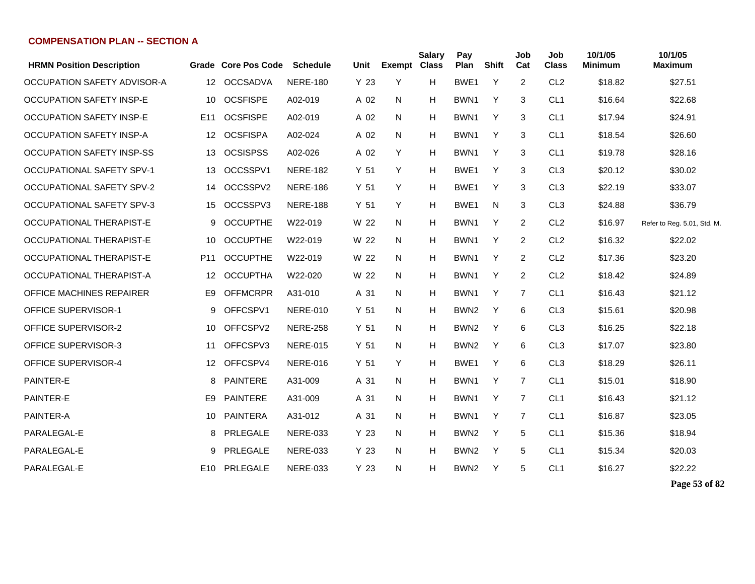| <b>HRMN Position Description</b> | Grade           | <b>Core Pos Code</b> | <b>Schedule</b> | Unit | <b>Exempt Class</b> | <b>Salary</b> | Pay<br>Plan      | Shift | Job<br>Cat     | Job<br><b>Class</b> | 10/1/05<br><b>Minimum</b> | 10/1/05<br><b>Maximum</b>   |
|----------------------------------|-----------------|----------------------|-----------------|------|---------------------|---------------|------------------|-------|----------------|---------------------|---------------------------|-----------------------------|
| OCCUPATION SAFETY ADVISOR-A      | 12              | <b>OCCSADVA</b>      | <b>NERE-180</b> | Y 23 | Y                   | H.            | BWE1             | Y     | 2              | CL <sub>2</sub>     | \$18.82                   | \$27.51                     |
| <b>OCCUPATION SAFETY INSP-E</b>  | 10              | <b>OCSFISPE</b>      | A02-019         | A 02 | N                   | н             | BWN1             | Y     | 3              | CL <sub>1</sub>     | \$16.64                   | \$22.68                     |
| OCCUPATION SAFETY INSP-E         | E <sub>11</sub> | <b>OCSFISPE</b>      | A02-019         | A 02 | N                   | н             | BWN <sub>1</sub> | Y     | 3              | CL <sub>1</sub>     | \$17.94                   | \$24.91                     |
| OCCUPATION SAFETY INSP-A         | 12              | <b>OCSFISPA</b>      | A02-024         | A 02 | N                   | н             | BWN <sub>1</sub> | Y     | 3              | CL <sub>1</sub>     | \$18.54                   | \$26.60                     |
| <b>OCCUPATION SAFETY INSP-SS</b> | 13              | <b>OCSISPSS</b>      | A02-026         | A 02 | Y                   | н             | BWN <sub>1</sub> | Y     | 3              | CL <sub>1</sub>     | \$19.78                   | \$28.16                     |
| <b>OCCUPATIONAL SAFETY SPV-1</b> | 13              | OCCSSPV1             | <b>NERE-182</b> | Y 51 | Y                   | н             | BWE <sub>1</sub> | Y     | 3              | CL <sub>3</sub>     | \$20.12                   | \$30.02                     |
| <b>OCCUPATIONAL SAFETY SPV-2</b> | 14              | OCCSSPV2             | <b>NERE-186</b> | Y 51 | Y                   | н             | BWE <sub>1</sub> | Y     | 3              | CL <sub>3</sub>     | \$22.19                   | \$33.07                     |
| <b>OCCUPATIONAL SAFETY SPV-3</b> | 15              | OCCSSPV3             | <b>NERE-188</b> | Y 51 | Y                   | H.            | BWE <sub>1</sub> | N     | 3              | CL <sub>3</sub>     | \$24.88                   | \$36.79                     |
| OCCUPATIONAL THERAPIST-E         | 9               | <b>OCCUPTHE</b>      | W22-019         | W 22 | N                   | н             | BWN <sub>1</sub> | Y     | $\overline{2}$ | CL <sub>2</sub>     | \$16.97                   | Refer to Reg. 5.01, Std. M. |
| OCCUPATIONAL THERAPIST-E         | 10              | <b>OCCUPTHE</b>      | W22-019         | W 22 | N                   | H.            | BWN <sub>1</sub> | Y     | $\overline{2}$ | CL <sub>2</sub>     | \$16.32                   | \$22.02                     |
| OCCUPATIONAL THERAPIST-E         | P <sub>11</sub> | <b>OCCUPTHE</b>      | W22-019         | W 22 | N                   | н             | BWN <sub>1</sub> | Y     | 2              | CL <sub>2</sub>     | \$17.36                   | \$23.20                     |
| OCCUPATIONAL THERAPIST-A         | 12              | <b>OCCUPTHA</b>      | W22-020         | W 22 | N                   | H.            | BWN <sub>1</sub> | Y     | $\overline{2}$ | CL <sub>2</sub>     | \$18.42                   | \$24.89                     |
| OFFICE MACHINES REPAIRER         | E9              | <b>OFFMCRPR</b>      | A31-010         | A 31 | N                   | H.            | BWN1             | Y     | 7              | CL <sub>1</sub>     | \$16.43                   | \$21.12                     |
| <b>OFFICE SUPERVISOR-1</b>       | 9               | OFFCSPV1             | <b>NERE-010</b> | Y 51 | N.                  | н             | BWN <sub>2</sub> | Y     | 6              | CL <sub>3</sub>     | \$15.61                   | \$20.98                     |
| OFFICE SUPERVISOR-2              | 10              | OFFCSPV2             | <b>NERE-258</b> | Y 51 | N                   | н             | BWN <sub>2</sub> | Y     | 6              | CL <sub>3</sub>     | \$16.25                   | \$22.18                     |
| OFFICE SUPERVISOR-3              | 11              | OFFCSPV3             | <b>NERE-015</b> | Y 51 | N                   | H.            | BWN <sub>2</sub> | Y     | 6              | CL <sub>3</sub>     | \$17.07                   | \$23.80                     |
| OFFICE SUPERVISOR-4              | 12              | OFFCSPV4             | <b>NERE-016</b> | Y 51 | Y                   | H.            | BWE1             | Y     | 6              | CL <sub>3</sub>     | \$18.29                   | \$26.11                     |
| PAINTER-E                        | 8               | PAINTERE             | A31-009         | A 31 | N                   | н             | BWN <sub>1</sub> | Y     | 7              | CL <sub>1</sub>     | \$15.01                   | \$18.90                     |
| <b>PAINTER-E</b>                 | E9              | PAINTERE             | A31-009         | A 31 | N                   | н             | BWN <sub>1</sub> | Y     | 7              | CL <sub>1</sub>     | \$16.43                   | \$21.12                     |
| PAINTER-A                        | 10              | PAINTERA             | A31-012         | A 31 | N                   | н             | BWN <sub>1</sub> | Y     | 7              | CL <sub>1</sub>     | \$16.87                   | \$23.05                     |
| PARALEGAL-E                      | 8               | PRLEGALE             | <b>NERE-033</b> | Y 23 | N                   | н             | BWN <sub>2</sub> | Y     | 5              | CL <sub>1</sub>     | \$15.36                   | \$18.94                     |
| PARALEGAL-E                      | 9               | PRLEGALE             | <b>NERE-033</b> | Y 23 | N                   | н             | BWN <sub>2</sub> | Y     | 5              | CL <sub>1</sub>     | \$15.34                   | \$20.03                     |
| PARALEGAL-E                      | E10             | PRLEGALE             | <b>NERE-033</b> | Y 23 | N                   | H.            | BWN <sub>2</sub> | Y     | 5              | CL <sub>1</sub>     | \$16.27                   | \$22.22                     |
|                                  |                 |                      |                 |      |                     |               |                  |       |                |                     |                           |                             |

**Page 53 of 82**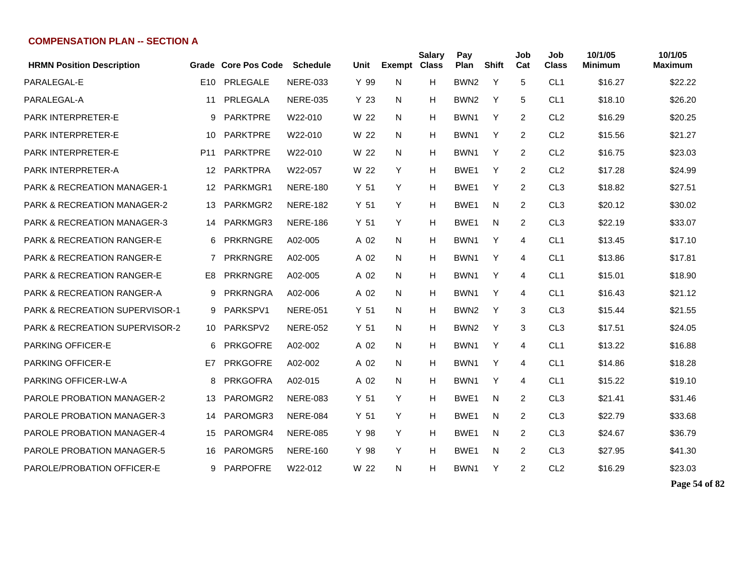| <b>HRMN Position Description</b>          |                 | Grade Core Pos Code | <b>Schedule</b> | Unit            | Exempt Class | Salary | Pay<br>Plan      | <b>Shift</b> | Job<br>Cat     | Job<br><b>Class</b> | 10/1/05<br><b>Minimum</b> | 10/1/05<br><b>Maximum</b> |
|-------------------------------------------|-----------------|---------------------|-----------------|-----------------|--------------|--------|------------------|--------------|----------------|---------------------|---------------------------|---------------------------|
| PARALEGAL-E                               | E <sub>10</sub> | PRLEGALE            | <b>NERE-033</b> | Y 99            | N            | н      | BWN <sub>2</sub> | Y            | 5              | CL <sub>1</sub>     | \$16.27                   | \$22.22                   |
| PARALEGAL-A                               | 11              | PRLEGALA            | <b>NERE-035</b> | Y 23            | N            | H      | BWN <sub>2</sub> | Y            | 5              | CL <sub>1</sub>     | \$18.10                   | \$26.20                   |
| <b>PARK INTERPRETER-E</b>                 | 9               | <b>PARKTPRE</b>     | W22-010         | W 22            | N            | н      | BWN <sub>1</sub> | Y            | $\overline{2}$ | CL <sub>2</sub>     | \$16.29                   | \$20.25                   |
| <b>PARK INTERPRETER-E</b>                 | 10              | <b>PARKTPRE</b>     | W22-010         | W 22            | N            | н      | BWN1             | Y            | $\overline{2}$ | CL <sub>2</sub>     | \$15.56                   | \$21.27                   |
| <b>PARK INTERPRETER-E</b>                 | P <sub>11</sub> | <b>PARKTPRE</b>     | W22-010         | W 22            | N            | н      | BWN1             | Y            | $\overline{2}$ | CL <sub>2</sub>     | \$16.75                   | \$23.03                   |
| <b>PARK INTERPRETER-A</b>                 | 12              | <b>PARKTPRA</b>     | W22-057         | W 22            | Y            | н      | BWE <sub>1</sub> | Y            | $\overline{2}$ | CL <sub>2</sub>     | \$17.28                   | \$24.99                   |
| <b>PARK &amp; RECREATION MANAGER-1</b>    | $12 \,$         | PARKMGR1            | <b>NERE-180</b> | Y <sub>51</sub> | Y            | н      | BWE <sub>1</sub> | Y            | $\overline{2}$ | CL <sub>3</sub>     | \$18.82                   | \$27.51                   |
| <b>PARK &amp; RECREATION MANAGER-2</b>    | 13              | PARKMGR2            | <b>NERE-182</b> | Y <sub>51</sub> | Y            | н      | BWE <sub>1</sub> | N            | 2              | CL <sub>3</sub>     | \$20.12                   | \$30.02                   |
| <b>PARK &amp; RECREATION MANAGER-3</b>    | 14              | PARKMGR3            | <b>NERE-186</b> | Y <sub>51</sub> | Y            | н      | BWE <sub>1</sub> | N            | 2              | CL <sub>3</sub>     | \$22.19                   | \$33.07                   |
| <b>PARK &amp; RECREATION RANGER-E</b>     | 6               | <b>PRKRNGRE</b>     | A02-005         | A 02            | N            | н      | BWN <sub>1</sub> | Y            | 4              | CL <sub>1</sub>     | \$13.45                   | \$17.10                   |
| PARK & RECREATION RANGER-E                | $\overline{7}$  | <b>PRKRNGRE</b>     | A02-005         | A 02            | N            | н      | BWN1             | Y            | 4              | CL <sub>1</sub>     | \$13.86                   | \$17.81                   |
| <b>PARK &amp; RECREATION RANGER-E</b>     | E8              | <b>PRKRNGRE</b>     | A02-005         | A 02            | N            | н      | BWN1             | Y            | $\overline{4}$ | CL <sub>1</sub>     | \$15.01                   | \$18.90                   |
| <b>PARK &amp; RECREATION RANGER-A</b>     | 9               | <b>PRKRNGRA</b>     | A02-006         | A 02            | N            | н      | BWN1             | Y            | $\overline{4}$ | CL <sub>1</sub>     | \$16.43                   | \$21.12                   |
| PARK & RECREATION SUPERVISOR-1            | 9               | PARKSPV1            | <b>NERE-051</b> | Y <sub>51</sub> | N            | н      | BWN <sub>2</sub> | Y            | 3              | CL <sub>3</sub>     | \$15.44                   | \$21.55                   |
| <b>PARK &amp; RECREATION SUPERVISOR-2</b> | 10              | PARKSPV2            | <b>NERE-052</b> | Y <sub>51</sub> | N            | н      | BWN <sub>2</sub> | Y            | 3              | CL <sub>3</sub>     | \$17.51                   | \$24.05                   |
| PARKING OFFICER-E                         | 6               | <b>PRKGOFRE</b>     | A02-002         | A 02            | N            | н      | BWN1             | Y            | 4              | CL <sub>1</sub>     | \$13.22                   | \$16.88                   |
| <b>PARKING OFFICER-E</b>                  | E7              | <b>PRKGOFRE</b>     | A02-002         | A 02            | N            | н      | BWN1             | Y            | 4              | CL <sub>1</sub>     | \$14.86                   | \$18.28                   |
| PARKING OFFICER-LW-A                      | 8               | <b>PRKGOFRA</b>     | A02-015         | A 02            | N            | н      | BWN1             | Y            | 4              | CL <sub>1</sub>     | \$15.22                   | \$19.10                   |
| <b>PAROLE PROBATION MANAGER-2</b>         | 13              | PAROMGR2            | <b>NERE-083</b> | Y <sub>51</sub> | Y            | н      | BWE <sub>1</sub> | N            | 2              | CL <sub>3</sub>     | \$21.41                   | \$31.46                   |
| <b>PAROLE PROBATION MANAGER-3</b>         | 14              | PAROMGR3            | <b>NERE-084</b> | Y <sub>51</sub> | Y            | н      | BWE <sub>1</sub> | N            | $\overline{2}$ | CL <sub>3</sub>     | \$22.79                   | \$33.68                   |
| <b>PAROLE PROBATION MANAGER-4</b>         | 15              | PAROMGR4            | <b>NERE-085</b> | Y 98            | Y            | н      | BWE1             | N            | $\overline{2}$ | CL <sub>3</sub>     | \$24.67                   | \$36.79                   |
| <b>PAROLE PROBATION MANAGER-5</b>         | 16              | PAROMGR5            | <b>NERE-160</b> | Y 98            | Y            | н      | BWE <sub>1</sub> | N            | 2              | CL <sub>3</sub>     | \$27.95                   | \$41.30                   |
| PAROLE/PROBATION OFFICER-E                | 9               | <b>PARPOFRE</b>     | W22-012         | W 22            | N            | н      | BWN1             | Υ            | 2              | CL <sub>2</sub>     | \$16.29                   | \$23.03                   |

**Page 54 of 82**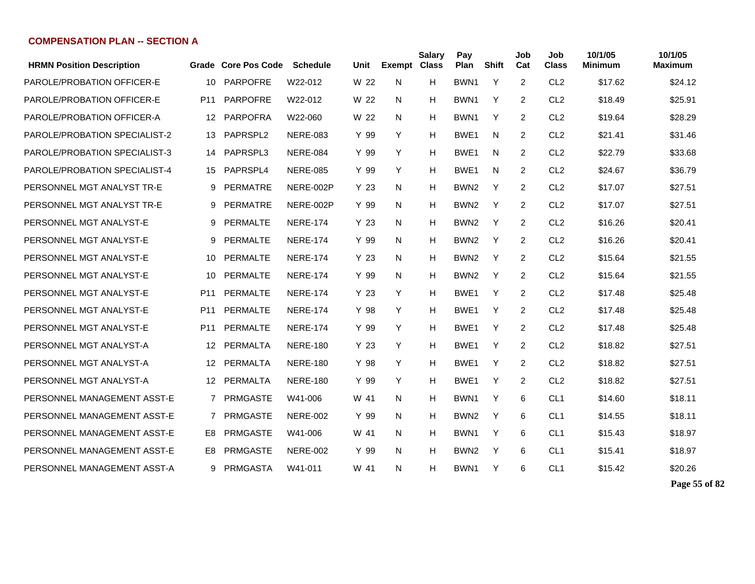| <b>HRMN Position Description</b> |                 | Grade Core Pos Code | <b>Schedule</b> | Unit            | <b>Exempt Class</b> | <b>Salary</b> | Pay<br>Plan      | <b>Shift</b> | Job<br>Cat     | Job<br><b>Class</b> | 10/1/05<br><b>Minimum</b> | 10/1/05<br><b>Maximum</b> |
|----------------------------------|-----------------|---------------------|-----------------|-----------------|---------------------|---------------|------------------|--------------|----------------|---------------------|---------------------------|---------------------------|
| PAROLE/PROBATION OFFICER-E       | 10              | <b>PARPOFRE</b>     | W22-012         | W 22            | N                   | н             | BWN <sub>1</sub> | Y            | $\overline{2}$ | CL <sub>2</sub>     | \$17.62                   | \$24.12                   |
| PAROLE/PROBATION OFFICER-E       | P <sub>11</sub> | <b>PARPOFRE</b>     | W22-012         | W 22            | N                   | н             | BWN1             | Y            | $\overline{2}$ | CL <sub>2</sub>     | \$18.49                   | \$25.91                   |
| PAROLE/PROBATION OFFICER-A       | 12 <sup>°</sup> | <b>PARPOFRA</b>     | W22-060         | W 22            | N                   | н             | BWN1             | Y            | $\overline{2}$ | CL <sub>2</sub>     | \$19.64                   | \$28.29                   |
| PAROLE/PROBATION SPECIALIST-2    | 13              | PAPRSPL2            | <b>NERE-083</b> | Y 99            | Y                   | Н             | BWE <sub>1</sub> | N            | 2              | CL <sub>2</sub>     | \$21.41                   | \$31.46                   |
| PAROLE/PROBATION SPECIALIST-3    | 14              | PAPRSPL3            | <b>NERE-084</b> | Y 99            | Y                   | Н             | BWE1             | N            | 2              | CL <sub>2</sub>     | \$22.79                   | \$33.68                   |
| PAROLE/PROBATION SPECIALIST-4    | 15              | PAPRSPL4            | <b>NERE-085</b> | Y 99            | Y                   | Н             | BWE1             | N            | $\overline{2}$ | CL <sub>2</sub>     | \$24.67                   | \$36.79                   |
| PERSONNEL MGT ANALYST TR-E       | 9               | PERMATRE            | NERE-002P       | Y 23            | N.                  | Н             | BWN <sub>2</sub> | Y            | 2              | CL <sub>2</sub>     | \$17.07                   | \$27.51                   |
| PERSONNEL MGT ANALYST TR-E       | 9               | <b>PERMATRE</b>     | NERE-002P       | Y 99            | N                   | Н             | BWN <sub>2</sub> | Y            | $\overline{2}$ | CL <sub>2</sub>     | \$17.07                   | \$27.51                   |
| PERSONNEL MGT ANALYST-E          | 9               | PERMALTE            | <b>NERE-174</b> | Y 23            | N                   | H             | BWN <sub>2</sub> | Y            | $\overline{2}$ | CL <sub>2</sub>     | \$16.26                   | \$20.41                   |
| PERSONNEL MGT ANALYST-E          | 9               | PERMALTE            | <b>NERE-174</b> | Y 99            | N                   | н             | BWN <sub>2</sub> | Y            | $\overline{2}$ | CL <sub>2</sub>     | \$16.26                   | \$20.41                   |
| PERSONNEL MGT ANALYST-E          | 10              | PERMALTE            | <b>NERE-174</b> | Y <sub>23</sub> | N                   | Н             | BWN <sub>2</sub> | Y            | $\overline{2}$ | CL <sub>2</sub>     | \$15.64                   | \$21.55                   |
| PERSONNEL MGT ANALYST-E          | 10              | PERMALTE            | <b>NERE-174</b> | Y 99            | N                   | н             | BWN <sub>2</sub> | Y            | $\overline{2}$ | CL <sub>2</sub>     | \$15.64                   | \$21.55                   |
| PERSONNEL MGT ANALYST-E          | P <sub>11</sub> | PERMALTE            | <b>NERE-174</b> | Y <sub>23</sub> | Y                   | Н             | BWE <sub>1</sub> | Y            | $\overline{2}$ | CL <sub>2</sub>     | \$17.48                   | \$25.48                   |
| PERSONNEL MGT ANALYST-E          | P <sub>11</sub> | PERMALTE            | <b>NERE-174</b> | Y 98            | Y                   | н             | BWE1             | Y            | 2              | CL <sub>2</sub>     | \$17.48                   | \$25.48                   |
| PERSONNEL MGT ANALYST-E          | P <sub>11</sub> | PERMALTE            | <b>NERE-174</b> | Y 99            | Y                   | н             | BWE <sub>1</sub> | Y            | 2              | CL <sub>2</sub>     | \$17.48                   | \$25.48                   |
| PERSONNEL MGT ANALYST-A          | 12              | PERMALTA            | <b>NERE-180</b> | Y 23            | Y                   | H             | BWE1             | Y            | $\overline{2}$ | CL <sub>2</sub>     | \$18.82                   | \$27.51                   |
| PERSONNEL MGT ANALYST-A          | 12              | PERMALTA            | <b>NERE-180</b> | Y 98            | Y                   | H             | BWE1             | Y            | $\overline{2}$ | CL <sub>2</sub>     | \$18.82                   | \$27.51                   |
| PERSONNEL MGT ANALYST-A          | 12              | PERMALTA            | <b>NERE-180</b> | Y 99            | Y                   | Н             | BWE <sub>1</sub> | Y            | $\overline{2}$ | CL <sub>2</sub>     | \$18.82                   | \$27.51                   |
| PERSONNEL MANAGEMENT ASST-E      | $7^{\circ}$     | PRMGASTE            | W41-006         | W 41            | N                   | Н             | BWN1             | Y            | 6              | CL <sub>1</sub>     | \$14.60                   | \$18.11                   |
| PERSONNEL MANAGEMENT ASST-E      | 7               | PRMGASTE            | <b>NERE-002</b> | Y 99            | N                   | Н             | BWN <sub>2</sub> | Y            | 6              | CL <sub>1</sub>     | \$14.55                   | \$18.11                   |
| PERSONNEL MANAGEMENT ASST-E      | E8.             | <b>PRMGASTE</b>     | W41-006         | W 41            | N.                  | Н             | BWN1             | Y            | 6              | CL <sub>1</sub>     | \$15.43                   | \$18.97                   |
| PERSONNEL MANAGEMENT ASST-E      | E8              | <b>PRMGASTE</b>     | <b>NERE-002</b> | Y 99            | N                   | н             | BWN <sub>2</sub> | Y            | 6              | CL <sub>1</sub>     | \$15.41                   | \$18.97                   |
| PERSONNEL MANAGEMENT ASST-A      |                 | 9 PRMGASTA          | W41-011         | W 41            | N.                  | н             | BWN1             | Y            | 6              | CL <sub>1</sub>     | \$15.42                   | \$20.26                   |

**Page 55 of 82**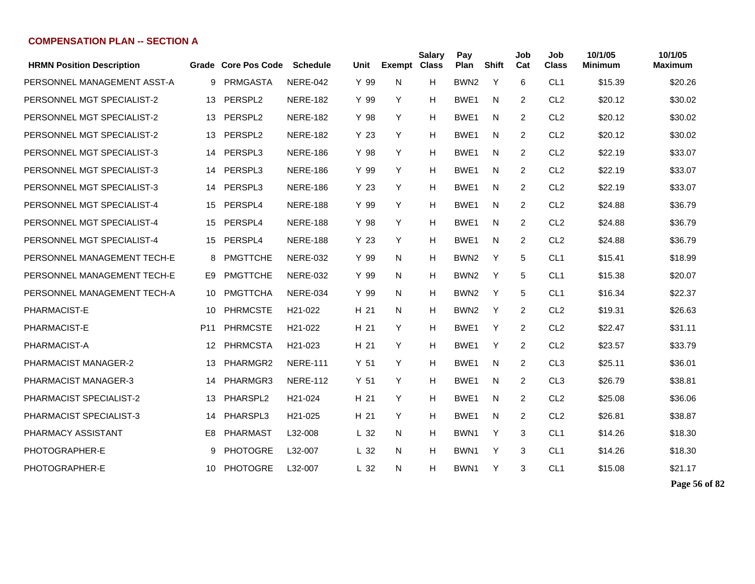| <b>HRMN Position Description</b> |                 | Grade Core Pos Code | <b>Schedule</b>      | Unit            | <b>Exempt Class</b> | <b>Salary</b> | Pay<br>Plan      | <b>Shift</b> | Job<br>Cat     | Job<br><b>Class</b> | 10/1/05<br><b>Minimum</b> | 10/1/05<br><b>Maximum</b> |
|----------------------------------|-----------------|---------------------|----------------------|-----------------|---------------------|---------------|------------------|--------------|----------------|---------------------|---------------------------|---------------------------|
| PERSONNEL MANAGEMENT ASST-A      | 9               | <b>PRMGASTA</b>     | <b>NERE-042</b>      | Y 99            | N                   | H             | BWN <sub>2</sub> | Y            | 6              | CL <sub>1</sub>     | \$15.39                   | \$20.26                   |
| PERSONNEL MGT SPECIALIST-2       | 13              | PERSPL <sub>2</sub> | <b>NERE-182</b>      | Y 99            | Y                   | H             | BWE1             | N            | $\overline{2}$ | CL <sub>2</sub>     | \$20.12                   | \$30.02                   |
| PERSONNEL MGT SPECIALIST-2       | 13              | PERSPL <sub>2</sub> | <b>NERE-182</b>      | Y 98            | Y                   | H             | BWE1             | N            | 2              | CL <sub>2</sub>     | \$20.12                   | \$30.02                   |
| PERSONNEL MGT SPECIALIST-2       | 13              | PERSPL <sub>2</sub> | <b>NERE-182</b>      | Y 23            | Y                   | н             | BWE <sub>1</sub> | N            | 2              | CL <sub>2</sub>     | \$20.12                   | \$30.02                   |
| PERSONNEL MGT SPECIALIST-3       | 14              | PERSPL3             | <b>NERE-186</b>      | Y 98            | Y                   | H             | BWE1             | N            | 2              | CL <sub>2</sub>     | \$22.19                   | \$33.07                   |
| PERSONNEL MGT SPECIALIST-3       | 14              | PERSPL3             | <b>NERE-186</b>      | Y 99            | Y                   | H             | BWE <sub>1</sub> | N            | 2              | CL <sub>2</sub>     | \$22.19                   | \$33.07                   |
| PERSONNEL MGT SPECIALIST-3       | 14              | PERSPL3             | <b>NERE-186</b>      | Y 23            | Y                   | H             | BWE <sub>1</sub> | N            | 2              | CL <sub>2</sub>     | \$22.19                   | \$33.07                   |
| PERSONNEL MGT SPECIALIST-4       | 15              | PERSPL4             | <b>NERE-188</b>      | Y 99            | Y                   | H             | BWE <sub>1</sub> | N            | 2              | CL <sub>2</sub>     | \$24.88                   | \$36.79                   |
| PERSONNEL MGT SPECIALIST-4       | 15              | PERSPL4             | <b>NERE-188</b>      | Y 98            | Y                   | H             | BWE1             | N            | $\overline{2}$ | CL <sub>2</sub>     | \$24.88                   | \$36.79                   |
| PERSONNEL MGT SPECIALIST-4       | 15              | PERSPL4             | <b>NERE-188</b>      | Y <sub>23</sub> | Y                   | H             | BWE <sub>1</sub> | N            | $\overline{c}$ | CL <sub>2</sub>     | \$24.88                   | \$36.79                   |
| PERSONNEL MANAGEMENT TECH-E      | 8               | <b>PMGTTCHE</b>     | <b>NERE-032</b>      | Y 99            | N                   | н             | BWN <sub>2</sub> | Y            | 5              | CL <sub>1</sub>     | \$15.41                   | \$18.99                   |
| PERSONNEL MANAGEMENT TECH-E      | E9              | <b>PMGTTCHE</b>     | <b>NERE-032</b>      | Y 99            | N                   | н             | BWN <sub>2</sub> | Y            | 5              | CL <sub>1</sub>     | \$15.38                   | \$20.07                   |
| PERSONNEL MANAGEMENT TECH-A      | 10              | PMGTTCHA            | <b>NERE-034</b>      | Y 99            | N                   | H             | BWN <sub>2</sub> | Y            | 5              | CL <sub>1</sub>     | \$16.34                   | \$22.37                   |
| PHARMACIST-E                     | 10              | <b>PHRMCSTE</b>     | H <sub>21</sub> -022 | H 21            | N                   | н             | BWN <sub>2</sub> | Y            | 2              | CL <sub>2</sub>     | \$19.31                   | \$26.63                   |
| PHARMACIST-E                     | P <sub>11</sub> | <b>PHRMCSTE</b>     | H21-022              | H 21            | Y                   | H             | BWE <sub>1</sub> | Y            | 2              | CL <sub>2</sub>     | \$22.47                   | \$31.11                   |
| PHARMACIST-A                     | 12              | <b>PHRMCSTA</b>     | H21-023              | H 21            | Y                   | н             | BWE1             | Y            | 2              | CL <sub>2</sub>     | \$23.57                   | \$33.79                   |
| PHARMACIST MANAGER-2             | 13              | PHARMGR2            | <b>NERE-111</b>      | Y <sub>51</sub> | Y                   | H             | BWE <sub>1</sub> | N            | 2              | CL <sub>3</sub>     | \$25.11                   | \$36.01                   |
| PHARMACIST MANAGER-3             | 14              | PHARMGR3            | <b>NERE-112</b>      | Y <sub>51</sub> | Y                   | H             | BWE <sub>1</sub> | N            | 2              | CL <sub>3</sub>     | \$26.79                   | \$38.81                   |
| PHARMACIST SPECIALIST-2          | 13              | PHARSPL2            | H21-024              | H 21            | Y                   | H             | BWE <sub>1</sub> | N            | 2              | CL <sub>2</sub>     | \$25.08                   | \$36.06                   |
| PHARMACIST SPECIALIST-3          | 14              | PHARSPL3            | H21-025              | H 21            | Y                   | H             | BWE1             | N            | 2              | CL <sub>2</sub>     | \$26.81                   | \$38.87                   |
| PHARMACY ASSISTANT               | E8              | PHARMAST            | L32-008              | L <sub>32</sub> | N                   | H             | BWN1             | Y            | 3              | CL <sub>1</sub>     | \$14.26                   | \$18.30                   |
| PHOTOGRAPHER-E                   | 9               | <b>PHOTOGRE</b>     | L32-007              | L <sub>32</sub> | N                   | H             | BWN <sub>1</sub> | Y            | 3              | CL <sub>1</sub>     | \$14.26                   | \$18.30                   |
| PHOTOGRAPHER-E                   | 10              | <b>PHOTOGRE</b>     | L32-007              | L <sub>32</sub> | N                   | н             | BWN1             | Y            | 3              | CL <sub>1</sub>     | \$15.08                   | \$21.17                   |

**Page 56 of 82**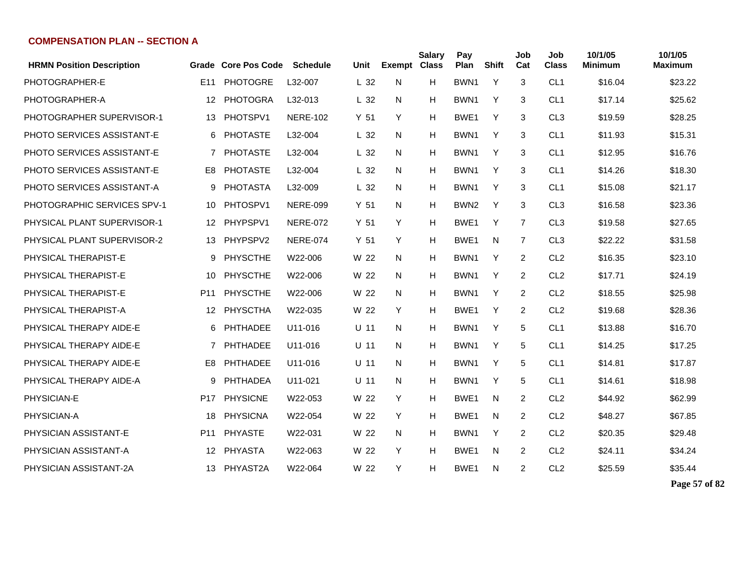| <b>HRMN Position Description</b>   |                 | <b>Grade Core Pos Code</b> | <b>Schedule</b> | Unit            | <b>Exempt</b> | <b>Salary</b><br><b>Class</b> | Pay<br>Plan      | <b>Shift</b> | Job<br>Cat     | Job<br><b>Class</b> | 10/1/05<br><b>Minimum</b> | 10/1/05<br><b>Maximum</b> |
|------------------------------------|-----------------|----------------------------|-----------------|-----------------|---------------|-------------------------------|------------------|--------------|----------------|---------------------|---------------------------|---------------------------|
| PHOTOGRAPHER-E                     | E <sub>11</sub> | <b>PHOTOGRE</b>            | L32-007         | L <sub>32</sub> | N             | H                             | BWN1             | Y            | 3              | CL <sub>1</sub>     | \$16.04                   | \$23.22                   |
| PHOTOGRAPHER-A                     | 12              | <b>PHOTOGRA</b>            | L32-013         | L <sub>32</sub> | N             | Н                             | BWN <sub>1</sub> | Y            | 3              | CL <sub>1</sub>     | \$17.14                   | \$25.62                   |
| PHOTOGRAPHER SUPERVISOR-1          | 13              | PHOTSPV1                   | <b>NERE-102</b> | Y <sub>51</sub> | Y             | н                             | BWE <sub>1</sub> | Y            | 3              | CL <sub>3</sub>     | \$19.59                   | \$28.25                   |
| <b>PHOTO SERVICES ASSISTANT-E</b>  | 6               | <b>PHOTASTE</b>            | L32-004         | L <sub>32</sub> | N.            | н                             | BWN1             | Y            | 3              | CL <sub>1</sub>     | \$11.93                   | \$15.31                   |
| <b>PHOTO SERVICES ASSISTANT-E</b>  | $\overline{7}$  | <b>PHOTASTE</b>            | L32-004         | L <sub>32</sub> | N             | H                             | BWN1             | Y            | 3              | CL <sub>1</sub>     | \$12.95                   | \$16.76                   |
| <b>PHOTO SERVICES ASSISTANT-E</b>  | E <sub>8</sub>  | <b>PHOTASTE</b>            | L32-004         | L <sub>32</sub> | N             | H                             | BWN1             | Y            | 3              | CL <sub>1</sub>     | \$14.26                   | \$18.30                   |
| <b>PHOTO SERVICES ASSISTANT-A</b>  | 9               | <b>PHOTASTA</b>            | L32-009         | L <sub>32</sub> | N             | H                             | BWN1             | Y            | 3              | CL <sub>1</sub>     | \$15.08                   | \$21.17                   |
| <b>PHOTOGRAPHIC SERVICES SPV-1</b> | 10              | PHTOSPV1                   | <b>NERE-099</b> | Y <sub>51</sub> | N             | н                             | BWN <sub>2</sub> | Y            | 3              | CL <sub>3</sub>     | \$16.58                   | \$23.36                   |
| PHYSICAL PLANT SUPERVISOR-1        | 12              | PHYPSPV1                   | <b>NERE-072</b> | Y <sub>51</sub> | Y             | н                             | BWE1             | Y            | 7              | CL <sub>3</sub>     | \$19.58                   | \$27.65                   |
| PHYSICAL PLANT SUPERVISOR-2        | 13.             | PHYPSPV2                   | <b>NERE-074</b> | Y <sub>51</sub> | Y             | н                             | BWE <sub>1</sub> | N            | 7              | CL <sub>3</sub>     | \$22.22                   | \$31.58                   |
| PHYSICAL THERAPIST-E               | 9               | <b>PHYSCTHE</b>            | W22-006         | W 22            | N.            | H                             | BWN1             | Y            | 2              | CL <sub>2</sub>     | \$16.35                   | \$23.10                   |
| PHYSICAL THERAPIST-E               | 10              | <b>PHYSCTHE</b>            | W22-006         | W 22            | N             | H                             | BWN1             | Y            | $\overline{2}$ | CL <sub>2</sub>     | \$17.71                   | \$24.19                   |
| PHYSICAL THERAPIST-E               | P <sub>11</sub> | <b>PHYSCTHE</b>            | W22-006         | W 22            | N             | H                             | BWN1             | Y            | $\overline{2}$ | CL <sub>2</sub>     | \$18.55                   | \$25.98                   |
| PHYSICAL THERAPIST-A               | 12              | PHYSCTHA                   | W22-035         | W 22            | Y             | H                             | BWE <sub>1</sub> | Y            | $\overline{2}$ | CL <sub>2</sub>     | \$19.68                   | \$28.36                   |
| PHYSICAL THERAPY AIDE-E            | 6               | PHTHADEE                   | U11-016         | $U$ 11          | N             | H                             | BWN1             | Y            | 5              | CL <sub>1</sub>     | \$13.88                   | \$16.70                   |
| PHYSICAL THERAPY AIDE-E            | 7               | PHTHADEE                   | U11-016         | $U$ 11          | N             | н                             | BWN1             | Y            | 5              | CL <sub>1</sub>     | \$14.25                   | \$17.25                   |
| PHYSICAL THERAPY AIDE-E            | E <sub>8</sub>  | <b>PHTHADEE</b>            | U11-016         | $U$ 11          | N             | н                             | BWN <sub>1</sub> | Y            | 5              | CL <sub>1</sub>     | \$14.81                   | \$17.87                   |
| PHYSICAL THERAPY AIDE-A            | 9               | PHTHADEA                   | U11-021         | $U$ 11          | N             | H                             | BWN1             | Y            | 5              | CL <sub>1</sub>     | \$14.61                   | \$18.98                   |
| PHYSICIAN-E                        | P17             | <b>PHYSICNE</b>            | W22-053         | W 22            | Y             | H                             | BWE <sub>1</sub> | N            | 2              | CL <sub>2</sub>     | \$44.92                   | \$62.99                   |
| PHYSICIAN-A                        | 18              | <b>PHYSICNA</b>            | W22-054         | W 22            | Y             | H                             | BWE <sub>1</sub> | N            | 2              | CL <sub>2</sub>     | \$48.27                   | \$67.85                   |
| PHYSICIAN ASSISTANT-E              | P <sub>11</sub> | PHYASTE                    | W22-031         | W 22            | N.            | H                             | BWN1             | Y            | 2              | CL <sub>2</sub>     | \$20.35                   | \$29.48                   |
| PHYSICIAN ASSISTANT-A              | 12 <sup>°</sup> | PHYASTA                    | W22-063         | W 22            | Y             | н                             | BWE1             | N            | 2              | CL <sub>2</sub>     | \$24.11                   | \$34.24                   |
| PHYSICIAN ASSISTANT-2A             |                 | 13 PHYAST2A                | W22-064         | W 22            | Y             | н                             | BWE1             | N            | 2              | CL <sub>2</sub>     | \$25.59                   | \$35.44                   |

**Page 57 of 82**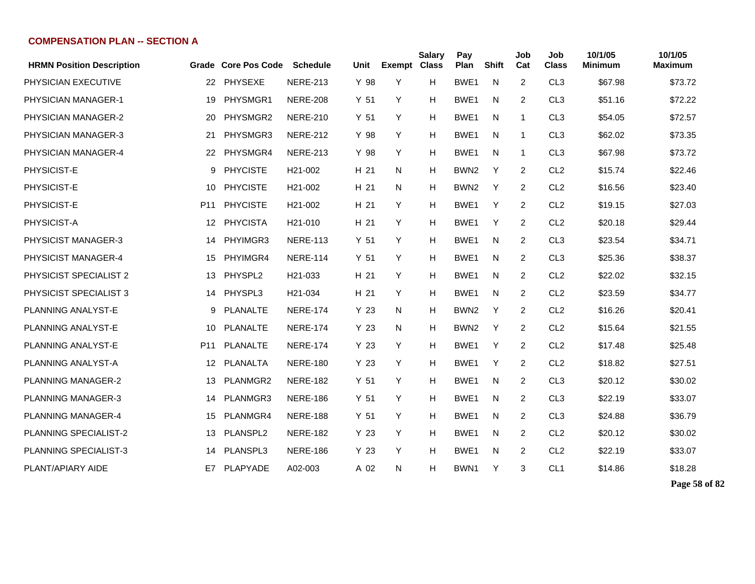| <b>HRMN Position Description</b> | Grade           | <b>Core Pos Code</b> | <b>Schedule</b>      | Unit            | Exempt Class | <b>Salary</b> | Pay<br>Plan      | <b>Shift</b> | Job<br>Cat     | Job<br><b>Class</b> | 10/1/05<br>Minimum | 10/1/05<br><b>Maximum</b> |
|----------------------------------|-----------------|----------------------|----------------------|-----------------|--------------|---------------|------------------|--------------|----------------|---------------------|--------------------|---------------------------|
| PHYSICIAN EXECUTIVE              | 22              | <b>PHYSEXE</b>       | <b>NERE-213</b>      | Y 98            | Y            | н             | BWE1             | N            | $\overline{2}$ | CL <sub>3</sub>     | \$67.98            | \$73.72                   |
| <b>PHYSICIAN MANAGER-1</b>       | 19              | PHYSMGR1             | <b>NERE-208</b>      | Y <sub>51</sub> | Y            | н             | BWE1             | N            | 2              | CL <sub>3</sub>     | \$51.16            | \$72.22                   |
| PHYSICIAN MANAGER-2              | 20              | PHYSMGR2             | <b>NERE-210</b>      | Y <sub>51</sub> | Y            | Н             | BWE <sub>1</sub> | N            | 1              | CL <sub>3</sub>     | \$54.05            | \$72.57                   |
| PHYSICIAN MANAGER-3              | 21              | PHYSMGR3             | <b>NERE-212</b>      | Y 98            | Y            | н             | BWE <sub>1</sub> | N            | 1              | CL <sub>3</sub>     | \$62.02            | \$73.35                   |
| PHYSICIAN MANAGER-4              | 22              | PHYSMGR4             | <b>NERE-213</b>      | Y 98            | Y            | н             | BWE1             | N            | 1              | CL <sub>3</sub>     | \$67.98            | \$73.72                   |
| PHYSICIST-E                      | 9               | <b>PHYCISTE</b>      | H <sub>21</sub> -002 | H 21            | N.           | н             | BWN <sub>2</sub> | Y            | 2              | CL <sub>2</sub>     | \$15.74            | \$22.46                   |
| PHYSICIST-E                      | 10              | <b>PHYCISTE</b>      | H21-002              | H 21            | N            | н             | BWN <sub>2</sub> | Y            | 2              | CL <sub>2</sub>     | \$16.56            | \$23.40                   |
| PHYSICIST-E                      | P <sub>11</sub> | <b>PHYCISTE</b>      | H <sub>21</sub> -002 | H 21            | Y            | н             | BWE1             | Y            | 2              | CL <sub>2</sub>     | \$19.15            | \$27.03                   |
| PHYSICIST-A                      | 12              | PHYCISTA             | H21-010              | H 21            | Y            | н             | BWE1             | Y            | 2              | CL <sub>2</sub>     | \$20.18            | \$29.44                   |
| PHYSICIST MANAGER-3              | 14              | PHYIMGR3             | <b>NERE-113</b>      | Y <sub>51</sub> | Y            | н             | BWE1             | N            | 2              | CL <sub>3</sub>     | \$23.54            | \$34.71                   |
| PHYSICIST MANAGER-4              | 15              | PHYIMGR4             | <b>NERE-114</b>      | Y <sub>51</sub> | Y            | н             | BWE1             | N            | 2              | CL <sub>3</sub>     | \$25.36            | \$38.37                   |
| <b>PHYSICIST SPECIALIST 2</b>    | 13              | PHYSPL2              | H21-033              | H 21            | Y            | н             | BWE <sub>1</sub> | N            | 2              | CL <sub>2</sub>     | \$22.02            | \$32.15                   |
| <b>PHYSICIST SPECIALIST 3</b>    | 14              | PHYSPL3              | H21-034              | H 21            | Y            | н             | BWE1             | N            | 2              | CL <sub>2</sub>     | \$23.59            | \$34.77                   |
| PLANNING ANALYST-E               | 9               | <b>PLANALTE</b>      | <b>NERE-174</b>      | Y 23            | N            | н             | BWN <sub>2</sub> | Y            | 2              | CL <sub>2</sub>     | \$16.26            | \$20.41                   |
| PLANNING ANALYST-E               | 10              | <b>PLANALTE</b>      | <b>NERE-174</b>      | Y 23            | N            | H             | BWN <sub>2</sub> | Y            | 2              | CL <sub>2</sub>     | \$15.64            | \$21.55                   |
| <b>PLANNING ANALYST-E</b>        | P <sub>11</sub> | <b>PLANALTE</b>      | <b>NERE-174</b>      | Y 23            | Y            | H             | BWE1             | Y            | $\overline{2}$ | CL <sub>2</sub>     | \$17.48            | \$25.48                   |
| PLANNING ANALYST-A               | 12              | PLANALTA             | <b>NERE-180</b>      | Y 23            | Y            | H             | BWE1             | Y            | 2              | CL <sub>2</sub>     | \$18.82            | \$27.51                   |
| <b>PLANNING MANAGER-2</b>        | 13              | PLANMGR2             | <b>NERE-182</b>      | Y <sub>51</sub> | Y            | н             | BWE1             | N            | 2              | CL <sub>3</sub>     | \$20.12            | \$30.02                   |
| <b>PLANNING MANAGER-3</b>        | 14              | PLANMGR3             | <b>NERE-186</b>      | Y <sub>51</sub> | Y            | н             | BWE1             | N            | 2              | CL <sub>3</sub>     | \$22.19            | \$33.07                   |
| <b>PLANNING MANAGER-4</b>        | 15              | PLANMGR4             | <b>NERE-188</b>      | Y <sub>51</sub> | Y            | н             | BWE1             | N            | 2              | CL <sub>3</sub>     | \$24.88            | \$36.79                   |
| <b>PLANNING SPECIALIST-2</b>     | 13              | PLANSPL2             | <b>NERE-182</b>      | Y 23            | Y            | н             | BWE1             | N            | 2              | CL <sub>2</sub>     | \$20.12            | \$30.02                   |
| PLANNING SPECIALIST-3            | 14              | PLANSPL3             | <b>NERE-186</b>      | Y 23            | Y            | н             | BWE1             | N            | 2              | CL <sub>2</sub>     | \$22.19            | \$33.07                   |
| PLANT/APIARY AIDE                | E7              | PLAPYADE             | A02-003              | A 02            | N            | H             | BWN1             | Y            | 3              | CL <sub>1</sub>     | \$14.86            | \$18.28                   |

**Page 58 of 82**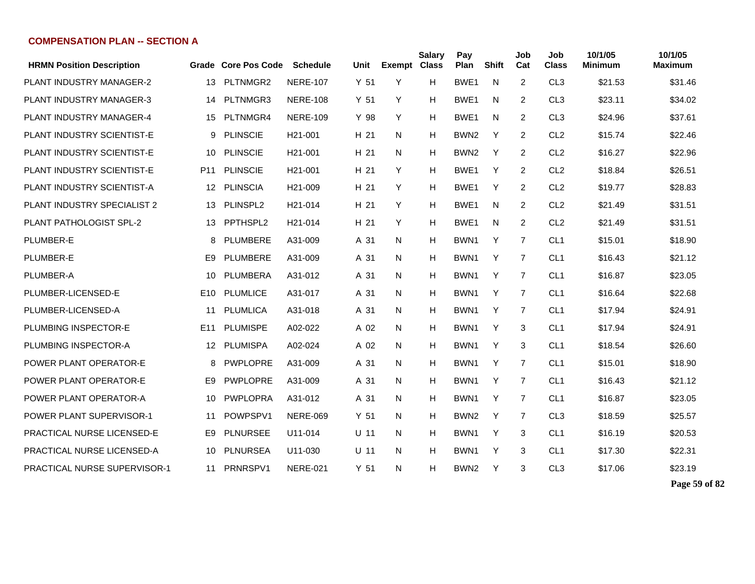| <b>HRMN Position Description</b>    |                 | Grade Core Pos Code | <b>Schedule</b>      | Unit            | <b>Exempt Class</b> | <b>Salary</b> | Pay<br>Plan      | <b>Shift</b> | Job<br>Cat     | Job<br><b>Class</b> | 10/1/05<br><b>Minimum</b> | 10/1/05<br><b>Maximum</b> |
|-------------------------------------|-----------------|---------------------|----------------------|-----------------|---------------------|---------------|------------------|--------------|----------------|---------------------|---------------------------|---------------------------|
| <b>PLANT INDUSTRY MANAGER-2</b>     | 13              | PLTNMGR2            | <b>NERE-107</b>      | Y <sub>51</sub> | Y                   | H             | BWE1             | N            | $\overline{2}$ | CL <sub>3</sub>     | \$21.53                   | \$31.46                   |
| PLANT INDUSTRY MANAGER-3            | 14              | PLTNMGR3            | <b>NERE-108</b>      | Y 51            | Y                   | H             | BWE1             | N            | 2              | CL <sub>3</sub>     | \$23.11                   | \$34.02                   |
| <b>PLANT INDUSTRY MANAGER-4</b>     | 15              | PLTNMGR4            | <b>NERE-109</b>      | Y 98            | Y                   | H             | BWE1             | N            | 2              | CL <sub>3</sub>     | \$24.96                   | \$37.61                   |
| PLANT INDUSTRY SCIENTIST-E          | 9               | <b>PLINSCIE</b>     | H21-001              | H 21            | N                   | H             | BWN <sub>2</sub> | Y            | $\overline{2}$ | CL <sub>2</sub>     | \$15.74                   | \$22.46                   |
| PLANT INDUSTRY SCIENTIST-E          | 10              | <b>PLINSCIE</b>     | H21-001              | H 21            | N                   | H             | BWN <sub>2</sub> | Y            | $\overline{2}$ | CL <sub>2</sub>     | \$16.27                   | \$22.96                   |
| PLANT INDUSTRY SCIENTIST-E          | P <sub>11</sub> | <b>PLINSCIE</b>     | H <sub>21</sub> -001 | H 21            | Y                   | H             | BWE1             | Y            | 2              | CL <sub>2</sub>     | \$18.84                   | \$26.51                   |
| PLANT INDUSTRY SCIENTIST-A          | 12              | <b>PLINSCIA</b>     | H <sub>21</sub> -009 | H 21            | Y                   | H             | BWE1             | Y            | 2              | CL <sub>2</sub>     | \$19.77                   | \$28.83                   |
| PLANT INDUSTRY SPECIALIST 2         | 13              | PLINSPL2            | H <sub>21</sub> -014 | H 21            | Y                   | H             | BWE1             | N            | 2              | CL <sub>2</sub>     | \$21.49                   | \$31.51                   |
| PLANT PATHOLOGIST SPL-2             | 13              | PPTHSPL2            | H <sub>21</sub> -014 | H 21            | Y                   | H             | BWE1             | N            | $\overline{c}$ | CL <sub>2</sub>     | \$21.49                   | \$31.51                   |
| PLUMBER-E                           | 8               | PLUMBERE            | A31-009              | A 31            | N                   | н             | BWN <sub>1</sub> | Y            | $\overline{7}$ | CL <sub>1</sub>     | \$15.01                   | \$18.90                   |
| PLUMBER-E                           | E <sub>9</sub>  | PLUMBERE            | A31-009              | A 31            | N                   | Н             | BWN1             | Y            | $\overline{7}$ | CL <sub>1</sub>     | \$16.43                   | \$21.12                   |
| PLUMBER-A                           | 10              | PLUMBERA            | A31-012              | A 31            | N                   | H             | BWN1             | Y            | $\overline{7}$ | CL <sub>1</sub>     | \$16.87                   | \$23.05                   |
| PLUMBER-LICENSED-E                  | E <sub>10</sub> | PLUMLICE            | A31-017              | A 31            | N                   | H             | BWN1             | Y            | $\overline{7}$ | CL <sub>1</sub>     | \$16.64                   | \$22.68                   |
| PLUMBER-LICENSED-A                  | 11              | <b>PLUMLICA</b>     | A31-018              | A 31            | N.                  | Н             | BWN1             | Y            | 7              | CL <sub>1</sub>     | \$17.94                   | \$24.91                   |
| PLUMBING INSPECTOR-E                | E11             | <b>PLUMISPE</b>     | A02-022              | A 02            | N                   | Н             | BWN <sub>1</sub> | Y            | 3              | CL <sub>1</sub>     | \$17.94                   | \$24.91                   |
| PLUMBING INSPECTOR-A                | 12              | <b>PLUMISPA</b>     | A02-024              | A 02            | N                   | H             | BWN1             | Y            | 3              | CL <sub>1</sub>     | \$18.54                   | \$26.60                   |
| POWER PLANT OPERATOR-E              | 8               | <b>PWPLOPRE</b>     | A31-009              | A 31            | N                   | H             | BWN <sub>1</sub> | Y            | $\overline{7}$ | CL <sub>1</sub>     | \$15.01                   | \$18.90                   |
| POWER PLANT OPERATOR-E              | E <sub>9</sub>  | <b>PWPLOPRE</b>     | A31-009              | A 31            | N                   | H             | BWN1             | Y            | $\overline{7}$ | CL <sub>1</sub>     | \$16.43                   | \$21.12                   |
| POWER PLANT OPERATOR-A              | 10              | <b>PWPLOPRA</b>     | A31-012              | A 31            | N.                  | H             | BWN1             | Y            | 7              | CL <sub>1</sub>     | \$16.87                   | \$23.05                   |
| <b>POWER PLANT SUPERVISOR-1</b>     | 11              | POWPSPV1            | <b>NERE-069</b>      | Y <sub>51</sub> | N                   | H             | BWN <sub>2</sub> | Y            | 7              | CL <sub>3</sub>     | \$18.59                   | \$25.57                   |
| PRACTICAL NURSE LICENSED-E          | E <sub>9</sub>  | <b>PLNURSEE</b>     | U11-014              | $U$ 11          | N                   | H             | BWN1             | Y            | 3              | CL <sub>1</sub>     | \$16.19                   | \$20.53                   |
| <b>PRACTICAL NURSE LICENSED-A</b>   | 10              | <b>PLNURSEA</b>     | U11-030              | $U$ 11          | N.                  | H             | BWN <sub>1</sub> | Y            | 3              | CL <sub>1</sub>     | \$17.30                   | \$22.31                   |
| <b>PRACTICAL NURSE SUPERVISOR-1</b> | 11              | PRNRSPV1            | <b>NERE-021</b>      | Y <sub>51</sub> | N                   | H             | BWN <sub>2</sub> | Y            | 3              | CL <sub>3</sub>     | \$17.06                   | \$23.19                   |

**Page 59 of 82**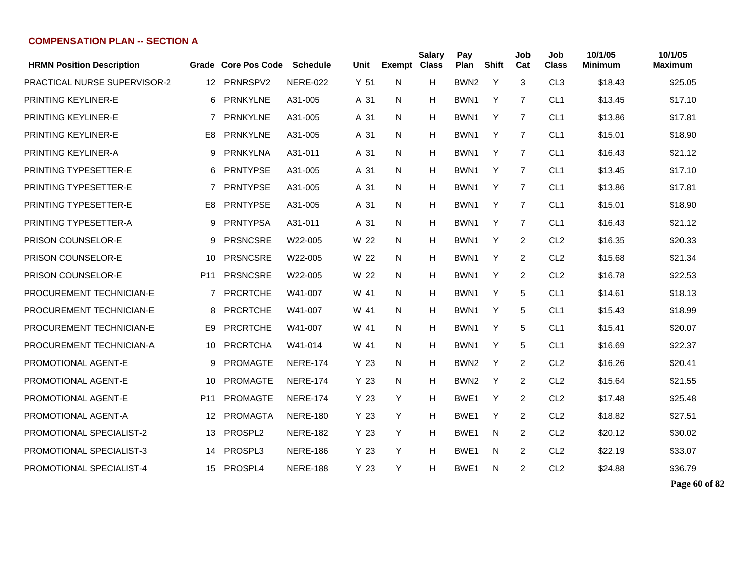| <b>HRMN Position Description</b> |                | Grade Core Pos Code | <b>Schedule</b> | Unit | Exempt Class | <b>Salary</b> | Pay<br>Plan      | <b>Shift</b> | Job<br>Cat     | Job<br><b>Class</b> | 10/1/05<br><b>Minimum</b> | 10/1/05<br><b>Maximum</b> |
|----------------------------------|----------------|---------------------|-----------------|------|--------------|---------------|------------------|--------------|----------------|---------------------|---------------------------|---------------------------|
| PRACTICAL NURSE SUPERVISOR-2     | 12             | PRNRSPV2            | <b>NERE-022</b> | Y 51 | N            | H             | BWN <sub>2</sub> | Y            | 3              | CL <sub>3</sub>     | \$18.43                   | \$25.05                   |
| PRINTING KEYLINER-E              | 6              | <b>PRNKYLNE</b>     | A31-005         | A 31 | N            | H             | BWN <sub>1</sub> | Y            | $\overline{7}$ | CL <sub>1</sub>     | \$13.45                   | \$17.10                   |
| PRINTING KEYLINER-E              | $\overline{7}$ | <b>PRNKYLNE</b>     | A31-005         | A 31 | N            | н             | BWN <sub>1</sub> | Y            | $\overline{7}$ | CL <sub>1</sub>     | \$13.86                   | \$17.81                   |
| <b>PRINTING KEYLINER-E</b>       | E <sub>8</sub> | <b>PRNKYLNE</b>     | A31-005         | A 31 | N            | н             | BWN1             | Y            | $\overline{7}$ | CL <sub>1</sub>     | \$15.01                   | \$18.90                   |
| PRINTING KEYLINER-A              | 9              | <b>PRNKYLNA</b>     | A31-011         | A 31 | N            | н             | BWN1             | Y            | $\overline{7}$ | CL <sub>1</sub>     | \$16.43                   | \$21.12                   |
| PRINTING TYPESETTER-E            | 6              | <b>PRNTYPSE</b>     | A31-005         | A 31 | N            | н             | BWN1             | Y            | 7              | CL <sub>1</sub>     | \$13.45                   | \$17.10                   |
| PRINTING TYPESETTER-E            | 7              | <b>PRNTYPSE</b>     | A31-005         | A 31 | N            | н             | BWN1             | Y            | 7              | CL <sub>1</sub>     | \$13.86                   | \$17.81                   |
| PRINTING TYPESETTER-E            | E8             | <b>PRNTYPSE</b>     | A31-005         | A 31 | N            | н             | BWN1             | Y            | 7              | CL <sub>1</sub>     | \$15.01                   | \$18.90                   |
| PRINTING TYPESETTER-A            | 9              | <b>PRNTYPSA</b>     | A31-011         | A 31 | N            | н             | BWN1             | Y            | 7              | CL <sub>1</sub>     | \$16.43                   | \$21.12                   |
| PRISON COUNSELOR-E               | 9              | <b>PRSNCSRE</b>     | W22-005         | W 22 | N            | н             | BWN1             | Y            | 2              | CL <sub>2</sub>     | \$16.35                   | \$20.33                   |
| PRISON COUNSELOR-E               | 10             | <b>PRSNCSRE</b>     | W22-005         | W 22 | N            | н             | BWN1             | Y            | 2              | CL <sub>2</sub>     | \$15.68                   | \$21.34                   |
| <b>PRISON COUNSELOR-E</b>        | P11            | <b>PRSNCSRE</b>     | W22-005         | W 22 | N            | н             | BWN1             | Y            | 2              | CL <sub>2</sub>     | \$16.78                   | \$22.53                   |
| PROCUREMENT TECHNICIAN-E         | $\overline{7}$ | <b>PRCRTCHE</b>     | W41-007         | W 41 | N            | н             | BWN <sub>1</sub> | Y            | 5              | CL <sub>1</sub>     | \$14.61                   | \$18.13                   |
| PROCUREMENT TECHNICIAN-E         | 8              | <b>PRCRTCHE</b>     | W41-007         | W 41 | N            | н             | BWN1             | Y            | 5              | CL <sub>1</sub>     | \$15.43                   | \$18.99                   |
| PROCUREMENT TECHNICIAN-E         | E9             | <b>PRCRTCHE</b>     | W41-007         | W 41 | N            | H             | BWN1             | Y            | 5              | CL <sub>1</sub>     | \$15.41                   | \$20.07                   |
| PROCUREMENT TECHNICIAN-A         | 10             | <b>PRCRTCHA</b>     | W41-014         | W 41 | N            | н             | BWN1             | Y            | 5              | CL <sub>1</sub>     | \$16.69                   | \$22.37                   |
| PROMOTIONAL AGENT-E              | 9              | <b>PROMAGTE</b>     | <b>NERE-174</b> | Y 23 | N            | н             | BWN <sub>2</sub> | Y            | 2              | CL <sub>2</sub>     | \$16.26                   | \$20.41                   |
| PROMOTIONAL AGENT-E              | 10             | <b>PROMAGTE</b>     | <b>NERE-174</b> | Y 23 | N            | н             | BWN <sub>2</sub> | Y            | 2              | CL <sub>2</sub>     | \$15.64                   | \$21.55                   |
| <b>PROMOTIONAL AGENT-E</b>       | P11            | <b>PROMAGTE</b>     | <b>NERE-174</b> | Y 23 | Y            | н             | BWE1             | Y            | 2              | CL <sub>2</sub>     | \$17.48                   | \$25.48                   |
| PROMOTIONAL AGENT-A              | 12             | <b>PROMAGTA</b>     | <b>NERE-180</b> | Y 23 | Y            | н             | BWE <sub>1</sub> | Y            | 2              | CL <sub>2</sub>     | \$18.82                   | \$27.51                   |
| PROMOTIONAL SPECIALIST-2         | 13             | PROSPL <sub>2</sub> | <b>NERE-182</b> | Y 23 | Y            | н             | BWE1             | N            | 2              | CL <sub>2</sub>     | \$20.12                   | \$30.02                   |
| PROMOTIONAL SPECIALIST-3         | 14             | PROSPL3             | <b>NERE-186</b> | Y 23 | Y            | н             | BWE1             | N            | 2              | CL <sub>2</sub>     | \$22.19                   | \$33.07                   |
| PROMOTIONAL SPECIALIST-4         | 15             | PROSPL4             | <b>NERE-188</b> | Y 23 | Y            | н             | BWE1             | N            | 2              | CL <sub>2</sub>     | \$24.88                   | \$36.79                   |

**Page 60 of 82**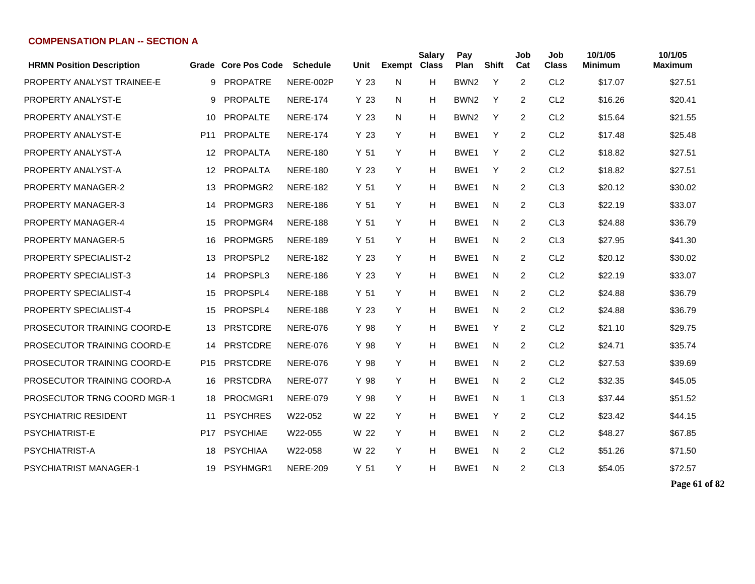| <b>HRMN Position Description</b> |                 | Grade Core Pos Code | <b>Schedule</b> | Unit            | <b>Exempt</b> | <b>Salary</b><br><b>Class</b> | Pay<br>Plan      | <b>Shift</b> | Job<br>Cat     | Job<br><b>Class</b> | 10/1/05<br><b>Minimum</b> | 10/1/05<br><b>Maximum</b> |
|----------------------------------|-----------------|---------------------|-----------------|-----------------|---------------|-------------------------------|------------------|--------------|----------------|---------------------|---------------------------|---------------------------|
| PROPERTY ANALYST TRAINEE-E       | 9               | <b>PROPATRE</b>     | NERE-002P       | Y <sub>23</sub> | N             | н                             | BWN <sub>2</sub> | $\mathsf{Y}$ | $\overline{2}$ | CL <sub>2</sub>     | \$17.07                   | \$27.51                   |
| PROPERTY ANALYST-E               | 9               | PROPALTE            | <b>NERE-174</b> | Y <sub>23</sub> | N             | н                             | BWN <sub>2</sub> | Y            | $\overline{2}$ | CL <sub>2</sub>     | \$16.26                   | \$20.41                   |
| PROPERTY ANALYST-E               | 10              | <b>PROPALTE</b>     | <b>NERE-174</b> | Y 23            | N             | н                             | BWN <sub>2</sub> | Y            | $\overline{2}$ | CL <sub>2</sub>     | \$15.64                   | \$21.55                   |
| PROPERTY ANALYST-E               | P <sub>11</sub> | <b>PROPALTE</b>     | <b>NERE-174</b> | Y <sub>23</sub> | Y             | н                             | BWE1             | Y            | 2              | CL <sub>2</sub>     | \$17.48                   | \$25.48                   |
| PROPERTY ANALYST-A               | 12              | <b>PROPALTA</b>     | <b>NERE-180</b> | Y <sub>51</sub> | Y             | н                             | BWE1             | Y            | $\overline{2}$ | CL <sub>2</sub>     | \$18.82                   | \$27.51                   |
| PROPERTY ANALYST-A               | 12              | <b>PROPALTA</b>     | <b>NERE-180</b> | Y <sub>23</sub> | Y             | H                             | BWE1             | Y            | 2              | CL <sub>2</sub>     | \$18.82                   | \$27.51                   |
| PROPERTY MANAGER-2               | 13              | PROPMGR2            | <b>NERE-182</b> | Y 51            | Y             | H                             | BWE1             | N            | 2              | CL <sub>3</sub>     | \$20.12                   | \$30.02                   |
| <b>PROPERTY MANAGER-3</b>        | 14              | PROPMGR3            | <b>NERE-186</b> | Y <sub>51</sub> | Y             | H                             | BWE1             | N            | $\overline{c}$ | CL <sub>3</sub>     | \$22.19                   | \$33.07                   |
| PROPERTY MANAGER-4               | 15              | PROPMGR4            | <b>NERE-188</b> | Y <sub>51</sub> | Υ             | н                             | BWE <sub>1</sub> | N            | $\overline{2}$ | CL <sub>3</sub>     | \$24.88                   | \$36.79                   |
| <b>PROPERTY MANAGER-5</b>        | 16              | PROPMGR5            | <b>NERE-189</b> | Y <sub>51</sub> | Y             | н                             | BWE1             | N            | 2              | CL <sub>3</sub>     | \$27.95                   | \$41.30                   |
| <b>PROPERTY SPECIALIST-2</b>     | 13              | PROPSPL2            | <b>NERE-182</b> | Y 23            | Y             | н                             | BWE1             | N            | 2              | CL <sub>2</sub>     | \$20.12                   | \$30.02                   |
| <b>PROPERTY SPECIALIST-3</b>     | 14              | PROPSPL3            | <b>NERE-186</b> | Y <sub>23</sub> | Y             | н                             | BWE1             | N            | $\overline{2}$ | CL <sub>2</sub>     | \$22.19                   | \$33.07                   |
| <b>PROPERTY SPECIALIST-4</b>     | 15              | PROPSPL4            | <b>NERE-188</b> | Y <sub>51</sub> | Y             | н                             | BWE1             | N            | 2              | CL <sub>2</sub>     | \$24.88                   | \$36.79                   |
| <b>PROPERTY SPECIALIST-4</b>     | 15              | PROPSPL4            | <b>NERE-188</b> | Y <sub>23</sub> | Y             | н                             | BWE1             | N            | 2              | CL <sub>2</sub>     | \$24.88                   | \$36.79                   |
| PROSECUTOR TRAINING COORD-E      | 13              | <b>PRSTCDRE</b>     | <b>NERE-076</b> | Y 98            | Y             | н                             | BWE1             | Y            | $\overline{2}$ | CL <sub>2</sub>     | \$21.10                   | \$29.75                   |
| PROSECUTOR TRAINING COORD-E      | 14              | <b>PRSTCDRE</b>     | <b>NERE-076</b> | Y 98            | Y             | н                             | BWE1             | N            | 2              | CL <sub>2</sub>     | \$24.71                   | \$35.74                   |
| PROSECUTOR TRAINING COORD-E      | P <sub>15</sub> | <b>PRSTCDRE</b>     | <b>NERE-076</b> | Y 98            | Y             | н                             | BWE1             | N            | 2              | CL <sub>2</sub>     | \$27.53                   | \$39.69                   |
| PROSECUTOR TRAINING COORD-A      | 16              | <b>PRSTCDRA</b>     | <b>NERE-077</b> | Y 98            | Y             | Н                             | BWE <sub>1</sub> | N            | 2              | CL <sub>2</sub>     | \$32.35                   | \$45.05                   |
| PROSECUTOR TRNG COORD MGR-1      | 18              | PROCMGR1            | <b>NERE-079</b> | Y 98            | Y             | н                             | BWE1             | N            | 1              | CL <sub>3</sub>     | \$37.44                   | \$51.52                   |
| PSYCHIATRIC RESIDENT             | 11              | <b>PSYCHRES</b>     | W22-052         | W 22            | Y             | н                             | BWE <sub>1</sub> | Y            | 2              | CL <sub>2</sub>     | \$23.42                   | \$44.15                   |
| PSYCHIATRIST-E                   | P17             | <b>PSYCHIAE</b>     | W22-055         | W 22            | Y             | н                             | BWE1             | N            | 2              | CL <sub>2</sub>     | \$48.27                   | \$67.85                   |
| PSYCHIATRIST-A                   | 18              | <b>PSYCHIAA</b>     | W22-058         | W 22            | Y             | н                             | BWE1             | N            | 2              | CL <sub>2</sub>     | \$51.26                   | \$71.50                   |
| <b>PSYCHIATRIST MANAGER-1</b>    | 19              | PSYHMGR1            | <b>NERE-209</b> | Y <sub>51</sub> | Y             | н                             | BWE1             | N            | 2              | CL <sub>3</sub>     | \$54.05                   | \$72.57                   |

**Page 61 of 82**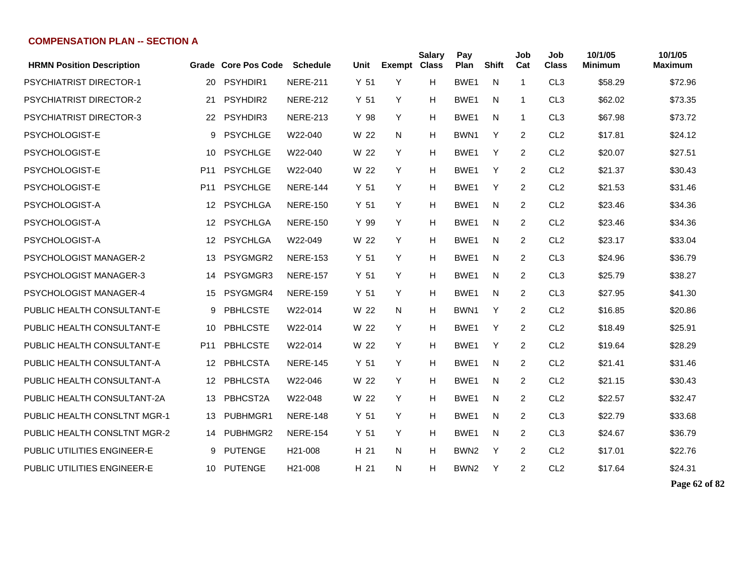| <b>HRMN Position Description</b> |                 | Grade Core Pos Code | <b>Schedule</b>      | Unit | Exempt Class | <b>Salary</b> | Pay<br>Plan      | <b>Shift</b> | Job<br>Cat     | Job<br><b>Class</b> | 10/1/05<br>Minimum | 10/1/05<br><b>Maximum</b> |
|----------------------------------|-----------------|---------------------|----------------------|------|--------------|---------------|------------------|--------------|----------------|---------------------|--------------------|---------------------------|
| <b>PSYCHIATRIST DIRECTOR-1</b>   | 20              | PSYHDIR1            | <b>NERE-211</b>      | Y 51 | Y            | H             | BWE1             | N            | $\overline{1}$ | CL <sub>3</sub>     | \$58.29            | \$72.96                   |
| <b>PSYCHIATRIST DIRECTOR-2</b>   | 21              | PSYHDIR2            | <b>NERE-212</b>      | Y 51 | Y            | H             | BWE1             | N            | $\mathbf{1}$   | CL <sub>3</sub>     | \$62.02            | \$73.35                   |
| <b>PSYCHIATRIST DIRECTOR-3</b>   | 22              | PSYHDIR3            | <b>NERE-213</b>      | Y 98 | Y            | н             | BWE1             | N            | $\mathbf{1}$   | CL <sub>3</sub>     | \$67.98            | \$73.72                   |
| PSYCHOLOGIST-E                   | 9               | <b>PSYCHLGE</b>     | W22-040              | W 22 | N            | н             | BWN1             | Y            | 2              | CL <sub>2</sub>     | \$17.81            | \$24.12                   |
| PSYCHOLOGIST-E                   | 10              | <b>PSYCHLGE</b>     | W22-040              | W 22 | Y            | н             | BWE <sub>1</sub> | Y            | 2              | CL <sub>2</sub>     | \$20.07            | \$27.51                   |
| PSYCHOLOGIST-E                   | P <sub>11</sub> | <b>PSYCHLGE</b>     | W22-040              | W 22 | Y            | н             | BWE <sub>1</sub> | Y            | 2              | CL <sub>2</sub>     | \$21.37            | \$30.43                   |
| PSYCHOLOGIST-E                   | P <sub>11</sub> | <b>PSYCHLGE</b>     | <b>NERE-144</b>      | Y 51 | Y            | н             | BWE <sub>1</sub> | Y            | 2              | CL <sub>2</sub>     | \$21.53            | \$31.46                   |
| PSYCHOLOGIST-A                   | $12 \,$         | <b>PSYCHLGA</b>     | <b>NERE-150</b>      | Y 51 | Y            | н             | BWE <sub>1</sub> | N            | $\overline{2}$ | CL <sub>2</sub>     | \$23.46            | \$34.36                   |
| PSYCHOLOGIST-A                   | 12 <sup>°</sup> | <b>PSYCHLGA</b>     | <b>NERE-150</b>      | Y 99 | Y            | н             | BWE1             | N            | $\overline{2}$ | CL <sub>2</sub>     | \$23.46            | \$34.36                   |
| PSYCHOLOGIST-A                   | 12 <sup>°</sup> | <b>PSYCHLGA</b>     | W22-049              | W 22 | Y            | н             | BWE <sub>1</sub> | N            | 2              | CL <sub>2</sub>     | \$23.17            | \$33.04                   |
| PSYCHOLOGIST MANAGER-2           | 13              | PSYGMGR2            | <b>NERE-153</b>      | Y 51 | Y            | н             | BWE <sub>1</sub> | N            | 2              | CL <sub>3</sub>     | \$24.96            | \$36.79                   |
| <b>PSYCHOLOGIST MANAGER-3</b>    | 14              | PSYGMGR3            | <b>NERE-157</b>      | Y 51 | Y            | н             | BWE <sub>1</sub> | N            | $\overline{2}$ | CL <sub>3</sub>     | \$25.79            | \$38.27                   |
| PSYCHOLOGIST MANAGER-4           | 15              | PSYGMGR4            | <b>NERE-159</b>      | Y 51 | Y            | Н             | BWE <sub>1</sub> | N            | 2              | CL <sub>3</sub>     | \$27.95            | \$41.30                   |
| PUBLIC HEALTH CONSULTANT-E       | 9               | <b>PBHLCSTE</b>     | W22-014              | W 22 | N            | н             | BWN1             | Y            | 2              | CL <sub>2</sub>     | \$16.85            | \$20.86                   |
| PUBLIC HEALTH CONSULTANT-E       | 10              | <b>PBHLCSTE</b>     | W22-014              | W 22 | Y            | н             | BWE1             | Y            | 2              | CL <sub>2</sub>     | \$18.49            | \$25.91                   |
| PUBLIC HEALTH CONSULTANT-E       | P <sub>11</sub> | <b>PBHLCSTE</b>     | W22-014              | W 22 | Y            | н             | BWE1             | Y            | 2              | CL <sub>2</sub>     | \$19.64            | \$28.29                   |
| PUBLIC HEALTH CONSULTANT-A       | 12 <sup>2</sup> | PBHLCSTA            | <b>NERE-145</b>      | Y 51 | Y            | н             | BWE <sub>1</sub> | N            | 2              | CL <sub>2</sub>     | \$21.41            | \$31.46                   |
| PUBLIC HEALTH CONSULTANT-A       | 12              | <b>PBHLCSTA</b>     | W22-046              | W 22 | Y            | н             | BWE <sub>1</sub> | N            | 2              | CL <sub>2</sub>     | \$21.15            | \$30.43                   |
| PUBLIC HEALTH CONSULTANT-2A      | 13              | PBHCST2A            | W22-048              | W 22 | Y            | н             | BWE <sub>1</sub> | N            | 2              | CL <sub>2</sub>     | \$22.57            | \$32.47                   |
| PUBLIC HEALTH CONSLTNT MGR-1     | 13              | PUBHMGR1            | <b>NERE-148</b>      | Y 51 | Y            | н             | BWE <sub>1</sub> | N            | 2              | CL <sub>3</sub>     | \$22.79            | \$33.68                   |
| PUBLIC HEALTH CONSLTNT MGR-2     | 14              | PUBHMGR2            | <b>NERE-154</b>      | Y 51 | Y            | Н             | BWE <sub>1</sub> | N            | 2              | CL <sub>3</sub>     | \$24.67            | \$36.79                   |
| PUBLIC UTILITIES ENGINEER-E      | 9               | <b>PUTENGE</b>      | H <sub>21</sub> -008 | H 21 | N            | н             | BWN <sub>2</sub> | Y            | 2              | CL <sub>2</sub>     | \$17.01            | \$22.76                   |
| PUBLIC UTILITIES ENGINEER-E      | 10              | PUTENGE             | H <sub>21</sub> -008 | H 21 | N            | н             | BWN <sub>2</sub> | Y            | $\overline{c}$ | CL <sub>2</sub>     | \$17.64            | \$24.31                   |

**Page 62 of 82**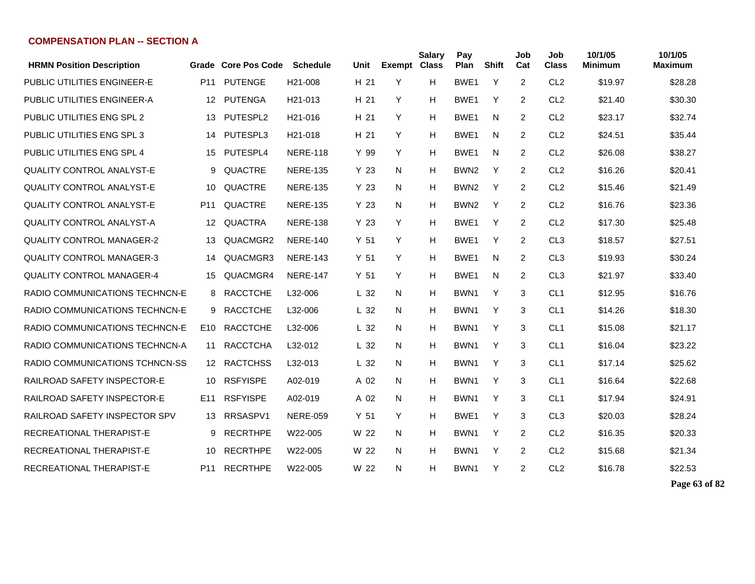| <b>HRMN Position Description</b>   |                 | Grade Core Pos Code | <b>Schedule</b>      | Unit            | <b>Exempt Class</b> | <b>Salary</b> | Pay<br>Plan      | <b>Shift</b> | Job<br>Cat     | Job<br><b>Class</b> | 10/1/05<br><b>Minimum</b> | 10/1/05<br><b>Maximum</b> |
|------------------------------------|-----------------|---------------------|----------------------|-----------------|---------------------|---------------|------------------|--------------|----------------|---------------------|---------------------------|---------------------------|
| <b>PUBLIC UTILITIES ENGINEER-E</b> | P <sub>11</sub> | <b>PUTENGE</b>      | H <sub>21</sub> -008 | H <sub>21</sub> | Y                   | н             | BWE <sub>1</sub> | Y            | $\overline{2}$ | CL <sub>2</sub>     | \$19.97                   | \$28.28                   |
| PUBLIC UTILITIES ENGINEER-A        | 12              | <b>PUTENGA</b>      | H <sub>21</sub> -013 | H 21            | Y                   | H             | BWE <sub>1</sub> | Y            | $\overline{2}$ | CL <sub>2</sub>     | \$21.40                   | \$30.30                   |
| <b>PUBLIC UTILITIES ENG SPL 2</b>  | 13              | PUTESPL2            | H <sub>21</sub> -016 | H 21            | Y                   | Н             | BWE <sub>1</sub> | N            | 2              | CL <sub>2</sub>     | \$23.17                   | \$32.74                   |
| PUBLIC UTILITIES ENG SPL 3         | 14              | PUTESPL3            | H <sub>21</sub> -018 | H 21            | Y                   | Н             | BWE <sub>1</sub> | N            | 2              | CL <sub>2</sub>     | \$24.51                   | \$35.44                   |
| PUBLIC UTILITIES ENG SPL 4         | 15              | PUTESPL4            | <b>NERE-118</b>      | Y 99            | Y                   | Н             | BWE <sub>1</sub> | N            | 2              | CL <sub>2</sub>     | \$26.08                   | \$38.27                   |
| QUALITY CONTROL ANALYST-E          | 9               | QUACTRE             | <b>NERE-135</b>      | Y 23            | N                   | Н             | BWN <sub>2</sub> | Y            | 2              | CL <sub>2</sub>     | \$16.26                   | \$20.41                   |
| <b>QUALITY CONTROL ANALYST-E</b>   | 10              | QUACTRE             | <b>NERE-135</b>      | Y <sub>23</sub> | N                   | Н             | BWN <sub>2</sub> | Y            | 2              | CL <sub>2</sub>     | \$15.46                   | \$21.49                   |
| <b>QUALITY CONTROL ANALYST-E</b>   | P <sub>11</sub> | <b>QUACTRE</b>      | <b>NERE-135</b>      | Y <sub>23</sub> | N                   | H             | BWN <sub>2</sub> | Y            | 2              | CL <sub>2</sub>     | \$16.76                   | \$23.36                   |
| <b>QUALITY CONTROL ANALYST-A</b>   | 12              | <b>QUACTRA</b>      | <b>NERE-138</b>      | Y 23            | Y                   | н             | BWE <sub>1</sub> | Y            | $\overline{2}$ | CL <sub>2</sub>     | \$17.30                   | \$25.48                   |
| <b>QUALITY CONTROL MANAGER-2</b>   | 13              | QUACMGR2            | <b>NERE-140</b>      | Y <sub>51</sub> | Y                   | н             | BWE <sub>1</sub> | Y            | $\overline{2}$ | CL <sub>3</sub>     | \$18.57                   | \$27.51                   |
| <b>QUALITY CONTROL MANAGER-3</b>   | 14              | QUACMGR3            | <b>NERE-143</b>      | Y <sub>51</sub> | Y                   | Н             | BWE <sub>1</sub> | N            | 2              | CL <sub>3</sub>     | \$19.93                   | \$30.24                   |
| <b>QUALITY CONTROL MANAGER-4</b>   | 15              | QUACMGR4            | <b>NERE-147</b>      | Y <sub>51</sub> | Y                   | н             | BWE <sub>1</sub> | N            | 2              | CL <sub>3</sub>     | \$21.97                   | \$33.40                   |
| RADIO COMMUNICATIONS TECHNCN-E     | 8               | <b>RACCTCHE</b>     | L32-006              | L <sub>32</sub> | N.                  | н             | BWN1             | Y            | 3              | CL <sub>1</sub>     | \$12.95                   | \$16.76                   |
| RADIO COMMUNICATIONS TECHNCN-E     | 9               | <b>RACCTCHE</b>     | L32-006              | L <sub>32</sub> | N.                  | н             | BWN1             | Y            | 3              | CL <sub>1</sub>     | \$14.26                   | \$18.30                   |
| RADIO COMMUNICATIONS TECHNCN-E     | E10             | <b>RACCTCHE</b>     | L32-006              | L <sub>32</sub> | N.                  | н             | BWN <sub>1</sub> | Y            | 3              | CL <sub>1</sub>     | \$15.08                   | \$21.17                   |
| RADIO COMMUNICATIONS TECHNCN-A     | 11              | <b>RACCTCHA</b>     | L32-012              | L <sub>32</sub> | N                   | н             | BWN <sub>1</sub> | Y            | 3              | CL <sub>1</sub>     | \$16.04                   | \$23.22                   |
| RADIO COMMUNICATIONS TCHNCN-SS     | 12 <sup>°</sup> | <b>RACTCHSS</b>     | L32-013              | L <sub>32</sub> | N                   | н             | BWN <sub>1</sub> | Y            | 3              | CL <sub>1</sub>     | \$17.14                   | \$25.62                   |
| RAILROAD SAFETY INSPECTOR-E        | 10              | <b>RSFYISPE</b>     | A02-019              | A 02            | N                   | Н             | BWN <sub>1</sub> | Y            | 3              | CL <sub>1</sub>     | \$16.64                   | \$22.68                   |
| <b>RAILROAD SAFETY INSPECTOR-E</b> | E11             | <b>RSFYISPE</b>     | A02-019              | A 02            | N.                  | Н             | BWN1             | Y            | 3              | CL <sub>1</sub>     | \$17.94                   | \$24.91                   |
| RAILROAD SAFETY INSPECTOR SPV      | 13              | RRSASPV1            | <b>NERE-059</b>      | Y <sub>51</sub> | Y                   | Н             | BWE <sub>1</sub> | Y            | 3              | CL <sub>3</sub>     | \$20.03                   | \$28.24                   |
| <b>RECREATIONAL THERAPIST-E</b>    | 9               | <b>RECRTHPE</b>     | W22-005              | W 22            | N                   | Н             | BWN1             | Y            | $\overline{2}$ | CL <sub>2</sub>     | \$16.35                   | \$20.33                   |
| <b>RECREATIONAL THERAPIST-E</b>    | 10              | <b>RECRTHPE</b>     | W22-005              | W 22            | N                   | Н             | BWN1             | Y            | 2              | CL <sub>2</sub>     | \$15.68                   | \$21.34                   |
| RECREATIONAL THERAPIST-E           | P11             | <b>RECRTHPE</b>     | W22-005              | W 22            | N                   | н             | BWN1             | Y            | 2              | CL <sub>2</sub>     | \$16.78                   | \$22.53                   |

**Page 63 of 82**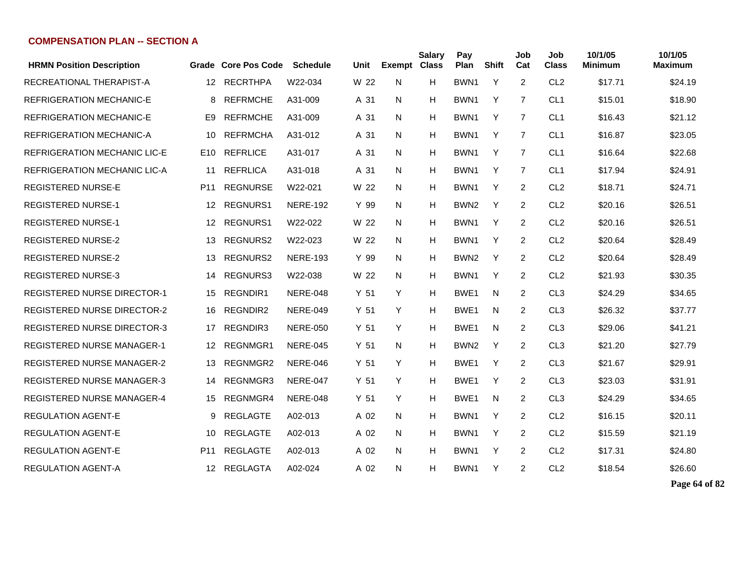| <b>HRMN Position Description</b>   |                 | Grade Core Pos Code | <b>Schedule</b> | Unit            | Exempt Class | <b>Salary</b> | Pay<br>Plan      | <b>Shift</b> | Job<br>Cat     | Job<br><b>Class</b> | 10/1/05<br><b>Minimum</b> | 10/1/05<br><b>Maximum</b> |
|------------------------------------|-----------------|---------------------|-----------------|-----------------|--------------|---------------|------------------|--------------|----------------|---------------------|---------------------------|---------------------------|
| RECREATIONAL THERAPIST-A           | 12 <sup>2</sup> | <b>RECRTHPA</b>     | W22-034         | W 22            | N            | н             | BWN1             | Y            | 2              | CL <sub>2</sub>     | \$17.71                   | \$24.19                   |
| <b>REFRIGERATION MECHANIC-E</b>    | 8               | <b>REFRMCHE</b>     | A31-009         | A 31            | N            | H             | BWN1             | Y            | $\overline{7}$ | CL <sub>1</sub>     | \$15.01                   | \$18.90                   |
| <b>REFRIGERATION MECHANIC-E</b>    | E <sub>9</sub>  | <b>REFRMCHE</b>     | A31-009         | A 31            | N            | н             | BWN <sub>1</sub> | Y            | $\overline{7}$ | CL <sub>1</sub>     | \$16.43                   | \$21.12                   |
| <b>REFRIGERATION MECHANIC-A</b>    | 10              | <b>REFRMCHA</b>     | A31-012         | A 31            | N            | н             | BWN1             | Y            | $\overline{7}$ | CL <sub>1</sub>     | \$16.87                   | \$23.05                   |
| REFRIGERATION MECHANIC LIC-E       | E10             | <b>REFRLICE</b>     | A31-017         | A 31            | N            | н             | BWN1             | Y            | $\overline{7}$ | CL <sub>1</sub>     | \$16.64                   | \$22.68                   |
| REFRIGERATION MECHANIC LIC-A       | 11              | <b>REFRLICA</b>     | A31-018         | A 31            | N            | н             | BWN1             | Y            | $\overline{7}$ | CL <sub>1</sub>     | \$17.94                   | \$24.91                   |
| <b>REGISTERED NURSE-E</b>          | P <sub>11</sub> | <b>REGNURSE</b>     | W22-021         | W 22            | N            | н             | BWN1             | Y            | $\overline{2}$ | CL <sub>2</sub>     | \$18.71                   | \$24.71                   |
| <b>REGISTERED NURSE-1</b>          | 12              | <b>REGNURS1</b>     | <b>NERE-192</b> | Y 99            | N            | н             | BWN <sub>2</sub> | Y            | 2              | CL <sub>2</sub>     | \$20.16                   | \$26.51                   |
| <b>REGISTERED NURSE-1</b>          | 12 <sup>°</sup> | REGNURS1            | W22-022         | W 22            | N            | н             | BWN1             | Y            | 2              | CL <sub>2</sub>     | \$20.16                   | \$26.51                   |
| <b>REGISTERED NURSE-2</b>          | 13              | REGNURS2            | W22-023         | W 22            | N            | н             | BWN1             | Y            | $\overline{2}$ | CL <sub>2</sub>     | \$20.64                   | \$28.49                   |
| <b>REGISTERED NURSE-2</b>          | 13              | <b>REGNURS2</b>     | <b>NERE-193</b> | Y 99            | N            | н             | BWN <sub>2</sub> | Y            | 2              | CL <sub>2</sub>     | \$20.64                   | \$28.49                   |
| <b>REGISTERED NURSE-3</b>          | 14              | <b>REGNURS3</b>     | W22-038         | W 22            | N            | н             | BWN1             | Y            | $\overline{2}$ | CL <sub>2</sub>     | \$21.93                   | \$30.35                   |
| <b>REGISTERED NURSE DIRECTOR-1</b> | 15              | REGNDIR1            | <b>NERE-048</b> | Y <sub>51</sub> | Y            | н             | BWE <sub>1</sub> | N            | $\overline{2}$ | CL <sub>3</sub>     | \$24.29                   | \$34.65                   |
| <b>REGISTERED NURSE DIRECTOR-2</b> | 16              | <b>REGNDIR2</b>     | <b>NERE-049</b> | Y 51            | Y            | н             | BWE <sub>1</sub> | N            | 2              | CL <sub>3</sub>     | \$26.32                   | \$37.77                   |
| <b>REGISTERED NURSE DIRECTOR-3</b> | 17              | REGNDIR3            | <b>NERE-050</b> | Y 51            | Y            | н             | BWE <sub>1</sub> | N            | $\overline{2}$ | CL <sub>3</sub>     | \$29.06                   | \$41.21                   |
| <b>REGISTERED NURSE MANAGER-1</b>  | $12 \,$         | REGNMGR1            | <b>NERE-045</b> | Y 51            | N            | н             | BWN <sub>2</sub> | Y            | $\overline{2}$ | CL <sub>3</sub>     | \$21.20                   | \$27.79                   |
| <b>REGISTERED NURSE MANAGER-2</b>  | 13              | REGNMGR2            | <b>NERE-046</b> | Y <sub>51</sub> | Y            | н             | BWE <sub>1</sub> | Y            | $\overline{2}$ | CL <sub>3</sub>     | \$21.67                   | \$29.91                   |
| <b>REGISTERED NURSE MANAGER-3</b>  | 14              | REGNMGR3            | <b>NERE-047</b> | Y 51            | Y            | н             | BWE <sub>1</sub> | Y            | 2              | CL <sub>3</sub>     | \$23.03                   | \$31.91                   |
| <b>REGISTERED NURSE MANAGER-4</b>  | 15              | REGNMGR4            | <b>NERE-048</b> | Y <sub>51</sub> | Y            | н             | BWE1             | N            | $\overline{2}$ | CL <sub>3</sub>     | \$24.29                   | \$34.65                   |
| <b>REGULATION AGENT-E</b>          | 9               | <b>REGLAGTE</b>     | A02-013         | A 02            | N            | н             | BWN1             | Y            | 2              | CL <sub>2</sub>     | \$16.15                   | \$20.11                   |
| <b>REGULATION AGENT-E</b>          | 10              | <b>REGLAGTE</b>     | A02-013         | A 02            | N            | Н             | BWN <sub>1</sub> | Y            | $\overline{2}$ | CL <sub>2</sub>     | \$15.59                   | \$21.19                   |
| <b>REGULATION AGENT-E</b>          | P <sub>11</sub> | <b>REGLAGTE</b>     | A02-013         | A 02            | N.           | н             | BWN1             | Y            | $\overline{2}$ | CL <sub>2</sub>     | \$17.31                   | \$24.80                   |
| REGULATION AGENT-A                 | 12              | REGLAGTA            | A02-024         | A 02            | N            | н             | BWN1             | Y            | 2              | CL <sub>2</sub>     | \$18.54                   | \$26.60                   |

**Page 64 of 82**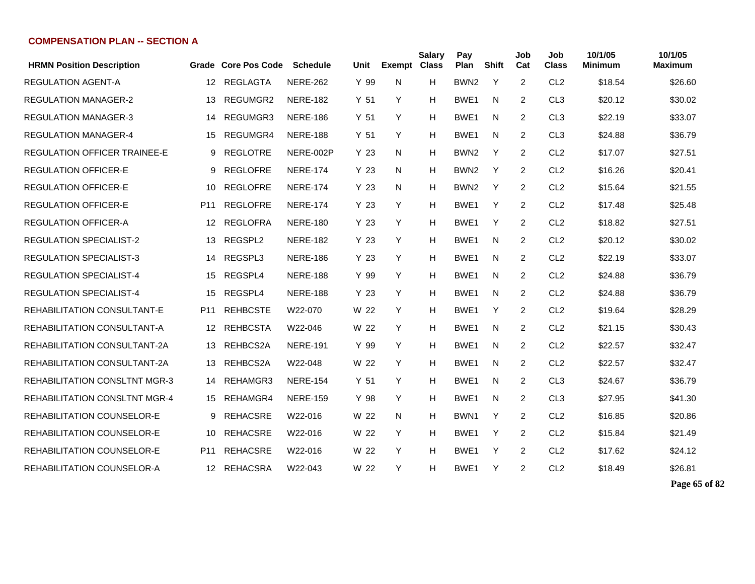| <b>HRMN Position Description</b>     |                  | Grade Core Pos Code | <b>Schedule</b> | Unit            | <b>Exempt Class</b> | Salary | Pay<br>Plan      | <b>Shift</b> | Job<br>Cat     | Job<br><b>Class</b> | 10/1/05<br>Minimum | 10/1/05<br>Maximum |
|--------------------------------------|------------------|---------------------|-----------------|-----------------|---------------------|--------|------------------|--------------|----------------|---------------------|--------------------|--------------------|
| REGULATION AGENT-A                   | 12 <sup>°</sup>  | <b>REGLAGTA</b>     | <b>NERE-262</b> | Y 99            | N                   | H      | BWN <sub>2</sub> | Y            | $\overline{2}$ | CL <sub>2</sub>     | \$18.54            | \$26.60            |
| <b>REGULATION MANAGER-2</b>          | 13               | REGUMGR2            | <b>NERE-182</b> | Y <sub>51</sub> | Y                   | H      | BWE <sub>1</sub> | N            | 2              | CL <sub>3</sub>     | \$20.12            | \$30.02            |
| <b>REGULATION MANAGER-3</b>          | 14               | REGUMGR3            | <b>NERE-186</b> | Y <sub>51</sub> | Y                   | Н      | BWE1             | N            | 2              | CL <sub>3</sub>     | \$22.19            | \$33.07            |
| <b>REGULATION MANAGER-4</b>          | 15               | REGUMGR4            | <b>NERE-188</b> | Y 51            | Y                   | Н      | BWE <sub>1</sub> | N            | $\overline{2}$ | CL <sub>3</sub>     | \$24.88            | \$36.79            |
| <b>REGULATION OFFICER TRAINEE-E</b>  | 9                | <b>REGLOTRE</b>     | NERE-002P       | Y 23            | N                   | н      | BWN <sub>2</sub> | Y            | 2              | CL <sub>2</sub>     | \$17.07            | \$27.51            |
| <b>REGULATION OFFICER-E</b>          | 9                | <b>REGLOFRE</b>     | <b>NERE-174</b> | Y 23            | N                   | Н      | BWN <sub>2</sub> | Y            | 2              | CL <sub>2</sub>     | \$16.26            | \$20.41            |
| <b>REGULATION OFFICER-E</b>          | 10               | <b>REGLOFRE</b>     | <b>NERE-174</b> | Y 23            | N                   | Н      | BWN <sub>2</sub> | Y            | $\overline{2}$ | CL <sub>2</sub>     | \$15.64            | \$21.55            |
| <b>REGULATION OFFICER-E</b>          | P11              | <b>REGLOFRE</b>     | <b>NERE-174</b> | Y 23            | Y                   | H      | BWE <sub>1</sub> | Y            | $\overline{2}$ | CL <sub>2</sub>     | \$17.48            | \$25.48            |
| <b>REGULATION OFFICER-A</b>          | 12               | <b>REGLOFRA</b>     | <b>NERE-180</b> | Y 23            | Y                   | Н      | BWE <sub>1</sub> | Y            | $\overline{2}$ | CL <sub>2</sub>     | \$18.82            | \$27.51            |
| <b>REGULATION SPECIALIST-2</b>       | 13               | REGSPL2             | <b>NERE-182</b> | Y 23            | Y                   | н      | BWE1             | N            | $\overline{2}$ | CL <sub>2</sub>     | \$20.12            | \$30.02            |
| <b>REGULATION SPECIALIST-3</b>       | 14               | REGSPL3             | <b>NERE-186</b> | Y 23            | Y                   | н      | BWE1             | N            | $\overline{2}$ | CL <sub>2</sub>     | \$22.19            | \$33.07            |
| <b>REGULATION SPECIALIST-4</b>       | 15               | REGSPL4             | <b>NERE-188</b> | Y 99            | Y                   | Н      | BWE1             | N            | 2              | CL <sub>2</sub>     | \$24.88            | \$36.79            |
| <b>REGULATION SPECIALIST-4</b>       | 15               | REGSPL4             | <b>NERE-188</b> | Y 23            | Y                   | н      | BWE <sub>1</sub> | N            | 2              | CL <sub>2</sub>     | \$24.88            | \$36.79            |
| REHABILITATION CONSULTANT-E          | P <sub>11</sub>  | <b>REHBCSTE</b>     | W22-070         | W 22            | Y                   | н      | BWE1             | Y            | 2              | CL <sub>2</sub>     | \$19.64            | \$28.29            |
| REHABILITATION CONSULTANT-A          | $12 \,$          | <b>REHBCSTA</b>     | W22-046         | W 22            | Y                   | н      | BWE1             | N            | 2              | CL <sub>2</sub>     | \$21.15            | \$30.43            |
| <b>REHABILITATION CONSULTANT-2A</b>  | 13               | REHBCS2A            | <b>NERE-191</b> | Y 99            | Y                   | н      | BWE1             | N            | 2              | CL <sub>2</sub>     | \$22.57            | \$32.47            |
| REHABILITATION CONSULTANT-2A         | 13               | REHBCS2A            | W22-048         | W 22            | Y                   | н      | BWE <sub>1</sub> | N            | 2              | CL <sub>2</sub>     | \$22.57            | \$32.47            |
| REHABILITATION CONSLTNT MGR-3        | 14               | REHAMGR3            | <b>NERE-154</b> | Y <sub>51</sub> | Y                   | Н      | BWE1             | N            | 2              | CL <sub>3</sub>     | \$24.67            | \$36.79            |
| <b>REHABILITATION CONSLTNT MGR-4</b> | 15               | REHAMGR4            | <b>NERE-159</b> | Y 98            | Y                   | Н      | BWE <sub>1</sub> | N            | $\overline{2}$ | CL <sub>3</sub>     | \$27.95            | \$41.30            |
| REHABILITATION COUNSELOR-E           | 9                | <b>REHACSRE</b>     | W22-016         | W 22            | N.                  | Н      | BWN1             | Y            | 2              | CL <sub>2</sub>     | \$16.85            | \$20.86            |
| <b>REHABILITATION COUNSELOR-E</b>    | 10               | <b>REHACSRE</b>     | W22-016         | W 22            | Y                   | Н      | BWE <sub>1</sub> | Y            | 2              | CL <sub>2</sub>     | \$15.84            | \$21.49            |
| REHABILITATION COUNSELOR-E           | P <sub>11</sub>  | <b>REHACSRE</b>     | W22-016         | W 22            | Y                   | Н      | BWE1             | Y            | $\overline{2}$ | CL <sub>2</sub>     | \$17.62            | \$24.12            |
| REHABILITATION COUNSELOR-A           | 12 <sup>12</sup> | REHACSRA            | W22-043         | W 22            | Y                   | Н      | BWE <sub>1</sub> | Y            | $\overline{2}$ | CL <sub>2</sub>     | \$18.49            | \$26.81            |

**Page 65 of 82**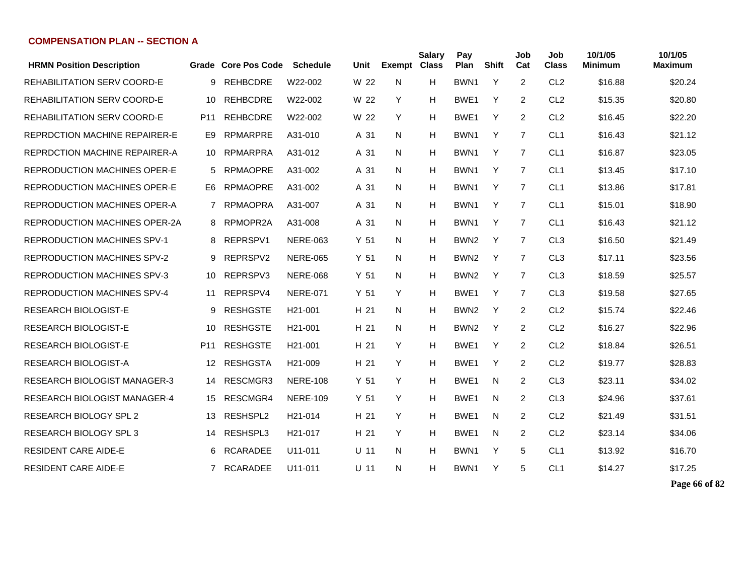| <b>HRMN Position Description</b>     |                 | Grade Core Pos Code | <b>Schedule</b>      | Unit            | <b>Exempt Class</b> | <b>Salary</b> | Pay<br>Plan      | Shift | Job<br>Cat     | Job<br>Class    | 10/1/05<br><b>Minimum</b> | 10/1/05<br><b>Maximum</b> |
|--------------------------------------|-----------------|---------------------|----------------------|-----------------|---------------------|---------------|------------------|-------|----------------|-----------------|---------------------------|---------------------------|
| <b>REHABILITATION SERV COORD-E</b>   | 9               | <b>REHBCDRE</b>     | W22-002              | W 22            | N                   | Н             | BWN <sub>1</sub> | Y     | 2              | CL <sub>2</sub> | \$16.88                   | \$20.24                   |
| <b>REHABILITATION SERV COORD-E</b>   | 10              | <b>REHBCDRE</b>     | W22-002              | W 22            | Y                   | H             | BWE <sub>1</sub> | Y     | 2              | CL <sub>2</sub> | \$15.35                   | \$20.80                   |
| <b>REHABILITATION SERV COORD-E</b>   | P <sub>11</sub> | <b>REHBCDRE</b>     | W22-002              | W 22            | Y                   | H             | BWE <sub>1</sub> | Y     | 2              | CL <sub>2</sub> | \$16.45                   | \$22.20                   |
| <b>REPRDCTION MACHINE REPAIRER-E</b> | E9              | <b>RPMARPRE</b>     | A31-010              | A 31            | N                   | H             | BWN <sub>1</sub> | Y     | $\overline{7}$ | CL <sub>1</sub> | \$16.43                   | \$21.12                   |
| <b>REPRDCTION MACHINE REPAIRER-A</b> | 10              | <b>RPMARPRA</b>     | A31-012              | A 31            | N                   | н             | BWN <sub>1</sub> | Y     | $\overline{7}$ | CL <sub>1</sub> | \$16.87                   | \$23.05                   |
| REPRODUCTION MACHINES OPER-E         | 5               | <b>RPMAOPRE</b>     | A31-002              | A 31            | N                   | H             | BWN1             | Y     | $\overline{7}$ | CL <sub>1</sub> | \$13.45                   | \$17.10                   |
| REPRODUCTION MACHINES OPER-E         | E6              | <b>RPMAOPRE</b>     | A31-002              | A 31            | N                   | H             | BWN <sub>1</sub> | Y     | $\overline{7}$ | CL <sub>1</sub> | \$13.86                   | \$17.81                   |
| REPRODUCTION MACHINES OPER-A         | 7               | <b>RPMAOPRA</b>     | A31-007              | A 31            | N                   | H             | BWN <sub>1</sub> | Y     | 7              | CL <sub>1</sub> | \$15.01                   | \$18.90                   |
| <b>REPRODUCTION MACHINES OPER-2A</b> | 8               | RPMOPR2A            | A31-008              | A 31            | N                   | H             | BWN1             | Y     | 7              | CL <sub>1</sub> | \$16.43                   | \$21.12                   |
| <b>REPRODUCTION MACHINES SPV-1</b>   | 8               | REPRSPV1            | <b>NERE-063</b>      | Y <sub>51</sub> | N                   | H             | BWN <sub>2</sub> | Y     | $\overline{7}$ | CL <sub>3</sub> | \$16.50                   | \$21.49                   |
| <b>REPRODUCTION MACHINES SPV-2</b>   | 9               | REPRSPV2            | <b>NERE-065</b>      | Y <sub>51</sub> | N                   | H             | BWN <sub>2</sub> | Y     | $\overline{7}$ | CL <sub>3</sub> | \$17.11                   | \$23.56                   |
| <b>REPRODUCTION MACHINES SPV-3</b>   | 10              | REPRSPV3            | <b>NERE-068</b>      | Y <sub>51</sub> | N                   | H             | BWN <sub>2</sub> | Y     | $\overline{7}$ | CL <sub>3</sub> | \$18.59                   | \$25.57                   |
| <b>REPRODUCTION MACHINES SPV-4</b>   | 11              | REPRSPV4            | <b>NERE-071</b>      | Y <sub>51</sub> | Y                   | н             | BWE <sub>1</sub> | Y     | $\overline{7}$ | CL <sub>3</sub> | \$19.58                   | \$27.65                   |
| <b>RESEARCH BIOLOGIST-E</b>          | 9               | <b>RESHGSTE</b>     | H <sub>21</sub> -001 | H 21            | N                   | н             | BWN <sub>2</sub> | Y     | 2              | CL <sub>2</sub> | \$15.74                   | \$22.46                   |
| <b>RESEARCH BIOLOGIST-E</b>          | 10              | <b>RESHGSTE</b>     | H <sub>21</sub> -001 | H 21            | N                   | н             | BWN <sub>2</sub> | Y     | 2              | CL <sub>2</sub> | \$16.27                   | \$22.96                   |
| RESEARCH BIOLOGIST-E                 | P11             | <b>RESHGSTE</b>     | H <sub>21</sub> -001 | H 21            | Y                   | H             | BWE1             | Y     | 2              | CL <sub>2</sub> | \$18.84                   | \$26.51                   |
| <b>RESEARCH BIOLOGIST-A</b>          | 12              | <b>RESHGSTA</b>     | H <sub>21</sub> -009 | H 21            | Y                   | н             | BWE <sub>1</sub> | Y     | 2              | CL <sub>2</sub> | \$19.77                   | \$28.83                   |
| <b>RESEARCH BIOLOGIST MANAGER-3</b>  | 14              | RESCMGR3            | <b>NERE-108</b>      | Y <sub>51</sub> | Y                   | н             | BWE <sub>1</sub> | N     | 2              | CL <sub>3</sub> | \$23.11                   | \$34.02                   |
| <b>RESEARCH BIOLOGIST MANAGER-4</b>  | 15              | RESCMGR4            | <b>NERE-109</b>      | Y <sub>51</sub> | Y                   | н             | BWE <sub>1</sub> | N     | 2              | CL <sub>3</sub> | \$24.96                   | \$37.61                   |
| <b>RESEARCH BIOLOGY SPL 2</b>        | 13              | RESHSPL2            | H21-014              | H 21            | Y                   | H             | BWE <sub>1</sub> | N     | 2              | CL <sub>2</sub> | \$21.49                   | \$31.51                   |
| <b>RESEARCH BIOLOGY SPL 3</b>        | 14              | RESHSPL3            | H <sub>21</sub> -017 | H 21            | Y                   | н             | BWE <sub>1</sub> | N     | 2              | CL <sub>2</sub> | \$23.14                   | \$34.06                   |
| <b>RESIDENT CARE AIDE-E</b>          | 6               | <b>RCARADEE</b>     | U11-011              | $U$ 11          | N                   | H             | BWN <sub>1</sub> | Y     | 5              | CL <sub>1</sub> | \$13.92                   | \$16.70                   |
| <b>RESIDENT CARE AIDE-E</b>          | $7^{\circ}$     | <b>RCARADEE</b>     | U11-011              | U 11            | N                   | н             | BWN1             | Y     | 5              | CL <sub>1</sub> | \$14.27                   | \$17.25                   |
|                                      |                 |                     |                      |                 |                     |               |                  |       |                |                 |                           |                           |

**Page 66 of 82**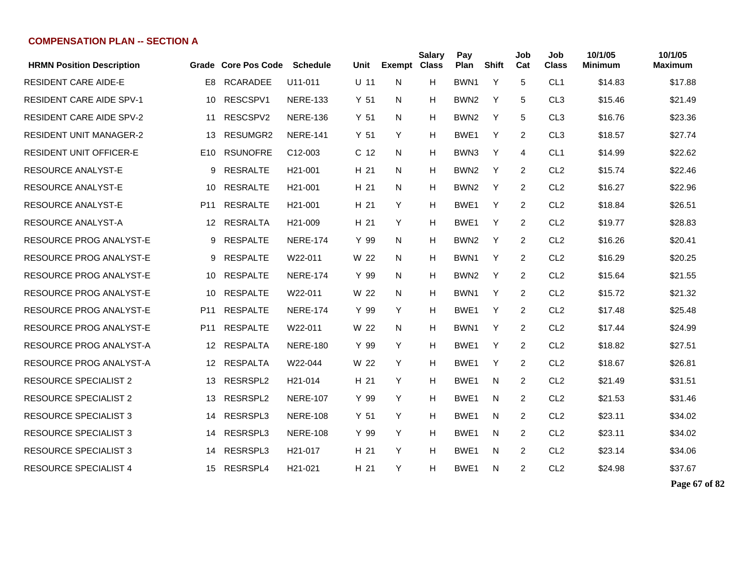| <b>HRMN Position Description</b> |                 | Grade Core Pos Code | <b>Schedule</b>      | Unit            | <b>Exempt</b> | <b>Salary</b><br><b>Class</b> | Pay<br>Plan      | <b>Shift</b> | Job<br>Cat     | Job<br><b>Class</b> | 10/1/05<br><b>Minimum</b> | 10/1/05<br><b>Maximum</b> |
|----------------------------------|-----------------|---------------------|----------------------|-----------------|---------------|-------------------------------|------------------|--------------|----------------|---------------------|---------------------------|---------------------------|
| <b>RESIDENT CARE AIDE-E</b>      | E <sub>8</sub>  | <b>RCARADEE</b>     | U11-011              | $U$ 11          | N             | H                             | BWN <sub>1</sub> | Y            | 5              | CL <sub>1</sub>     | \$14.83                   | \$17.88                   |
| <b>RESIDENT CARE AIDE SPV-1</b>  | 10              | RESCSPV1            | <b>NERE-133</b>      | Y <sub>51</sub> | N             | H                             | BWN <sub>2</sub> | Y            | 5              | CL <sub>3</sub>     | \$15.46                   | \$21.49                   |
| <b>RESIDENT CARE AIDE SPV-2</b>  | 11              | RESCSPV2            | <b>NERE-136</b>      | Y <sub>51</sub> | N             | н                             | BWN <sub>2</sub> | Y            | 5              | CL <sub>3</sub>     | \$16.76                   | \$23.36                   |
| <b>RESIDENT UNIT MANAGER-2</b>   | 13              | RESUMGR2            | <b>NERE-141</b>      | Y <sub>51</sub> | Y             | H                             | BWE <sub>1</sub> | Y            | 2              | CL <sub>3</sub>     | \$18.57                   | \$27.74                   |
| <b>RESIDENT UNIT OFFICER-E</b>   | E <sub>10</sub> | <b>RSUNOFRE</b>     | C <sub>12</sub> -003 | C <sub>12</sub> | N             | H                             | BWN3             | Y            | 4              | CL <sub>1</sub>     | \$14.99                   | \$22.62                   |
| <b>RESOURCE ANALYST-E</b>        | 9               | <b>RESRALTE</b>     | H <sub>21</sub> -001 | H 21            | N             | H                             | BWN <sub>2</sub> | Y            | 2              | CL <sub>2</sub>     | \$15.74                   | \$22.46                   |
| <b>RESOURCE ANALYST-E</b>        | 10              | <b>RESRALTE</b>     | H <sub>21</sub> -001 | H 21            | N             | H                             | BWN <sub>2</sub> | Y            | 2              | CL <sub>2</sub>     | \$16.27                   | \$22.96                   |
| <b>RESOURCE ANALYST-E</b>        | P <sub>11</sub> | <b>RESRALTE</b>     | H <sub>21</sub> -001 | H 21            | Y             | H                             | BWE <sub>1</sub> | Y            | $\overline{2}$ | CL <sub>2</sub>     | \$18.84                   | \$26.51                   |
| <b>RESOURCE ANALYST-A</b>        | 12 <sup>°</sup> | <b>RESRALTA</b>     | H <sub>21</sub> -009 | H 21            | Y             | H                             | BWE <sub>1</sub> | Y            | $\overline{2}$ | CL <sub>2</sub>     | \$19.77                   | \$28.83                   |
| <b>RESOURCE PROG ANALYST-E</b>   | 9               | <b>RESPALTE</b>     | <b>NERE-174</b>      | Y 99            | N             | н                             | BWN <sub>2</sub> | Y            | 2              | CL <sub>2</sub>     | \$16.26                   | \$20.41                   |
| <b>RESOURCE PROG ANALYST-E</b>   | 9               | <b>RESPALTE</b>     | W22-011              | W 22            | N             | н                             | BWN1             | Y            | 2              | CL <sub>2</sub>     | \$16.29                   | \$20.25                   |
| <b>RESOURCE PROG ANALYST-E</b>   | 10              | <b>RESPALTE</b>     | <b>NERE-174</b>      | Y 99            | N             | н                             | BWN <sub>2</sub> | Y            | 2              | CL <sub>2</sub>     | \$15.64                   | \$21.55                   |
| <b>RESOURCE PROG ANALYST-E</b>   | 10              | <b>RESPALTE</b>     | W22-011              | W 22            | N             | н                             | BWN1             | Y            | 2              | CL <sub>2</sub>     | \$15.72                   | \$21.32                   |
| <b>RESOURCE PROG ANALYST-E</b>   | P <sub>11</sub> | <b>RESPALTE</b>     | <b>NERE-174</b>      | Y 99            | Y             | н                             | BWE <sub>1</sub> | Y            | 2              | CL <sub>2</sub>     | \$17.48                   | \$25.48                   |
| <b>RESOURCE PROG ANALYST-E</b>   | P <sub>11</sub> | <b>RESPALTE</b>     | W22-011              | W 22            | N             | H                             | BWN1             | Y            | 2              | CL <sub>2</sub>     | \$17.44                   | \$24.99                   |
| <b>RESOURCE PROG ANALYST-A</b>   | 12              | <b>RESPALTA</b>     | <b>NERE-180</b>      | Y 99            | Y             | H                             | BWE <sub>1</sub> | Y            | 2              | CL <sub>2</sub>     | \$18.82                   | \$27.51                   |
| <b>RESOURCE PROG ANALYST-A</b>   | $12 \,$         | <b>RESPALTA</b>     | W22-044              | W 22            | Y             | H                             | BWE <sub>1</sub> | Y            | 2              | CL <sub>2</sub>     | \$18.67                   | \$26.81                   |
| <b>RESOURCE SPECIALIST 2</b>     | 13              | RESRSPL2            | H <sub>21</sub> -014 | H 21            | Y             | н                             | BWE <sub>1</sub> | N            | 2              | CL <sub>2</sub>     | \$21.49                   | \$31.51                   |
| <b>RESOURCE SPECIALIST 2</b>     | 13              | RESRSPL2            | <b>NERE-107</b>      | Y 99            | Y             | H                             | BWE <sub>1</sub> | N            | 2              | CL <sub>2</sub>     | \$21.53                   | \$31.46                   |
| <b>RESOURCE SPECIALIST 3</b>     | 14              | RESRSPL3            | <b>NERE-108</b>      | Y <sub>51</sub> | Y             | H                             | BWE <sub>1</sub> | N            | 2              | CL <sub>2</sub>     | \$23.11                   | \$34.02                   |
| <b>RESOURCE SPECIALIST 3</b>     | 14              | RESRSPL3            | <b>NERE-108</b>      | Y 99            | Y             | H                             | BWE1             | N            | 2              | CL <sub>2</sub>     | \$23.11                   | \$34.02                   |
| <b>RESOURCE SPECIALIST 3</b>     | 14              | RESRSPL3            | H <sub>21</sub> -017 | H 21            | Y             | Н                             | BWE1             | N            | 2              | CL <sub>2</sub>     | \$23.14                   | \$34.06                   |
| <b>RESOURCE SPECIALIST 4</b>     | 15              | RESRSPL4            | H21-021              | H 21            | Y             | н                             | BWE1             | N            | 2              | CL <sub>2</sub>     | \$24.98                   | \$37.67                   |

**Page 67 of 82**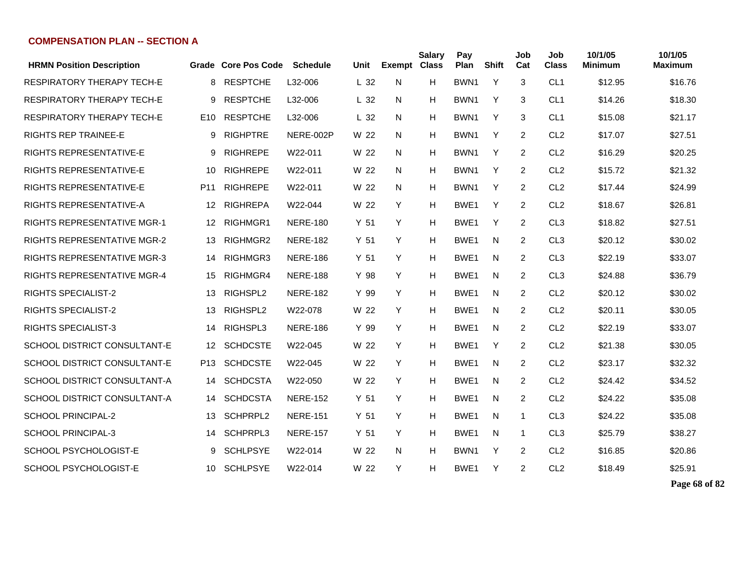| <b>HRMN Position Description</b>    |                 | Grade Core Pos Code | <b>Schedule</b> | Unit            | <b>Exempt</b> | <b>Salary</b><br><b>Class</b> | Pay<br>Plan      | <b>Shift</b> | Job<br>Cat | Job<br><b>Class</b> | 10/1/05<br>Minimum | 10/1/05<br>Maximum |
|-------------------------------------|-----------------|---------------------|-----------------|-----------------|---------------|-------------------------------|------------------|--------------|------------|---------------------|--------------------|--------------------|
| RESPIRATORY THERAPY TECH-E          | 8               | <b>RESPTCHE</b>     | L32-006         | L <sub>32</sub> | N             | н                             | BWN1             | Y            | 3          | CL <sub>1</sub>     | \$12.95            | \$16.76            |
| <b>RESPIRATORY THERAPY TECH-E</b>   | 9               | <b>RESPTCHE</b>     | L32-006         | L <sub>32</sub> | N             | н                             | BWN <sub>1</sub> | Y            | 3          | CL <sub>1</sub>     | \$14.26            | \$18.30            |
| <b>RESPIRATORY THERAPY TECH-E</b>   | E <sub>10</sub> | <b>RESPTCHE</b>     | L32-006         | L <sub>32</sub> | N             | Н                             | BWN <sub>1</sub> | Y            | 3          | CL <sub>1</sub>     | \$15.08            | \$21.17            |
| <b>RIGHTS REP TRAINEE-E</b>         | 9               | <b>RIGHPTRE</b>     | NERE-002P       | W 22            | N.            | Н                             | BWN <sub>1</sub> | Y            | 2          | CL <sub>2</sub>     | \$17.07            | \$27.51            |
| <b>RIGHTS REPRESENTATIVE-E</b>      | 9               | <b>RIGHREPE</b>     | W22-011         | W 22            | N.            | Н                             | BWN <sub>1</sub> | Y            | 2          | CL <sub>2</sub>     | \$16.29            | \$20.25            |
| <b>RIGHTS REPRESENTATIVE-E</b>      | 10              | <b>RIGHREPE</b>     | W22-011         | W 22            | N             | н                             | BWN <sub>1</sub> | Y            | 2          | CL <sub>2</sub>     | \$15.72            | \$21.32            |
| RIGHTS REPRESENTATIVE-E             | P <sub>11</sub> | <b>RIGHREPE</b>     | W22-011         | W 22            | N             | н                             | BWN <sub>1</sub> | Y            | 2          | CL <sub>2</sub>     | \$17.44            | \$24.99            |
| <b>RIGHTS REPRESENTATIVE-A</b>      | 12              | <b>RIGHREPA</b>     | W22-044         | W 22            | Y             | н                             | BWE1             | Y            | 2          | CL <sub>2</sub>     | \$18.67            | \$26.81            |
| <b>RIGHTS REPRESENTATIVE MGR-1</b>  | 12              | RIGHMGR1            | <b>NERE-180</b> | Y <sub>51</sub> | Y             | н                             | BWE1             | Y            | 2          | CL <sub>3</sub>     | \$18.82            | \$27.51            |
| <b>RIGHTS REPRESENTATIVE MGR-2</b>  | 13              | RIGHMGR2            | <b>NERE-182</b> | Y <sub>51</sub> | Y             | н                             | BWE <sub>1</sub> | N            | 2          | CL <sub>3</sub>     | \$20.12            | \$30.02            |
| <b>RIGHTS REPRESENTATIVE MGR-3</b>  | 14              | RIGHMGR3            | <b>NERE-186</b> | Y <sub>51</sub> | Y             | Н                             | BWE1             | N            | 2          | CL <sub>3</sub>     | \$22.19            | \$33.07            |
| <b>RIGHTS REPRESENTATIVE MGR-4</b>  | 15              | RIGHMGR4            | <b>NERE-188</b> | Y 98            | Y             | н                             | BWE <sub>1</sub> | N            | 2          | CL <sub>3</sub>     | \$24.88            | \$36.79            |
| <b>RIGHTS SPECIALIST-2</b>          | 13              | RIGHSPL2            | <b>NERE-182</b> | Y 99            | Y             | н                             | BWE1             | N            | 2          | CL <sub>2</sub>     | \$20.12            | \$30.02            |
| <b>RIGHTS SPECIALIST-2</b>          | 13              | RIGHSPL2            | W22-078         | W 22            | Y             | н                             | BWE <sub>1</sub> | N            | 2          | CL <sub>2</sub>     | \$20.11            | \$30.05            |
| <b>RIGHTS SPECIALIST-3</b>          | 14              | RIGHSPL3            | <b>NERE-186</b> | Y 99            | Y             | н                             | BWE <sub>1</sub> | N            | 2          | CL <sub>2</sub>     | \$22.19            | \$33.07            |
| <b>SCHOOL DISTRICT CONSULTANT-E</b> | 12              | <b>SCHDCSTE</b>     | W22-045         | W 22            | Y             | н                             | BWE1             | Y            | 2          | CL <sub>2</sub>     | \$21.38            | \$30.05            |
| <b>SCHOOL DISTRICT CONSULTANT-E</b> | P <sub>13</sub> | <b>SCHDCSTE</b>     | W22-045         | W 22            | Y             | н                             | BWE1             | N            | 2          | CL <sub>2</sub>     | \$23.17            | \$32.32            |
| SCHOOL DISTRICT CONSULTANT-A        | 14              | <b>SCHDCSTA</b>     | W22-050         | W 22            | Y             | н                             | BWE1             | N            | 2          | CL <sub>2</sub>     | \$24.42            | \$34.52            |
| SCHOOL DISTRICT CONSULTANT-A        | 14              | <b>SCHDCSTA</b>     | <b>NERE-152</b> | Y 51            | Y             | н                             | BWE <sub>1</sub> | N            | 2          | CL <sub>2</sub>     | \$24.22            | \$35.08            |
| <b>SCHOOL PRINCIPAL-2</b>           | 13              | SCHPRPL2            | <b>NERE-151</b> | Y <sub>51</sub> | Y             | н                             | BWE1             | N            | 1          | CL <sub>3</sub>     | \$24.22            | \$35.08            |
| <b>SCHOOL PRINCIPAL-3</b>           | 14              | SCHPRPL3            | <b>NERE-157</b> | Y 51            | Y             | н                             | BWE <sub>1</sub> | N            | 1          | CL <sub>3</sub>     | \$25.79            | \$38.27            |
| SCHOOL PSYCHOLOGIST-E               | 9               | <b>SCHLPSYE</b>     | W22-014         | W 22            | N             | н                             | BWN <sub>1</sub> | Y            | 2          | CL <sub>2</sub>     | \$16.85            | \$20.86            |
| SCHOOL PSYCHOLOGIST-E               | 10              | <b>SCHLPSYE</b>     | W22-014         | W 22            | Y             | н                             | BWE1             | Y            | 2          | CL <sub>2</sub>     | \$18.49            | \$25.91            |

**Page 68 of 82**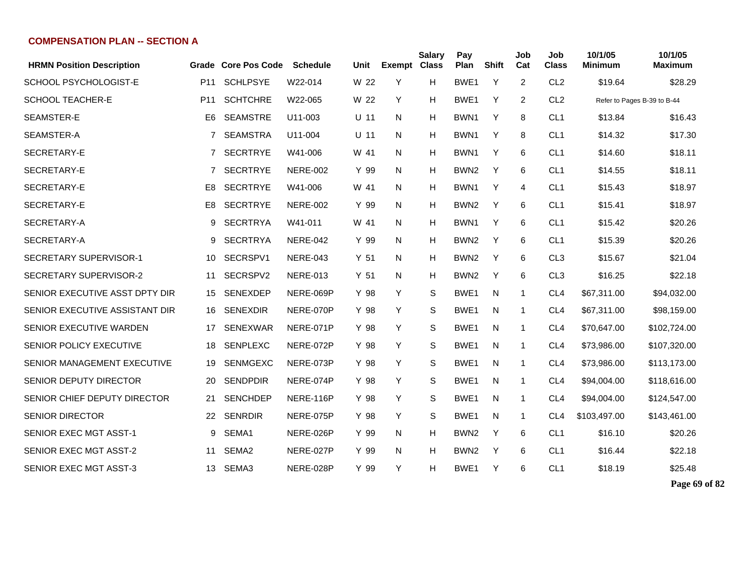| <b>HRMN Position Description</b> |                 | Grade Core Pos Code | <b>Schedule</b> | Unit   | Exempt Class | <b>Salary</b> | Pay<br>Plan      | <b>Shift</b> | Job<br>Cat   | Job<br><b>Class</b> | 10/1/05<br><b>Minimum</b>   | 10/1/05<br><b>Maximum</b> |
|----------------------------------|-----------------|---------------------|-----------------|--------|--------------|---------------|------------------|--------------|--------------|---------------------|-----------------------------|---------------------------|
| SCHOOL PSYCHOLOGIST-E            | P <sub>11</sub> | <b>SCHLPSYE</b>     | W22-014         | W 22   | Y            | н             | BWE1             | Y            | 2            | CL <sub>2</sub>     | \$19.64                     | \$28.29                   |
| <b>SCHOOL TEACHER-E</b>          | P <sub>11</sub> | <b>SCHTCHRE</b>     | W22-065         | W 22   | Y            | н             | BWE <sub>1</sub> | Y            | 2            | CL <sub>2</sub>     | Refer to Pages B-39 to B-44 |                           |
| SEAMSTER-E                       | E6              | <b>SEAMSTRE</b>     | U11-003         | $U$ 11 | N            | н             | BWN1             | Y            | 8            | CL <sub>1</sub>     | \$13.84                     | \$16.43                   |
| SEAMSTER-A                       | 7               | <b>SEAMSTRA</b>     | U11-004         | $U$ 11 | N            | н             | BWN1             | Y            | 8            | CL <sub>1</sub>     | \$14.32                     | \$17.30                   |
| SECRETARY-E                      | 7               | <b>SECRTRYE</b>     | W41-006         | W 41   | N            | Н             | BWN1             | Y            | 6            | CL <sub>1</sub>     | \$14.60                     | \$18.11                   |
| SECRETARY-E                      | 7               | <b>SECRTRYE</b>     | <b>NERE-002</b> | Y 99   | N            | н             | BWN <sub>2</sub> | Y            | 6            | CL <sub>1</sub>     | \$14.55                     | \$18.11                   |
| SECRETARY-E                      | E8              | <b>SECRTRYE</b>     | W41-006         | W 41   | N            | н             | BWN1             | Y            | 4            | CL <sub>1</sub>     | \$15.43                     | \$18.97                   |
| SECRETARY-E                      | E8              | <b>SECRTRYE</b>     | <b>NERE-002</b> | Y 99   | N            | н             | BWN <sub>2</sub> | Y            | 6            | CL <sub>1</sub>     | \$15.41                     | \$18.97                   |
| SECRETARY-A                      | 9               | <b>SECRTRYA</b>     | W41-011         | W 41   | N            | н             | BWN1             | Y            | 6            | CL <sub>1</sub>     | \$15.42                     | \$20.26                   |
| SECRETARY-A                      | 9               | <b>SECRTRYA</b>     | <b>NERE-042</b> | Y 99   | N            | н             | BWN <sub>2</sub> | Y            | 6            | CL <sub>1</sub>     | \$15.39                     | \$20.26                   |
| SECRETARY SUPERVISOR-1           | 10              | SECRSPV1            | <b>NERE-043</b> | Y 51   | N            | н             | BWN <sub>2</sub> | Y            | 6            | CL <sub>3</sub>     | \$15.67                     | \$21.04                   |
| SECRETARY SUPERVISOR-2           | 11              | SECRSPV2            | <b>NERE-013</b> | Y 51   | N            | н             | BWN <sub>2</sub> | Y            | 6            | CL <sub>3</sub>     | \$16.25                     | \$22.18                   |
| SENIOR EXECUTIVE ASST DPTY DIR   | 15              | <b>SENEXDEP</b>     | NERE-069P       | Y 98   | Y            | S             | BWE1             | N            | -1           | CL <sub>4</sub>     | \$67,311.00                 | \$94,032.00               |
| SENIOR EXECUTIVE ASSISTANT DIR   | 16              | <b>SENEXDIR</b>     | NERE-070P       | Y 98   | Y            | S             | BWE <sub>1</sub> | N            | $\mathbf{1}$ | CL <sub>4</sub>     | \$67,311.00                 | \$98,159.00               |
| SENIOR EXECUTIVE WARDEN          | 17              | <b>SENEXWAR</b>     | NERE-071P       | Y 98   | Y            | S             | BWE1             | N            | $\mathbf{1}$ | CL <sub>4</sub>     | \$70,647.00                 | \$102,724.00              |
| SENIOR POLICY EXECUTIVE          | 18              | <b>SENPLEXC</b>     | NERE-072P       | Y 98   | Y            | S             | BWE1             | N            | $\mathbf{1}$ | CL <sub>4</sub>     | \$73,986.00                 | \$107,320.00              |
| SENIOR MANAGEMENT EXECUTIVE      | 19              | <b>SENMGEXC</b>     | NERE-073P       | Y 98   | Y            | S             | BWE <sub>1</sub> | N            | $\mathbf{1}$ | CL <sub>4</sub>     | \$73,986.00                 | \$113,173.00              |
| SENIOR DEPUTY DIRECTOR           | 20              | <b>SENDPDIR</b>     | NERE-074P       | Y 98   | Y            | S             | BWE <sub>1</sub> | N            | $\mathbf{1}$ | CL <sub>4</sub>     | \$94,004.00                 | \$118,616.00              |
| SENIOR CHIEF DEPUTY DIRECTOR     | 21              | <b>SENCHDEP</b>     | NERE-116P       | Y 98   | Y            | S             | BWE <sub>1</sub> | N            | $\mathbf{1}$ | CL <sub>4</sub>     | \$94,004.00                 | \$124,547.00              |
| <b>SENIOR DIRECTOR</b>           | 22              | <b>SENRDIR</b>      | NERE-075P       | Y 98   | Y            | S             | BWE1             | N            | $\mathbf{1}$ | CL <sub>4</sub>     | \$103,497.00                | \$143,461.00              |
| SENIOR EXEC MGT ASST-1           | 9               | SEMA1               | NERE-026P       | Y 99   | N            | н             | BWN <sub>2</sub> | Y            | 6            | CL <sub>1</sub>     | \$16.10                     | \$20.26                   |
| SENIOR EXEC MGT ASST-2           | 11              | SEMA <sub>2</sub>   | NERE-027P       | Y 99   | N            | Н             | BWN <sub>2</sub> | Y            | 6            | CL <sub>1</sub>     | \$16.44                     | \$22.18                   |
| SENIOR EXEC MGT ASST-3           | 13              | SEMA3               | NERE-028P       | Y 99   | Y            | н             | BWE1             | Y            | 6            | CL <sub>1</sub>     | \$18.19                     | \$25.48                   |

**Page 69 of 82**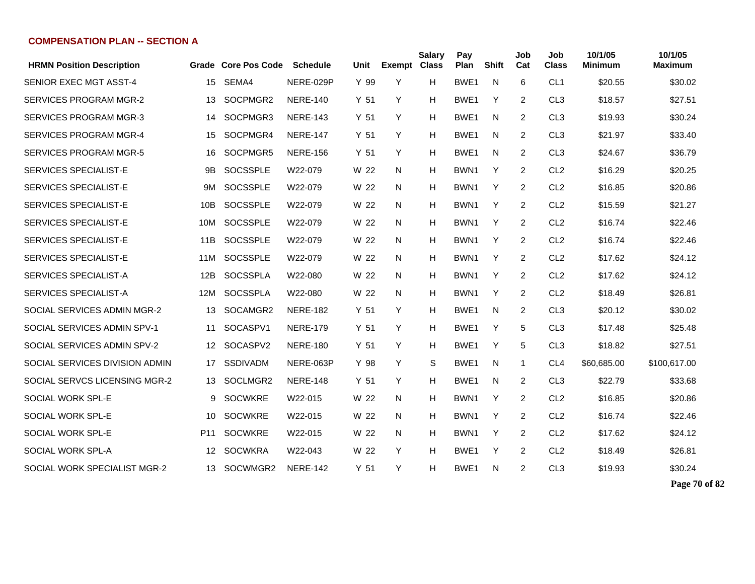| <b>HRMN Position Description</b> |                 | Grade Core Pos Code | <b>Schedule</b> | Unit            | <b>Exempt Class</b> | <b>Salary</b> | Pay<br>Plan      | <b>Shift</b> | Job<br>Cat   | Job<br><b>Class</b> | 10/1/05<br>Minimum | 10/1/05<br><b>Maximum</b> |
|----------------------------------|-----------------|---------------------|-----------------|-----------------|---------------------|---------------|------------------|--------------|--------------|---------------------|--------------------|---------------------------|
| <b>SENIOR EXEC MGT ASST-4</b>    | 15              | SEMA4               | NERE-029P       | Y 99            | Y                   | н             | BWE1             | N            | 6            | CL <sub>1</sub>     | \$20.55            | \$30.02                   |
| <b>SERVICES PROGRAM MGR-2</b>    | 13              | SOCPMGR2            | <b>NERE-140</b> | Y 51            | Y                   | н             | BWE <sub>1</sub> | Y            | 2            | CL <sub>3</sub>     | \$18.57            | \$27.51                   |
| <b>SERVICES PROGRAM MGR-3</b>    | 14              | SOCPMGR3            | <b>NERE-143</b> | Y <sub>51</sub> | Y                   | н             | BWE <sub>1</sub> | N            | 2            | CL <sub>3</sub>     | \$19.93            | \$30.24                   |
| <b>SERVICES PROGRAM MGR-4</b>    | 15              | SOCPMGR4            | <b>NERE-147</b> | Y 51            | Y                   | н             | BWE <sub>1</sub> | N            | 2            | CL <sub>3</sub>     | \$21.97            | \$33.40                   |
| <b>SERVICES PROGRAM MGR-5</b>    | 16              | SOCPMGR5            | <b>NERE-156</b> | Y <sub>51</sub> | Y                   | н             | BWE <sub>1</sub> | N            | 2            | CL <sub>3</sub>     | \$24.67            | \$36.79                   |
| SERVICES SPECIALIST-E            | 9Β              | <b>SOCSSPLE</b>     | W22-079         | W 22            | N                   | н             | BWN <sub>1</sub> | Y            | 2            | CL <sub>2</sub>     | \$16.29            | \$20.25                   |
| SERVICES SPECIALIST-E            | 9M              | <b>SOCSSPLE</b>     | W22-079         | W 22            | N                   | н             | BWN1             | Y            | 2            | CL <sub>2</sub>     | \$16.85            | \$20.86                   |
| SERVICES SPECIALIST-E            | 10B             | <b>SOCSSPLE</b>     | W22-079         | W 22            | N                   | н             | BWN <sub>1</sub> | Y            | 2            | CL <sub>2</sub>     | \$15.59            | \$21.27                   |
| SERVICES SPECIALIST-E            | 10M             | <b>SOCSSPLE</b>     | W22-079         | W 22            | N                   | н             | BWN <sub>1</sub> | Y            | 2            | CL <sub>2</sub>     | \$16.74            | \$22.46                   |
| <b>SERVICES SPECIALIST-E</b>     | 11B             | <b>SOCSSPLE</b>     | W22-079         | W 22            | N                   | н             | BWN <sub>1</sub> | Y            | 2            | CL <sub>2</sub>     | \$16.74            | \$22.46                   |
| SERVICES SPECIALIST-E            | 11M             | <b>SOCSSPLE</b>     | W22-079         | W 22            | N                   | н             | BWN1             | Y            | 2            | CL <sub>2</sub>     | \$17.62            | \$24.12                   |
| SERVICES SPECIALIST-A            | 12B             | <b>SOCSSPLA</b>     | W22-080         | W 22            | N                   | н             | BWN1             | Y            | 2            | CL <sub>2</sub>     | \$17.62            | \$24.12                   |
| <b>SERVICES SPECIALIST-A</b>     | 12M             | <b>SOCSSPLA</b>     | W22-080         | W 22            | N                   | н             | BWN <sub>1</sub> | Y            | 2            | CL <sub>2</sub>     | \$18.49            | \$26.81                   |
| SOCIAL SERVICES ADMIN MGR-2      | 13              | SOCAMGR2            | <b>NERE-182</b> | Y 51            | Y                   | н             | BWE <sub>1</sub> | N            | 2            | CL <sub>3</sub>     | \$20.12            | \$30.02                   |
| SOCIAL SERVICES ADMIN SPV-1      | 11              | SOCASPV1            | <b>NERE-179</b> | Y 51            | Y                   | н             | BWE <sub>1</sub> | Y            | 5            | CL <sub>3</sub>     | \$17.48            | \$25.48                   |
| SOCIAL SERVICES ADMIN SPV-2      | 12              | SOCASPV2            | <b>NERE-180</b> | Y <sub>51</sub> | Y                   | н             | BWE <sub>1</sub> | Y            | 5            | CL <sub>3</sub>     | \$18.82            | \$27.51                   |
| SOCIAL SERVICES DIVISION ADMIN   | 17              | <b>SSDIVADM</b>     | NERE-063P       | Y 98            | Y                   | S             | BWE <sub>1</sub> | N            | $\mathbf{1}$ | CL <sub>4</sub>     | \$60,685.00        | \$100,617.00              |
| SOCIAL SERVCS LICENSING MGR-2    | 13              | SOCLMGR2            | <b>NERE-148</b> | Y <sub>51</sub> | Y                   | н             | BWE <sub>1</sub> | N            | 2            | CL <sub>3</sub>     | \$22.79            | \$33.68                   |
| SOCIAL WORK SPL-E                | 9               | <b>SOCWKRE</b>      | W22-015         | W 22            | N.                  | н             | BWN <sub>1</sub> | Y            | 2            | CL <sub>2</sub>     | \$16.85            | \$20.86                   |
| SOCIAL WORK SPL-E                | 10              | <b>SOCWKRE</b>      | W22-015         | W 22            | N                   | н             | BWN <sub>1</sub> | Y            | 2            | CL <sub>2</sub>     | \$16.74            | \$22.46                   |
| SOCIAL WORK SPL-E                | P <sub>11</sub> | <b>SOCWKRE</b>      | W22-015         | W 22            | N                   | н             | BWN <sub>1</sub> | Y            | 2            | CL <sub>2</sub>     | \$17.62            | \$24.12                   |
| SOCIAL WORK SPL-A                | 12              | <b>SOCWKRA</b>      | W22-043         | W 22            | Y                   | н             | BWE <sub>1</sub> | Y            | 2            | CL <sub>2</sub>     | \$18.49            | \$26.81                   |
| SOCIAL WORK SPECIALIST MGR-2     | 13              | SOCWMGR2            | <b>NERE-142</b> | Y <sub>51</sub> | Y                   | н             | BWE1             | N            | 2            | CL <sub>3</sub>     | \$19.93            | \$30.24                   |

**Page 70 of 82**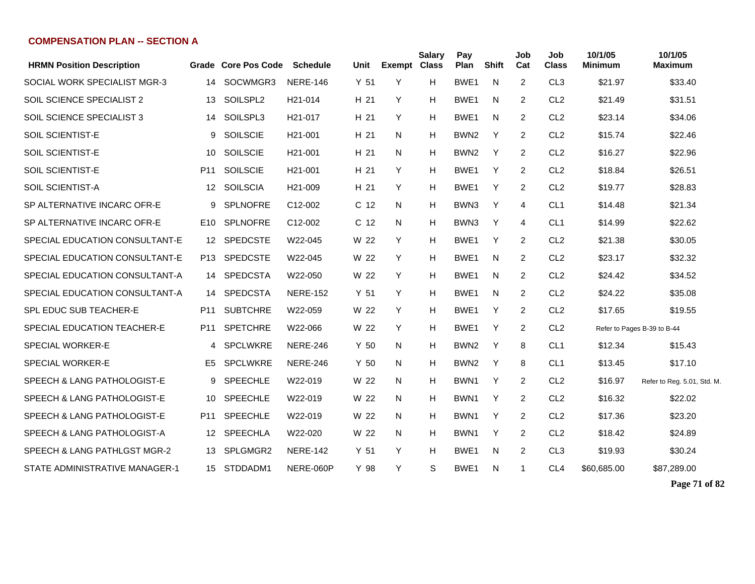| <b>HRMN Position Description</b> | Grade           | <b>Core Pos Code</b> | <b>Schedule</b>      | Unit            | <b>Exempt Class</b> | <b>Salary</b> | Pay<br>Plan      | <b>Shift</b> | Job<br>Cat     | Job<br>Class    | 10/1/05<br><b>Minimum</b> | 10/1/05<br>Maximum          |
|----------------------------------|-----------------|----------------------|----------------------|-----------------|---------------------|---------------|------------------|--------------|----------------|-----------------|---------------------------|-----------------------------|
| SOCIAL WORK SPECIALIST MGR-3     | 14              | SOCWMGR3             | <b>NERE-146</b>      | Y 51            | Y                   | H.            | BWE <sub>1</sub> | N            | 2              | CL <sub>3</sub> | \$21.97                   | \$33.40                     |
| SOIL SCIENCE SPECIALIST 2        | 13              | SOILSPL2             | H <sub>21</sub> -014 | H 21            | Y                   | H.            | BWE1             | N            | $\overline{2}$ | CL <sub>2</sub> | \$21.49                   | \$31.51                     |
| <b>SOIL SCIENCE SPECIALIST 3</b> | 14              | SOILSPL3             | H <sub>21</sub> -017 | H 21            | Y                   | H             | BWE1             | N            | 2              | CL <sub>2</sub> | \$23.14                   | \$34.06                     |
| <b>SOIL SCIENTIST-E</b>          | 9               | <b>SOILSCIE</b>      | H <sub>21</sub> -001 | H 21            | N.                  | н             | BWN <sub>2</sub> | Y            | 2              | CL <sub>2</sub> | \$15.74                   | \$22.46                     |
| <b>SOIL SCIENTIST-E</b>          | 10              | <b>SOILSCIE</b>      | H <sub>21</sub> -001 | H <sub>21</sub> | N                   | н             | BWN <sub>2</sub> | Y            | $\overline{2}$ | CL <sub>2</sub> | \$16.27                   | \$22.96                     |
| <b>SOIL SCIENTIST-E</b>          | P <sub>11</sub> | <b>SOILSCIE</b>      | H <sub>21</sub> -001 | H 21            | Y                   | н             | BWE <sub>1</sub> | Y            | $\overline{2}$ | CL <sub>2</sub> | \$18.84                   | \$26.51                     |
| SOIL SCIENTIST-A                 | 12              | <b>SOILSCIA</b>      | H <sub>21</sub> -009 | H 21            | Y                   | н             | BWE <sub>1</sub> | Y            | $\overline{2}$ | CL <sub>2</sub> | \$19.77                   | \$28.83                     |
| SP ALTERNATIVE INCARC OFR-E      | 9               | <b>SPLNOFRE</b>      | C12-002              | C 12            | N                   | н             | BWN3             | Y            | $\overline{4}$ | CL <sub>1</sub> | \$14.48                   | \$21.34                     |
| SP ALTERNATIVE INCARC OFR-E      | E <sub>10</sub> | <b>SPLNOFRE</b>      | C12-002              | C <sub>12</sub> | N                   | H             | BWN3             | Y            | 4              | CL <sub>1</sub> | \$14.99                   | \$22.62                     |
| SPECIAL EDUCATION CONSULTANT-E   | 12 <sup>2</sup> | <b>SPEDCSTE</b>      | W22-045              | W 22            | Y                   | H.            | BWE <sub>1</sub> | Y            | 2              | CL <sub>2</sub> | \$21.38                   | \$30.05                     |
| SPECIAL EDUCATION CONSULTANT-E   | P13             | <b>SPEDCSTE</b>      | W22-045              | W 22            | Y                   | н             | BWE <sub>1</sub> | N            | 2              | CL <sub>2</sub> | \$23.17                   | \$32.32                     |
| SPECIAL EDUCATION CONSULTANT-A   | 14              | <b>SPEDCSTA</b>      | W22-050              | W 22            | Y                   | H.            | BWE <sub>1</sub> | N            | $\overline{2}$ | CL <sub>2</sub> | \$24.42                   | \$34.52                     |
| SPECIAL EDUCATION CONSULTANT-A   | 14              | <b>SPEDCSTA</b>      | <b>NERE-152</b>      | Y 51            | Y                   | H.            | BWE <sub>1</sub> | N            | 2              | CL <sub>2</sub> | \$24.22                   | \$35.08                     |
| <b>SPL EDUC SUB TEACHER-E</b>    | P <sub>11</sub> | <b>SUBTCHRE</b>      | W22-059              | W 22            | Y                   | H.            | BWE1             | Y            | $\overline{2}$ | CL <sub>2</sub> | \$17.65                   | \$19.55                     |
| SPECIAL EDUCATION TEACHER-E      | P <sub>11</sub> | <b>SPETCHRE</b>      | W22-066              | W 22            | Y                   | н             | BWE1             | Y            | 2              | CL <sub>2</sub> |                           | Refer to Pages B-39 to B-44 |
| <b>SPECIAL WORKER-E</b>          | 4               | <b>SPCLWKRE</b>      | <b>NERE-246</b>      | Y <sub>50</sub> | N.                  | н             | BWN <sub>2</sub> | Y            | 8              | CL <sub>1</sub> | \$12.34                   | \$15.43                     |
| <b>SPECIAL WORKER-E</b>          | E5              | <b>SPCLWKRE</b>      | <b>NERE-246</b>      | Y <sub>50</sub> | N                   | H.            | BWN <sub>2</sub> | Y            | 8              | CL <sub>1</sub> | \$13.45                   | \$17.10                     |
| SPEECH & LANG PATHOLOGIST-E      | 9               | <b>SPEECHLE</b>      | W22-019              | W 22            | N                   | H             | BWN1             | Y            | $\overline{2}$ | CL <sub>2</sub> | \$16.97                   | Refer to Reg. 5.01, Std. M. |
| SPEECH & LANG PATHOLOGIST-E      | 10              | <b>SPEECHLE</b>      | W22-019              | W 22            | N                   | H             | BWN <sub>1</sub> | Y            | $\overline{2}$ | CL <sub>2</sub> | \$16.32                   | \$22.02                     |
| SPEECH & LANG PATHOLOGIST-E      | P <sub>11</sub> | <b>SPEECHLE</b>      | W22-019              | W 22            | N                   | н             | BWN <sub>1</sub> | Y            | 2              | CL <sub>2</sub> | \$17.36                   | \$23.20                     |
| SPEECH & LANG PATHOLOGIST-A      | 12              | <b>SPEECHLA</b>      | W22-020              | W 22            | N                   | н             | BWN <sub>1</sub> | Y            | 2              | CL <sub>2</sub> | \$18.42                   | \$24.89                     |
| SPEECH & LANG PATHLGST MGR-2     | 13              | SPLGMGR2             | <b>NERE-142</b>      | Y 51            | Y                   | н             | BWE <sub>1</sub> | N            | 2              | CL <sub>3</sub> | \$19.93                   | \$30.24                     |
| STATE ADMINISTRATIVE MANAGER-1   | 15              | STDDADM1             | NERE-060P            | Y 98            | Y                   | S             | BWE <sub>1</sub> | N            | 1              | CL <sub>4</sub> | \$60,685,00               | \$87,289.00                 |
|                                  |                 |                      |                      |                 |                     |               |                  |              |                |                 |                           |                             |

**Page 71 of 82**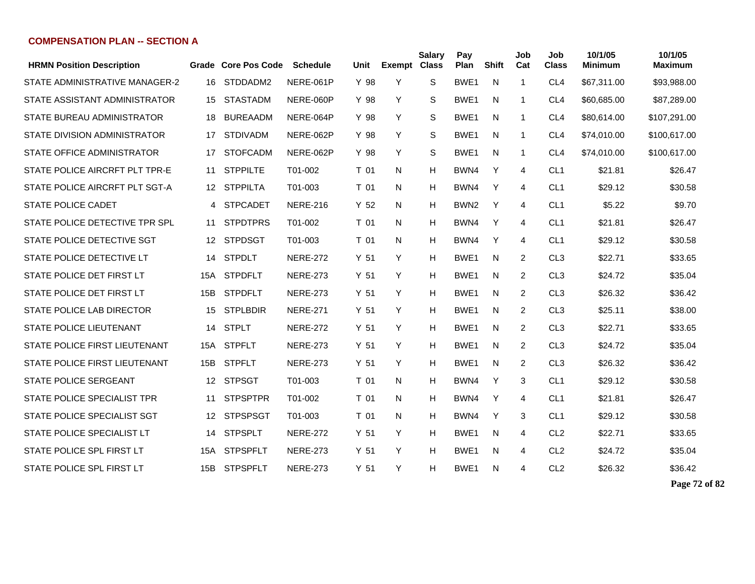| <b>HRMN Position Description</b> |     | Grade Core Pos Code | <b>Schedule</b> | Unit            | Exempt | <b>Salary</b><br><b>Class</b> | Pay<br>Plan      | <b>Shift</b> | Job<br>Cat     | Job<br><b>Class</b> | 10/1/05<br><b>Minimum</b> | 10/1/05<br><b>Maximum</b> |
|----------------------------------|-----|---------------------|-----------------|-----------------|--------|-------------------------------|------------------|--------------|----------------|---------------------|---------------------------|---------------------------|
| STATE ADMINISTRATIVE MANAGER-2   | 16  | STDDADM2            | NERE-061P       | Y 98            | Y      | S                             | BWE1             | N            | $\mathbf{1}$   | CL <sub>4</sub>     | \$67,311.00               | \$93,988.00               |
| STATE ASSISTANT ADMINISTRATOR    | 15  | <b>STASTADM</b>     | NERE-060P       | Y 98            | Y      | S                             | BWE <sub>1</sub> | N            | $\mathbf{1}$   | CL <sub>4</sub>     | \$60,685.00               | \$87,289.00               |
| STATE BUREAU ADMINISTRATOR       | 18  | <b>BUREAADM</b>     | NERE-064P       | Y 98            | Y      | S                             | BWE <sub>1</sub> | N            | $\mathbf{1}$   | CL <sub>4</sub>     | \$80,614.00               | \$107,291.00              |
| STATE DIVISION ADMINISTRATOR     | 17  | <b>STDIVADM</b>     | NERE-062P       | Y 98            | Y      | S                             | BWE <sub>1</sub> | N            | 1              | CL <sub>4</sub>     | \$74,010.00               | \$100,617.00              |
| STATE OFFICE ADMINISTRATOR       | 17  | <b>STOFCADM</b>     | NERE-062P       | Y 98            | Y      | S                             | BWE <sub>1</sub> | N            | 1              | CL <sub>4</sub>     | \$74,010.00               | \$100,617.00              |
| STATE POLICE AIRCRFT PLT TPR-E   | 11  | <b>STPPILTE</b>     | T01-002         | T 01            | N      | Н                             | BWN4             | Y            | 4              | CL <sub>1</sub>     | \$21.81                   | \$26.47                   |
| STATE POLICE AIRCRFT PLT SGT-A   | 12  | <b>STPPILTA</b>     | T01-003         | T 01            | N      | H                             | BWN4             | Y            | 4              | CL <sub>1</sub>     | \$29.12                   | \$30.58                   |
| <b>STATE POLICE CADET</b>        | 4   | <b>STPCADET</b>     | <b>NERE-216</b> | Y <sub>52</sub> | N      | н                             | BWN <sub>2</sub> | Y            | 4              | CL <sub>1</sub>     | \$5.22                    | \$9.70                    |
| STATE POLICE DETECTIVE TPR SPL   | 11  | <b>STPDTPRS</b>     | T01-002         | T 01            | N      | н                             | BWN4             | Y            | 4              | CL <sub>1</sub>     | \$21.81                   | \$26.47                   |
| STATE POLICE DETECTIVE SGT       | 12  | <b>STPDSGT</b>      | T01-003         | T 01            | N.     | н                             | BWN4             | Y            | 4              | CL <sub>1</sub>     | \$29.12                   | \$30.58                   |
| STATE POLICE DETECTIVE LT        | 14  | <b>STPDLT</b>       | <b>NERE-272</b> | Y 51            | Y      | н                             | BWE <sub>1</sub> | N            | 2              | CL <sub>3</sub>     | \$22.71                   | \$33.65                   |
| STATE POLICE DET FIRST LT        | 15A | <b>STPDFLT</b>      | <b>NERE-273</b> | Y <sub>51</sub> | Y      | н                             | BWE <sub>1</sub> | N            | $\overline{2}$ | CL <sub>3</sub>     | \$24.72                   | \$35.04                   |
| STATE POLICE DET FIRST LT        | 15B | <b>STPDFLT</b>      | <b>NERE-273</b> | Y 51            | Y      | Н                             | BWE <sub>1</sub> | N            | 2              | CL <sub>3</sub>     | \$26.32                   | \$36.42                   |
| STATE POLICE LAB DIRECTOR        | 15  | <b>STPLBDIR</b>     | <b>NERE-271</b> | Y 51            | Y      | н                             | BWE <sub>1</sub> | N            | $\overline{2}$ | CL <sub>3</sub>     | \$25.11                   | \$38.00                   |
| <b>STATE POLICE LIEUTENANT</b>   | 14  | <b>STPLT</b>        | <b>NERE-272</b> | Y 51            | Y      | H                             | BWE <sub>1</sub> | N            | 2              | CL <sub>3</sub>     | \$22.71                   | \$33.65                   |
| STATE POLICE FIRST LIEUTENANT    | 15A | <b>STPFLT</b>       | <b>NERE-273</b> | Y 51            | Y      | н                             | BWE <sub>1</sub> | N            | 2              | CL <sub>3</sub>     | \$24.72                   | \$35.04                   |
| STATE POLICE FIRST LIEUTENANT    | 15B | <b>STPFLT</b>       | <b>NERE-273</b> | Y 51            | Y      | H                             | BWE <sub>1</sub> | N            | 2              | CL <sub>3</sub>     | \$26.32                   | \$36.42                   |
| STATE POLICE SERGEANT            | 12  | <b>STPSGT</b>       | T01-003         | T 01            | N      | H                             | BWN4             | Y            | 3              | CL <sub>1</sub>     | \$29.12                   | \$30.58                   |
| STATE POLICE SPECIALIST TPR      | 11  | <b>STPSPTPR</b>     | T01-002         | T 01            | N      | H                             | BWN4             | Y            | 4              | CL <sub>1</sub>     | \$21.81                   | \$26.47                   |
| STATE POLICE SPECIALIST SGT      | 12  | <b>STPSPSGT</b>     | T01-003         | T 01            | N      | H                             | BWN4             | Y            | 3              | CL <sub>1</sub>     | \$29.12                   | \$30.58                   |
| STATE POLICE SPECIALIST LT       | 14  | <b>STPSPLT</b>      | <b>NERE-272</b> | Y <sub>51</sub> | Y      | H                             | BWE <sub>1</sub> | N            | 4              | CL <sub>2</sub>     | \$22.71                   | \$33.65                   |
| STATE POLICE SPL FIRST LT        | 15A | <b>STPSPFLT</b>     | <b>NERE-273</b> | Y <sub>51</sub> | Y      | H                             | BWE <sub>1</sub> | N            | 4              | CL <sub>2</sub>     | \$24.72                   | \$35.04                   |
| STATE POLICE SPL FIRST LT        | 15B | <b>STPSPFLT</b>     | <b>NERE-273</b> | Y <sub>51</sub> | Y      | н                             | BWE1             | N            | 4              | CL <sub>2</sub>     | \$26.32                   | \$36.42                   |

**Page 72 of 82**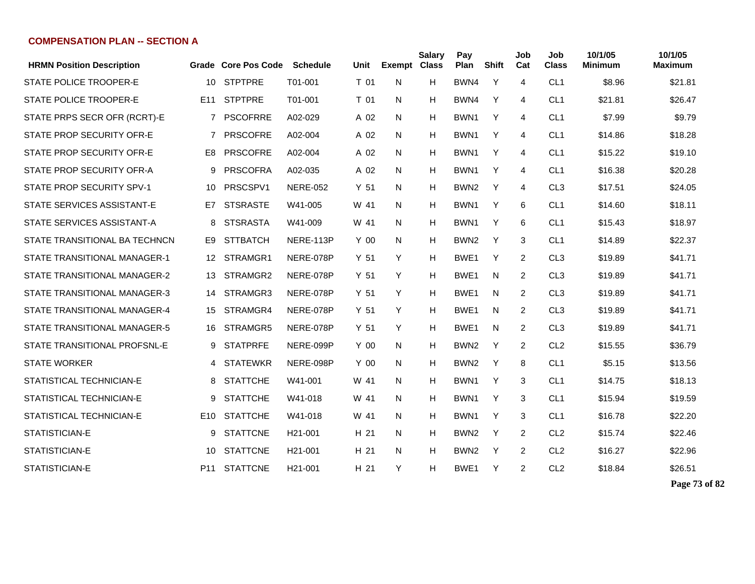| <b>HRMN Position Description</b> |                 | Grade Core Pos Code | <b>Schedule</b>      | Unit            | <b>Exempt</b> | <b>Salary</b><br><b>Class</b> | Pay<br>Plan      | <b>Shift</b> | Job<br>Cat     | Job<br><b>Class</b> | 10/1/05<br><b>Minimum</b> | 10/1/05<br>Maximum |
|----------------------------------|-----------------|---------------------|----------------------|-----------------|---------------|-------------------------------|------------------|--------------|----------------|---------------------|---------------------------|--------------------|
| STATE POLICE TROOPER-E           | 10              | <b>STPTPRE</b>      | T01-001              | T 01            | N             | н                             | BWN4             | Y            | 4              | CL <sub>1</sub>     | \$8.96                    | \$21.81            |
| STATE POLICE TROOPER-E           | E <sub>11</sub> | <b>STPTPRE</b>      | T01-001              | T 01            | N             | Н                             | BWN4             | Y            | 4              | CL <sub>1</sub>     | \$21.81                   | \$26.47            |
| STATE PRPS SECR OFR (RCRT)-E     | $7^{\circ}$     | <b>PSCOFRRE</b>     | A02-029              | A 02            | N             | Н                             | BWN <sub>1</sub> | Y            | 4              | CL <sub>1</sub>     | \$7.99                    | \$9.79             |
| STATE PROP SECURITY OFR-E        | 7               | <b>PRSCOFRE</b>     | A02-004              | A 02            | N.            | Н                             | BWN <sub>1</sub> | Y            | 4              | CL <sub>1</sub>     | \$14.86                   | \$18.28            |
| STATE PROP SECURITY OFR-E        | E8              | <b>PRSCOFRE</b>     | A02-004              | A 02            | N             | Н                             | BWN1             | Y            | 4              | CL <sub>1</sub>     | \$15.22                   | \$19.10            |
| STATE PROP SECURITY OFR-A        | 9               | <b>PRSCOFRA</b>     | A02-035              | A 02            | N.            | н                             | BWN1             | Y            | 4              | CL <sub>1</sub>     | \$16.38                   | \$20.28            |
| STATE PROP SECURITY SPV-1        | 10              | PRSCSPV1            | <b>NERE-052</b>      | Y <sub>51</sub> | N             | Н                             | BWN <sub>2</sub> | Y            | 4              | CL <sub>3</sub>     | \$17.51                   | \$24.05            |
| STATE SERVICES ASSISTANT-E       | E7              | <b>STSRASTE</b>     | W41-005              | W 41            | N.            | Н                             | BWN1             | Y            | 6              | CL <sub>1</sub>     | \$14.60                   | \$18.11            |
| STATE SERVICES ASSISTANT-A       | 8               | <b>STSRASTA</b>     | W41-009              | W 41            | N             | Н                             | BWN1             | Y            | 6              | CL <sub>1</sub>     | \$15.43                   | \$18.97            |
| STATE TRANSITIONAL BA TECHNCN    | E9              | <b>STTBATCH</b>     | NERE-113P            | Y 00            | N             | Н                             | BWN <sub>2</sub> | Y            | 3              | CL <sub>1</sub>     | \$14.89                   | \$22.37            |
| STATE TRANSITIONAL MANAGER-1     | 12              | STRAMGR1            | NERE-078P            | Y <sub>51</sub> | Y             | Н                             | BWE <sub>1</sub> | Y            | 2              | CL <sub>3</sub>     | \$19.89                   | \$41.71            |
| STATE TRANSITIONAL MANAGER-2     | 13              | STRAMGR2            | NERE-078P            | Y <sub>51</sub> | Y             | н                             | BWE <sub>1</sub> | N            | $\overline{2}$ | CL <sub>3</sub>     | \$19.89                   | \$41.71            |
| STATE TRANSITIONAL MANAGER-3     | 14              | STRAMGR3            | NERE-078P            | Y <sub>51</sub> | Y             | н                             | BWE <sub>1</sub> | N            | $\overline{2}$ | CL <sub>3</sub>     | \$19.89                   | \$41.71            |
| STATE TRANSITIONAL MANAGER-4     | 15              | STRAMGR4            | NERE-078P            | Y <sub>51</sub> | Y             | H                             | BWE <sub>1</sub> | N            | $\overline{2}$ | CL <sub>3</sub>     | \$19.89                   | \$41.71            |
| STATE TRANSITIONAL MANAGER-5     | 16              | STRAMGR5            | NERE-078P            | Y 51            | Y             | H                             | BWE1             | N            | $\overline{2}$ | CL <sub>3</sub>     | \$19.89                   | \$41.71            |
| STATE TRANSITIONAL PROFSNL-E     | 9               | <b>STATPRFE</b>     | NERE-099P            | Y 00            | N.            | Н                             | BWN <sub>2</sub> | Y            | $\overline{2}$ | CL <sub>2</sub>     | \$15.55                   | \$36.79            |
| <b>STATE WORKER</b>              | 4               | <b>STATEWKR</b>     | NERE-098P            | Y 00            | N             | н                             | BWN <sub>2</sub> | Y            | 8              | CL <sub>1</sub>     | \$5.15                    | \$13.56            |
| STATISTICAL TECHNICIAN-E         | 8               | <b>STATTCHE</b>     | W41-001              | W 41            | N             | Н                             | BWN1             | Y            | 3              | CL <sub>1</sub>     | \$14.75                   | \$18.13            |
| STATISTICAL TECHNICIAN-E         | 9               | <b>STATTCHE</b>     | W41-018              | W 41            | N.            | Н                             | BWN <sub>1</sub> | Y            | 3              | CL <sub>1</sub>     | \$15.94                   | \$19.59            |
| STATISTICAL TECHNICIAN-E         | E10             | <b>STATTCHE</b>     | W41-018              | W 41            | N             | Н                             | BWN1             | Y            | 3              | CL <sub>1</sub>     | \$16.78                   | \$22.20            |
| STATISTICIAN-E                   | 9               | <b>STATTCNE</b>     | H <sub>21</sub> -001 | H 21            | N             | Н                             | BWN <sub>2</sub> | Y            | $\overline{2}$ | CL <sub>2</sub>     | \$15.74                   | \$22.46            |
| STATISTICIAN-E                   | 10              | <b>STATTCNE</b>     | H <sub>21</sub> -001 | H 21            | N             | Н                             | BWN <sub>2</sub> | Y            | 2              | CL <sub>2</sub>     | \$16.27                   | \$22.96            |
| STATISTICIAN-E                   |                 | P11 STATTCNE        | H <sub>21</sub> -001 | H 21            | Y             | н                             | BWE <sub>1</sub> | Y            | 2              | CL <sub>2</sub>     | \$18.84                   | \$26.51            |

**Page 73 of 82**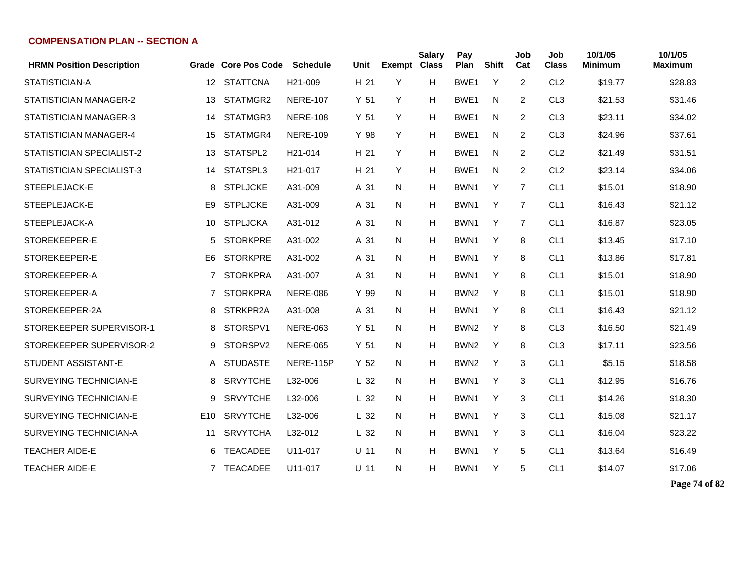| <b>HRMN Position Description</b> |                  | Grade Core Pos Code | <b>Schedule</b>      | Unit            | <b>Exempt Class</b> | <b>Salary</b> | Pay<br>Plan      | <b>Shift</b> | Job<br>Cat     | Job<br><b>Class</b> | 10/1/05<br><b>Minimum</b> | 10/1/05<br><b>Maximum</b> |
|----------------------------------|------------------|---------------------|----------------------|-----------------|---------------------|---------------|------------------|--------------|----------------|---------------------|---------------------------|---------------------------|
| STATISTICIAN-A                   | 12 <sup>12</sup> | <b>STATTCNA</b>     | H <sub>21</sub> -009 | H 21            | Y                   | H             | BWE <sub>1</sub> | Y            | 2              | CL <sub>2</sub>     | \$19.77                   | \$28.83                   |
| STATISTICIAN MANAGER-2           | 13               | STATMGR2            | <b>NERE-107</b>      | Y <sub>51</sub> | Y                   | н             | BWE <sub>1</sub> | N            | 2              | CL <sub>3</sub>     | \$21.53                   | \$31.46                   |
| STATISTICIAN MANAGER-3           | 14               | STATMGR3            | <b>NERE-108</b>      | Y <sub>51</sub> | Y                   | н             | BWE <sub>1</sub> | N            | 2              | CL <sub>3</sub>     | \$23.11                   | \$34.02                   |
| STATISTICIAN MANAGER-4           | 15               | STATMGR4            | <b>NERE-109</b>      | Y 98            | Y                   | н             | BWE <sub>1</sub> | N            | 2              | CL <sub>3</sub>     | \$24.96                   | \$37.61                   |
| STATISTICIAN SPECIALIST-2        | 13               | STATSPL2            | H <sub>21</sub> -014 | H 21            | Y                   | н             | BWE <sub>1</sub> | N            | 2              | CL <sub>2</sub>     | \$21.49                   | \$31.51                   |
| STATISTICIAN SPECIALIST-3        | 14               | STATSPL3            | H <sub>21</sub> -017 | H 21            | Y                   | H             | BWE <sub>1</sub> | N            | $\overline{2}$ | CL <sub>2</sub>     | \$23.14                   | \$34.06                   |
| STEEPLEJACK-E                    | 8                | <b>STPLJCKE</b>     | A31-009              | A 31            | N                   | Н             | BWN1             | Y            | $\overline{7}$ | CL <sub>1</sub>     | \$15.01                   | \$18.90                   |
| STEEPLEJACK-E                    | E9               | <b>STPLJCKE</b>     | A31-009              | A 31            | N                   | Н             | BWN1             | Y            | 7              | CL <sub>1</sub>     | \$16.43                   | \$21.12                   |
| STEEPLEJACK-A                    | 10               | <b>STPLJCKA</b>     | A31-012              | A 31            | N                   | н             | BWN1             | Y            | $\overline{7}$ | CL <sub>1</sub>     | \$16.87                   | \$23.05                   |
| STOREKEEPER-E                    | 5                | <b>STORKPRE</b>     | A31-002              | A 31            | N                   | н             | BWN1             | Y            | 8              | CL <sub>1</sub>     | \$13.45                   | \$17.10                   |
| STOREKEEPER-E                    | E6               | <b>STORKPRE</b>     | A31-002              | A 31            | N                   | н             | BWN1             | Y            | 8              | CL <sub>1</sub>     | \$13.86                   | \$17.81                   |
| STOREKEEPER-A                    | $7^{\circ}$      | <b>STORKPRA</b>     | A31-007              | A 31            | N                   | н             | BWN1             | Y            | 8              | CL <sub>1</sub>     | \$15.01                   | \$18.90                   |
| STOREKEEPER-A                    | $\overline{7}$   | <b>STORKPRA</b>     | <b>NERE-086</b>      | Y 99            | N                   | н             | BWN <sub>2</sub> | Y            | 8              | CL <sub>1</sub>     | \$15.01                   | \$18.90                   |
| STOREKEEPER-2A                   | 8                | STRKPR2A            | A31-008              | A 31            | N                   | H             | BWN1             | Y            | 8              | CL <sub>1</sub>     | \$16.43                   | \$21.12                   |
| STOREKEEPER SUPERVISOR-1         | 8                | STORSPV1            | <b>NERE-063</b>      | Y <sub>51</sub> | N                   | н             | BWN <sub>2</sub> | Y            | 8              | CL <sub>3</sub>     | \$16.50                   | \$21.49                   |
| STOREKEEPER SUPERVISOR-2         | 9                | STORSPV2            | <b>NERE-065</b>      | Y <sub>51</sub> | N                   | н             | BWN <sub>2</sub> | Y            | 8              | CL <sub>3</sub>     | \$17.11                   | \$23.56                   |
| <b>STUDENT ASSISTANT-E</b>       | A                | <b>STUDASTE</b>     | NERE-115P            | Y <sub>52</sub> | N                   | н             | BWN <sub>2</sub> | Y            | 3              | CL <sub>1</sub>     | \$5.15                    | \$18.58                   |
| <b>SURVEYING TECHNICIAN-E</b>    | 8                | <b>SRVYTCHE</b>     | L32-006              | L <sub>32</sub> | N                   | н             | BWN1             | Y            | 3              | CL <sub>1</sub>     | \$12.95                   | \$16.76                   |
| SURVEYING TECHNICIAN-E           | 9                | <b>SRVYTCHE</b>     | L32-006              | L <sub>32</sub> | N                   | н             | BWN <sub>1</sub> | Y            | 3              | CL <sub>1</sub>     | \$14.26                   | \$18.30                   |
| SURVEYING TECHNICIAN-E           | E <sub>10</sub>  | <b>SRVYTCHE</b>     | L32-006              | L <sub>32</sub> | N                   | н             | BWN1             | Y            | 3              | CL <sub>1</sub>     | \$15.08                   | \$21.17                   |
| SURVEYING TECHNICIAN-A           | 11               | <b>SRVYTCHA</b>     | L32-012              | L <sub>32</sub> | N                   | н             | BWN1             | Y            | 3              | CL <sub>1</sub>     | \$16.04                   | \$23.22                   |
| <b>TEACHER AIDE-E</b>            | 6                | <b>TEACADEE</b>     | U11-017              | $U$ 11          | N                   | H             | BWN1             | Y            | 5              | CL <sub>1</sub>     | \$13.64                   | \$16.49                   |
| <b>TEACHER AIDE-E</b>            |                  | 7 TEACADEE          | U11-017              | $U$ 11          | N                   | н             | BWN1             | Y            | 5              | CL <sub>1</sub>     | \$14.07                   | \$17.06                   |

**Page 74 of 82**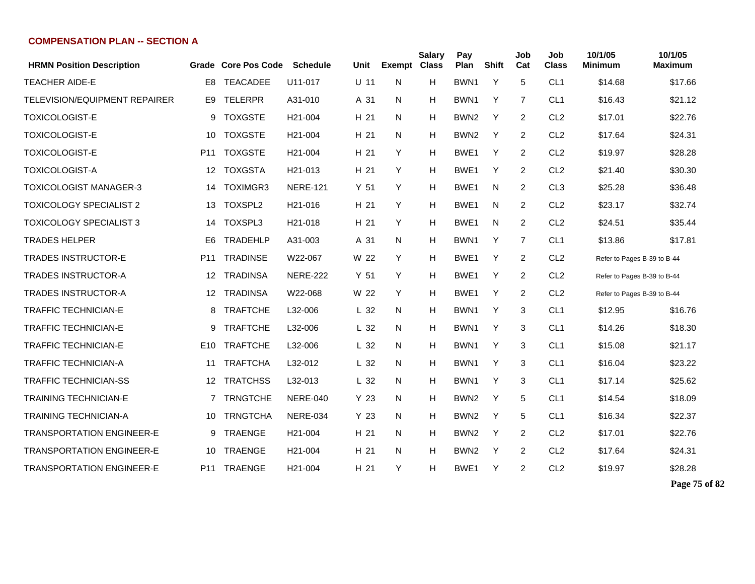| <b>HRMN Position Description</b>     | Grade           | <b>Core Pos Code</b> | <b>Schedule</b>      | Unit            | <b>Exempt Class</b> | <b>Salary</b> | Pay<br>Plan      | <b>Shift</b> | Job<br>Cat     | Job<br><b>Class</b> | 10/1/05<br><b>Minimum</b>   | 10/1/05<br><b>Maximum</b> |
|--------------------------------------|-----------------|----------------------|----------------------|-----------------|---------------------|---------------|------------------|--------------|----------------|---------------------|-----------------------------|---------------------------|
| <b>TEACHER AIDE-E</b>                | E <sub>8</sub>  | <b>TEACADEE</b>      | U11-017              | U 11            | N                   | H             | BWN <sub>1</sub> | Y            | 5              | CL <sub>1</sub>     | \$14.68                     | \$17.66                   |
| <b>TELEVISION/EQUIPMENT REPAIRER</b> | E9              | <b>TELERPR</b>       | A31-010              | A 31            | N                   | H             | BWN <sub>1</sub> | Y            | 7              | CL <sub>1</sub>     | \$16.43                     | \$21.12                   |
| <b>TOXICOLOGIST-E</b>                | 9               | <b>TOXGSTE</b>       | H <sub>21</sub> -004 | H 21            | N                   | н             | BWN <sub>2</sub> | Y            | 2              | CL <sub>2</sub>     | \$17.01                     | \$22.76                   |
| <b>TOXICOLOGIST-E</b>                | 10              | <b>TOXGSTE</b>       | H <sub>21</sub> -004 | H <sub>21</sub> | N                   | H             | BWN <sub>2</sub> | Y            | $\overline{2}$ | CL <sub>2</sub>     | \$17.64                     | \$24.31                   |
| <b>TOXICOLOGIST-E</b>                | P <sub>11</sub> | <b>TOXGSTE</b>       | H <sub>21</sub> -004 | H 21            | Y                   | H             | BWE <sub>1</sub> | Y            | $\overline{2}$ | CL <sub>2</sub>     | \$19.97                     | \$28.28                   |
| <b>TOXICOLOGIST-A</b>                | 12              | <b>TOXGSTA</b>       | H <sub>21</sub> -013 | H 21            | Y                   | H             | BWE <sub>1</sub> | Y            | $\overline{2}$ | CL <sub>2</sub>     | \$21.40                     | \$30.30                   |
| <b>TOXICOLOGIST MANAGER-3</b>        | 14              | TOXIMGR3             | <b>NERE-121</b>      | Y <sub>51</sub> | Y                   | H             | BWE1             | N            | $\overline{2}$ | CL <sub>3</sub>     | \$25.28                     | \$36.48                   |
| <b>TOXICOLOGY SPECIALIST 2</b>       | 13              | TOXSPL2              | H <sub>21</sub> -016 | H 21            | Y                   | H             | BWE <sub>1</sub> | N            | $\overline{2}$ | CL <sub>2</sub>     | \$23.17                     | \$32.74                   |
| <b>TOXICOLOGY SPECIALIST 3</b>       | 14              | TOXSPL3              | H <sub>21</sub> -018 | H 21            | Y                   | H             | BWE <sub>1</sub> | N            | $\overline{2}$ | CL <sub>2</sub>     | \$24.51                     | \$35.44                   |
| <b>TRADES HELPER</b>                 | E <sub>6</sub>  | <b>TRADEHLP</b>      | A31-003              | A 31            | N                   | н             | BWN <sub>1</sub> | Y            | $\overline{7}$ | CL <sub>1</sub>     | \$13.86                     | \$17.81                   |
| <b>TRADES INSTRUCTOR-E</b>           | P11             | <b>TRADINSE</b>      | W22-067              | W 22            | Y                   | Н             | BWE <sub>1</sub> | Y            | 2              | CL <sub>2</sub>     | Refer to Pages B-39 to B-44 |                           |
| <b>TRADES INSTRUCTOR-A</b>           | 12              | <b>TRADINSA</b>      | <b>NERE-222</b>      | Y <sub>51</sub> | Y                   | н             | BWE <sub>1</sub> | Y            | $\overline{2}$ | CL <sub>2</sub>     | Refer to Pages B-39 to B-44 |                           |
| <b>TRADES INSTRUCTOR-A</b>           | 12              | <b>TRADINSA</b>      | W22-068              | W 22            | Y                   | H             | BWE <sub>1</sub> | Y            | $\overline{2}$ | CL <sub>2</sub>     | Refer to Pages B-39 to B-44 |                           |
| <b>TRAFFIC TECHNICIAN-E</b>          | 8               | <b>TRAFTCHE</b>      | L32-006              | L <sub>32</sub> | N                   | н             | BWN <sub>1</sub> | Y            | 3              | CL <sub>1</sub>     | \$12.95                     | \$16.76                   |
| <b>TRAFFIC TECHNICIAN-E</b>          | 9               | <b>TRAFTCHE</b>      | L32-006              | L <sub>32</sub> | N                   | H             | BWN <sub>1</sub> | Y            | 3              | CL <sub>1</sub>     | \$14.26                     | \$18.30                   |
| <b>TRAFFIC TECHNICIAN-E</b>          | E10             | <b>TRAFTCHE</b>      | L32-006              | L <sub>32</sub> | N                   | н             | BWN <sub>1</sub> | Y            | 3              | CL <sub>1</sub>     | \$15.08                     | \$21.17                   |
| <b>TRAFFIC TECHNICIAN-A</b>          | 11              | <b>TRAFTCHA</b>      | L32-012              | L <sub>32</sub> | N                   | H             | BWN <sub>1</sub> | Y            | 3              | CL <sub>1</sub>     | \$16.04                     | \$23.22                   |
| <b>TRAFFIC TECHNICIAN-SS</b>         | 12              | <b>TRATCHSS</b>      | L32-013              | L <sub>32</sub> | N                   | H             | BWN <sub>1</sub> | Y            | 3              | CL <sub>1</sub>     | \$17.14                     | \$25.62                   |
| <b>TRAINING TECHNICIAN-E</b>         | 7               | <b>TRNGTCHE</b>      | <b>NERE-040</b>      | Y <sub>23</sub> | N                   | H             | BWN <sub>2</sub> | Y            | 5              | CL <sub>1</sub>     | \$14.54                     | \$18.09                   |
| <b>TRAINING TECHNICIAN-A</b>         | 10              | <b>TRNGTCHA</b>      | <b>NERE-034</b>      | Y <sub>23</sub> | N                   | н             | BWN <sub>2</sub> | Y            | 5              | CL <sub>1</sub>     | \$16.34                     | \$22.37                   |
| <b>TRANSPORTATION ENGINEER-E</b>     | 9               | <b>TRAENGE</b>       | H <sub>21</sub> -004 | H 21            | N                   | H             | BWN <sub>2</sub> | Y            | $\overline{2}$ | CL <sub>2</sub>     | \$17.01                     | \$22.76                   |
| <b>TRANSPORTATION ENGINEER-E</b>     | 10              | <b>TRAENGE</b>       | H <sub>21</sub> -004 | H <sub>21</sub> | N                   | H             | BWN <sub>2</sub> | Y            | $\overline{2}$ | CL <sub>2</sub>     | \$17.64                     | \$24.31                   |
| <b>TRANSPORTATION ENGINEER-E</b>     | P11             | <b>TRAENGE</b>       | H <sub>21</sub> -004 | H 21            | Y                   | н             | BWE <sub>1</sub> | Y            | $\overline{2}$ | CL <sub>2</sub>     | \$19.97                     | \$28.28                   |

**Page 75 of 82**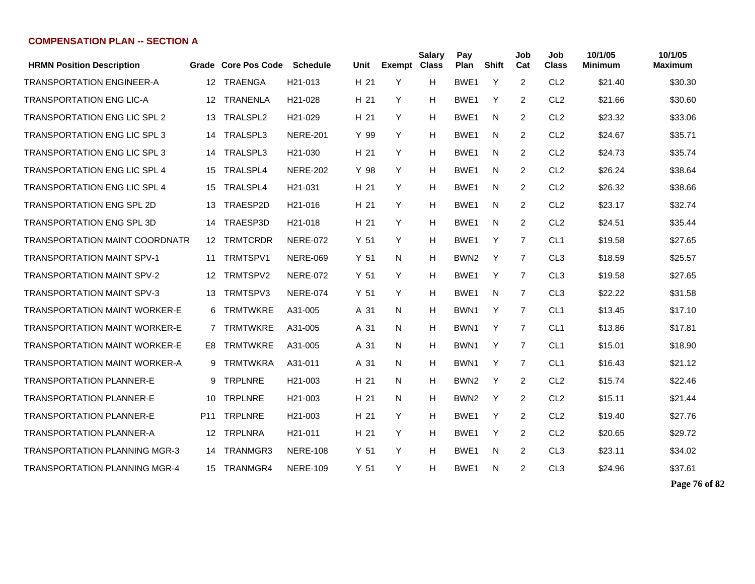| <b>HRMN Position Description</b>      |                 | Grade Core Pos Code | <b>Schedule</b>      | Unit            | <b>Exempt</b> | <b>Salary</b><br><b>Class</b> | Pay<br>Plan      | <b>Shift</b> | Job<br>Cat     | Job<br><b>Class</b> | 10/1/05<br>Minimum | 10/1/05<br><b>Maximum</b> |
|---------------------------------------|-----------------|---------------------|----------------------|-----------------|---------------|-------------------------------|------------------|--------------|----------------|---------------------|--------------------|---------------------------|
| <b>TRANSPORTATION ENGINEER-A</b>      | 12              | <b>TRAENGA</b>      | H21-013              | H 21            | Y             | H                             | BWE1             | Y            | 2              | CL <sub>2</sub>     | \$21.40            | \$30.30                   |
| <b>TRANSPORTATION ENG LIC-A</b>       | 12              | <b>TRANENLA</b>     | H21-028              | H 21            | Y             | H                             | BWE <sub>1</sub> | Y            | 2              | CL <sub>2</sub>     | \$21.66            | \$30.60                   |
| <b>TRANSPORTATION ENG LIC SPL 2</b>   | 13              | TRALSPL2            | H21-029              | H 21            | Y             | H                             | BWE <sub>1</sub> | N            | $\overline{2}$ | CL <sub>2</sub>     | \$23.32            | \$33.06                   |
| <b>TRANSPORTATION ENG LIC SPL 3</b>   | 14              | TRALSPL3            | <b>NERE-201</b>      | Y 99            | Y             | H                             | BWE1             | N            | $\overline{2}$ | CL <sub>2</sub>     | \$24.67            | \$35.71                   |
| <b>TRANSPORTATION ENG LIC SPL 3</b>   | 14              | TRALSPL3            | H <sub>21</sub> -030 | H 21            | Y             | H                             | BWE1             | N            | 2              | CL <sub>2</sub>     | \$24.73            | \$35.74                   |
| <b>TRANSPORTATION ENG LIC SPL 4</b>   | 15              | TRALSPL4            | <b>NERE-202</b>      | Y 98            | Y             | H                             | BWE <sub>1</sub> | N            | $\overline{2}$ | CL <sub>2</sub>     | \$26.24            | \$38.64                   |
| <b>TRANSPORTATION ENG LIC SPL 4</b>   | 15              | TRALSPL4            | H21-031              | H 21            | Y             | H                             | BWE <sub>1</sub> | N            | $\overline{2}$ | CL <sub>2</sub>     | \$26.32            | \$38.66                   |
| <b>TRANSPORTATION ENG SPL 2D</b>      | 13              | TRAESP2D            | H <sub>21</sub> -016 | H 21            | Y             | H                             | BWE <sub>1</sub> | N            | 2              | CL <sub>2</sub>     | \$23.17            | \$32.74                   |
| <b>TRANSPORTATION ENG SPL 3D</b>      | 14              | TRAESP3D            | H <sub>21</sub> -018 | H 21            | Y             | H                             | BWE <sub>1</sub> | N            | $\overline{2}$ | CL <sub>2</sub>     | \$24.51            | \$35.44                   |
| <b>TRANSPORTATION MAINT COORDNATR</b> |                 | 12 TRMTCRDR         | <b>NERE-072</b>      | Y 51            | Y             | H                             | BWE1             | Y            | $\overline{7}$ | CL <sub>1</sub>     | \$19.58            | \$27.65                   |
| <b>TRANSPORTATION MAINT SPV-1</b>     | 11              | TRMTSPV1            | <b>NERE-069</b>      | Y 51            | N             | Н                             | BWN <sub>2</sub> | Y            | $\overline{7}$ | CL <sub>3</sub>     | \$18.59            | \$25.57                   |
| <b>TRANSPORTATION MAINT SPV-2</b>     | 12 <sup>2</sup> | TRMTSPV2            | <b>NERE-072</b>      | Y 51            | Y             | H                             | BWE1             | Y            | $\overline{7}$ | CL <sub>3</sub>     | \$19.58            | \$27.65                   |
| <b>TRANSPORTATION MAINT SPV-3</b>     | 13              | TRMTSPV3            | <b>NERE-074</b>      | Y <sub>51</sub> | Y             | H                             | BWE <sub>1</sub> | N            | $\overline{7}$ | CL <sub>3</sub>     | \$22.22            | \$31.58                   |
| <b>TRANSPORTATION MAINT WORKER-E</b>  | 6               | <b>TRMTWKRE</b>     | A31-005              | A 31            | N             | H                             | BWN1             | Y            | $\overline{7}$ | CL <sub>1</sub>     | \$13.45            | \$17.10                   |
| <b>TRANSPORTATION MAINT WORKER-E</b>  | $7^{\circ}$     | <b>TRMTWKRE</b>     | A31-005              | A 31            | N             | H                             | BWN1             | Y            | $\overline{7}$ | CL <sub>1</sub>     | \$13.86            | \$17.81                   |
| <b>TRANSPORTATION MAINT WORKER-E</b>  | E8              | <b>TRMTWKRE</b>     | A31-005              | A 31            | N             | H                             | BWN1             | Y            | $\overline{7}$ | CL <sub>1</sub>     | \$15.01            | \$18.90                   |
| <b>TRANSPORTATION MAINT WORKER-A</b>  | 9               | <b>TRMTWKRA</b>     | A31-011              | A 31            | N             | H                             | BWN1             | Y            | $\overline{7}$ | CL <sub>1</sub>     | \$16.43            | \$21.12                   |
| <b>TRANSPORTATION PLANNER-E</b>       | 9               | <b>TRPLNRE</b>      | H21-003              | H 21            | N             | H                             | BWN <sub>2</sub> | Y            | 2              | CL <sub>2</sub>     | \$15.74            | \$22.46                   |
| TRANSPORTATION PLANNER-E              | 10              | <b>TRPLNRE</b>      | H <sub>21</sub> -003 | H 21            | N             | H                             | BWN <sub>2</sub> | Y            | $\overline{2}$ | CL <sub>2</sub>     | \$15.11            | \$21.44                   |
| <b>TRANSPORTATION PLANNER-E</b>       | P <sub>11</sub> | <b>TRPLNRE</b>      | H <sub>21</sub> -003 | H 21            | Y             | H                             | BWE <sub>1</sub> | Y            | $\overline{2}$ | CL <sub>2</sub>     | \$19.40            | \$27.76                   |
| <b>TRANSPORTATION PLANNER-A</b>       | 12              | <b>TRPLNRA</b>      | H <sub>21</sub> -011 | H 21            | Y             | H                             | BWE <sub>1</sub> | Y            | 2              | CL <sub>2</sub>     | \$20.65            | \$29.72                   |
| <b>TRANSPORTATION PLANNING MGR-3</b>  | 14              | TRANMGR3            | <b>NERE-108</b>      | Y <sub>51</sub> | Y             | H                             | BWE <sub>1</sub> | N            | 2              | CL <sub>3</sub>     | \$23.11            | \$34.02                   |
| TRANSPORTATION PLANNING MGR-4         |                 | 15 TRANMGR4         | <b>NERE-109</b>      | Y 51            | Y             | H                             | BWE1             | N            | 2              | CL <sub>3</sub>     | \$24.96            | \$37.61                   |

**Page 76 of 82**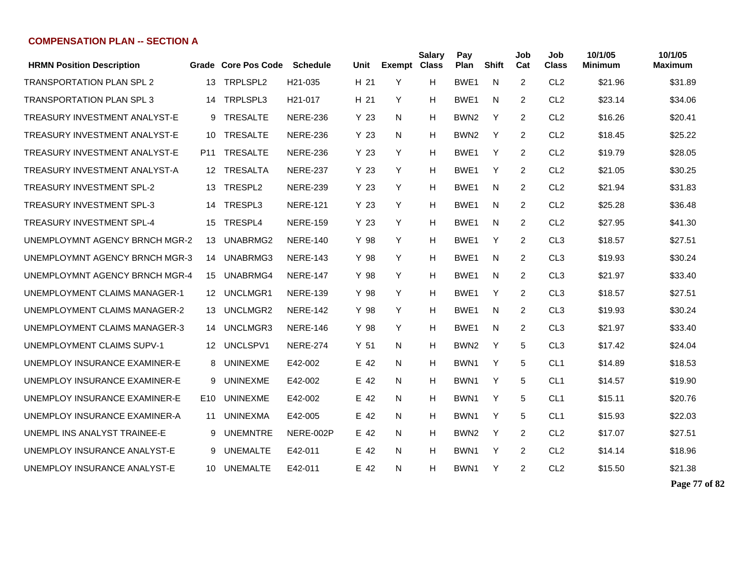| <b>HRMN Position Description</b> |                 | Grade Core Pos Code | <b>Schedule</b>      | Unit            | <b>Exempt Class</b> | <b>Salary</b> | Pay<br>Plan      | <b>Shift</b> | Job<br>Cat     | Job<br><b>Class</b> | 10/1/05<br>Minimum | 10/1/05<br><b>Maximum</b> |
|----------------------------------|-----------------|---------------------|----------------------|-----------------|---------------------|---------------|------------------|--------------|----------------|---------------------|--------------------|---------------------------|
| <b>TRANSPORTATION PLAN SPL 2</b> | 13              | TRPLSPL2            | H21-035              | H 21            | Y                   | H             | BWE1             | N            | 2              | CL <sub>2</sub>     | \$21.96            | \$31.89                   |
| TRANSPORTATION PLAN SPL 3        | 14              | TRPLSPL3            | H <sub>21</sub> -017 | H 21            | Y                   | H             | BWE <sub>1</sub> | N            | 2              | CL <sub>2</sub>     | \$23.14            | \$34.06                   |
| TREASURY INVESTMENT ANALYST-E    | 9               | <b>TRESALTE</b>     | <b>NERE-236</b>      | Y 23            | N                   | н             | BWN <sub>2</sub> | Y            | $\overline{2}$ | CL <sub>2</sub>     | \$16.26            | \$20.41                   |
| TREASURY INVESTMENT ANALYST-E    | 10              | <b>TRESALTE</b>     | <b>NERE-236</b>      | Y 23            | N                   | н             | BWN <sub>2</sub> | Y            | 2              | CL <sub>2</sub>     | \$18.45            | \$25.22                   |
| TREASURY INVESTMENT ANALYST-E    | P11             | <b>TRESALTE</b>     | <b>NERE-236</b>      | Y 23            | Y                   | н             | BWE <sub>1</sub> | Y            | $\overline{2}$ | CL <sub>2</sub>     | \$19.79            | \$28.05                   |
| TREASURY INVESTMENT ANALYST-A    | 12              | <b>TRESALTA</b>     | <b>NERE-237</b>      | Y 23            | Y                   | н             | BWE <sub>1</sub> | Y            | 2              | CL <sub>2</sub>     | \$21.05            | \$30.25                   |
| <b>TREASURY INVESTMENT SPL-2</b> | 13              | TRESPL <sub>2</sub> | <b>NERE-239</b>      | Y 23            | Y                   | н             | BWE <sub>1</sub> | N            | 2              | CL <sub>2</sub>     | \$21.94            | \$31.83                   |
| <b>TREASURY INVESTMENT SPL-3</b> | 14              | TRESPL3             | <b>NERE-121</b>      | Y 23            | Y                   | H             | BWE <sub>1</sub> | N            | 2              | CL <sub>2</sub>     | \$25.28            | \$36.48                   |
| <b>TREASURY INVESTMENT SPL-4</b> | 15              | TRESPL4             | <b>NERE-159</b>      | Y 23            | Y                   | н             | BWE <sub>1</sub> | N            | 2              | CL <sub>2</sub>     | \$27.95            | \$41.30                   |
| UNEMPLOYMNT AGENCY BRNCH MGR-2   | 13              | UNABRMG2            | <b>NERE-140</b>      | Y 98            | Y                   | н             | BWE <sub>1</sub> | Y            | 2              | CL <sub>3</sub>     | \$18.57            | \$27.51                   |
| UNEMPLOYMNT AGENCY BRNCH MGR-3   | 14              | UNABRMG3            | <b>NERE-143</b>      | Y 98            | Y                   | н             | BWE <sub>1</sub> | N            | 2              | CL <sub>3</sub>     | \$19.93            | \$30.24                   |
| UNEMPLOYMNT AGENCY BRNCH MGR-4   | 15              | UNABRMG4            | <b>NERE-147</b>      | Y 98            | Y                   | н             | BWE1             | N            | 2              | CL <sub>3</sub>     | \$21.97            | \$33.40                   |
| UNEMPLOYMENT CLAIMS MANAGER-1    | 12 <sup>°</sup> | UNCLMGR1            | <b>NERE-139</b>      | Y 98            | Y                   | н             | BWE <sub>1</sub> | Y            | 2              | CL <sub>3</sub>     | \$18.57            | \$27.51                   |
| UNEMPLOYMENT CLAIMS MANAGER-2    | 13              | UNCLMGR2            | <b>NERE-142</b>      | Y 98            | Y                   | н             | BWE1             | N            | $\overline{2}$ | CL <sub>3</sub>     | \$19.93            | \$30.24                   |
| UNEMPLOYMENT CLAIMS MANAGER-3    | 14              | UNCLMGR3            | <b>NERE-146</b>      | Y 98            | Y                   | H             | BWE <sub>1</sub> | N            | 2              | CL <sub>3</sub>     | \$21.97            | \$33.40                   |
| UNEMPLOYMENT CLAIMS SUPV-1       | 12              | UNCLSPV1            | <b>NERE-274</b>      | Y <sub>51</sub> | N                   | н             | BWN <sub>2</sub> | Y            | 5              | CL <sub>3</sub>     | \$17.42            | \$24.04                   |
| UNEMPLOY INSURANCE EXAMINER-E    | 8               | <b>UNINEXME</b>     | E42-002              | E 42            | N                   | н             | BWN <sub>1</sub> | Y            | 5              | CL <sub>1</sub>     | \$14.89            | \$18.53                   |
| UNEMPLOY INSURANCE EXAMINER-E    | 9               | <b>UNINEXME</b>     | E42-002              | E 42            | N                   | н             | BWN1             | Y            | 5              | CL <sub>1</sub>     | \$14.57            | \$19.90                   |
| UNEMPLOY INSURANCE EXAMINER-E    | E10             | <b>UNINEXME</b>     | E42-002              | E 42            | N                   | н             | BWN1             | Y            | 5              | CL <sub>1</sub>     | \$15.11            | \$20.76                   |
| UNEMPLOY INSURANCE EXAMINER-A    | 11              | <b>UNINEXMA</b>     | E42-005              | E 42            | N                   | н             | BWN1             | Y            | 5              | CL <sub>1</sub>     | \$15.93            | \$22.03                   |
| UNEMPL INS ANALYST TRAINEE-E     | 9               | <b>UNEMNTRE</b>     | NERE-002P            | E 42            | N                   | н             | BWN <sub>2</sub> | Y            | 2              | CL <sub>2</sub>     | \$17.07            | \$27.51                   |
| UNEMPLOY INSURANCE ANALYST-E     | 9               | <b>UNEMALTE</b>     | E42-011              | E 42            | N                   | н             | BWN1             | Y            | 2              | CL <sub>2</sub>     | \$14.14            | \$18.96                   |
| UNEMPLOY INSURANCE ANALYST-E     | 10              | UNEMALTE            | E42-011              | E 42            | N                   | н             | BWN1             | Y            | 2              | CL <sub>2</sub>     | \$15.50            | \$21.38                   |

**Page 77 of 82**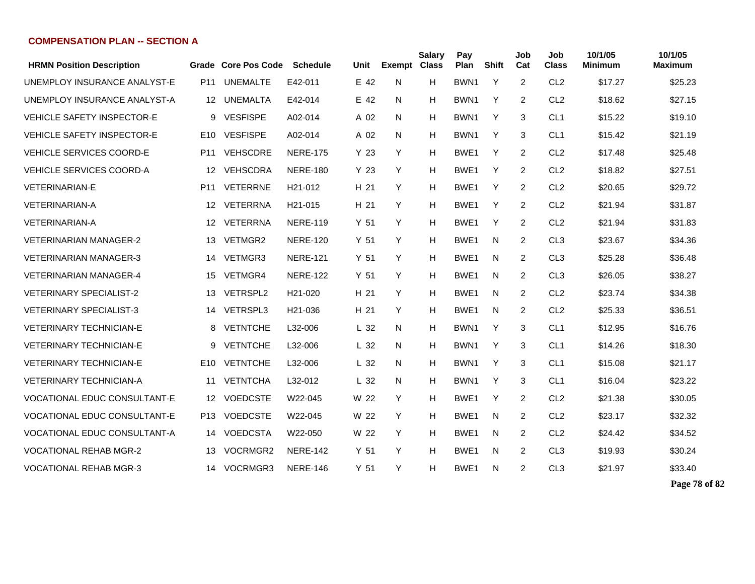| <b>HRMN Position Description</b>    |                 | Grade Core Pos Code | <b>Schedule</b>      | Unit            | <b>Exempt</b> | <b>Salary</b><br><b>Class</b> | Pay<br>Plan      | <b>Shift</b> | Job<br>Cat     | Job<br><b>Class</b> | 10/1/05<br><b>Minimum</b> | 10/1/05<br><b>Maximum</b> |
|-------------------------------------|-----------------|---------------------|----------------------|-----------------|---------------|-------------------------------|------------------|--------------|----------------|---------------------|---------------------------|---------------------------|
| UNEMPLOY INSURANCE ANALYST-E        | P <sub>11</sub> | <b>UNEMALTE</b>     | E42-011              | E 42            | N             | H                             | BWN <sub>1</sub> | Y            | $\overline{2}$ | CL <sub>2</sub>     | \$17.27                   | \$25.23                   |
| UNEMPLOY INSURANCE ANALYST-A        | 12 <sup>°</sup> | <b>UNEMALTA</b>     | E42-014              | E 42            | N             | H                             | BWN <sub>1</sub> | Y            | 2              | CL <sub>2</sub>     | \$18.62                   | \$27.15                   |
| <b>VEHICLE SAFETY INSPECTOR-E</b>   | 9               | <b>VESFISPE</b>     | A02-014              | A 02            | N             | H                             | BWN <sub>1</sub> | Y            | 3              | CL <sub>1</sub>     | \$15.22                   | \$19.10                   |
| <b>VEHICLE SAFETY INSPECTOR-E</b>   | E <sub>10</sub> | <b>VESFISPE</b>     | A02-014              | A 02            | N             | H                             | BWN1             | Y            | 3              | CL <sub>1</sub>     | \$15.42                   | \$21.19                   |
| VEHICLE SERVICES COORD-E            | P <sub>11</sub> | <b>VEHSCDRE</b>     | <b>NERE-175</b>      | Y 23            | Y             | H                             | BWE1             | Y            | $\overline{2}$ | CL <sub>2</sub>     | \$17.48                   | \$25.48                   |
| <b>VEHICLE SERVICES COORD-A</b>     | 12              | <b>VEHSCDRA</b>     | <b>NERE-180</b>      | Y <sub>23</sub> | Y             | H                             | BWE1             | Υ            | $\overline{2}$ | CL <sub>2</sub>     | \$18.82                   | \$27.51                   |
| <b>VETERINARIAN-E</b>               | P <sub>11</sub> | <b>VETERRNE</b>     | H21-012              | H 21            | Y             | H                             | BWE1             | Υ            | $\overline{2}$ | CL <sub>2</sub>     | \$20.65                   | \$29.72                   |
| <b>VETERINARIAN-A</b>               | 12              | <b>VETERRNA</b>     | H <sub>21</sub> -015 | H 21            | Y             | H                             | BWE <sub>1</sub> | Y            | $\overline{2}$ | CL <sub>2</sub>     | \$21.94                   | \$31.87                   |
| <b>VETERINARIAN-A</b>               | 12              | <b>VETERRNA</b>     | <b>NERE-119</b>      | Y <sub>51</sub> | Y             | H                             | BWE <sub>1</sub> | Y            | 2              | CL <sub>2</sub>     | \$21.94                   | \$31.83                   |
| <b>VETERINARIAN MANAGER-2</b>       | 13              | <b>VETMGR2</b>      | <b>NERE-120</b>      | Y <sub>51</sub> | Y             | H                             | BWE <sub>1</sub> | N            | $\overline{2}$ | CL <sub>3</sub>     | \$23.67                   | \$34.36                   |
| <b>VETERINARIAN MANAGER-3</b>       | 14              | <b>VETMGR3</b>      | <b>NERE-121</b>      | Y <sub>51</sub> | Y             | H                             | BWE <sub>1</sub> | N            | $\overline{2}$ | CL <sub>3</sub>     | \$25.28                   | \$36.48                   |
| <b>VETERINARIAN MANAGER-4</b>       | 15              | VETMGR4             | <b>NERE-122</b>      | Y <sub>51</sub> | Y             | H                             | BWE <sub>1</sub> | N            | $\overline{2}$ | CL <sub>3</sub>     | \$26.05                   | \$38.27                   |
| <b>VETERINARY SPECIALIST-2</b>      | 13              | <b>VETRSPL2</b>     | H <sub>21</sub> -020 | H <sub>21</sub> | Y             | H                             | BWE1             | N            | $\overline{2}$ | CL <sub>2</sub>     | \$23.74                   | \$34.38                   |
| <b>VETERINARY SPECIALIST-3</b>      | 14              | <b>VETRSPL3</b>     | H21-036              | H 21            | Y             | H                             | BWE <sub>1</sub> | N            | 2              | CL <sub>2</sub>     | \$25.33                   | \$36.51                   |
| <b>VETERINARY TECHNICIAN-E</b>      | 8               | <b>VETNTCHE</b>     | L32-006              | L <sub>32</sub> | N             | H                             | BWN <sub>1</sub> | Υ            | 3              | CL <sub>1</sub>     | \$12.95                   | \$16.76                   |
| <b>VETERINARY TECHNICIAN-E</b>      | 9               | <b>VETNTCHE</b>     | L32-006              | L <sub>32</sub> | N             | H                             | BWN1             | Y            | 3              | CL <sub>1</sub>     | \$14.26                   | \$18.30                   |
| <b>VETERINARY TECHNICIAN-E</b>      | E10             | <b>VETNTCHE</b>     | L32-006              | L <sub>32</sub> | N             | H                             | BWN <sub>1</sub> | Y            | 3              | CL <sub>1</sub>     | \$15.08                   | \$21.17                   |
| <b>VETERINARY TECHNICIAN-A</b>      | 11              | <b>VETNTCHA</b>     | L32-012              | L <sub>32</sub> | N             | Н                             | BWN <sub>1</sub> | Y            | 3              | CL <sub>1</sub>     | \$16.04                   | \$23.22                   |
| <b>VOCATIONAL EDUC CONSULTANT-E</b> | 12              | <b>VOEDCSTE</b>     | W22-045              | W 22            | Y             | H                             | BWE1             | Y            | 2              | CL <sub>2</sub>     | \$21.38                   | \$30.05                   |
| <b>VOCATIONAL EDUC CONSULTANT-E</b> | P <sub>13</sub> | <b>VOEDCSTE</b>     | W22-045              | W 22            | Y             | H                             | BWE1             | N            | 2              | CL <sub>2</sub>     | \$23.17                   | \$32.32                   |
| VOCATIONAL EDUC CONSULTANT-A        | 14              | VOEDCSTA            | W22-050              | W 22            | Y             | H.                            | BWE1             | N            | 2              | CL <sub>2</sub>     | \$24.42                   | \$34.52                   |
| <b>VOCATIONAL REHAB MGR-2</b>       | 13              | VOCRMGR2            | <b>NERE-142</b>      | Y <sub>51</sub> | Y             | H                             | BWE1             | N            | 2              | CL <sub>3</sub>     | \$19.93                   | \$30.24                   |
| <b>VOCATIONAL REHAB MGR-3</b>       |                 | 14 VOCRMGR3         | <b>NERE-146</b>      | Y <sub>51</sub> | Y             | H                             | BWE1             | N            | $\overline{2}$ | CL <sub>3</sub>     | \$21.97                   | \$33.40                   |

**Page 78 of 82**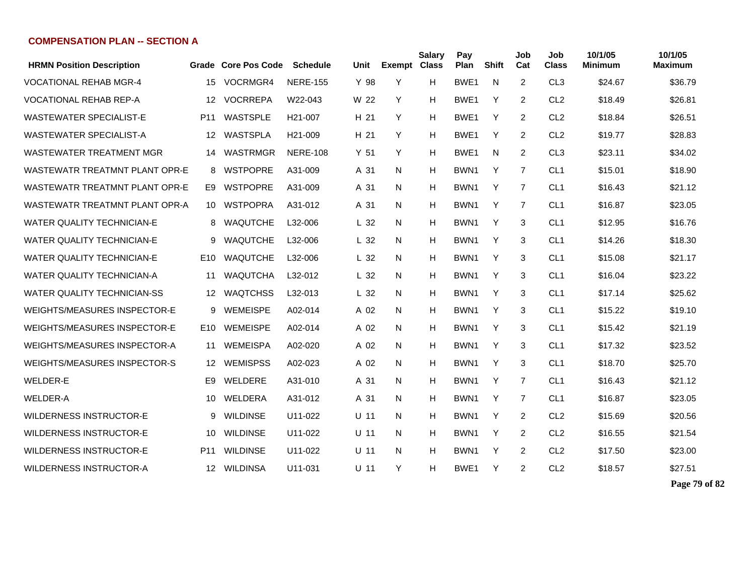| <b>HRMN Position Description</b>    |                 | Grade Core Pos Code | <b>Schedule</b>      | Unit            | <b>Exempt</b> | <b>Salary</b><br><b>Class</b> | Pay<br>Plan      | <b>Shift</b> | Job<br>Cat     | Job<br><b>Class</b> | 10/1/05<br>Minimum | 10/1/05<br>Maximum |
|-------------------------------------|-----------------|---------------------|----------------------|-----------------|---------------|-------------------------------|------------------|--------------|----------------|---------------------|--------------------|--------------------|
| <b>VOCATIONAL REHAB MGR-4</b>       | 15              | VOCRMGR4            | <b>NERE-155</b>      | Y 98            | Y             | H                             | BWE <sub>1</sub> | N            | 2              | CL <sub>3</sub>     | \$24.67            | \$36.79            |
| <b>VOCATIONAL REHAB REP-A</b>       | 12              | <b>VOCRREPA</b>     | W22-043              | W 22            | Y             | н                             | BWE1             | Y            | 2              | CL <sub>2</sub>     | \$18.49            | \$26.81            |
| <b>WASTEWATER SPECIALIST-E</b>      | P11             | WASTSPLE            | H <sub>21</sub> -007 | H 21            | Y             | н                             | BWE <sub>1</sub> | Y            | 2              | CL <sub>2</sub>     | \$18.84            | \$26.51            |
| <b>WASTEWATER SPECIALIST-A</b>      | 12              | WASTSPLA            | H <sub>21</sub> -009 | H 21            | Y             | H                             | BWE <sub>1</sub> | Y            | 2              | CL <sub>2</sub>     | \$19.77            | \$28.83            |
| <b>WASTEWATER TREATMENT MGR</b>     | 14              | WASTRMGR            | <b>NERE-108</b>      | Y <sub>51</sub> | Y             | H                             | BWE <sub>1</sub> | N            | 2              | CL <sub>3</sub>     | \$23.11            | \$34.02            |
| WASTEWATR TREATMNT PLANT OPR-E      | 8               | <b>WSTPOPRE</b>     | A31-009              | A 31            | N             | н                             | BWN <sub>1</sub> | Y            | 7              | CL <sub>1</sub>     | \$15.01            | \$18.90            |
| WASTEWATR TREATMNT PLANT OPR-E      | E9              | <b>WSTPOPRE</b>     | A31-009              | A 31            | N             | н                             | BWN <sub>1</sub> | Y            | 7              | CL <sub>1</sub>     | \$16.43            | \$21.12            |
| WASTEWATR TREATMNT PLANT OPR-A      | 10              | WSTPOPRA            | A31-012              | A 31            | N.            | н                             | BWN <sub>1</sub> | Y            | $\overline{7}$ | CL <sub>1</sub>     | \$16.87            | \$23.05            |
| <b>WATER QUALITY TECHNICIAN-E</b>   | 8               | <b>WAQUTCHE</b>     | L32-006              | L <sub>32</sub> | N             | н                             | BWN <sub>1</sub> | Y            | 3              | CL <sub>1</sub>     | \$12.95            | \$16.76            |
| <b>WATER QUALITY TECHNICIAN-E</b>   | 9               | <b>WAQUTCHE</b>     | L32-006              | L <sub>32</sub> | N.            | н                             | BWN <sub>1</sub> | Y            | 3              | CL <sub>1</sub>     | \$14.26            | \$18.30            |
| WATER QUALITY TECHNICIAN-E          | E10             | <b>WAQUTCHE</b>     | L32-006              | L <sub>32</sub> | N.            | H                             | BWN1             | Y            | 3              | CL <sub>1</sub>     | \$15.08            | \$21.17            |
| <b>WATER QUALITY TECHNICIAN-A</b>   | 11              | <b>WAQUTCHA</b>     | L32-012              | L <sub>32</sub> | N.            | H                             | BWN1             | Y            | 3              | CL <sub>1</sub>     | \$16.04            | \$23.22            |
| <b>WATER QUALITY TECHNICIAN-SS</b>  | 12              | <b>WAQTCHSS</b>     | L32-013              | L <sub>32</sub> | N.            | H                             | BWN <sub>1</sub> | Y            | 3              | CL <sub>1</sub>     | \$17.14            | \$25.62            |
| WEIGHTS/MEASURES INSPECTOR-E        | 9               | <b>WEMEISPE</b>     | A02-014              | A 02            | N.            | н                             | BWN1             | Y            | 3              | CL <sub>1</sub>     | \$15.22            | \$19.10            |
| WEIGHTS/MEASURES INSPECTOR-E        | E <sub>10</sub> | <b>WEMEISPE</b>     | A02-014              | A 02            | N.            | н                             | BWN <sub>1</sub> | Y            | 3              | CL <sub>1</sub>     | \$15.42            | \$21.19            |
| <b>WEIGHTS/MEASURES INSPECTOR-A</b> | 11              | WEMEISPA            | A02-020              | A 02            | N.            | н                             | BWN1             | Y            | 3              | CL <sub>1</sub>     | \$17.32            | \$23.52            |
| <b>WEIGHTS/MEASURES INSPECTOR-S</b> | 12              | WEMISPSS            | A02-023              | A 02            | N             | н                             | BWN <sub>1</sub> | Y            | 3              | CL <sub>1</sub>     | \$18.70            | \$25.70            |
| WELDER-E                            | E9              | WELDERE             | A31-010              | A 31            | N             | н                             | BWN <sub>1</sub> | Y            | 7              | CL <sub>1</sub>     | \$16.43            | \$21.12            |
| <b>WELDER-A</b>                     | 10              | WELDERA             | A31-012              | A 31            | N.            | н                             | BWN <sub>1</sub> | Y            | 7              | CL <sub>1</sub>     | \$16.87            | \$23.05            |
| <b>WILDERNESS INSTRUCTOR-E</b>      | 9               | <b>WILDINSE</b>     | U11-022              | U 11            | N             | н                             | BWN1             | Y            | 2              | CL <sub>2</sub>     | \$15.69            | \$20.56            |
| <b>WILDERNESS INSTRUCTOR-E</b>      | 10              | <b>WILDINSE</b>     | U11-022              | $U$ 11          | N             | н                             | BWN <sub>1</sub> | Y            | 2              | CL <sub>2</sub>     | \$16.55            | \$21.54            |
| <b>WILDERNESS INSTRUCTOR-E</b>      | P <sub>11</sub> | <b>WILDINSE</b>     | U11-022              | $U$ 11          | N             | н                             | BWN <sub>1</sub> | Y            | 2              | CL <sub>2</sub>     | \$17.50            | \$23.00            |
| <b>WILDERNESS INSTRUCTOR-A</b>      | 12              | WILDINSA            | U11-031              | U 11            | Y             | н                             | BWE <sub>1</sub> | Y            | 2              | CL <sub>2</sub>     | \$18.57            | \$27.51            |

**Page 79 of 82**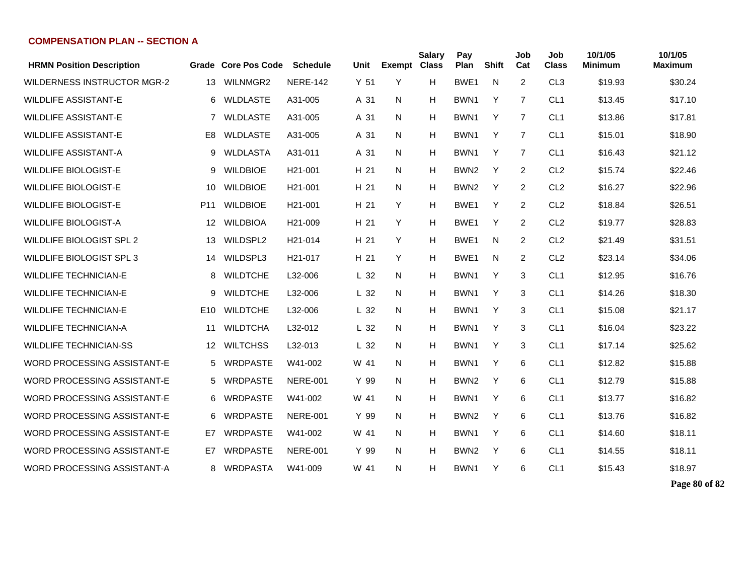| <b>HRMN Position Description</b>   |                 | Grade Core Pos Code | <b>Schedule</b>      | Unit            | <b>Exempt</b> | <b>Salary</b><br><b>Class</b> | Pay<br>Plan      | Shift | Job<br>Cat     | Job<br><b>Class</b> | 10/1/05<br>Minimum | 10/1/05<br>Maximum |
|------------------------------------|-----------------|---------------------|----------------------|-----------------|---------------|-------------------------------|------------------|-------|----------------|---------------------|--------------------|--------------------|
| <b>WILDERNESS INSTRUCTOR MGR-2</b> | 13              | WILNMGR2            | <b>NERE-142</b>      | Y <sub>51</sub> | Y             | н                             | BWE <sub>1</sub> | N     | 2              | CL <sub>3</sub>     | \$19.93            | \$30.24            |
| <b>WILDLIFE ASSISTANT-E</b>        | 6               | <b>WLDLASTE</b>     | A31-005              | A 31            | N             | Н                             | BWN <sub>1</sub> | Y     | 7              | CL <sub>1</sub>     | \$13.45            | \$17.10            |
| <b>WILDLIFE ASSISTANT-E</b>        | $\overline{7}$  | <b>WLDLASTE</b>     | A31-005              | A 31            | N             | н                             | BWN1             | Y     | 7              | CL <sub>1</sub>     | \$13.86            | \$17.81            |
| <b>WILDLIFE ASSISTANT-E</b>        | E8              | <b>WLDLASTE</b>     | A31-005              | A 31            | N             | н                             | BWN <sub>1</sub> | Y     | $\overline{7}$ | CL <sub>1</sub>     | \$15.01            | \$18.90            |
| <b>WILDLIFE ASSISTANT-A</b>        | 9               | WLDLASTA            | A31-011              | A 31            | N.            | н                             | BWN1             | Y     | 7              | CL <sub>1</sub>     | \$16.43            | \$21.12            |
| <b>WILDLIFE BIOLOGIST-E</b>        | 9               | <b>WILDBIOE</b>     | H <sub>21</sub> -001 | H 21            | N             | н                             | BWN <sub>2</sub> | Y     | 2              | CL <sub>2</sub>     | \$15.74            | \$22.46            |
| <b>WILDLIFE BIOLOGIST-E</b>        | 10              | <b>WILDBIOE</b>     | H <sub>21</sub> -001 | H 21            | N             | Н                             | BWN <sub>2</sub> | Y     | $\overline{2}$ | CL <sub>2</sub>     | \$16.27            | \$22.96            |
| <b>WILDLIFE BIOLOGIST-E</b>        | P <sub>11</sub> | <b>WILDBIOE</b>     | H <sub>21</sub> -001 | H 21            | Y             | н                             | BWE <sub>1</sub> | Y     | 2              | CL <sub>2</sub>     | \$18.84            | \$26.51            |
| <b>WILDLIFE BIOLOGIST-A</b>        | 12              | <b>WILDBIOA</b>     | H <sub>21</sub> -009 | H 21            | Y             | H                             | BWE1             | Y     | 2              | CL <sub>2</sub>     | \$19.77            | \$28.83            |
| WILDLIFE BIOLOGIST SPL 2           | 13              | WILDSPL2            | H <sub>21</sub> -014 | H 21            | Y             | H                             | BWE <sub>1</sub> | N     | $\overline{2}$ | CL <sub>2</sub>     | \$21.49            | \$31.51            |
| <b>WILDLIFE BIOLOGIST SPL 3</b>    | 14              | WILDSPL3            | H <sub>21</sub> -017 | H 21            | Y             | н                             | BWE <sub>1</sub> | N     | $\overline{2}$ | CL <sub>2</sub>     | \$23.14            | \$34.06            |
| <b>WILDLIFE TECHNICIAN-E</b>       | 8               | <b>WILDTCHE</b>     | L32-006              | L <sub>32</sub> | N             | н                             | BWN <sub>1</sub> | Y     | 3              | CL <sub>1</sub>     | \$12.95            | \$16.76            |
| <b>WILDLIFE TECHNICIAN-E</b>       | 9               | <b>WILDTCHE</b>     | L32-006              | L <sub>32</sub> | N             | Н                             | BWN1             | Y     | 3              | CL <sub>1</sub>     | \$14.26            | \$18.30            |
| <b>WILDLIFE TECHNICIAN-E</b>       | E10             | <b>WILDTCHE</b>     | L32-006              | L <sub>32</sub> | N.            | н                             | BWN1             | Y     | 3              | CL <sub>1</sub>     | \$15.08            | \$21.17            |
| <b>WILDLIFE TECHNICIAN-A</b>       | 11              | <b>WILDTCHA</b>     | L32-012              | L <sub>32</sub> | N             | н                             | BWN <sub>1</sub> | Y     | 3              | CL <sub>1</sub>     | \$16.04            | \$23.22            |
| <b>WILDLIFE TECHNICIAN-SS</b>      | $12 \,$         | <b>WILTCHSS</b>     | L32-013              | L <sub>32</sub> | N             | н                             | BWN <sub>1</sub> | Y     | 3              | CL <sub>1</sub>     | \$17.14            | \$25.62            |
| <b>WORD PROCESSING ASSISTANT-E</b> | 5               | <b>WRDPASTE</b>     | W41-002              | W 41            | N             | н                             | BWN1             | Y     | 6              | CL <sub>1</sub>     | \$12.82            | \$15.88            |
| <b>WORD PROCESSING ASSISTANT-E</b> | 5               | <b>WRDPASTE</b>     | <b>NERE-001</b>      | Y 99            | N             | Н                             | BWN <sub>2</sub> | Y     | 6              | CL <sub>1</sub>     | \$12.79            | \$15.88            |
| WORD PROCESSING ASSISTANT-E        | 6               | <b>WRDPASTE</b>     | W41-002              | W 41            | N             | н                             | BWN <sub>1</sub> | Y     | 6              | CL <sub>1</sub>     | \$13.77            | \$16.82            |
| <b>WORD PROCESSING ASSISTANT-E</b> | 6               | <b>WRDPASTE</b>     | <b>NERE-001</b>      | Y 99            | N             | Н                             | BWN <sub>2</sub> | Y     | 6              | CL <sub>1</sub>     | \$13.76            | \$16.82            |
| <b>WORD PROCESSING ASSISTANT-E</b> | E7              | <b>WRDPASTE</b>     | W41-002              | W 41            | N             | н                             | BWN <sub>1</sub> | Y     | 6              | CL <sub>1</sub>     | \$14.60            | \$18.11            |
| <b>WORD PROCESSING ASSISTANT-E</b> | E7              | <b>WRDPASTE</b>     | <b>NERE-001</b>      | Y 99            | N             | н                             | BWN <sub>2</sub> | Y     | 6              | CL <sub>1</sub>     | \$14.55            | \$18.11            |
| WORD PROCESSING ASSISTANT-A        | 8               | <b>WRDPASTA</b>     | W41-009              | W 41            | N             | н                             | BWN1             | Y     | 6              | CL <sub>1</sub>     | \$15.43            | \$18.97            |

**Page 80 of 82**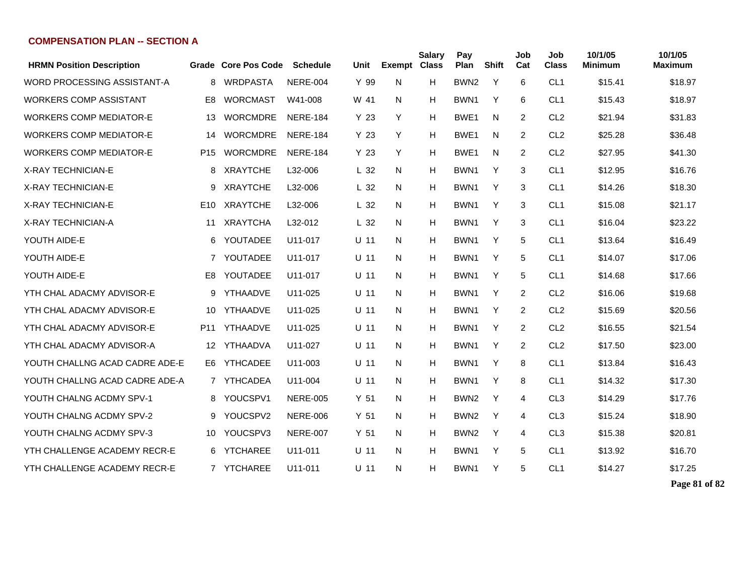| <b>HRMN Position Description</b> |                 | Grade Core Pos Code | <b>Schedule</b> | Unit            | <b>Exempt</b> | <b>Salary</b><br><b>Class</b> | Pay<br>Plan      | Shift | Job<br>Cat     | Job<br><b>Class</b> | 10/1/05<br>Minimum | 10/1/05<br>Maximum |
|----------------------------------|-----------------|---------------------|-----------------|-----------------|---------------|-------------------------------|------------------|-------|----------------|---------------------|--------------------|--------------------|
| WORD PROCESSING ASSISTANT-A      | 8               | <b>WRDPASTA</b>     | <b>NERE-004</b> | Y 99            | N             | н                             | BWN <sub>2</sub> | Y     | 6              | CL <sub>1</sub>     | \$15.41            | \$18.97            |
| <b>WORKERS COMP ASSISTANT</b>    | E8              | <b>WORCMAST</b>     | W41-008         | W 41            | N             | н                             | BWN1             | Y     | 6              | CL <sub>1</sub>     | \$15.43            | \$18.97            |
| <b>WORKERS COMP MEDIATOR-E</b>   | 13              | <b>WORCMDRE</b>     | <b>NERE-184</b> | Y <sub>23</sub> | Y             | н                             | BWE1             | N     | 2              | CL <sub>2</sub>     | \$21.94            | \$31.83            |
| <b>WORKERS COMP MEDIATOR-E</b>   | 14              | <b>WORCMDRE</b>     | <b>NERE-184</b> | Y <sub>23</sub> | Y             | Н                             | BWE <sub>1</sub> | N.    | 2              | CL <sub>2</sub>     | \$25.28            | \$36.48            |
| <b>WORKERS COMP MEDIATOR-E</b>   | P <sub>15</sub> | <b>WORCMDRE</b>     | <b>NERE-184</b> | Y <sub>23</sub> | Y             | н                             | BWE <sub>1</sub> | N.    | 2              | CL <sub>2</sub>     | \$27.95            | \$41.30            |
| <b>X-RAY TECHNICIAN-E</b>        | 8               | <b>XRAYTCHE</b>     | L32-006         | L <sub>32</sub> | N.            | н                             | BWN1             | Y     | 3              | CL <sub>1</sub>     | \$12.95            | \$16.76            |
| <b>X-RAY TECHNICIAN-E</b>        | 9               | <b>XRAYTCHE</b>     | L32-006         | L <sub>32</sub> | N             | Н                             | BWN1             | Y     | 3              | CL <sub>1</sub>     | \$14.26            | \$18.30            |
| X-RAY TECHNICIAN-E               | E10             | <b>XRAYTCHE</b>     | L32-006         | L <sub>32</sub> | N             | н                             | BWN1             | Y     | 3              | CL <sub>1</sub>     | \$15.08            | \$21.17            |
| X-RAY TECHNICIAN-A               | 11              | <b>XRAYTCHA</b>     | L32-012         | L <sub>32</sub> | N             | Н                             | BWN1             | Y     | 3              | CL <sub>1</sub>     | \$16.04            | \$23.22            |
| YOUTH AIDE-E                     | 6               | YOUTADEE            | U11-017         | $U$ 11          | N.            | Н                             | BWN1             | Y     | 5              | CL <sub>1</sub>     | \$13.64            | \$16.49            |
| YOUTH AIDE-E                     |                 | 7 YOUTADEE          | U11-017         | $U$ 11          | N             | Н                             | BWN <sub>1</sub> | Y     | 5              | CL <sub>1</sub>     | \$14.07            | \$17.06            |
| YOUTH AIDE-E                     | E <sub>8</sub>  | YOUTADEE            | U11-017         | $U$ 11          | N             | Н                             | BWN1             | Y     | 5              | CL <sub>1</sub>     | \$14.68            | \$17.66            |
| YTH CHAL ADACMY ADVISOR-E        | 9               | YTHAADVE            | U11-025         | $U$ 11          | N             | н                             | BWN1             | Y     | $\overline{2}$ | CL <sub>2</sub>     | \$16.06            | \$19.68            |
| YTH CHAL ADACMY ADVISOR-E        | 10              | YTHAADVE            | U11-025         | $U$ 11          | N.            | н                             | BWN1             | Y     | $\overline{2}$ | CL <sub>2</sub>     | \$15.69            | \$20.56            |
| YTH CHAL ADACMY ADVISOR-E        | P <sub>11</sub> | YTHAADVE            | U11-025         | $U$ 11          | N             | н                             | BWN <sub>1</sub> | Y     | $\overline{2}$ | CL <sub>2</sub>     | \$16.55            | \$21.54            |
| YTH CHAL ADACMY ADVISOR-A        | 12              | YTHAADVA            | U11-027         | $U$ 11          | N             | н                             | BWN1             | Y     | $\overline{2}$ | CL <sub>2</sub>     | \$17.50            | \$23.00            |
| YOUTH CHALLNG ACAD CADRE ADE-E   | E6              | <b>YTHCADEE</b>     | U11-003         | $U$ 11          | N             | H                             | BWN1             | Y     | 8              | CL <sub>1</sub>     | \$13.84            | \$16.43            |
| YOUTH CHALLNG ACAD CADRE ADE-A   |                 | 7 YTHCADEA          | U11-004         | $U$ 11          | N             | H                             | BWN <sub>1</sub> | Y     | 8              | CL <sub>1</sub>     | \$14.32            | \$17.30            |
| YOUTH CHALNG ACDMY SPV-1         | 8               | YOUCSPV1            | <b>NERE-005</b> | Y <sub>51</sub> | N             | н                             | BWN <sub>2</sub> | Y     | 4              | CL <sub>3</sub>     | \$14.29            | \$17.76            |
| YOUTH CHALNG ACDMY SPV-2         | 9               | YOUCSPV2            | <b>NERE-006</b> | Y <sub>51</sub> | N             | Н                             | BWN <sub>2</sub> | Y     | 4              | CL <sub>3</sub>     | \$15.24            | \$18.90            |
| YOUTH CHALNG ACDMY SPV-3         | 10              | YOUCSPV3            | <b>NERE-007</b> | Y <sub>51</sub> | N.            | н                             | BWN <sub>2</sub> | Y     | 4              | CL <sub>3</sub>     | \$15.38            | \$20.81            |
| YTH CHALLENGE ACADEMY RECR-E     | 6               | <b>YTCHAREE</b>     | U11-011         | $U$ 11          | N             | н                             | BWN <sub>1</sub> | Y     | 5              | CL <sub>1</sub>     | \$13.92            | \$16.70            |
| YTH CHALLENGE ACADEMY RECR-E     |                 | 7 YTCHAREE          | U11-011         | $U$ 11          | N             | н                             | BWN1             | Y     | 5              | CL <sub>1</sub>     | \$14.27            | \$17.25            |

**Page 81 of 82**